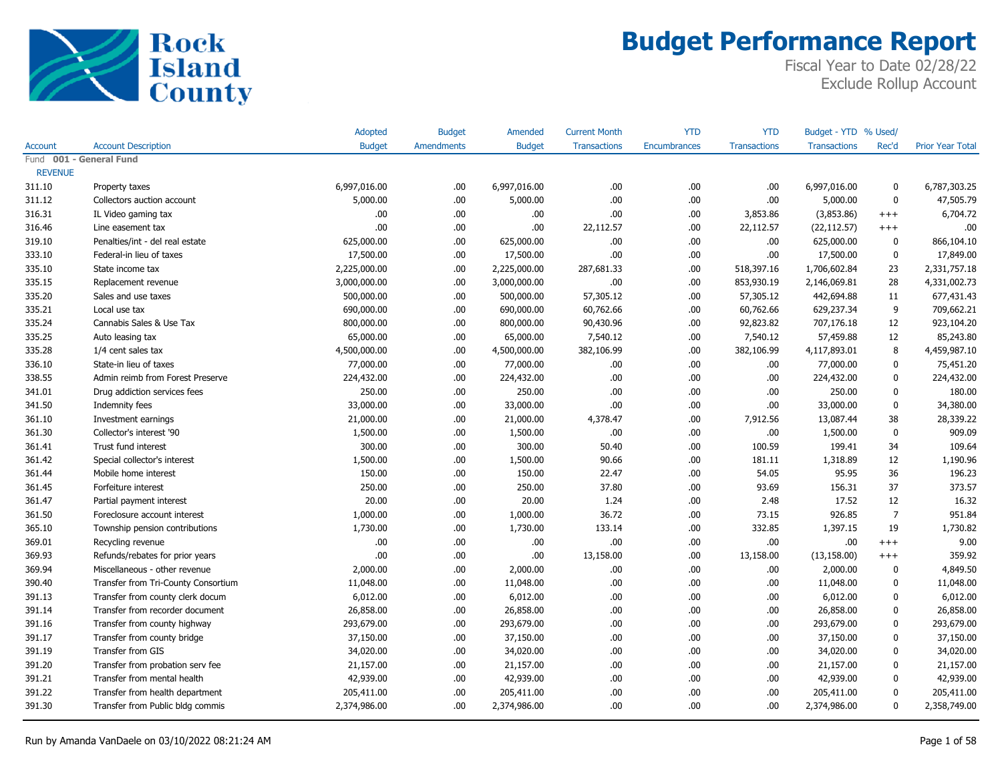

|                         |                                     | Adopted       | <b>Budget</b> | Amended       | <b>Current Month</b> | <b>YTD</b>          | <b>YTD</b>          | Budget - YTD % Used/ |                |                         |
|-------------------------|-------------------------------------|---------------|---------------|---------------|----------------------|---------------------|---------------------|----------------------|----------------|-------------------------|
| <b>Account</b>          | <b>Account Description</b>          | <b>Budget</b> | Amendments    | <b>Budget</b> | <b>Transactions</b>  | <b>Encumbrances</b> | <b>Transactions</b> | <b>Transactions</b>  | Rec'd          | <b>Prior Year Total</b> |
| Fund 001 - General Fund |                                     |               |               |               |                      |                     |                     |                      |                |                         |
| <b>REVENUE</b>          |                                     |               |               |               |                      |                     |                     |                      |                |                         |
| 311.10                  | Property taxes                      | 6,997,016.00  | .00.          | 6,997,016.00  | .00                  | .00                 | .00                 | 6,997,016.00         | 0              | 6,787,303.25            |
| 311.12                  | Collectors auction account          | 5,000.00      | .00.          | 5,000.00      | .00                  | .00                 | .00                 | 5,000.00             | $\mathbf 0$    | 47,505.79               |
| 316.31                  | IL Video gaming tax                 | .00           | .00.          | .00.          | .00                  | .00.                | 3,853.86            | (3,853.86)           | $+++$          | 6,704.72                |
| 316.46                  | Line easement tax                   | .00           | .00.          | .00           | 22,112.57            | .00                 | 22,112.57           | (22, 112.57)         | $+++$          | .00                     |
| 319.10                  | Penalties/int - del real estate     | 625,000.00    | .00.          | 625,000.00    | .00.                 | .00                 | .00                 | 625,000.00           | 0              | 866,104.10              |
| 333.10                  | Federal-in lieu of taxes            | 17,500.00     | .00.          | 17,500.00     | .00                  | .00.                | .00                 | 17,500.00            | 0              | 17,849.00               |
| 335.10                  | State income tax                    | 2,225,000.00  | .00.          | 2,225,000.00  | 287,681.33           | .00.                | 518,397.16          | 1,706,602.84         | 23             | 2,331,757.18            |
| 335.15                  | Replacement revenue                 | 3,000,000.00  | .00           | 3,000,000.00  | .00.                 | .00.                | 853,930.19          | 2,146,069.81         | 28             | 4,331,002.73            |
| 335.20                  | Sales and use taxes                 | 500,000.00    | .00           | 500,000.00    | 57,305.12            | .00.                | 57,305.12           | 442,694.88           | 11             | 677,431.43              |
| 335.21                  | Local use tax                       | 690,000.00    | .00.          | 690,000.00    | 60,762.66            | .00.                | 60,762.66           | 629,237.34           | 9              | 709,662.21              |
| 335.24                  | Cannabis Sales & Use Tax            | 800,000.00    | .00.          | 800,000.00    | 90,430.96            | .00.                | 92,823.82           | 707,176.18           | 12             | 923,104.20              |
| 335.25                  | Auto leasing tax                    | 65,000.00     | .00.          | 65,000.00     | 7,540.12             | .00                 | 7,540.12            | 57,459.88            | 12             | 85,243.80               |
| 335.28                  | 1/4 cent sales tax                  | 4,500,000.00  | .00.          | 4,500,000.00  | 382,106.99           | .00.                | 382,106.99          | 4,117,893.01         | 8              | 4,459,987.10            |
| 336.10                  | State-in lieu of taxes              | 77,000.00     | .00.          | 77,000.00     | .00.                 | .00.                | .00                 | 77,000.00            | 0              | 75,451.20               |
| 338.55                  | Admin reimb from Forest Preserve    | 224,432.00    | .00.          | 224,432.00    | .00                  | .00                 | .00                 | 224,432.00           | 0              | 224,432.00              |
| 341.01                  | Drug addiction services fees        | 250.00        | .00.          | 250.00        | .00                  | .00                 | .00                 | 250.00               | 0              | 180.00                  |
| 341.50                  | Indemnity fees                      | 33,000.00     | .00.          | 33,000.00     | .00                  | .00.                | .00                 | 33,000.00            | 0              | 34,380.00               |
| 361.10                  | Investment earnings                 | 21,000.00     | .00.          | 21,000.00     | 4,378.47             | .00.                | 7,912.56            | 13,087.44            | 38             | 28,339.22               |
| 361.30                  | Collector's interest '90            | 1,500.00      | .00.          | 1,500.00      | .00.                 | .00.                | .00                 | 1,500.00             | 0              | 909.09                  |
| 361.41                  | Trust fund interest                 | 300.00        | .00.          | 300.00        | 50.40                | .00                 | 100.59              | 199.41               | 34             | 109.64                  |
| 361.42                  | Special collector's interest        | 1,500.00      | .00.          | 1,500.00      | 90.66                | .00.                | 181.11              | 1,318.89             | 12             | 1,190.96                |
| 361.44                  | Mobile home interest                | 150.00        | .00.          | 150.00        | 22.47                | .00                 | 54.05               | 95.95                | 36             | 196.23                  |
| 361.45                  | Forfeiture interest                 | 250.00        | .00.          | 250.00        | 37.80                | .00                 | 93.69               | 156.31               | 37             | 373.57                  |
| 361.47                  | Partial payment interest            | 20.00         | .00.          | 20.00         | 1.24                 | .00                 | 2.48                | 17.52                | 12             | 16.32                   |
| 361.50                  | Foreclosure account interest        | 1,000.00      | .00.          | 1,000.00      | 36.72                | .00.                | 73.15               | 926.85               | $\overline{7}$ | 951.84                  |
| 365.10                  | Township pension contributions      | 1,730.00      | .00.          | 1,730.00      | 133.14               | .00.                | 332.85              | 1,397.15             | 19             | 1,730.82                |
| 369.01                  | Recycling revenue                   | .00           | .00.          | .00.          | .00                  | .00                 | .00                 | .00                  | $+++$          | 9.00                    |
| 369.93                  | Refunds/rebates for prior years     | .00           | .00.          | .00           | 13,158.00            | .00                 | 13,158.00           | (13, 158.00)         | $^{+++}$       | 359.92                  |
| 369.94                  | Miscellaneous - other revenue       | 2,000.00      | .00.          | 2,000.00      | .00.                 | .00                 | .00                 | 2,000.00             | 0              | 4,849.50                |
| 390.40                  | Transfer from Tri-County Consortium | 11,048.00     | .00.          | 11,048.00     | .00                  | .00                 | .00                 | 11,048.00            | 0              | 11,048.00               |
| 391.13                  | Transfer from county clerk docum    | 6,012.00      | .00.          | 6,012.00      | .00.                 | .00                 | .00                 | 6,012.00             | 0              | 6,012.00                |
| 391.14                  | Transfer from recorder document     | 26,858.00     | .00.          | 26,858.00     | .00.                 | .00.                | .00                 | 26,858.00            | 0              | 26,858.00               |
| 391.16                  | Transfer from county highway        | 293,679.00    | .00.          | 293,679.00    | .00                  | .00                 | .00                 | 293,679.00           | 0              | 293,679.00              |
| 391.17                  | Transfer from county bridge         | 37,150.00     | .00.          | 37,150.00     | .00                  | .00                 | .00                 | 37,150.00            | 0              | 37,150.00               |
| 391.19                  | Transfer from GIS                   | 34,020.00     | .00.          | 34,020.00     | .00.                 | .00                 | .00                 | 34,020.00            | 0              | 34,020.00               |
| 391.20                  | Transfer from probation serv fee    | 21,157.00     | .00.          | 21,157.00     | .00                  | .00                 | .00                 | 21,157.00            | 0              | 21,157.00               |
| 391.21                  | Transfer from mental health         | 42,939.00     | .00.          | 42,939.00     | .00                  | .00                 | .00                 | 42,939.00            | 0              | 42,939.00               |
| 391.22                  | Transfer from health department     | 205,411.00    | .00.          | 205,411.00    | .00                  | .00                 | .00                 | 205,411.00           | 0              | 205,411.00              |
| 391.30                  | Transfer from Public bldg commis    | 2,374,986.00  | .00.          | 2,374,986.00  | .00.                 | .00                 | .00                 | 2,374,986.00         | 0              | 2,358,749.00            |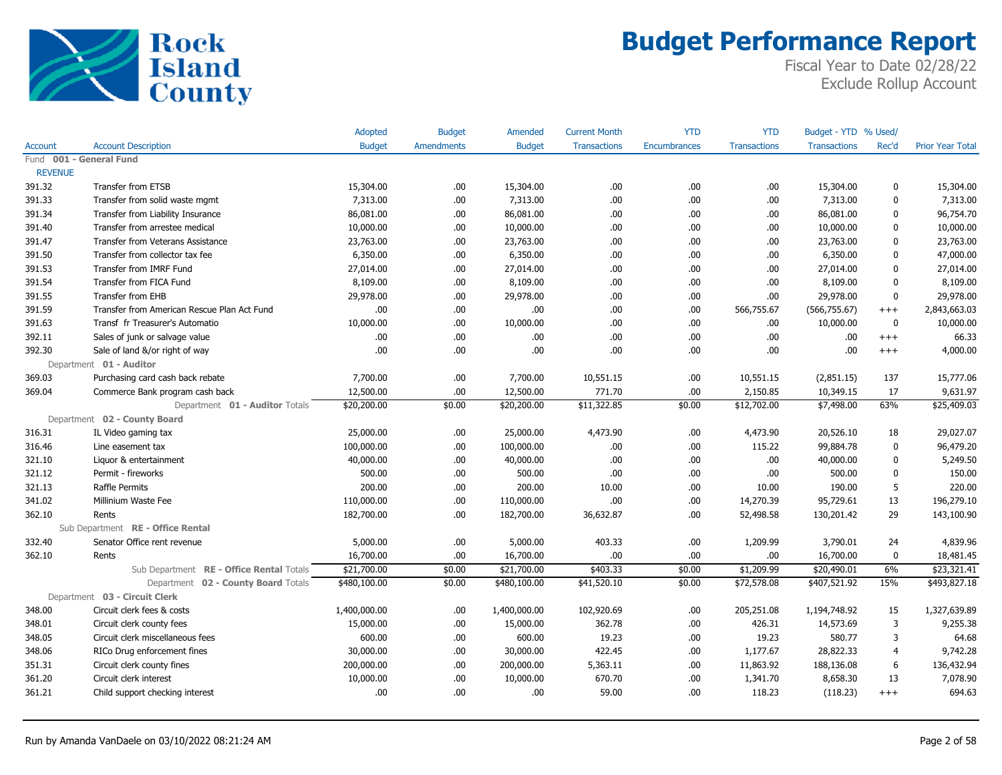

|                |                                             | Adopted       | <b>Budget</b>     | Amended       | <b>Current Month</b> | <b>YTD</b>   | <b>YTD</b>          | Budget - YTD % Used/ |              |                         |
|----------------|---------------------------------------------|---------------|-------------------|---------------|----------------------|--------------|---------------------|----------------------|--------------|-------------------------|
| Account        | <b>Account Description</b>                  | <b>Budget</b> | <b>Amendments</b> | <b>Budget</b> | <b>Transactions</b>  | Encumbrances | <b>Transactions</b> | <b>Transactions</b>  | Rec'd        | <b>Prior Year Total</b> |
|                | Fund 001 - General Fund                     |               |                   |               |                      |              |                     |                      |              |                         |
| <b>REVENUE</b> |                                             |               |                   |               |                      |              |                     |                      |              |                         |
| 391.32         | Transfer from ETSB                          | 15,304.00     | .00.              | 15,304.00     | .00.                 | .00          | .00.                | 15,304.00            | 0            | 15,304.00               |
| 391.33         | Transfer from solid waste mgmt              | 7,313.00      | .00.              | 7,313.00      | .00.                 | .00          | .00.                | 7,313.00             | $\mathbf 0$  | 7,313.00                |
| 391.34         | Transfer from Liability Insurance           | 86,081.00     | .00.              | 86,081.00     | .00                  | .00          | .00                 | 86,081.00            | 0            | 96,754.70               |
| 391.40         | Transfer from arrestee medical              | 10,000.00     | .00               | 10,000.00     | .00                  | .00          | .00.                | 10,000.00            | 0            | 10,000.00               |
| 391.47         | Transfer from Veterans Assistance           | 23,763.00     | .00.              | 23,763.00     | .00.                 | .00          | .00.                | 23,763.00            | 0            | 23,763.00               |
| 391.50         | Transfer from collector tax fee             | 6,350.00      | .00.              | 6,350.00      | .00.                 | .00          | .00                 | 6,350.00             | $\mathbf{0}$ | 47,000.00               |
| 391.53         | Transfer from IMRF Fund                     | 27,014.00     | .00.              | 27,014.00     | .00.                 | .00          | .00                 | 27,014.00            | 0            | 27,014.00               |
| 391.54         | Transfer from FICA Fund                     | 8,109.00      | .00.              | 8,109.00      | .00.                 | .00          | .00.                | 8,109.00             | $\mathbf 0$  | 8,109.00                |
| 391.55         | Transfer from EHB                           | 29,978.00     | .00.              | 29,978.00     | .00.                 | .00          | .00.                | 29,978.00            | $\mathbf{0}$ | 29,978.00               |
| 391.59         | Transfer from American Rescue Plan Act Fund | .00.          | .00.              | .00           | .00.                 | .00          | 566,755.67          | (566, 755.67)        | $+++$        | 2,843,663.03            |
| 391.63         | Transf fr Treasurer's Automatio             | 10,000.00     | .00.              | 10,000.00     | .00.                 | .00          | .00.                | 10,000.00            | $\bf{0}$     | 10,000.00               |
| 392.11         | Sales of junk or salvage value              | .00.          | .00.              | .00           | .00.                 | .00          | .00.                | .00                  | $^{+++}$     | 66.33                   |
| 392.30         | Sale of land &/or right of way              | .00           | .00.              | .00           | .00                  | .00          | .00.                | .00.                 | $+++$        | 4,000.00                |
|                | Department 01 - Auditor                     |               |                   |               |                      |              |                     |                      |              |                         |
| 369.03         | Purchasing card cash back rebate            | 7,700.00      | .00.              | 7,700.00      | 10,551.15            | .00          | 10,551.15           | (2,851.15)           | 137          | 15,777.06               |
| 369.04         | Commerce Bank program cash back             | 12,500.00     | .00               | 12,500.00     | 771.70               | .00          | 2,150.85            | 10,349.15            | 17           | 9,631.97                |
|                | Department 01 - Auditor Totals              | \$20,200.00   | \$0.00            | \$20,200.00   | \$11,322.85          | \$0.00       | \$12,702.00         | \$7,498.00           | 63%          | \$25,409.03             |
|                | Department 02 - County Board                |               |                   |               |                      |              |                     |                      |              |                         |
| 316.31         | IL Video gaming tax                         | 25,000.00     | .00.              | 25,000.00     | 4,473.90             | .00          | 4,473.90            | 20,526.10            | 18           | 29,027.07               |
| 316.46         | Line easement tax                           | 100,000.00    | .00.              | 100,000.00    | .00.                 | .00          | 115.22              | 99,884.78            | 0            | 96,479.20               |
| 321.10         | Liquor & entertainment                      | 40,000.00     | .00.              | 40,000.00     | .00.                 | .00          | .00.                | 40,000.00            | $\mathbf 0$  | 5,249.50                |
| 321.12         | Permit - fireworks                          | 500.00        | .00.              | 500.00        | .00.                 | .00          | .00.                | 500.00               | 0            | 150.00                  |
| 321.13         | Raffle Permits                              | 200.00        | .00.              | 200.00        | 10.00                | .00          | 10.00               | 190.00               | 5            | 220.00                  |
| 341.02         | Millinium Waste Fee                         | 110,000.00    | .00.              | 110,000.00    | .00.                 | .00          | 14,270.39           | 95,729.61            | 13           | 196,279.10              |
| 362.10         | Rents                                       | 182,700.00    | .00.              | 182,700.00    | 36,632.87            | .00          | 52,498.58           | 130,201.42           | 29           | 143,100.90              |
|                | Sub Department RE - Office Rental           |               |                   |               |                      |              |                     |                      |              |                         |
| 332.40         | Senator Office rent revenue                 | 5,000.00      | .00.              | 5,000.00      | 403.33               | .00          | 1,209.99            | 3,790.01             | 24           | 4,839.96                |
| 362.10         | Rents                                       | 16,700.00     | .00               | 16,700.00     | .00.                 | .00          | .00.                | 16,700.00            | 0            | 18,481.45               |
|                | Sub Department RE - Office Rental Totals    | \$21,700.00   | \$0.00            | \$21,700.00   | \$403.33             | \$0.00       | \$1,209.99          | \$20,490.01          | 6%           | \$23,321.41             |
|                | Department 02 - County Board Totals         | \$480,100.00  | \$0.00            | \$480,100.00  | \$41,520.10          | \$0.00       | \$72,578.08         | \$407,521.92         | 15%          | \$493,827.18            |
|                | Department 03 - Circuit Clerk               |               |                   |               |                      |              |                     |                      |              |                         |
| 348.00         | Circuit clerk fees & costs                  | 1,400,000.00  | .00.              | 1,400,000.00  | 102,920.69           | .00          | 205,251.08          | 1,194,748.92         | 15           | 1,327,639.89            |
| 348.01         | Circuit clerk county fees                   | 15,000.00     | .00.              | 15,000.00     | 362.78               | .00          | 426.31              | 14,573.69            | 3            | 9,255.38                |
| 348.05         | Circuit clerk miscellaneous fees            | 600.00        | .00.              | 600.00        | 19.23                | .00          | 19.23               | 580.77               | 3            | 64.68                   |
| 348.06         | RICo Drug enforcement fines                 | 30,000.00     | .00.              | 30,000.00     | 422.45               | .00          | 1,177.67            | 28,822.33            | 4            | 9,742.28                |
| 351.31         | Circuit clerk county fines                  | 200,000.00    | .00.              | 200,000.00    | 5,363.11             | .00          | 11,863.92           | 188,136.08           | 6            | 136,432.94              |
| 361.20         | Circuit clerk interest                      | 10,000.00     | .00.              | 10,000.00     | 670.70               | .00          | 1,341.70            | 8,658.30             | 13           | 7,078.90                |
| 361.21         | Child support checking interest             | .00.          | .00.              | .00           | 59.00                | .00          | 118.23              | (118.23)             | $^{+++}$     | 694.63                  |
|                |                                             |               |                   |               |                      |              |                     |                      |              |                         |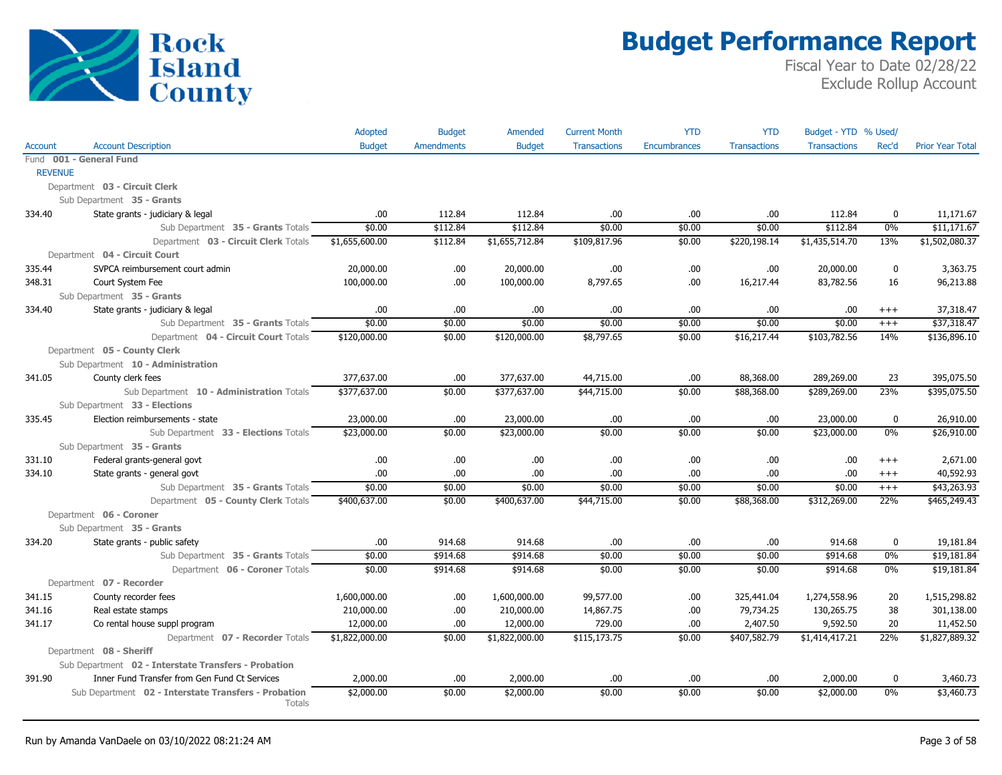

|                |                                                                   | Adopted        | <b>Budget</b>     | Amended        | <b>Current Month</b> | <b>YTD</b>   | <b>YTD</b>          | Budget - YTD % Used/ |             |                         |
|----------------|-------------------------------------------------------------------|----------------|-------------------|----------------|----------------------|--------------|---------------------|----------------------|-------------|-------------------------|
| Account        | <b>Account Description</b>                                        | <b>Budget</b>  | <b>Amendments</b> | <b>Budget</b>  | <b>Transactions</b>  | Encumbrances | <b>Transactions</b> | <b>Transactions</b>  | Rec'd       | <b>Prior Year Total</b> |
|                | Fund 001 - General Fund                                           |                |                   |                |                      |              |                     |                      |             |                         |
| <b>REVENUE</b> |                                                                   |                |                   |                |                      |              |                     |                      |             |                         |
|                | Department 03 - Circuit Clerk                                     |                |                   |                |                      |              |                     |                      |             |                         |
|                | Sub Department 35 - Grants                                        |                |                   |                |                      |              |                     |                      |             |                         |
| 334.40         | State grants - judiciary & legal                                  | .00            | 112.84            | 112.84         | .00                  | .00.         | .00                 | 112.84               | $\mathbf 0$ | 11,171.67               |
|                | Sub Department 35 - Grants Totals                                 | \$0.00         | \$112.84          | \$112.84       | \$0.00               | \$0.00       | \$0.00              | \$112.84             | 0%          | \$11,171.67             |
|                | Department 03 - Circuit Clerk Totals                              | \$1,655,600.00 | \$112.84          | \$1,655,712.84 | \$109,817.96         | \$0.00       | \$220,198.14        | \$1,435,514.70       | 13%         | \$1,502,080.37          |
|                | Department 04 - Circuit Court                                     |                |                   |                |                      |              |                     |                      |             |                         |
| 335.44         | SVPCA reimbursement court admin                                   | 20,000.00      | .00.              | 20,000.00      | .00                  | .00.         | .00                 | 20,000.00            | $\mathbf 0$ | 3,363.75                |
| 348.31         | Court System Fee                                                  | 100,000.00     | .00               | 100,000.00     | 8,797.65             | .00          | 16,217.44           | 83,782.56            | 16          | 96,213.88               |
|                | Sub Department 35 - Grants                                        |                |                   |                |                      |              |                     |                      |             |                         |
| 334.40         | State grants - judiciary & legal                                  | .00            | .00               | .00.           | .00                  | .00          | .00                 | .00                  | $+++$       | 37,318.47               |
|                | Sub Department 35 - Grants Totals                                 | \$0.00         | \$0.00            | \$0.00         | \$0.00               | \$0.00       | \$0.00              | \$0.00               | $+++$       | \$37,318.47             |
|                | Department 04 - Circuit Court Totals                              | \$120,000.00   | \$0.00            | \$120,000.00   | \$8,797.65           | \$0.00       | \$16,217.44         | \$103,782.56         | 14%         | \$136,896.10            |
|                | Department 05 - County Clerk                                      |                |                   |                |                      |              |                     |                      |             |                         |
|                | Sub Department 10 - Administration                                |                |                   |                |                      |              |                     |                      |             |                         |
| 341.05         | County clerk fees                                                 | 377,637.00     | .00               | 377,637.00     | 44,715.00            | .00          | 88,368.00           | 289,269.00           | 23          | 395,075.50              |
|                | Sub Department 10 - Administration Totals                         | \$377,637.00   | \$0.00            | \$377,637.00   | \$44,715.00          | \$0.00       | \$88,368.00         | \$289,269.00         | 23%         | \$395,075.50            |
|                | Sub Department 33 - Elections                                     |                |                   |                |                      |              |                     |                      |             |                         |
| 335.45         | Election reimbursements - state                                   | 23,000.00      | .00               | 23,000.00      | .00                  | .00          | .00                 | 23,000.00            | 0           | 26,910.00               |
|                | Sub Department 33 - Elections Totals                              | \$23,000.00    | \$0.00            | \$23,000.00    | \$0.00               | \$0.00       | \$0.00              | \$23,000.00          | 0%          | \$26,910.00             |
|                | Sub Department 35 - Grants                                        |                |                   |                |                      |              |                     |                      |             |                         |
| 331.10         | Federal grants-general govt                                       | .00            | .00               | .00.           | .00                  | .00          | .00                 | .00.                 | $+++$       | 2,671.00                |
| 334.10         | State grants - general govt                                       | .00            | .00               | .00.           | .00                  | .00.         | .00                 | .00                  | $+++$       | 40,592.93               |
|                | Sub Department 35 - Grants Totals                                 | \$0.00         | \$0.00            | \$0.00         | \$0.00               | \$0.00       | \$0.00              | \$0.00               | $+++$       | \$43,263.93             |
|                | Department 05 - County Clerk Totals                               | \$400,637.00   | \$0.00            | \$400,637.00   | \$44,715.00          | \$0.00       | \$88,368.00         | \$312,269.00         | 22%         | \$465,249.43            |
|                | Department 06 - Coroner<br>Sub Department 35 - Grants             |                |                   |                |                      |              |                     |                      |             |                         |
|                |                                                                   | .00.           | 914.68            | 914.68         | .00                  | .00          | .00                 | 914.68               | $\mathbf 0$ | 19,181.84               |
| 334.20         | State grants - public safety<br>Sub Department 35 - Grants Totals | \$0.00         | \$914.68          | \$914.68       | \$0.00               | \$0.00       | \$0.00              | \$914.68             | 0%          | \$19,181.84             |
|                | Department 06 - Coroner Totals                                    | \$0.00         | \$914.68          | \$914.68       | \$0.00               | \$0.00       | \$0.00              | \$914.68             | 0%          | \$19,181.84             |
|                | Department 07 - Recorder                                          |                |                   |                |                      |              |                     |                      |             |                         |
| 341.15         | County recorder fees                                              | 1,600,000.00   | .00.              | 1,600,000.00   | 99,577.00            | .00.         | 325,441.04          | 1,274,558.96         | 20          | 1,515,298.82            |
| 341.16         | Real estate stamps                                                | 210,000.00     | .00.              | 210,000.00     | 14,867.75            | .00.         | 79,734.25           | 130,265.75           | 38          | 301,138.00              |
| 341.17         | Co rental house suppl program                                     | 12,000.00      | .00               | 12,000.00      | 729.00               | .00          | 2,407.50            | 9,592.50             | 20          | 11,452.50               |
|                | Department 07 - Recorder Totals                                   | \$1,822,000.00 | \$0.00            | \$1,822,000.00 | \$115,173.75         | \$0.00       | \$407,582.79        | \$1,414,417.21       | 22%         | \$1,827,889.32          |
|                | Department 08 - Sheriff                                           |                |                   |                |                      |              |                     |                      |             |                         |
|                | Sub Department 02 - Interstate Transfers - Probation              |                |                   |                |                      |              |                     |                      |             |                         |
| 391.90         | Inner Fund Transfer from Gen Fund Ct Services                     | 2,000.00       | .00               | 2,000.00       | .00                  | .00          | .00                 | 2,000.00             | $\mathbf 0$ | 3,460.73                |
|                | Sub Department 02 - Interstate Transfers - Probation              | \$2,000.00     | \$0.00            | \$2,000.00     | \$0.00               | \$0.00       | \$0.00              | \$2,000.00           | 0%          | \$3,460.73              |
|                | Totals                                                            |                |                   |                |                      |              |                     |                      |             |                         |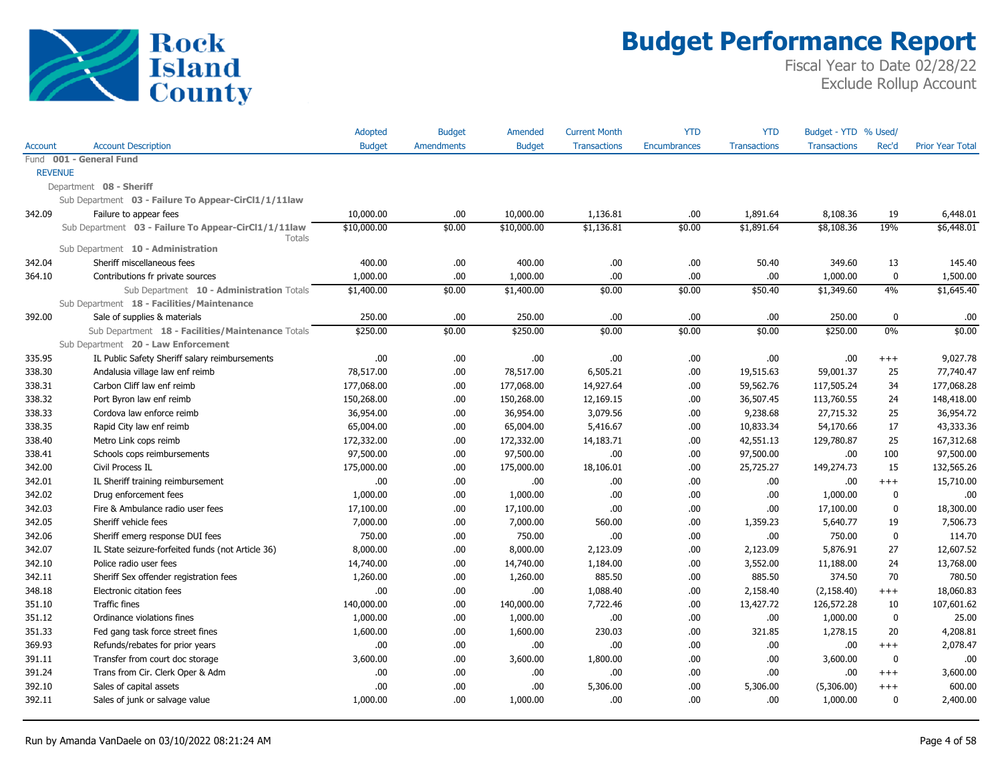

|         |                                                                | Adopted       | <b>Budget</b>     | Amended       | <b>Current Month</b> | <b>YTD</b>   | <b>YTD</b>          | Budget - YTD % Used/ |              |                         |
|---------|----------------------------------------------------------------|---------------|-------------------|---------------|----------------------|--------------|---------------------|----------------------|--------------|-------------------------|
| Account | <b>Account Description</b>                                     | <b>Budget</b> | <b>Amendments</b> | <b>Budget</b> | <b>Transactions</b>  | Encumbrances | <b>Transactions</b> | <b>Transactions</b>  | Rec'd        | <b>Prior Year Total</b> |
|         | Fund 001 - General Fund                                        |               |                   |               |                      |              |                     |                      |              |                         |
|         | <b>REVENUE</b>                                                 |               |                   |               |                      |              |                     |                      |              |                         |
|         | Department 08 - Sheriff                                        |               |                   |               |                      |              |                     |                      |              |                         |
|         | Sub Department 03 - Failure To Appear-CirCl1/1/11law           |               |                   |               |                      |              |                     |                      |              |                         |
| 342.09  | Failure to appear fees                                         | 10,000.00     | .00               | 10,000.00     | 1,136.81             | .00          | 1,891.64            | 8,108.36             | 19           | 6,448.01                |
|         | Sub Department 03 - Failure To Appear-CirCl1/1/11law<br>Totals | \$10,000.00   | \$0.00            | \$10,000.00   | \$1,136.81           | \$0.00       | \$1,891.64          | \$8,108.36           | 19%          | \$6,448.01              |
|         | Sub Department 10 - Administration                             |               |                   |               |                      |              |                     |                      |              |                         |
| 342.04  | Sheriff miscellaneous fees                                     | 400.00        | .00.              | 400.00        | .00.                 | .00          | 50.40               | 349.60               | 13           | 145.40                  |
| 364.10  | Contributions fr private sources                               | 1,000.00      | .00               | 1,000.00      | .00.                 | .00          | .00.                | 1,000.00             | 0            | 1,500.00                |
|         | Sub Department 10 - Administration Totals                      | \$1,400.00    | \$0.00            | \$1,400.00    | \$0.00               | \$0.00       | \$50.40             | \$1,349.60           | 4%           | \$1,645.40              |
|         | Sub Department 18 - Facilities/Maintenance                     |               |                   |               |                      |              |                     |                      |              |                         |
| 392.00  | Sale of supplies & materials                                   | 250.00        | .00.              | 250.00        | .00.                 | .00          | .00                 | 250.00               | 0            | .00                     |
|         | Sub Department 18 - Facilities/Maintenance Totals              | \$250.00      | \$0.00            | \$250.00      | \$0.00               | \$0.00       | \$0.00              | \$250.00             | 0%           | \$0.00                  |
|         | Sub Department 20 - Law Enforcement                            |               |                   |               |                      |              |                     |                      |              |                         |
| 335.95  | IL Public Safety Sheriff salary reimbursements                 | .00           | .00.              | .00           | .00.                 | .00          | .00.                | .00                  | $^{+++}$     | 9,027.78                |
| 338.30  | Andalusia village law enf reimb                                | 78,517.00     | .00.              | 78,517.00     | 6,505.21             | .00          | 19,515.63           | 59,001.37            | 25           | 77,740.47               |
| 338.31  | Carbon Cliff law enf reimb                                     | 177,068.00    | .00.              | 177,068.00    | 14,927.64            | .00          | 59,562.76           | 117,505.24           | 34           | 177,068.28              |
| 338.32  | Port Byron law enf reimb                                       | 150,268.00    | .00.              | 150,268.00    | 12,169.15            | .00          | 36,507.45           | 113,760.55           | 24           | 148,418.00              |
| 338.33  | Cordova law enforce reimb                                      | 36,954.00     | .00.              | 36,954.00     | 3,079.56             | .00          | 9,238.68            | 27,715.32            | 25           | 36,954.72               |
| 338.35  | Rapid City law enf reimb                                       | 65,004.00     | .00.              | 65,004.00     | 5,416.67             | .00          | 10,833.34           | 54,170.66            | 17           | 43,333.36               |
| 338.40  | Metro Link cops reimb                                          | 172,332.00    | .00.              | 172,332.00    | 14,183.71            | .00          | 42,551.13           | 129,780.87           | 25           | 167,312.68              |
| 338.41  | Schools cops reimbursements                                    | 97,500.00     | .00.              | 97,500.00     | .00.                 | .00          | 97,500.00           | .00                  | 100          | 97,500.00               |
| 342.00  | Civil Process IL                                               | 175,000.00    | .00.              | 175,000.00    | 18,106.01            | .00          | 25,725.27           | 149,274.73           | 15           | 132,565.26              |
| 342.01  | IL Sheriff training reimbursement                              | .00.          | .00.              | .00           | .00.                 | .00          | .00.                | .00                  | $^{+++}$     | 15,710.00               |
| 342.02  | Drug enforcement fees                                          | 1,000.00      | .00.              | 1,000.00      | .00                  | .00          | .00.                | 1,000.00             | 0            | .00                     |
| 342.03  | Fire & Ambulance radio user fees                               | 17,100.00     | .00.              | 17,100.00     | .00.                 | .00          | .00.                | 17,100.00            | $\mathbf{0}$ | 18,300.00               |
| 342.05  | Sheriff vehicle fees                                           | 7,000.00      | .00.              | 7,000.00      | 560.00               | .00          | 1,359.23            | 5,640.77             | 19           | 7,506.73                |
| 342.06  | Sheriff emerg response DUI fees                                | 750.00        | .00.              | 750.00        | .00.                 | .00          | .00.                | 750.00               | $\mathbf{0}$ | 114.70                  |
| 342.07  | IL State seizure-forfeited funds (not Article 36)              | 8,000.00      | .00.              | 8,000.00      | 2,123.09             | .00          | 2,123.09            | 5,876.91             | 27           | 12,607.52               |
| 342.10  | Police radio user fees                                         | 14,740.00     | .00.              | 14,740.00     | 1,184.00             | .00          | 3,552.00            | 11,188.00            | 24           | 13,768.00               |
| 342.11  | Sheriff Sex offender registration fees                         | 1,260.00      | .00.              | 1,260.00      | 885.50               | .00          | 885.50              | 374.50               | 70           | 780.50                  |
| 348.18  | Electronic citation fees                                       | .00.          | .00.              | .00           | 1,088.40             | .00          | 2,158.40            | (2, 158.40)          | $^{+++}$     | 18,060.83               |
| 351.10  | <b>Traffic fines</b>                                           | 140,000.00    | .00.              | 140,000.00    | 7,722.46             | .00          | 13,427.72           | 126,572.28           | 10           | 107,601.62              |
| 351.12  | Ordinance violations fines                                     | 1,000.00      | .00.              | 1,000.00      | .00.                 | .00          | .00.                | 1,000.00             | 0            | 25.00                   |
| 351.33  | Fed gang task force street fines                               | 1,600.00      | .00.              | 1,600.00      | 230.03               | .00          | 321.85              | 1,278.15             | 20           | 4,208.81                |
| 369.93  | Refunds/rebates for prior years                                | .00.          | .00.              | .00           | .00.                 | .00          | .00.                | .00                  | $+++$        | 2,078.47                |
| 391.11  | Transfer from court doc storage                                | 3,600.00      | .00.              | 3,600.00      | 1,800.00             | .00          | .00.                | 3,600.00             | $\mathbf{0}$ | .00                     |
| 391.24  | Trans from Cir. Clerk Oper & Adm                               | .00           | .00.              | .00           | .00.                 | .00          | .00                 | .00                  | $^{+++}$     | 3,600.00                |
| 392.10  | Sales of capital assets                                        | .00           | .00.              | .00           | 5,306.00             | .00          | 5,306.00            | (5,306.00)           | $^{+++}$     | 600.00                  |
| 392.11  | Sales of junk or salvage value                                 | 1,000.00      | .00.              | 1,000.00      | .00.                 | .00          | .00.                | 1,000.00             | $\mathbf{0}$ | 2,400.00                |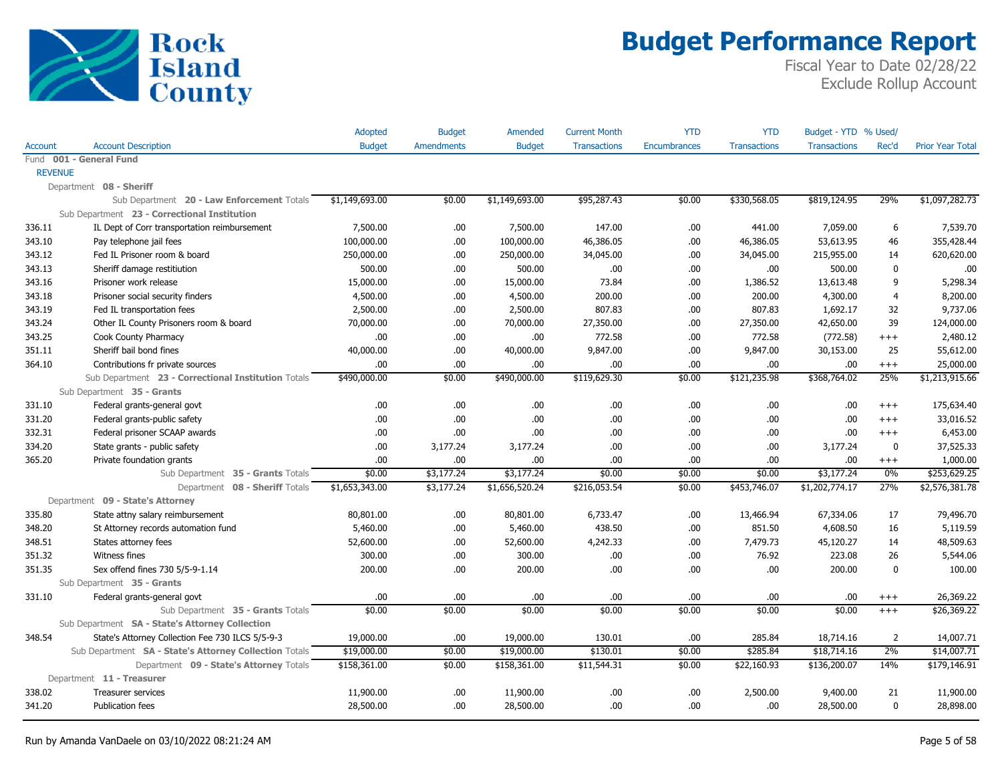

|                |                                                        | Adopted        | <b>Budget</b>     | Amended        | <b>Current Month</b> | <b>YTD</b>   | <b>YTD</b>          | Budget - YTD % Used/ |             |                         |
|----------------|--------------------------------------------------------|----------------|-------------------|----------------|----------------------|--------------|---------------------|----------------------|-------------|-------------------------|
| Account        | <b>Account Description</b>                             | <b>Budget</b>  | <b>Amendments</b> | <b>Budget</b>  | <b>Transactions</b>  | Encumbrances | <b>Transactions</b> | <b>Transactions</b>  | Rec'd       | <b>Prior Year Total</b> |
|                | Fund 001 - General Fund                                |                |                   |                |                      |              |                     |                      |             |                         |
| <b>REVENUE</b> |                                                        |                |                   |                |                      |              |                     |                      |             |                         |
|                | Department 08 - Sheriff                                |                |                   |                |                      |              |                     |                      |             |                         |
|                | Sub Department 20 - Law Enforcement Totals             | \$1,149,693.00 | \$0.00            | \$1,149,693.00 | \$95,287.43          | \$0.00       | \$330,568.05        | \$819,124.95         | 29%         | \$1,097,282.73          |
|                | Sub Department 23 - Correctional Institution           |                |                   |                |                      |              |                     |                      |             |                         |
| 336.11         | IL Dept of Corr transportation reimbursement           | 7,500.00       | .00               | 7,500.00       | 147.00               | .00          | 441.00              | 7,059.00             | 6           | 7,539.70                |
| 343.10         | Pay telephone jail fees                                | 100,000.00     | .00               | 100,000.00     | 46,386.05            | .00          | 46,386.05           | 53,613.95            | 46          | 355,428.44              |
| 343.12         | Fed IL Prisoner room & board                           | 250,000.00     | .00               | 250,000.00     | 34,045.00            | .00          | 34,045.00           | 215,955.00           | 14          | 620,620.00              |
| 343.13         | Sheriff damage restitiution                            | 500.00         | .00               | 500.00         | .00                  | .00          | .00.                | 500.00               | $\mathbf 0$ | .00                     |
| 343.16         | Prisoner work release                                  | 15,000.00      | .00               | 15,000.00      | 73.84                | .00          | 1,386.52            | 13,613.48            | 9           | 5,298.34                |
| 343.18         | Prisoner social security finders                       | 4,500.00       | .00.              | 4,500.00       | 200.00               | .00          | 200.00              | 4,300.00             | 4           | 8,200.00                |
| 343.19         | Fed IL transportation fees                             | 2,500.00       | .00.              | 2,500.00       | 807.83               | .00          | 807.83              | 1,692.17             | 32          | 9,737.06                |
| 343.24         | Other IL County Prisoners room & board                 | 70,000.00      | .00.              | 70,000.00      | 27,350.00            | .00          | 27,350.00           | 42,650.00            | 39          | 124,000.00              |
| 343.25         | Cook County Pharmacy                                   | .00.           | .00               | .00.           | 772.58               | .00          | 772.58              | (772.58)             | $^{+++}$    | 2,480.12                |
| 351.11         | Sheriff bail bond fines                                | 40,000.00      | .00.              | 40,000.00      | 9,847.00             | .00          | 9,847.00            | 30,153.00            | 25          | 55,612.00               |
| 364.10         | Contributions fr private sources                       | .00.           | .00               | .00            | .00                  | .00          | .00.                | .00                  | $+++$       | 25,000.00               |
|                | Sub Department 23 - Correctional Institution Totals    | \$490,000.00   | \$0.00            | \$490,000.00   | \$119,629.30         | \$0.00       | \$121,235.98        | \$368,764.02         | 25%         | \$1,213,915.66          |
|                | Sub Department 35 - Grants                             |                |                   |                |                      |              |                     |                      |             |                         |
| 331.10         | Federal grants-general govt                            | .00.           | .00.              | .00.           | .00                  | .00          | .00                 | .00                  | $^{+++}$    | 175,634.40              |
| 331.20         | Federal grants-public safety                           | 00.            | .00.              | .00.           | .00                  | .00          | .00                 | .00                  | $+++$       | 33,016.52               |
| 332.31         | Federal prisoner SCAAP awards                          | .00.           | .00               | .00.           | .00                  | .00          | .00.                | .00                  | $+++$       | 6,453.00                |
| 334.20         | State grants - public safety                           | .00.           | 3,177.24          | 3,177.24       | .00                  | .00          | .00.                | 3,177.24             | $\bf{0}$    | 37,525.33               |
| 365.20         | Private foundation grants                              | .00.           | .00               | .00.           | .00                  | .00          | .00.                | .00                  | $^{+++}$    | 1,000.00                |
|                | Sub Department 35 - Grants Totals                      | \$0.00         | \$3,177.24        | \$3,177.24     | \$0.00               | \$0.00       | \$0.00              | \$3,177.24           | 0%          | \$253,629.25            |
|                | Department 08 - Sheriff Totals                         | \$1,653,343.00 | \$3,177.24        | \$1,656,520.24 | \$216,053.54         | \$0.00       | \$453,746.07        | \$1,202,774.17       | 27%         | \$2,576,381.78          |
|                | Department 09 - State's Attorney                       |                |                   |                |                      |              |                     |                      |             |                         |
| 335.80         | State attny salary reimbursement                       | 80,801.00      | .00               | 80,801.00      | 6,733.47             | .00          | 13,466.94           | 67,334.06            | 17          | 79,496.70               |
| 348.20         | St Attorney records automation fund                    | 5,460.00       | .00               | 5,460.00       | 438.50               | .00          | 851.50              | 4,608.50             | 16          | 5,119.59                |
| 348.51         | States attorney fees                                   | 52,600.00      | .00               | 52,600.00      | 4,242.33             | .00          | 7,479.73            | 45,120.27            | 14          | 48,509.63               |
| 351.32         | Witness fines                                          | 300.00         | .00.              | 300.00         | .00                  | .00          | 76.92               | 223.08               | 26          | 5,544.06                |
| 351.35         | Sex offend fines 730 5/5-9-1.14                        | 200.00         | .00               | 200.00         | .00                  | .00          | .00.                | 200.00               | $\mathbf 0$ | 100.00                  |
|                | Sub Department 35 - Grants                             |                |                   |                |                      |              |                     |                      |             |                         |
| 331.10         | Federal grants-general govt                            | .00.           | .00               | .00.           | .00                  | .00          | .00.                | .00                  | $^{+++}$    | 26,369.22               |
|                | Sub Department 35 - Grants Totals                      | \$0.00         | \$0.00            | \$0.00         | \$0.00               | \$0.00       | \$0.00              | \$0.00               | $++$        | \$26,369.22             |
|                | Sub Department SA - State's Attorney Collection        |                |                   |                |                      |              |                     |                      |             |                         |
| 348.54         | State's Attorney Collection Fee 730 ILCS 5/5-9-3       | 19,000.00      | .00               | 19,000.00      | 130.01               | .00          | 285.84              | 18,714.16            | 2           | 14,007.71               |
|                | Sub Department SA - State's Attorney Collection Totals | \$19,000.00    | \$0.00            | \$19,000.00    | \$130.01             | \$0.00       | \$285.84            | \$18,714.16          | 2%          | \$14,007.71             |
|                | Department 09 - State's Attorney Totals                | \$158,361.00   | \$0.00            | \$158,361.00   | \$11,544.31          | \$0.00       | \$22,160.93         | \$136,200.07         | 14%         | \$179,146.91            |
|                | Department 11 - Treasurer                              |                |                   |                |                      |              |                     |                      |             |                         |
| 338.02         | Treasurer services                                     | 11,900.00      | .00.              | 11,900.00      | .00                  | .00          | 2,500.00            | 9,400.00             | 21          | 11,900.00               |
| 341.20         | Publication fees                                       | 28,500.00      | .00               | 28,500.00      | .00                  | .00          | .00.                | 28,500.00            | $\mathbf 0$ | 28,898.00               |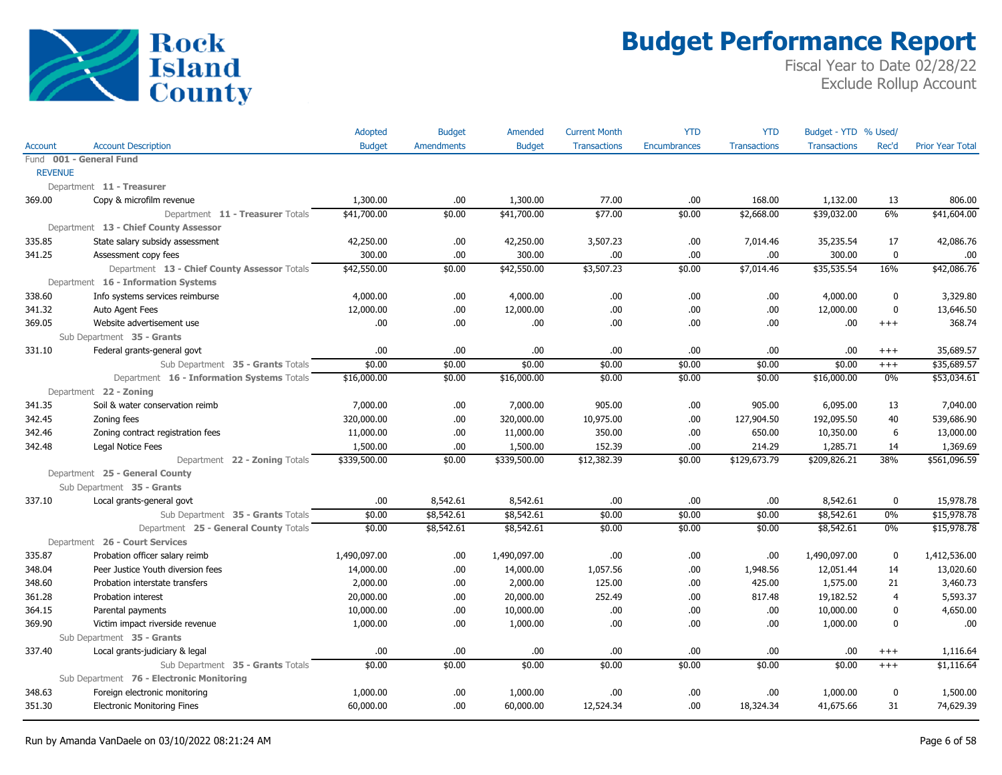

|                |                                              | Adopted       | <b>Budget</b>     | Amended       | <b>Current Month</b> | <b>YTD</b>          | <b>YTD</b>          | Budget - YTD % Used/ |                |                         |
|----------------|----------------------------------------------|---------------|-------------------|---------------|----------------------|---------------------|---------------------|----------------------|----------------|-------------------------|
| Account        | <b>Account Description</b>                   | <b>Budget</b> | <b>Amendments</b> | <b>Budget</b> | <b>Transactions</b>  | <b>Encumbrances</b> | <b>Transactions</b> | <b>Transactions</b>  | Rec'd          | <b>Prior Year Total</b> |
|                | Fund 001 - General Fund                      |               |                   |               |                      |                     |                     |                      |                |                         |
| <b>REVENUE</b> |                                              |               |                   |               |                      |                     |                     |                      |                |                         |
|                | Department 11 - Treasurer                    |               |                   |               |                      |                     |                     |                      |                |                         |
| 369.00         | Copy & microfilm revenue                     | 1,300.00      | .00               | 1,300.00      | 77.00                | .00                 | 168.00              | 1,132.00             | 13             | 806.00                  |
|                | Department 11 - Treasurer Totals             | \$41,700.00   | \$0.00            | \$41,700.00   | \$77.00              | \$0.00              | \$2,668.00          | \$39,032.00          | 6%             | \$41,604.00             |
|                | Department 13 - Chief County Assessor        |               |                   |               |                      |                     |                     |                      |                |                         |
| 335.85         | State salary subsidy assessment              | 42,250.00     | .00               | 42,250.00     | 3,507.23             | .00                 | 7,014.46            | 35,235.54            | 17             | 42,086.76               |
| 341.25         | Assessment copy fees                         | 300.00        | .00               | 300.00        | .00                  | .00                 | .00.                | 300.00               | $\pmb{0}$      | .00                     |
|                | Department 13 - Chief County Assessor Totals | \$42,550.00   | \$0.00            | \$42,550.00   | \$3,507.23           | \$0.00              | \$7,014.46          | \$35,535.54          | 16%            | \$42,086.76             |
|                | Department 16 - Information Systems          |               |                   |               |                      |                     |                     |                      |                |                         |
| 338.60         | Info systems services reimburse              | 4,000.00      | .00               | 4,000.00      | .00                  | .00                 | .00                 | 4,000.00             | $\mathbf 0$    | 3,329.80                |
| 341.32         | Auto Agent Fees                              | 12,000.00     | .00               | 12,000.00     | .00                  | .00                 | .00                 | 12,000.00            | $\mathbf 0$    | 13,646.50               |
| 369.05         | Website advertisement use                    | .00.          | .00.              | 00.           | .00                  | .00                 | .00.                | .00                  | $+++$          | 368.74                  |
|                | Sub Department 35 - Grants                   |               |                   |               |                      |                     |                     |                      |                |                         |
| 331.10         | Federal grants-general govt                  | .00           | .00               | .00.          | .00                  | .00                 | .00                 | .00                  | $^{+++}$       | 35,689.57               |
|                | Sub Department 35 - Grants Totals            | \$0.00        | \$0.00            | \$0.00        | \$0.00               | \$0.00              | \$0.00              | \$0.00               | $^{+++}$       | \$35,689.57             |
|                | Department 16 - Information Systems Totals   | \$16,000.00   | \$0.00            | \$16,000.00   | \$0.00               | \$0.00              | \$0.00              | \$16,000.00          | 0%             | \$53,034.61             |
|                | Department 22 - Zoning                       |               |                   |               |                      |                     |                     |                      |                |                         |
| 341.35         | Soil & water conservation reimb              | 7,000.00      | .00               | 7,000.00      | 905.00               | .00                 | 905.00              | 6,095.00             | 13             | 7,040.00                |
| 342.45         | Zoning fees                                  | 320,000.00    | .00               | 320,000.00    | 10,975.00            | .00                 | 127,904.50          | 192,095.50           | 40             | 539,686.90              |
| 342.46         | Zoning contract registration fees            | 11,000.00     | .00               | 11,000.00     | 350.00               | .00                 | 650.00              | 10,350.00            | 6              | 13,000.00               |
| 342.48         | Legal Notice Fees                            | 1,500.00      | .00.              | 1,500.00      | 152.39               | .00                 | 214.29              | 1,285.71             | 14             | 1,369.69                |
|                | Department 22 - Zoning Totals                | \$339,500.00  | \$0.00            | \$339,500.00  | \$12,382.39          | \$0.00              | \$129,673.79        | \$209,826.21         | 38%            | \$561,096.59            |
|                | Department 25 - General County               |               |                   |               |                      |                     |                     |                      |                |                         |
|                | Sub Department 35 - Grants                   |               |                   |               |                      |                     |                     |                      |                |                         |
| 337.10         | Local grants-general govt                    | .00.          | 8,542.61          | 8,542.61      | .00                  | .00                 | .00.                | 8,542.61             | $\pmb{0}$      | 15,978.78               |
|                | Sub Department 35 - Grants Totals            | \$0.00        | \$8,542.61        | \$8,542.61    | \$0.00               | \$0.00              | \$0.00              | \$8,542.61           | $0\%$          | \$15,978.78             |
|                | Department 25 - General County Totals        | \$0.00        | \$8,542.61        | \$8,542.61    | \$0.00               | \$0.00              | \$0.00              | \$8,542.61           | $0\%$          | \$15,978.78             |
|                | Department 26 - Court Services               |               |                   |               |                      |                     |                     |                      |                |                         |
| 335.87         | Probation officer salary reimb               | 1,490,097.00  | .00.              | 1,490,097.00  | .00                  | .00                 | .00                 | 1,490,097.00         | $\bf{0}$       | 1,412,536.00            |
| 348.04         | Peer Justice Youth diversion fees            | 14,000.00     | .00               | 14,000.00     | 1,057.56             | .00                 | 1,948.56            | 12,051.44            | 14             | 13,020.60               |
| 348.60         | Probation interstate transfers               | 2,000.00      | .00               | 2,000.00      | 125.00               | .00                 | 425.00              | 1,575.00             | 21             | 3,460.73                |
| 361.28         | Probation interest                           | 20,000.00     | .00               | 20,000.00     | 252.49               | .00                 | 817.48              | 19,182.52            | $\overline{4}$ | 5,593.37                |
| 364.15         | Parental payments                            | 10,000.00     | .00               | 10,000.00     | .00                  | .00                 | .00.                | 10,000.00            | 0              | 4,650.00                |
| 369.90         | Victim impact riverside revenue              | 1,000.00      | .00               | 1,000.00      | .00                  | .00                 | .00                 | 1,000.00             | $\mathbf{0}$   | .00                     |
|                | Sub Department 35 - Grants                   |               |                   |               |                      |                     |                     |                      |                |                         |
| 337.40         | Local grants-judiciary & legal               | .00.          | .00.              | .00.          | .00                  | .00                 | .00.                | .00                  | $+++$          | 1,116.64                |
|                | Sub Department 35 - Grants Totals            | \$0.00        | \$0.00            | \$0.00        | \$0.00               | \$0.00              | \$0.00              | \$0.00               | $^{+++}$       | \$1,116.64              |
|                | Sub Department 76 - Electronic Monitoring    |               |                   |               |                      |                     |                     |                      |                |                         |
| 348.63         | Foreign electronic monitoring                | 1,000.00      | .00.              | 1,000.00      | .00                  | .00                 | .00                 | 1,000.00             | $\bf{0}$       | 1,500.00                |
| 351.30         | <b>Electronic Monitoring Fines</b>           | 60,000.00     | .00               | 60,000.00     | 12,524.34            | .00                 | 18,324.34           | 41,675.66            | 31             | 74,629.39               |
|                |                                              |               |                   |               |                      |                     |                     |                      |                |                         |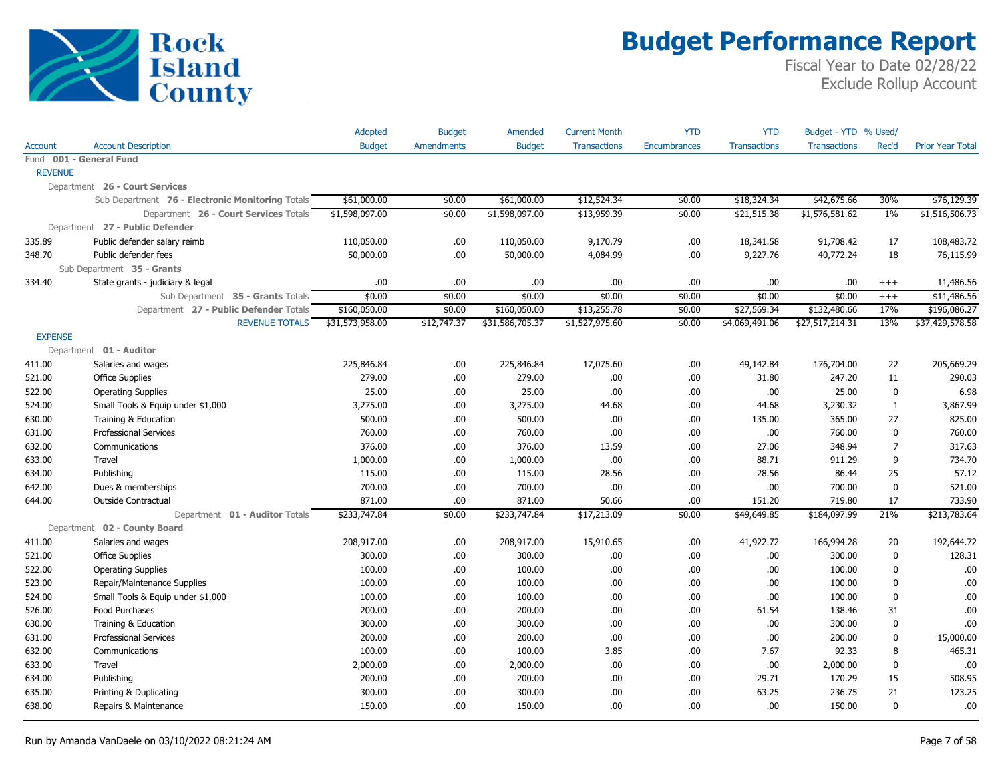

|                |                                                  | Adopted         | <b>Budget</b>     | Amended         | <b>Current Month</b> | YTD                 | <b>YTD</b>          | Budget - YTD % Used/ |                |                         |
|----------------|--------------------------------------------------|-----------------|-------------------|-----------------|----------------------|---------------------|---------------------|----------------------|----------------|-------------------------|
| Account        | <b>Account Description</b>                       | <b>Budget</b>   | <b>Amendments</b> | <b>Budget</b>   | <b>Transactions</b>  | <b>Encumbrances</b> | <b>Transactions</b> | <b>Transactions</b>  | Rec'd          | <b>Prior Year Total</b> |
|                | Fund 001 - General Fund                          |                 |                   |                 |                      |                     |                     |                      |                |                         |
| <b>REVENUE</b> |                                                  |                 |                   |                 |                      |                     |                     |                      |                |                         |
|                | Department 26 - Court Services                   |                 |                   |                 |                      |                     |                     |                      |                |                         |
|                | Sub Department 76 - Electronic Monitoring Totals | \$61,000.00     | \$0.00            | \$61,000.00     | \$12,524.34          | \$0.00              | \$18,324.34         | \$42,675.66          | 30%            | \$76,129.39             |
|                | Department 26 - Court Services Totals            | \$1,598,097.00  | \$0.00            | \$1,598,097.00  | \$13,959.39          | \$0.00              | \$21,515.38         | \$1,576,581.62       | 1%             | \$1,516,506.73          |
|                | Department 27 - Public Defender                  |                 |                   |                 |                      |                     |                     |                      |                |                         |
| 335.89         | Public defender salary reimb                     | 110,050.00      | .00.              | 110,050.00      | 9,170.79             | .00.                | 18,341.58           | 91,708.42            | 17             | 108,483.72              |
| 348.70         | Public defender fees                             | 50,000.00       | .00               | 50,000.00       | 4,084.99             | .00.                | 9,227.76            | 40,772.24            | 18             | 76,115.99               |
|                | Sub Department 35 - Grants                       |                 |                   |                 |                      |                     |                     |                      |                |                         |
| 334.40         | State grants - judiciary & legal                 | .00             | .00.              | .00             | .00                  | .00.                | .00                 | .00.                 | $+++$          | 11,486.56               |
|                | Sub Department 35 - Grants Totals                | \$0.00          | \$0.00            | \$0.00          | \$0.00               | \$0.00              | \$0.00              | \$0.00               | $^{+++}$       | \$11,486.56             |
|                | Department 27 - Public Defender Totals           | \$160,050.00    | \$0.00            | \$160,050.00    | \$13,255.78          | \$0.00              | \$27,569.34         | \$132,480.66         | 17%            | \$196,086.27            |
|                | <b>REVENUE TOTALS</b>                            | \$31,573,958.00 | \$12,747.37       | \$31,586,705.37 | \$1,527,975.60       | \$0.00              | \$4,069,491.06      | \$27,517,214.31      | 13%            | \$37,429,578.58         |
| <b>EXPENSE</b> |                                                  |                 |                   |                 |                      |                     |                     |                      |                |                         |
|                | Department 01 - Auditor                          |                 |                   |                 |                      |                     |                     |                      |                |                         |
| 411.00         | Salaries and wages                               | 225,846.84      | .00.              | 225,846.84      | 17,075.60            | .00.                | 49,142.84           | 176,704.00           | 22             | 205,669.29              |
| 521.00         | <b>Office Supplies</b>                           | 279.00          | .00.              | 279.00          | .00.                 | .00.                | 31.80               | 247.20               | 11             | 290.03                  |
| 522.00         | <b>Operating Supplies</b>                        | 25.00           | .00.              | 25.00           | .00.                 | .00.                | .00                 | 25.00                | 0              | 6.98                    |
| 524.00         | Small Tools & Equip under \$1,000                | 3,275.00        | .00.              | 3,275.00        | 44.68                | .00.                | 44.68               | 3,230.32             | $\mathbf{1}$   | 3,867.99                |
| 630.00         | Training & Education                             | 500.00          | .00.              | 500.00          | .00.                 | .00                 | 135.00              | 365.00               | 27             | 825.00                  |
| 631.00         | <b>Professional Services</b>                     | 760.00          | .00.              | 760.00          | .00.                 | .00.                | .00                 | 760.00               | 0              | 760.00                  |
| 632.00         | Communications                                   | 376.00          | .00.              | 376.00          | 13.59                | .00                 | 27.06               | 348.94               | $\overline{7}$ | 317.63                  |
| 633.00         | Travel                                           | 1,000.00        | .00               | 1,000.00        | .00.                 | .00                 | 88.71               | 911.29               | 9              | 734.70                  |
| 634.00         | Publishing                                       | 115.00          | .00               | 115.00          | 28.56                | .00                 | 28.56               | 86.44                | 25             | 57.12                   |
| 642.00         | Dues & memberships                               | 700.00          | .00.              | 700.00          | .00.                 | .00                 | .00                 | 700.00               | $\mathbf 0$    | 521.00                  |
| 644.00         | Outside Contractual                              | 871.00          | .00.              | 871.00          | 50.66                | .00                 | 151.20              | 719.80               | 17             | 733.90                  |
|                | Department 01 - Auditor Totals                   | \$233,747.84    | \$0.00            | \$233,747.84    | \$17,213.09          | \$0.00              | \$49,649.85         | \$184,097.99         | 21%            | \$213,783.64            |
|                | Department 02 - County Board                     |                 |                   |                 |                      |                     |                     |                      |                |                         |
| 411.00         | Salaries and wages                               | 208,917.00      | .00.              | 208,917.00      | 15,910.65            | .00.                | 41,922.72           | 166,994.28           | 20             | 192,644.72              |
| 521.00         | <b>Office Supplies</b>                           | 300.00          | .00.              | 300.00          | .00.                 | .00.                | .00                 | 300.00               | 0              | 128.31                  |
| 522.00         | <b>Operating Supplies</b>                        | 100.00          | .00               | 100.00          | .00.                 | .00                 | .00                 | 100.00               | $\mathbf 0$    | .00                     |
| 523.00         | Repair/Maintenance Supplies                      | 100.00          | .00.              | 100.00          | .00.                 | .00                 | .00                 | 100.00               | 0              | .00                     |
| 524.00         | Small Tools & Equip under \$1,000                | 100.00          | .00               | 100.00          | .00.                 | .00                 | .00                 | 100.00               | $\mathbf 0$    | .00                     |
| 526.00         | Food Purchases                                   | 200.00          | .00               | 200.00          | .00.                 | .00                 | 61.54               | 138.46               | 31             | .00                     |
| 630.00         | Training & Education                             | 300.00          | .00.              | 300.00          | .00.                 | .00                 | .00                 | 300.00               | $\mathbf 0$    | .00                     |
| 631.00         | <b>Professional Services</b>                     | 200.00          | .00.              | 200.00          | .00.                 | .00                 | .00                 | 200.00               | $\mathbf 0$    | 15,000.00               |
| 632.00         | Communications                                   | 100.00          | .00               | 100.00          | 3.85                 | .00.                | 7.67                | 92.33                | 8              | 465.31                  |
| 633.00         | Travel                                           | 2,000.00        | .00               | 2,000.00        | .00.                 | .00.                | .00                 | 2,000.00             | 0              | .00.                    |
| 634.00         | Publishing                                       | 200.00          | .00.              | 200.00          | .00.                 | .00.                | 29.71               | 170.29               | 15             | 508.95                  |
| 635.00         | Printing & Duplicating                           | 300.00          | .00.              | 300.00          | .00.                 | .00                 | 63.25               | 236.75               | 21             | 123.25                  |
| 638.00         | Repairs & Maintenance                            | 150.00          | 00.               | 150.00          | .00.                 | .00.                | .00                 | 150.00               | $\mathbf{0}$   | .00                     |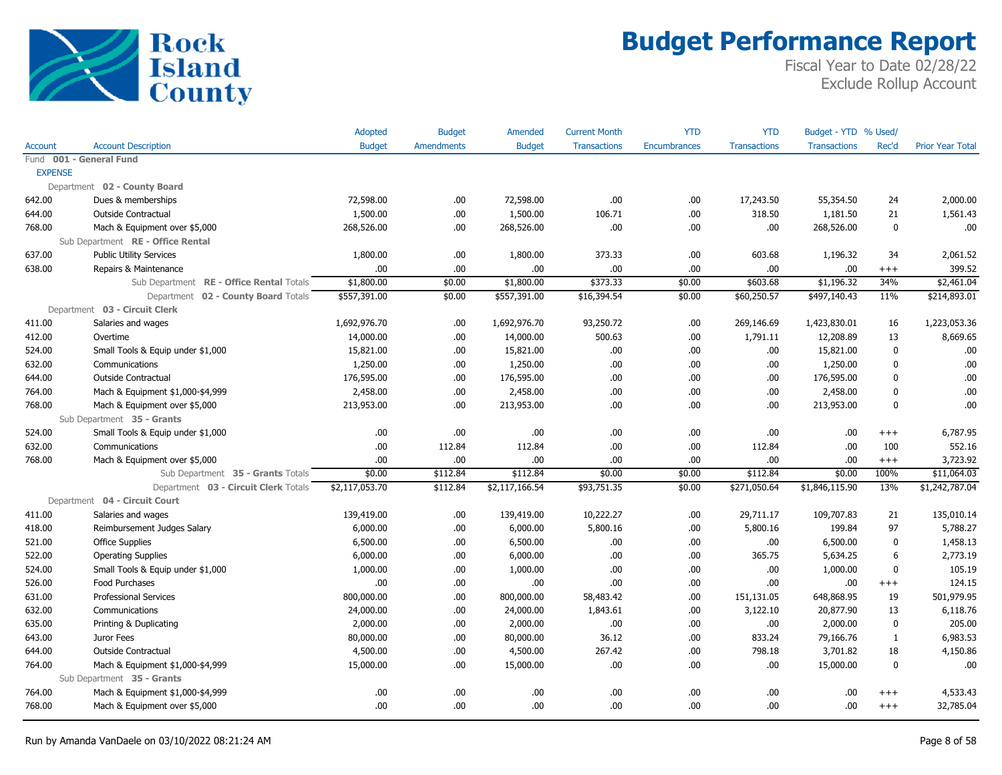

|                |                                          | Adopted        | <b>Budget</b>     | Amended        | <b>Current Month</b> | <b>YTD</b>          | <b>YTD</b>          | Budget - YTD % Used/ |              |                         |
|----------------|------------------------------------------|----------------|-------------------|----------------|----------------------|---------------------|---------------------|----------------------|--------------|-------------------------|
| Account        | <b>Account Description</b>               | <b>Budget</b>  | <b>Amendments</b> | <b>Budget</b>  | <b>Transactions</b>  | <b>Encumbrances</b> | <b>Transactions</b> | <b>Transactions</b>  | Rec'd        | <b>Prior Year Total</b> |
|                | Fund 001 - General Fund                  |                |                   |                |                      |                     |                     |                      |              |                         |
| <b>EXPENSE</b> |                                          |                |                   |                |                      |                     |                     |                      |              |                         |
|                | Department 02 - County Board             |                |                   |                |                      |                     |                     |                      |              |                         |
| 642.00         | Dues & memberships                       | 72,598.00      | .00.              | 72,598.00      | .00.                 | .00                 | 17,243.50           | 55,354.50            | 24           | 2,000.00                |
| 644.00         | Outside Contractual                      | 1,500.00       | .00               | 1,500.00       | 106.71               | .00                 | 318.50              | 1,181.50             | 21           | 1,561.43                |
| 768.00         | Mach & Equipment over \$5,000            | 268,526.00     | .00               | 268,526.00     | .00                  | .00                 | .00.                | 268,526.00           | $\mathbf 0$  | .00                     |
|                | Sub Department RE - Office Rental        |                |                   |                |                      |                     |                     |                      |              |                         |
| 637.00         | <b>Public Utility Services</b>           | 1,800.00       | .00.              | 1,800.00       | 373.33               | .00                 | 603.68              | 1,196.32             | 34           | 2,061.52                |
| 638.00         | Repairs & Maintenance                    | .00            | .00.              | .00            | .00.                 | .00                 | .00.                | .00                  | $^{+++}$     | 399.52                  |
|                | Sub Department RE - Office Rental Totals | \$1,800.00     | \$0.00            | \$1,800.00     | \$373.33             | \$0.00              | \$603.68            | \$1,196.32           | 34%          | \$2,461.04              |
|                | Department 02 - County Board Totals      | \$557,391.00   | \$0.00            | \$557,391.00   | \$16,394.54          | \$0.00              | \$60,250.57         | \$497,140.43         | 11%          | \$214,893.01            |
|                | Department 03 - Circuit Clerk            |                |                   |                |                      |                     |                     |                      |              |                         |
| 411.00         | Salaries and wages                       | 1,692,976.70   | .00.              | 1,692,976.70   | 93,250.72            | .00                 | 269,146.69          | 1,423,830.01         | 16           | 1,223,053.36            |
| 412.00         | Overtime                                 | 14,000.00      | .00.              | 14,000.00      | 500.63               | .00                 | 1,791.11            | 12,208.89            | 13           | 8,669.65                |
| 524.00         | Small Tools & Equip under \$1,000        | 15,821.00      | .00.              | 15,821.00      | .00.                 | .00                 | .00.                | 15,821.00            | $\mathbf{0}$ | .00                     |
| 632.00         | Communications                           | 1,250.00       | .00               | 1,250.00       | .00                  | .00                 | .00                 | 1,250.00             | $\mathbf 0$  | .00                     |
| 644.00         | <b>Outside Contractual</b>               | 176,595.00     | .00               | 176,595.00     | .00                  | .00                 | .00.                | 176,595.00           | $\mathbf{0}$ | .00                     |
| 764.00         | Mach & Equipment \$1,000-\$4,999         | 2,458.00       | .00.              | 2,458.00       | .00.                 | .00                 | .00.                | 2,458.00             | 0            | .00                     |
| 768.00         | Mach & Equipment over \$5,000            | 213,953.00     | .00               | 213,953.00     | .00.                 | .00                 | .00.                | 213,953.00           | $\mathbf{0}$ | .00                     |
|                | Sub Department 35 - Grants               |                |                   |                |                      |                     |                     |                      |              |                         |
| 524.00         | Small Tools & Equip under \$1,000        | .00.           | .00               | .00            | .00                  | .00                 | .00.                | .00                  | $+++$        | 6,787.95                |
| 632.00         | Communications                           | .00            | 112.84            | 112.84         | .00.                 | .00                 | 112.84              | .00                  | 100          | 552.16                  |
| 768.00         | Mach & Equipment over \$5,000            | .00            | .00.              | .00            | .00.                 | .00                 | .00.                | .00                  | $^{+++}$     | 3,723.92                |
|                | Sub Department 35 - Grants Totals        | \$0.00         | \$112.84          | \$112.84       | \$0.00               | \$0.00              | \$112.84            | \$0.00               | 100%         | \$11,064.03             |
|                | Department 03 - Circuit Clerk Totals     | \$2,117,053.70 | \$112.84          | \$2,117,166.54 | \$93,751.35          | \$0.00              | \$271,050.64        | \$1,846,115.90       | 13%          | \$1,242,787.04          |
|                | Department 04 - Circuit Court            |                |                   |                |                      |                     |                     |                      |              |                         |
| 411.00         | Salaries and wages                       | 139,419.00     | .00.              | 139,419.00     | 10,222.27            | .00                 | 29,711.17           | 109,707.83           | 21           | 135,010.14              |
| 418.00         | Reimbursement Judges Salary              | 6,000.00       | .00.              | 6,000.00       | 5,800.16             | .00                 | 5,800.16            | 199.84               | 97           | 5,788.27                |
| 521.00         | <b>Office Supplies</b>                   | 6,500.00       | .00.              | 6,500.00       | .00.                 | .00                 | .00.                | 6,500.00             | 0            | 1,458.13                |
| 522.00         | <b>Operating Supplies</b>                | 6,000.00       | .00               | 6,000.00       | .00.                 | .00                 | 365.75              | 5,634.25             | 6            | 2,773.19                |
| 524.00         | Small Tools & Equip under \$1,000        | 1,000.00       | .00.              | 1,000.00       | .00.                 | .00                 | .00.                | 1,000.00             | $\mathbf{0}$ | 105.19                  |
| 526.00         | Food Purchases                           | .00.           | .00.              | .00            | .00.                 | .00                 | .00.                | .00                  | $^{+++}$     | 124.15                  |
| 631.00         | <b>Professional Services</b>             | 800,000.00     | .00               | 800,000.00     | 58,483.42            | .00                 | 151,131.05          | 648,868.95           | 19           | 501,979.95              |
| 632.00         | Communications                           | 24,000.00      | .00.              | 24,000.00      | 1,843.61             | .00                 | 3,122.10            | 20,877.90            | 13           | 6,118.76                |
| 635.00         | Printing & Duplicating                   | 2,000.00       | .00               | 2,000.00       | .00.                 | .00                 | .00.                | 2,000.00             | $\mathbf{0}$ | 205.00                  |
| 643.00         | Juror Fees                               | 80,000.00      | .00.              | 80,000.00      | 36.12                | .00                 | 833.24              | 79,166.76            | $\mathbf{1}$ | 6,983.53                |
| 644.00         | <b>Outside Contractual</b>               | 4,500.00       | .00.              | 4,500.00       | 267.42               | .00                 | 798.18              | 3,701.82             | 18           | 4,150.86                |
| 764.00         | Mach & Equipment \$1,000-\$4,999         | 15,000.00      | .00               | 15,000.00      | .00.                 | .00                 | .00.                | 15,000.00            | 0            | .00                     |
|                | Sub Department 35 - Grants               |                |                   |                |                      |                     |                     |                      |              |                         |
| 764.00         | Mach & Equipment \$1,000-\$4,999         | .00.           | .00               | .00            | .00                  | .00                 | .00                 | .00                  | $+++$        | 4,533.43                |
| 768.00         | Mach & Equipment over \$5,000            | .00            | .00               | .00            | .00.                 | .00                 | .00                 | .00                  | $^{+++}$     | 32,785.04               |
|                |                                          |                |                   |                |                      |                     |                     |                      |              |                         |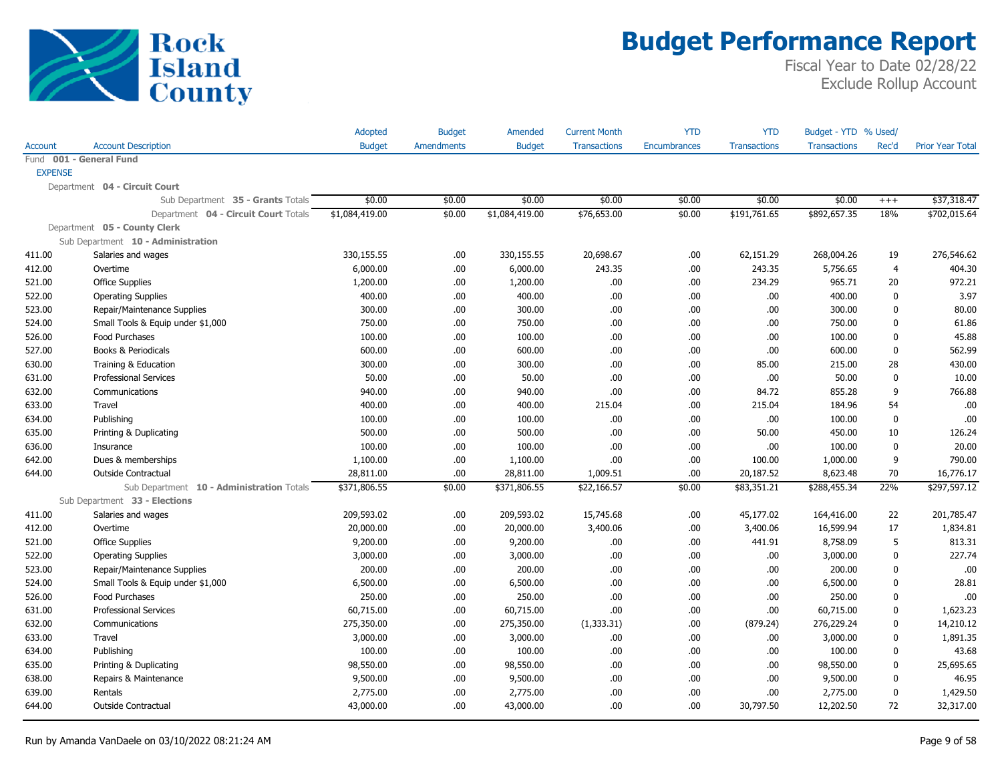

|                         |                                           | Adopted        | <b>Budget</b>     | Amended        | <b>Current Month</b> | <b>YTD</b>          | <b>YTD</b>          | Budget - YTD % Used/ |              |                         |
|-------------------------|-------------------------------------------|----------------|-------------------|----------------|----------------------|---------------------|---------------------|----------------------|--------------|-------------------------|
| Account                 | <b>Account Description</b>                | <b>Budget</b>  | <b>Amendments</b> | <b>Budget</b>  | <b>Transactions</b>  | <b>Encumbrances</b> | <b>Transactions</b> | <b>Transactions</b>  | Rec'd        | <b>Prior Year Total</b> |
| Fund 001 - General Fund |                                           |                |                   |                |                      |                     |                     |                      |              |                         |
| <b>EXPENSE</b>          |                                           |                |                   |                |                      |                     |                     |                      |              |                         |
|                         | Department 04 - Circuit Court             |                |                   |                |                      |                     |                     |                      |              |                         |
|                         | Sub Department 35 - Grants Totals         | \$0.00         | \$0.00            | \$0.00         | \$0.00               | \$0.00              | \$0.00              | \$0.00               | $+++$        | \$37,318.47             |
|                         | Department 04 - Circuit Court Totals      | \$1,084,419.00 | \$0.00            | \$1,084,419.00 | \$76,653.00          | \$0.00              | \$191,761.65        | \$892,657.35         | 18%          | \$702,015.64            |
|                         | Department 05 - County Clerk              |                |                   |                |                      |                     |                     |                      |              |                         |
|                         | Sub Department 10 - Administration        |                |                   |                |                      |                     |                     |                      |              |                         |
| 411.00                  | Salaries and wages                        | 330,155.55     | .00.              | 330,155.55     | 20,698.67            | .00.                | 62,151.29           | 268,004.26           | 19           | 276,546.62              |
| 412.00                  | Overtime                                  | 6,000.00       | .00.              | 6,000.00       | 243.35               | .00                 | 243.35              | 5,756.65             | 4            | 404.30                  |
| 521.00                  | <b>Office Supplies</b>                    | 1,200.00       | .00.              | 1,200.00       | .00.                 | .00.                | 234.29              | 965.71               | 20           | 972.21                  |
| 522.00                  | <b>Operating Supplies</b>                 | 400.00         | .00.              | 400.00         | .00.                 | .00                 | .00                 | 400.00               | 0            | 3.97                    |
| 523.00                  | Repair/Maintenance Supplies               | 300.00         | .00.              | 300.00         | .00.                 | .00                 | .00                 | 300.00               | 0            | 80.00                   |
| 524.00                  | Small Tools & Equip under \$1,000         | 750.00         | .00               | 750.00         | .00.                 | .00                 | .00                 | 750.00               | 0            | 61.86                   |
| 526.00                  | Food Purchases                            | 100.00         | .00.              | 100.00         | .00.                 | .00                 | .00                 | 100.00               | 0            | 45.88                   |
| 527.00                  | Books & Periodicals                       | 600.00         | .00.              | 600.00         | .00.                 | .00                 | .00                 | 600.00               | 0            | 562.99                  |
| 630.00                  | Training & Education                      | 300.00         | .00.              | 300.00         | .00.                 | .00                 | 85.00               | 215.00               | 28           | 430.00                  |
| 631.00                  | <b>Professional Services</b>              | 50.00          | .00.              | 50.00          | .00.                 | .00                 | .00                 | 50.00                | $\mathbf{0}$ | 10.00                   |
| 632.00                  | Communications                            | 940.00         | .00.              | 940.00         | .00.                 | .00                 | 84.72               | 855.28               | 9            | 766.88                  |
| 633.00                  | Travel                                    | 400.00         | .00.              | 400.00         | 215.04               | .00.                | 215.04              | 184.96               | 54           | .00                     |
| 634.00                  | Publishing                                | 100.00         | .00.              | 100.00         | .00.                 | .00                 | .00                 | 100.00               | 0            | .00                     |
| 635.00                  | Printing & Duplicating                    | 500.00         | .00.              | 500.00         | .00.                 | .00                 | 50.00               | 450.00               | 10           | 126.24                  |
| 636.00                  | Insurance                                 | 100.00         | .00.              | 100.00         | .00.                 | .00                 | .00                 | 100.00               | 0            | 20.00                   |
| 642.00                  | Dues & memberships                        | 1,100.00       | .00.              | 1,100.00       | .00.                 | .00                 | 100.00              | 1,000.00             | 9            | 790.00                  |
| 644.00                  | <b>Outside Contractual</b>                | 28,811.00      | .00.              | 28,811.00      | 1,009.51             | .00                 | 20,187.52           | 8,623.48             | 70           | 16,776.17               |
|                         | Sub Department 10 - Administration Totals | \$371,806.55   | \$0.00            | \$371,806.55   | \$22,166.57          | \$0.00              | \$83,351.21         | \$288,455.34         | 22%          | \$297,597.12            |
|                         | Sub Department 33 - Elections             |                |                   |                |                      |                     |                     |                      |              |                         |
| 411.00                  | Salaries and wages                        | 209,593.02     | .00.              | 209,593.02     | 15,745.68            | .00                 | 45,177.02           | 164,416.00           | 22           | 201,785.47              |
| 412.00                  | Overtime                                  | 20,000.00      | .00.              | 20,000.00      | 3,400.06             | .00                 | 3,400.06            | 16,599.94            | 17           | 1,834.81                |
| 521.00                  | <b>Office Supplies</b>                    | 9,200.00       | .00.              | 9,200.00       | .00                  | .00                 | 441.91              | 8,758.09             | 5            | 813.31                  |
| 522.00                  | <b>Operating Supplies</b>                 | 3,000.00       | .00.              | 3,000.00       | .00.                 | .00                 | .00                 | 3,000.00             | 0            | 227.74                  |
| 523.00                  | Repair/Maintenance Supplies               | 200.00         | .00.              | 200.00         | .00.                 | .00                 | .00                 | 200.00               | 0            | .00                     |
| 524.00                  | Small Tools & Equip under \$1,000         | 6,500.00       | .00.              | 6,500.00       | .00.                 | .00                 | .00                 | 6,500.00             | $\mathbf{0}$ | 28.81                   |
| 526.00                  | Food Purchases                            | 250.00         | .00.              | 250.00         | .00.                 | .00                 | .00                 | 250.00               | 0            | .00                     |
| 631.00                  | <b>Professional Services</b>              | 60,715.00      | .00.              | 60,715.00      | .00.                 | .00                 | .00                 | 60,715.00            | 0            | 1,623.23                |
| 632.00                  | Communications                            | 275,350.00     | .00.              | 275,350.00     | (1,333.31)           | .00                 | (879.24)            | 276,229.24           | 0            | 14,210.12               |
| 633.00                  | Travel                                    | 3,000.00       | .00.              | 3,000.00       | .00                  | .00                 | .00.                | 3,000.00             | 0            | 1,891.35                |
| 634.00                  | Publishing                                | 100.00         | .00.              | 100.00         | .00.                 | .00.                | .00.                | 100.00               | 0            | 43.68                   |
| 635.00                  | Printing & Duplicating                    | 98,550.00      | .00.              | 98,550.00      | .00.                 | .00                 | .00                 | 98,550.00            | 0            | 25,695.65               |
| 638.00                  | Repairs & Maintenance                     | 9,500.00       | .00.              | 9,500.00       | .00.                 | .00                 | .00                 | 9,500.00             | 0            | 46.95                   |
| 639.00                  | Rentals                                   | 2,775.00       | .00.              | 2,775.00       | .00.                 | .00                 | .00                 | 2,775.00             | 0            | 1,429.50                |
| 644.00                  | <b>Outside Contractual</b>                | 43,000.00      | .00.              | 43,000.00      | 00.                  | .00.                | 30,797.50           | 12,202.50            | 72           | 32,317.00               |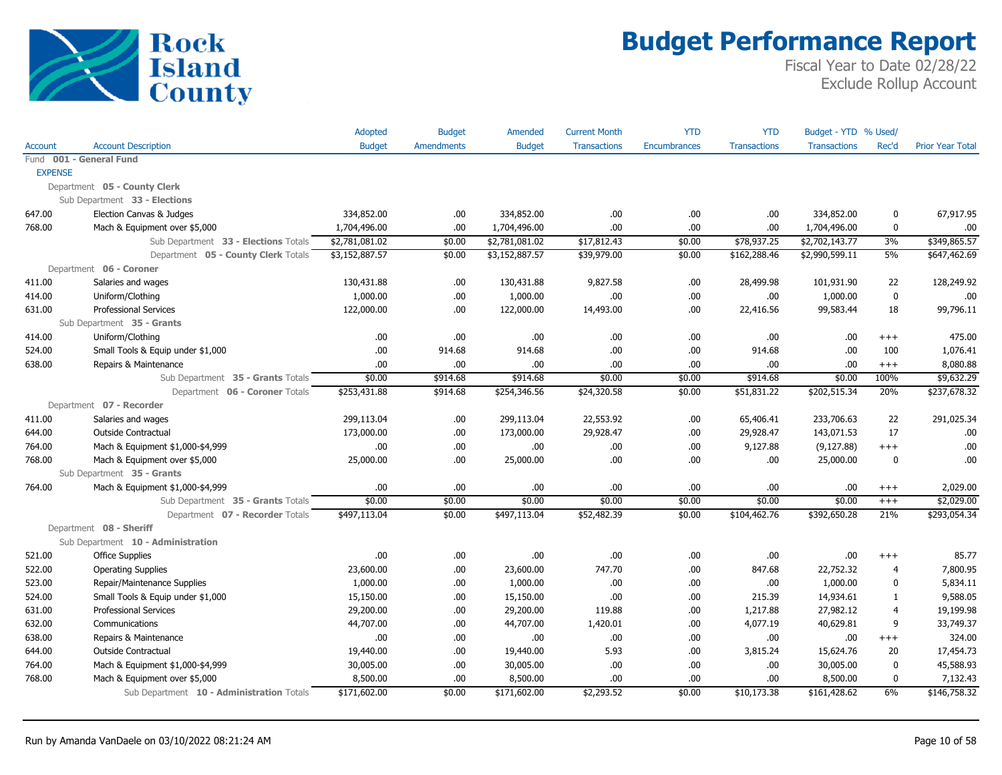

|                |                                           | Adopted        | <b>Budget</b>     | Amended        | <b>Current Month</b> | <b>YTD</b>          | <b>YTD</b>          | Budget - YTD % Used/ |                |                         |
|----------------|-------------------------------------------|----------------|-------------------|----------------|----------------------|---------------------|---------------------|----------------------|----------------|-------------------------|
| Account        | <b>Account Description</b>                | <b>Budget</b>  | <b>Amendments</b> | <b>Budget</b>  | <b>Transactions</b>  | <b>Encumbrances</b> | <b>Transactions</b> | <b>Transactions</b>  | Rec'd          | <b>Prior Year Total</b> |
|                | Fund 001 - General Fund                   |                |                   |                |                      |                     |                     |                      |                |                         |
| <b>EXPENSE</b> |                                           |                |                   |                |                      |                     |                     |                      |                |                         |
|                | Department 05 - County Clerk              |                |                   |                |                      |                     |                     |                      |                |                         |
|                | Sub Department 33 - Elections             |                |                   |                |                      |                     |                     |                      |                |                         |
| 647.00         | Election Canvas & Judges                  | 334,852.00     | .00.              | 334,852.00     | .00.                 | .00                 | .00.                | 334,852.00           | 0              | 67,917.95               |
| 768.00         | Mach & Equipment over \$5,000             | 1,704,496.00   | .00               | 1,704,496.00   | .00.                 | .00                 | .00.                | 1,704,496.00         | $\mathbf{0}$   | .00                     |
|                | Sub Department 33 - Elections Totals      | \$2,781,081.02 | \$0.00            | \$2,781,081.02 | \$17,812.43          | \$0.00              | \$78,937.25         | \$2,702,143.77       | 3%             | \$349,865.57            |
|                | Department 05 - County Clerk Totals       | \$3,152,887.57 | \$0.00            | \$3,152,887.57 | \$39,979.00          | \$0.00              | \$162,288.46        | \$2,990,599.11       | 5%             | \$647,462.69            |
|                | Department 06 - Coroner                   |                |                   |                |                      |                     |                     |                      |                |                         |
| 411.00         | Salaries and wages                        | 130,431.88     | .00.              | 130,431.88     | 9,827.58             | .00                 | 28,499.98           | 101,931.90           | 22             | 128,249.92              |
| 414.00         | Uniform/Clothing                          | 1,000.00       | .00.              | 1,000.00       | .00.                 | .00                 | .00.                | 1,000.00             | $\pmb{0}$      | .00                     |
| 631.00         | <b>Professional Services</b>              | 122,000.00     | .00               | 122,000.00     | 14,493.00            | .00                 | 22,416.56           | 99,583.44            | 18             | 99,796.11               |
|                | Sub Department 35 - Grants                |                |                   |                |                      |                     |                     |                      |                |                         |
| 414.00         | Uniform/Clothing                          | .00            | .00               | .00            | .00                  | .00                 | .00                 | .00                  | $^{+++}$       | 475.00                  |
| 524.00         | Small Tools & Equip under \$1,000         | .00            | 914.68            | 914.68         | .00.                 | .00                 | 914.68              | .00                  | 100            | 1,076.41                |
| 638.00         | Repairs & Maintenance                     | .00            | .00               | .00            | .00                  | .00                 | .00                 | .00                  | $^{+++}$       | 8,080.88                |
|                | Sub Department 35 - Grants Totals         | \$0.00         | \$914.68          | \$914.68       | \$0.00               | \$0.00              | \$914.68            | \$0.00               | 100%           | \$9,632.29              |
|                | Department 06 - Coroner Totals            | \$253,431.88   | \$914.68          | \$254,346.56   | \$24,320.58          | \$0.00              | \$51,831.22         | \$202,515.34         | 20%            | \$237,678.32            |
|                | Department 07 - Recorder                  |                |                   |                |                      |                     |                     |                      |                |                         |
| 411.00         | Salaries and wages                        | 299,113.04     | .00               | 299,113.04     | 22,553.92            | .00                 | 65,406.41           | 233,706.63           | 22             | 291,025.34              |
| 644.00         | <b>Outside Contractual</b>                | 173,000.00     | .00.              | 173,000.00     | 29,928.47            | .00                 | 29,928.47           | 143,071.53           | 17             | .00                     |
| 764.00         | Mach & Equipment \$1,000-\$4,999          | .00            | .00.              | .00            | .00.                 | .00                 | 9,127.88            | (9, 127.88)          | $^{+++}$       | .00                     |
| 768.00         | Mach & Equipment over \$5,000             | 25,000.00      | .00               | 25,000.00      | .00.                 | .00                 | .00.                | 25,000.00            | $\mathbf{0}$   | .00                     |
|                | Sub Department 35 - Grants                |                |                   |                |                      |                     |                     |                      |                |                         |
| 764.00         | Mach & Equipment \$1,000-\$4,999          | .00            | .00               | .00            | .00.                 | .00                 | .00.                | .00                  | $+++$          | 2,029.00                |
|                | Sub Department 35 - Grants Totals         | \$0.00         | \$0.00            | \$0.00         | \$0.00               | \$0.00              | \$0.00              | \$0.00               | $^{+++}$       | \$2,029.00              |
|                | Department 07 - Recorder Totals           | \$497,113.04   | \$0.00            | \$497,113.04   | \$52,482.39          | \$0.00              | \$104,462.76        | \$392,650.28         | 21%            | \$293,054.34            |
|                | Department 08 - Sheriff                   |                |                   |                |                      |                     |                     |                      |                |                         |
|                | Sub Department 10 - Administration        |                |                   |                |                      |                     |                     |                      |                |                         |
| 521.00         | <b>Office Supplies</b>                    | .00            | .00.              | .00            | .00.                 | .00                 | .00                 | .00                  | $^{+++}$       | 85.77                   |
| 522.00         | <b>Operating Supplies</b>                 | 23,600.00      | .00               | 23,600.00      | 747.70               | .00                 | 847.68              | 22,752.32            | $\overline{4}$ | 7,800.95                |
| 523.00         | Repair/Maintenance Supplies               | 1,000.00       | .00               | 1,000.00       | .00                  | .00                 | .00.                | 1,000.00             | 0              | 5,834.11                |
| 524.00         | Small Tools & Equip under \$1,000         | 15,150.00      | .00.              | 15,150.00      | .00.                 | .00                 | 215.39              | 14,934.61            | $\mathbf{1}$   | 9,588.05                |
| 631.00         | <b>Professional Services</b>              | 29,200.00      | .00.              | 29,200.00      | 119.88               | .00                 | 1,217.88            | 27,982.12            | $\overline{4}$ | 19,199.98               |
| 632.00         | Communications                            | 44,707.00      | .00.              | 44,707.00      | 1,420.01             | .00                 | 4,077.19            | 40,629.81            | 9              | 33,749.37               |
| 638.00         | Repairs & Maintenance                     | .00            | .00               | .00            | .00.                 | .00                 | .00.                | .00                  | $+++$          | 324.00                  |
| 644.00         | <b>Outside Contractual</b>                | 19,440.00      | .00               | 19,440.00      | 5.93                 | .00                 | 3,815.24            | 15,624.76            | 20             | 17,454.73               |
| 764.00         | Mach & Equipment \$1,000-\$4,999          | 30,005.00      | .00.              | 30,005.00      | .00.                 | .00                 | .00                 | 30,005.00            | 0              | 45,588.93               |
| 768.00         | Mach & Equipment over \$5,000             | 8,500.00       | .00               | 8,500.00       | .00.                 | .00                 | .00                 | 8,500.00             | $\mathbf{0}$   | 7,132.43                |
|                | Sub Department 10 - Administration Totals | \$171,602.00   | \$0.00            | \$171,602.00   | \$2,293.52           | \$0.00              | \$10,173.38         | \$161,428.62         | 6%             | \$146,758.32            |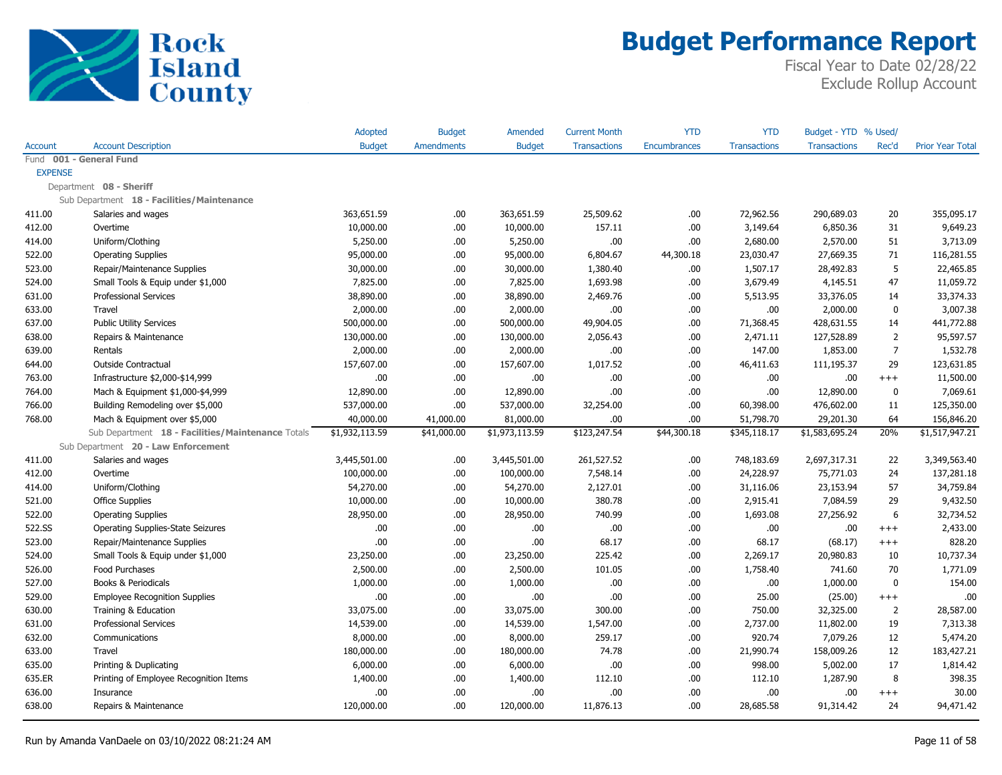

|                |                                                   | <b>Adopted</b> | <b>Budget</b>     | Amended        | <b>Current Month</b> | <b>YTD</b>          | <b>YTD</b>          | Budget - YTD % Used/ |                |                         |
|----------------|---------------------------------------------------|----------------|-------------------|----------------|----------------------|---------------------|---------------------|----------------------|----------------|-------------------------|
| <b>Account</b> | <b>Account Description</b>                        | <b>Budget</b>  | <b>Amendments</b> | <b>Budget</b>  | <b>Transactions</b>  | <b>Encumbrances</b> | <b>Transactions</b> | <b>Transactions</b>  | Rec'd          | <b>Prior Year Total</b> |
|                | Fund 001 - General Fund                           |                |                   |                |                      |                     |                     |                      |                |                         |
| <b>EXPENSE</b> |                                                   |                |                   |                |                      |                     |                     |                      |                |                         |
|                | Department 08 - Sheriff                           |                |                   |                |                      |                     |                     |                      |                |                         |
|                | Sub Department 18 - Facilities/Maintenance        |                |                   |                |                      |                     |                     |                      |                |                         |
| 411.00         | Salaries and wages                                | 363,651.59     | .00.              | 363,651.59     | 25,509.62            | .00.                | 72,962.56           | 290,689.03           | 20             | 355,095.17              |
| 412.00         | Overtime                                          | 10,000.00      | .00.              | 10,000.00      | 157.11               | .00.                | 3,149.64            | 6,850.36             | 31             | 9,649.23                |
| 414.00         | Uniform/Clothing                                  | 5,250.00       | .00               | 5,250.00       | .00                  | .00                 | 2,680.00            | 2,570.00             | 51             | 3,713.09                |
| 522.00         | <b>Operating Supplies</b>                         | 95,000.00      | .00.              | 95,000.00      | 6,804.67             | 44,300.18           | 23,030.47           | 27,669.35            | 71             | 116,281.55              |
| 523.00         | Repair/Maintenance Supplies                       | 30,000.00      | .00.              | 30,000.00      | 1,380.40             | .00.                | 1,507.17            | 28,492.83            | 5              | 22,465.85               |
| 524.00         | Small Tools & Equip under \$1,000                 | 7,825.00       | .00.              | 7,825.00       | 1,693.98             | .00.                | 3,679.49            | 4,145.51             | 47             | 11,059.72               |
| 631.00         | <b>Professional Services</b>                      | 38,890.00      | .00.              | 38,890.00      | 2,469.76             | .00                 | 5,513.95            | 33,376.05            | 14             | 33,374.33               |
| 633.00         | Travel                                            | 2,000.00       | .00.              | 2,000.00       | .00                  | .00.                | .00                 | 2,000.00             | $\mathbf 0$    | 3,007.38                |
| 637.00         | <b>Public Utility Services</b>                    | 500,000.00     | .00               | 500,000.00     | 49,904.05            | .00.                | 71,368.45           | 428,631.55           | 14             | 441,772.88              |
| 638.00         | Repairs & Maintenance                             | 130,000.00     | .00.              | 130,000.00     | 2,056.43             | .00.                | 2,471.11            | 127,528.89           | $\overline{2}$ | 95,597.57               |
| 639.00         | Rentals                                           | 2,000.00       | .00.              | 2,000.00       | .00                  | .00                 | 147.00              | 1,853.00             | $\overline{7}$ | 1,532.78                |
| 644.00         | <b>Outside Contractual</b>                        | 157,607.00     | .00               | 157,607.00     | 1,017.52             | .00.                | 46,411.63           | 111,195.37           | 29             | 123,631.85              |
| 763.00         | Infrastructure \$2,000-\$14,999                   | .00            | .00               | .00.           | .00                  | .00.                | .00                 | .00                  | $+++$          | 11,500.00               |
| 764.00         | Mach & Equipment \$1,000-\$4,999                  | 12,890.00      | .00.              | 12,890.00      | .00.                 | .00.                | .00                 | 12,890.00            | 0              | 7,069.61                |
| 766.00         | Building Remodeling over \$5,000                  | 537,000.00     | .00.              | 537,000.00     | 32,254.00            | .00.                | 60,398.00           | 476,602.00           | 11             | 125,350.00              |
| 768.00         | Mach & Equipment over \$5,000                     | 40,000.00      | 41,000.00         | 81,000.00      | .00                  | .00.                | 51,798.70           | 29,201.30            | 64             | 156,846.20              |
|                | Sub Department 18 - Facilities/Maintenance Totals | \$1,932,113.59 | \$41,000.00       | \$1,973,113.59 | \$123,247.54         | \$44,300.18         | \$345,118.17        | \$1,583,695.24       | 20%            | \$1,517,947.21          |
|                | Sub Department 20 - Law Enforcement               |                |                   |                |                      |                     |                     |                      |                |                         |
| 411.00         | Salaries and wages                                | 3,445,501.00   | .00               | 3,445,501.00   | 261,527.52           | .00.                | 748,183.69          | 2,697,317.31         | 22             | 3,349,563.40            |
| 412.00         | Overtime                                          | 100,000.00     | .00.              | 100,000.00     | 7,548.14             | .00.                | 24,228.97           | 75,771.03            | 24             | 137,281.18              |
| 414.00         | Uniform/Clothing                                  | 54,270.00      | .00               | 54,270.00      | 2,127.01             | .00                 | 31,116.06           | 23,153.94            | 57             | 34,759.84               |
| 521.00         | <b>Office Supplies</b>                            | 10,000.00      | .00.              | 10,000.00      | 380.78               | .00.                | 2,915.41            | 7,084.59             | 29             | 9,432.50                |
| 522.00         | <b>Operating Supplies</b>                         | 28,950.00      | .00               | 28,950.00      | 740.99               | .00                 | 1,693.08            | 27,256.92            | 6              | 32,734.52               |
| 522.SS         | <b>Operating Supplies-State Seizures</b>          | .00            | .00.              | .00.           | .00                  | .00.                | .00                 | .00                  | $^{+++}$       | 2,433.00                |
| 523.00         | Repair/Maintenance Supplies                       | .00            | .00               | .00.           | 68.17                | .00.                | 68.17               | (68.17)              | $^{+++}$       | 828.20                  |
| 524.00         | Small Tools & Equip under \$1,000                 | 23,250.00      | .00               | 23,250.00      | 225.42               | .00.                | 2,269.17            | 20,980.83            | 10             | 10,737.34               |
| 526.00         | Food Purchases                                    | 2,500.00       | .00.              | 2,500.00       | 101.05               | .00                 | 1,758.40            | 741.60               | 70             | 1,771.09                |
| 527.00         | Books & Periodicals                               | 1,000.00       | .00.              | 1,000.00       | .00                  | .00.                | .00                 | 1,000.00             | $\Omega$       | 154.00                  |
| 529.00         | <b>Employee Recognition Supplies</b>              | .00            | .00               | .00.           | .00                  | .00.                | 25.00               | (25.00)              | $++++$         | .00                     |
| 630.00         | Training & Education                              | 33,075.00      | .00               | 33,075.00      | 300.00               | .00.                | 750.00              | 32,325.00            | $\overline{2}$ | 28,587.00               |
| 631.00         | <b>Professional Services</b>                      | 14,539.00      | .00               | 14,539.00      | 1,547.00             | .00.                | 2,737.00            | 11,802.00            | 19             | 7,313.38                |
| 632.00         | Communications                                    | 8,000.00       | .00.              | 8,000.00       | 259.17               | .00.                | 920.74              | 7,079.26             | 12             | 5,474.20                |
| 633.00         | Travel                                            | 180,000.00     | .00               | 180,000.00     | 74.78                | .00                 | 21,990.74           | 158,009.26           | 12             | 183,427.21              |
| 635.00         | Printing & Duplicating                            | 6,000.00       | .00               | 6,000.00       | .00                  | .00.                | 998.00              | 5,002.00             | 17             | 1,814.42                |
| 635.ER         | Printing of Employee Recognition Items            | 1,400.00       | .00               | 1,400.00       | 112.10               | .00.                | 112.10              | 1,287.90             | 8              | 398.35                  |
| 636.00         | Insurance                                         | .00            | .00.              | .00            | .00                  | .00                 | .00                 | .00                  | $^{+++}$       | 30.00                   |
| 638.00         | Repairs & Maintenance                             | 120,000.00     | .00.              | 120,000.00     | 11,876.13            | .00                 | 28,685.58           | 91,314.42            | 24             | 94,471.42               |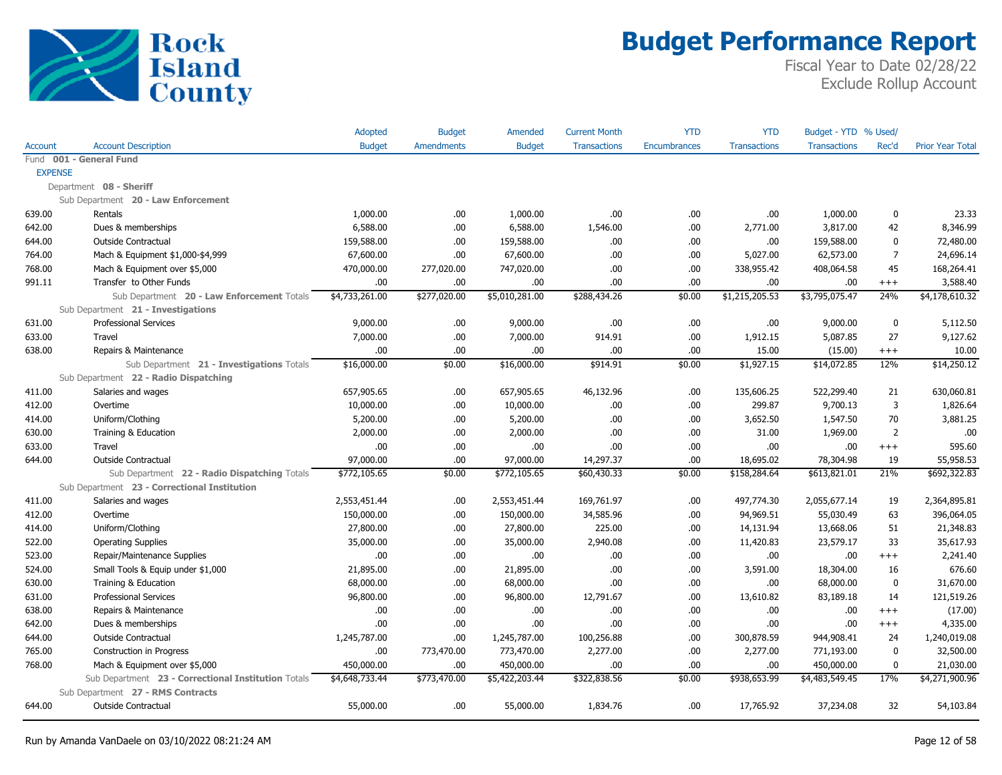

|                |                                                     | Adopted        | <b>Budget</b>     | Amended        | <b>Current Month</b> | <b>YTD</b>   | <b>YTD</b>          | Budget - YTD % Used/ |                |                         |
|----------------|-----------------------------------------------------|----------------|-------------------|----------------|----------------------|--------------|---------------------|----------------------|----------------|-------------------------|
| Account        | <b>Account Description</b>                          | <b>Budget</b>  | <b>Amendments</b> | <b>Budget</b>  | <b>Transactions</b>  | Encumbrances | <b>Transactions</b> | <b>Transactions</b>  | Rec'd          | <b>Prior Year Total</b> |
|                | Fund 001 - General Fund                             |                |                   |                |                      |              |                     |                      |                |                         |
| <b>EXPENSE</b> |                                                     |                |                   |                |                      |              |                     |                      |                |                         |
|                | Department 08 - Sheriff                             |                |                   |                |                      |              |                     |                      |                |                         |
|                | Sub Department 20 - Law Enforcement                 |                |                   |                |                      |              |                     |                      |                |                         |
| 639.00         | Rentals                                             | 1,000.00       | .00               | 1,000.00       | .00                  | .00          | .00.                | 1,000.00             | 0              | 23.33                   |
| 642.00         | Dues & memberships                                  | 6,588.00       | .00               | 6,588.00       | 1,546.00             | .00          | 2,771.00            | 3,817.00             | 42             | 8,346.99                |
| 644.00         | Outside Contractual                                 | 159,588.00     | .00               | 159,588.00     | .00.                 | .00          | .00.                | 159,588.00           | $\mathbf 0$    | 72,480.00               |
| 764.00         | Mach & Equipment \$1,000-\$4,999                    | 67,600.00      | .00               | 67,600.00      | .00.                 | .00          | 5,027.00            | 62,573.00            | $\overline{7}$ | 24,696.14               |
| 768.00         | Mach & Equipment over \$5,000                       | 470,000.00     | 277,020.00        | 747,020.00     | .00.                 | .00          | 338,955.42          | 408,064.58           | 45             | 168,264.41              |
| 991.11         | Transfer to Other Funds                             | .00            | .00               | .00            | .00                  | .00          | .00.                | .00                  | $^{+++}$       | 3,588.40                |
|                | Sub Department 20 - Law Enforcement Totals          | \$4,733,261.00 | \$277,020.00      | \$5,010,281.00 | \$288,434.26         | \$0.00       | \$1,215,205.53      | \$3,795,075.47       | 24%            | \$4,178,610.32          |
|                | Sub Department 21 - Investigations                  |                |                   |                |                      |              |                     |                      |                |                         |
| 631.00         | <b>Professional Services</b>                        | 9,000.00       | .00.              | 9,000.00       | .00.                 | .00          | .00                 | 9,000.00             | $\bf{0}$       | 5,112.50                |
| 633.00         | Travel                                              | 7,000.00       | .00.              | 7,000.00       | 914.91               | .00          | 1,912.15            | 5,087.85             | 27             | 9,127.62                |
| 638.00         | Repairs & Maintenance                               | .00.           | .00               | .00            | .00.                 | .00          | 15.00               | (15.00)              | $^{+++}$       | 10.00                   |
|                | Sub Department 21 - Investigations Totals           | \$16,000.00    | \$0.00            | \$16,000.00    | \$914.91             | \$0.00       | \$1,927.15          | \$14,072.85          | 12%            | \$14,250.12             |
|                | Sub Department 22 - Radio Dispatching               |                |                   |                |                      |              |                     |                      |                |                         |
| 411.00         | Salaries and wages                                  | 657,905.65     | .00.              | 657,905.65     | 46,132.96            | .00          | 135,606.25          | 522,299.40           | 21             | 630,060.81              |
| 412.00         | Overtime                                            | 10,000.00      | .00.              | 10,000.00      | .00.                 | .00          | 299.87              | 9,700.13             | 3              | 1,826.64                |
| 414.00         | Uniform/Clothing                                    | 5,200.00       | .00.              | 5,200.00       | .00.                 | .00          | 3,652.50            | 1,547.50             | 70             | 3,881.25                |
| 630.00         | Training & Education                                | 2,000.00       | .00               | 2,000.00       | .00.                 | .00          | 31.00               | 1,969.00             | $\overline{2}$ | .00                     |
| 633.00         | Travel                                              | .00.           | .00               | .00            | .00.                 | .00          | .00.                | .00                  | $^{+++}$       | 595.60                  |
| 644.00         | <b>Outside Contractual</b>                          | 97,000.00      | .00.              | 97,000.00      | 14,297.37            | .00          | 18,695.02           | 78,304.98            | 19             | 55,958.53               |
|                | Sub Department 22 - Radio Dispatching Totals        | \$772,105.65   | \$0.00            | \$772,105.65   | \$60,430.33          | \$0.00       | \$158,284.64        | \$613,821.01         | 21%            | \$692,322.83            |
|                | Sub Department 23 - Correctional Institution        |                |                   |                |                      |              |                     |                      |                |                         |
| 411.00         | Salaries and wages                                  | 2,553,451.44   | .00               | 2,553,451.44   | 169,761.97           | .00          | 497,774.30          | 2,055,677.14         | 19             | 2,364,895.81            |
| 412.00         | Overtime                                            | 150,000.00     | .00               | 150,000.00     | 34,585.96            | .00          | 94,969.51           | 55,030.49            | 63             | 396,064.05              |
| 414.00         | Uniform/Clothing                                    | 27,800.00      | .00               | 27,800.00      | 225.00               | .00          | 14,131.94           | 13,668.06            | 51             | 21,348.83               |
| 522.00         | <b>Operating Supplies</b>                           | 35,000.00      | .00.              | 35,000.00      | 2,940.08             | .00          | 11,420.83           | 23,579.17            | 33             | 35,617.93               |
| 523.00         | Repair/Maintenance Supplies                         | .00            | .00.              | .00.           | .00.                 | .00          | .00.                | .00                  | $^{+++}$       | 2,241.40                |
| 524.00         | Small Tools & Equip under \$1,000                   | 21,895.00      | .00.              | 21,895.00      | .00.                 | .00          | 3,591.00            | 18,304.00            | 16             | 676.60                  |
| 630.00         | Training & Education                                | 68,000.00      | .00.              | 68,000.00      | .00.                 | .00          | .00.                | 68,000.00            | $\mathbf 0$    | 31,670.00               |
| 631.00         | <b>Professional Services</b>                        | 96,800.00      | .00.              | 96,800.00      | 12,791.67            | .00          | 13,610.82           | 83,189.18            | 14             | 121,519.26              |
| 638.00         | Repairs & Maintenance                               | .00            | .00               | .00.           | .00.                 | .00          | .00.                | .00                  | $+++$          | (17.00)                 |
| 642.00         | Dues & memberships                                  | .00            | .00               | .00            | .00.                 | .00          | .00.                | .00                  | $^{+++}$       | 4,335.00                |
| 644.00         | Outside Contractual                                 | 1,245,787.00   | .00               | 1,245,787.00   | 100,256.88           | .00          | 300,878.59          | 944,908.41           | 24             | 1,240,019.08            |
| 765.00         | Construction in Progress                            | .00            | 773,470.00        | 773,470.00     | 2,277.00             | .00          | 2,277.00            | 771,193.00           | $\mathbf 0$    | 32,500.00               |
| 768.00         | Mach & Equipment over \$5,000                       | 450,000.00     | .00               | 450,000.00     | .00.                 | .00          | .00.                | 450,000.00           | $\mathbf 0$    | 21,030.00               |
|                | Sub Department 23 - Correctional Institution Totals | \$4,648,733.44 | \$773,470.00      | \$5,422,203.44 | \$322,838.56         | \$0.00       | \$938,653.99        | \$4,483,549.45       | 17%            | \$4,271,900.96          |
|                | Sub Department 27 - RMS Contracts                   |                |                   |                |                      |              |                     |                      |                |                         |
| 644.00         | <b>Outside Contractual</b>                          | 55,000.00      | .00.              | 55,000.00      | 1,834.76             | .00          | 17,765.92           | 37,234.08            | 32             | 54,103.84               |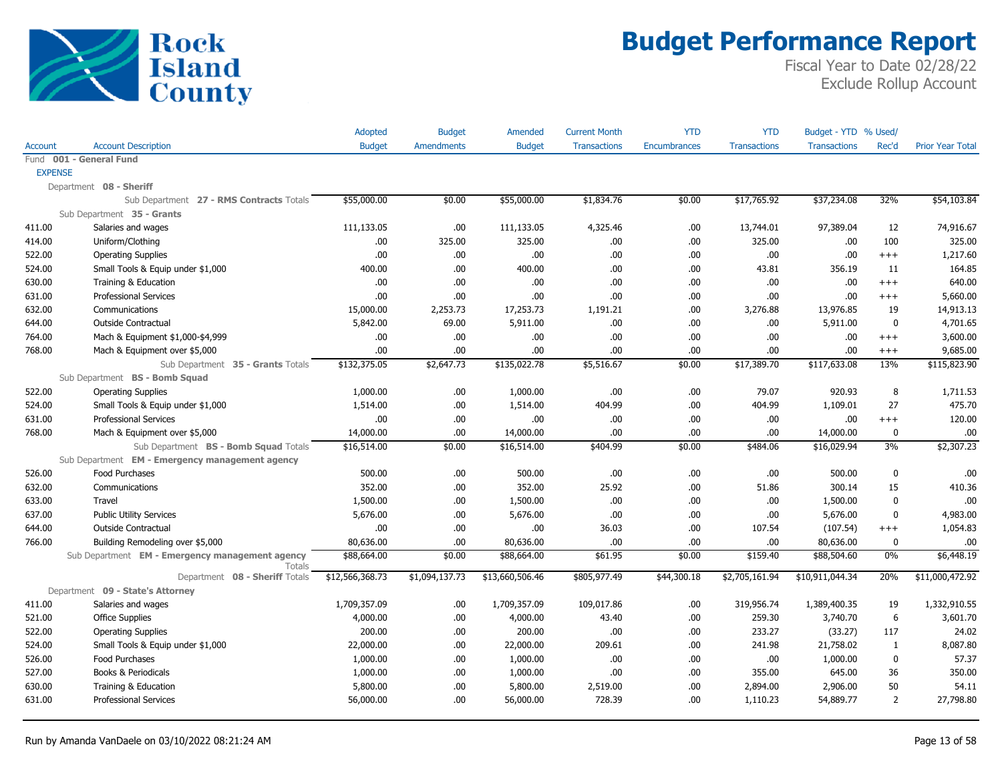

|                |                                                 | Adopted         | <b>Budget</b>     | Amended         | <b>Current Month</b> | <b>YTD</b>   | <b>YTD</b>          | Budget - YTD % Used/ |                |                         |
|----------------|-------------------------------------------------|-----------------|-------------------|-----------------|----------------------|--------------|---------------------|----------------------|----------------|-------------------------|
| Account        | <b>Account Description</b>                      | <b>Budget</b>   | <b>Amendments</b> | <b>Budget</b>   | <b>Transactions</b>  | Encumbrances | <b>Transactions</b> | <b>Transactions</b>  | Rec'd          | <b>Prior Year Total</b> |
|                | Fund 001 - General Fund                         |                 |                   |                 |                      |              |                     |                      |                |                         |
| <b>EXPENSE</b> |                                                 |                 |                   |                 |                      |              |                     |                      |                |                         |
|                | Department 08 - Sheriff                         |                 |                   |                 |                      |              |                     |                      |                |                         |
|                | Sub Department 27 - RMS Contracts Totals        | \$55,000.00     | \$0.00            | \$55,000.00     | \$1,834.76           | \$0.00       | \$17,765.92         | \$37,234.08          | 32%            | \$54,103.84             |
|                | Sub Department 35 - Grants                      |                 |                   |                 |                      |              |                     |                      |                |                         |
| 411.00         | Salaries and wages                              | 111,133.05      | .00               | 111,133.05      | 4,325.46             | .00          | 13,744.01           | 97,389.04            | 12             | 74,916.67               |
| 414.00         | Uniform/Clothing                                | .00.            | 325.00            | 325.00          | .00.                 | .00          | 325.00              | .00                  | 100            | 325.00                  |
| 522.00         | <b>Operating Supplies</b>                       | .00.            | .00.              | .00             | .00.                 | .00          | .00.                | .00                  | $^{+++}$       | 1,217.60                |
| 524.00         | Small Tools & Equip under \$1,000               | 400.00          | .00               | 400.00          | .00.                 | .00          | 43.81               | 356.19               | 11             | 164.85                  |
| 630.00         | Training & Education                            | .00.            | .00               | .00             | .00.                 | .00          | .00.                | .00                  | $+++$          | 640.00                  |
| 631.00         | <b>Professional Services</b>                    | .00             | .00               | .00             | .00.                 | .00          | .00.                | .00                  | $^{+++}$       | 5,660.00                |
| 632.00         | Communications                                  | 15,000.00       | 2,253.73          | 17,253.73       | 1,191.21             | .00          | 3,276.88            | 13,976.85            | 19             | 14,913.13               |
| 644.00         | Outside Contractual                             | 5,842.00        | 69.00             | 5,911.00        | .00                  | .00          | .00.                | 5,911.00             | $\mathbf{0}$   | 4,701.65                |
| 764.00         | Mach & Equipment \$1,000-\$4,999                | .00.            | .00               | .00.            | .00.                 | .00          | .00.                | .00                  | $^{+++}$       | 3,600.00                |
| 768.00         | Mach & Equipment over \$5,000                   | .00             | .00               | .00             | .00.                 | .00          | .00.                | .00                  | $^{+++}$       | 9,685.00                |
|                | Sub Department 35 - Grants Totals               | \$132,375.05    | \$2,647.73        | \$135,022.78    | \$5,516.67           | \$0.00       | \$17,389.70         | \$117,633.08         | 13%            | \$115,823.90            |
|                | Sub Department BS - Bomb Squad                  |                 |                   |                 |                      |              |                     |                      |                |                         |
| 522.00         | <b>Operating Supplies</b>                       | 1,000.00        | .00.              | 1,000.00        | .00.                 | .00          | 79.07               | 920.93               | 8              | 1,711.53                |
| 524.00         | Small Tools & Equip under \$1,000               | 1,514.00        | .00.              | 1,514.00        | 404.99               | .00          | 404.99              | 1,109.01             | 27             | 475.70                  |
| 631.00         | <b>Professional Services</b>                    | .00             | .00               | .00             | .00.                 | .00          | .00.                | .00                  | $+++$          | 120.00                  |
| 768.00         | Mach & Equipment over \$5,000                   | 14,000.00       | .00               | 14,000.00       | .00.                 | .00          | .00.                | 14,000.00            | 0              | .00                     |
|                | Sub Department BS - Bomb Squad Totals           | \$16,514.00     | \$0.00            | \$16,514.00     | \$404.99             | \$0.00       | \$484.06            | \$16,029.94          | 3%             | \$2,307.23              |
|                | Sub Department EM - Emergency management agency |                 |                   |                 |                      |              |                     |                      |                |                         |
| 526.00         | Food Purchases                                  | 500.00          | .00.              | 500.00          | .00.                 | .00          | .00.                | 500.00               | 0              | .00                     |
| 632.00         | Communications                                  | 352.00          | .00.              | 352.00          | 25.92                | .00          | 51.86               | 300.14               | 15             | 410.36                  |
| 633.00         | Travel                                          | 1,500.00        | .00.              | 1,500.00        | .00.                 | .00          | .00                 | 1,500.00             | $\mathbf{0}$   | .00                     |
| 637.00         | <b>Public Utility Services</b>                  | 5,676.00        | .00.              | 5,676.00        | .00                  | .00          | .00.                | 5,676.00             | $\mathbf 0$    | 4,983.00                |
| 644.00         | Outside Contractual                             | .00.            | .00               | .00             | 36.03                | .00          | 107.54              | (107.54)             | $^{+++}$       | 1,054.83                |
| 766.00         | Building Remodeling over \$5,000                | 80,636.00       | .00.              | 80,636.00       | .00.                 | .00          | .00.                | 80,636.00            | 0              | .00                     |
|                | Sub Department EM - Emergency management agency | \$88,664.00     | \$0.00            | \$88,664.00     | \$61.95              | \$0.00       | \$159.40            | \$88,504.60          | 0%             | \$6,448.19              |
|                | Totals                                          |                 |                   |                 |                      |              |                     |                      |                |                         |
|                | Department 08 - Sheriff Totals                  | \$12,566,368.73 | \$1,094,137.73    | \$13,660,506.46 | \$805,977.49         | \$44,300.18  | \$2,705,161.94      | \$10,911,044.34      | 20%            | \$11,000,472.92         |
|                | Department 09 - State's Attorney                |                 |                   |                 |                      |              |                     |                      |                |                         |
| 411.00         | Salaries and wages                              | 1,709,357.09    | .00.              | 1,709,357.09    | 109,017.86           | .00          | 319,956.74          | 1,389,400.35         | 19             | 1,332,910.55            |
| 521.00         | <b>Office Supplies</b>                          | 4,000.00        | .00.              | 4,000.00        | 43.40                | .00          | 259.30              | 3,740.70             | 6              | 3,601.70                |
| 522.00         | <b>Operating Supplies</b>                       | 200.00          | .00.              | 200.00          | .00.                 | .00          | 233.27              | (33.27)              | 117            | 24.02                   |
| 524.00         | Small Tools & Equip under \$1,000               | 22,000.00       | .00.              | 22,000.00       | 209.61               | .00          | 241.98              | 21,758.02            | $\mathbf{1}$   | 8,087.80                |
| 526.00         | <b>Food Purchases</b>                           | 1,000.00        | .00.              | 1,000.00        | .00.                 | .00          | .00.                | 1,000.00             | $\mathbf{0}$   | 57.37                   |
| 527.00         | Books & Periodicals                             | 1,000.00        | .00.              | 1,000.00        | .00.                 | .00          | 355.00              | 645.00               | 36             | 350.00                  |
| 630.00         | Training & Education                            | 5,800.00        | .00.              | 5,800.00        | 2,519.00             | .00          | 2,894.00            | 2,906.00             | 50             | 54.11                   |
| 631.00         | <b>Professional Services</b>                    | 56,000.00       | .00.              | 56,000.00       | 728.39               | .00          | 1,110.23            | 54,889.77            | $\overline{2}$ | 27,798.80               |
|                |                                                 |                 |                   |                 |                      |              |                     |                      |                |                         |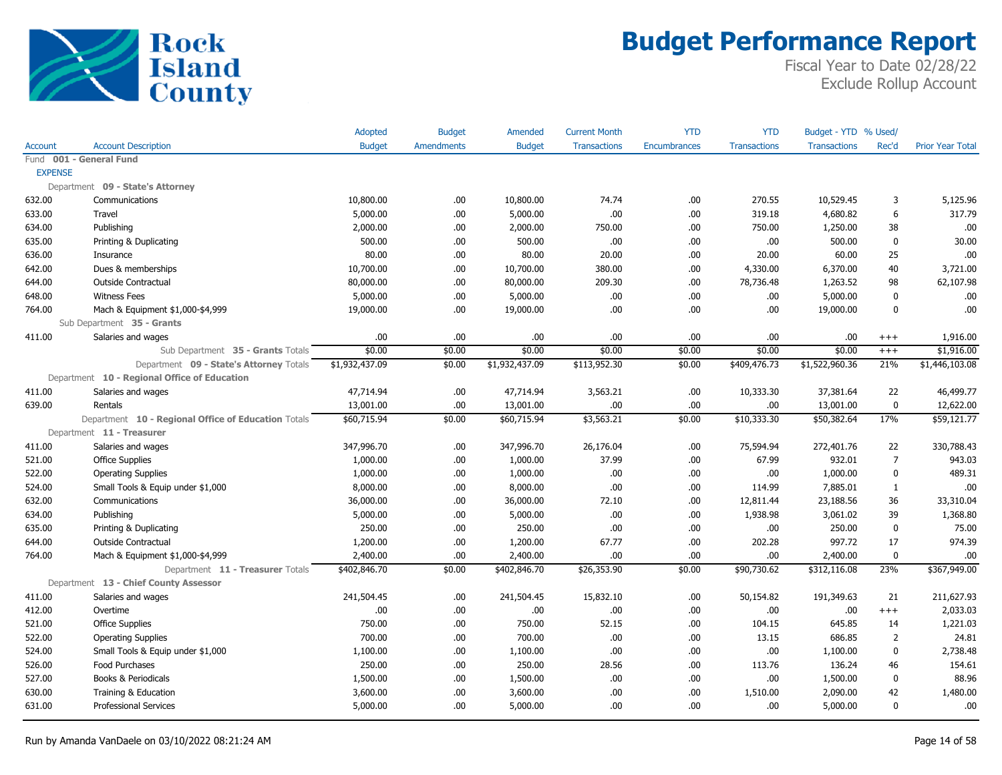

|                |                                                     | Adopted        | <b>Budget</b>     | Amended        | <b>Current Month</b> | <b>YTD</b>   | <b>YTD</b>          | Budget - YTD % Used/ |                |                         |
|----------------|-----------------------------------------------------|----------------|-------------------|----------------|----------------------|--------------|---------------------|----------------------|----------------|-------------------------|
| Account        | <b>Account Description</b>                          | <b>Budget</b>  | <b>Amendments</b> | <b>Budget</b>  | <b>Transactions</b>  | Encumbrances | <b>Transactions</b> | <b>Transactions</b>  | Rec'd          | <b>Prior Year Total</b> |
|                | Fund 001 - General Fund                             |                |                   |                |                      |              |                     |                      |                |                         |
| <b>EXPENSE</b> |                                                     |                |                   |                |                      |              |                     |                      |                |                         |
|                | Department 09 - State's Attorney                    |                |                   |                |                      |              |                     |                      |                |                         |
| 632.00         | Communications                                      | 10,800.00      | .00.              | 10,800.00      | 74.74                | .00.         | 270.55              | 10,529.45            | 3              | 5,125.96                |
| 633.00         | Travel                                              | 5,000.00       | .00.              | 5,000.00       | .00.                 | .00.         | 319.18              | 4,680.82             | 6              | 317.79                  |
| 634.00         | Publishing                                          | 2,000.00       | .00.              | 2,000.00       | 750.00               | .00.         | 750.00              | 1,250.00             | 38             | .00                     |
| 635.00         | Printing & Duplicating                              | 500.00         | .00.              | 500.00         | .00.                 | .00.         | .00.                | 500.00               | $\mathbf{0}$   | 30.00                   |
| 636.00         | Insurance                                           | 80.00          | .00.              | 80.00          | 20.00                | .00          | 20.00               | 60.00                | 25             | .00                     |
| 642.00         | Dues & memberships                                  | 10,700.00      | .00.              | 10,700.00      | 380.00               | .00.         | 4,330.00            | 6,370.00             | 40             | 3,721.00                |
| 644.00         | <b>Outside Contractual</b>                          | 80,000.00      | .00.              | 80,000.00      | 209.30               | .00.         | 78,736.48           | 1,263.52             | 98             | 62,107.98               |
| 648.00         | <b>Witness Fees</b>                                 | 5,000.00       | .00.              | 5,000.00       | .00.                 | .00.         | .00.                | 5,000.00             | $\mathbf{0}$   | .00                     |
| 764.00         | Mach & Equipment \$1,000-\$4,999                    | 19,000.00      | .00.              | 19,000.00      | .00.                 | .00.         | .00                 | 19,000.00            | $\mathbf{0}$   | .00                     |
|                | Sub Department 35 - Grants                          |                |                   |                |                      |              |                     |                      |                |                         |
| 411.00         | Salaries and wages                                  | .00            | .00.              | .00            | .00.                 | .00.         | .00                 | .00                  | $^{+++}$       | 1,916.00                |
|                | Sub Department 35 - Grants Totals                   | \$0.00         | \$0.00            | \$0.00         | \$0.00               | \$0.00       | \$0.00              | \$0.00               | $^{+++}$       | \$1,916.00              |
|                | Department 09 - State's Attorney Totals             | \$1,932,437.09 | \$0.00            | \$1,932,437.09 | \$113,952.30         | \$0.00       | \$409,476.73        | \$1,522,960.36       | 21%            | \$1,446,103.08          |
|                | Department 10 - Regional Office of Education        |                |                   |                |                      |              |                     |                      |                |                         |
| 411.00         | Salaries and wages                                  | 47,714.94      | .00.              | 47,714.94      | 3,563.21             | .00.         | 10,333.30           | 37,381.64            | 22             | 46,499.77               |
| 639.00         | Rentals                                             | 13,001.00      | .00.              | 13,001.00      | .00.                 | .00.         | .00.                | 13,001.00            | 0              | 12,622.00               |
|                | Department 10 - Regional Office of Education Totals | \$60,715.94    | \$0.00            | \$60,715.94    | \$3,563.21           | \$0.00       | \$10,333.30         | \$50,382.64          | 17%            | \$59,121.77             |
|                | Department 11 - Treasurer                           |                |                   |                |                      |              |                     |                      |                |                         |
| 411.00         | Salaries and wages                                  | 347,996.70     | .00               | 347,996.70     | 26,176.04            | .00.         | 75,594.94           | 272,401.76           | 22             | 330,788.43              |
| 521.00         | <b>Office Supplies</b>                              | 1,000.00       | .00.              | 1,000.00       | 37.99                | .00.         | 67.99               | 932.01               | $\overline{7}$ | 943.03                  |
| 522.00         | <b>Operating Supplies</b>                           | 1,000.00       | .00.              | 1,000.00       | .00.                 | .00.         | .00.                | 1,000.00             | $\mathbf 0$    | 489.31                  |
| 524.00         | Small Tools & Equip under \$1,000                   | 8,000.00       | .00.              | 8,000.00       | .00.                 | .00.         | 114.99              | 7,885.01             | 1              | .00                     |
| 632.00         | Communications                                      | 36,000.00      | .00.              | 36,000.00      | 72.10                | .00.         | 12,811.44           | 23,188.56            | 36             | 33,310.04               |
| 634.00         | Publishing                                          | 5,000.00       | .00.              | 5,000.00       | .00.                 | .00.         | 1,938.98            | 3,061.02             | 39             | 1,368.80                |
| 635.00         | Printing & Duplicating                              | 250.00         | .00.              | 250.00         | .00                  | .00.         | .00.                | 250.00               | $\mathbf{0}$   | 75.00                   |
| 644.00         | <b>Outside Contractual</b>                          | 1,200.00       | .00.              | 1,200.00       | 67.77                | .00.         | 202.28              | 997.72               | 17             | 974.39                  |
| 764.00         | Mach & Equipment \$1,000-\$4,999                    | 2,400.00       | .00.              | 2,400.00       | .00.                 | .00.         | .00.                | 2,400.00             | 0              | .00                     |
|                | Department 11 - Treasurer Totals                    | \$402,846.70   | \$0.00            | \$402,846.70   | \$26,353.90          | \$0.00       | \$90,730.62         | \$312,116.08         | 23%            | \$367,949.00            |
|                | Department 13 - Chief County Assessor               |                |                   |                |                      |              |                     |                      |                |                         |
| 411.00         | Salaries and wages                                  | 241,504.45     | .00               | 241,504.45     | 15,832.10            | .00.         | 50,154.82           | 191,349.63           | 21             | 211,627.93              |
| 412.00         | Overtime                                            | .00            | .00.              | .00            | .00.                 | .00.         | .00                 | .00                  | $+++$          | 2,033.03                |
| 521.00         | <b>Office Supplies</b>                              | 750.00         | .00.              | 750.00         | 52.15                | .00.         | 104.15              | 645.85               | 14             | 1,221.03                |
| 522.00         | <b>Operating Supplies</b>                           | 700.00         | .00.              | 700.00         | .00.                 | .00.         | 13.15               | 686.85               | $\overline{2}$ | 24.81                   |
| 524.00         | Small Tools & Equip under \$1,000                   | 1,100.00       | .00.              | 1,100.00       | .00.                 | .00.         | .00.                | 1,100.00             | $\mathbf 0$    | 2,738.48                |
| 526.00         | Food Purchases                                      | 250.00         | .00.              | 250.00         | 28.56                | .00.         | 113.76              | 136.24               | 46             | 154.61                  |
| 527.00         | Books & Periodicals                                 | 1,500.00       | .00.              | 1,500.00       | .00.                 | .00.         | .00.                | 1,500.00             | $\mathbf 0$    | 88.96                   |
| 630.00         | Training & Education                                | 3,600.00       | .00.              | 3,600.00       | .00.                 | .00          | 1,510.00            | 2,090.00             | 42             | 1,480.00                |
| 631.00         | <b>Professional Services</b>                        | 5,000.00       | 00.               | 5,000.00       | .00.                 | .00.         | .00.                | 5,000.00             | $\mathbf{0}$   | .00                     |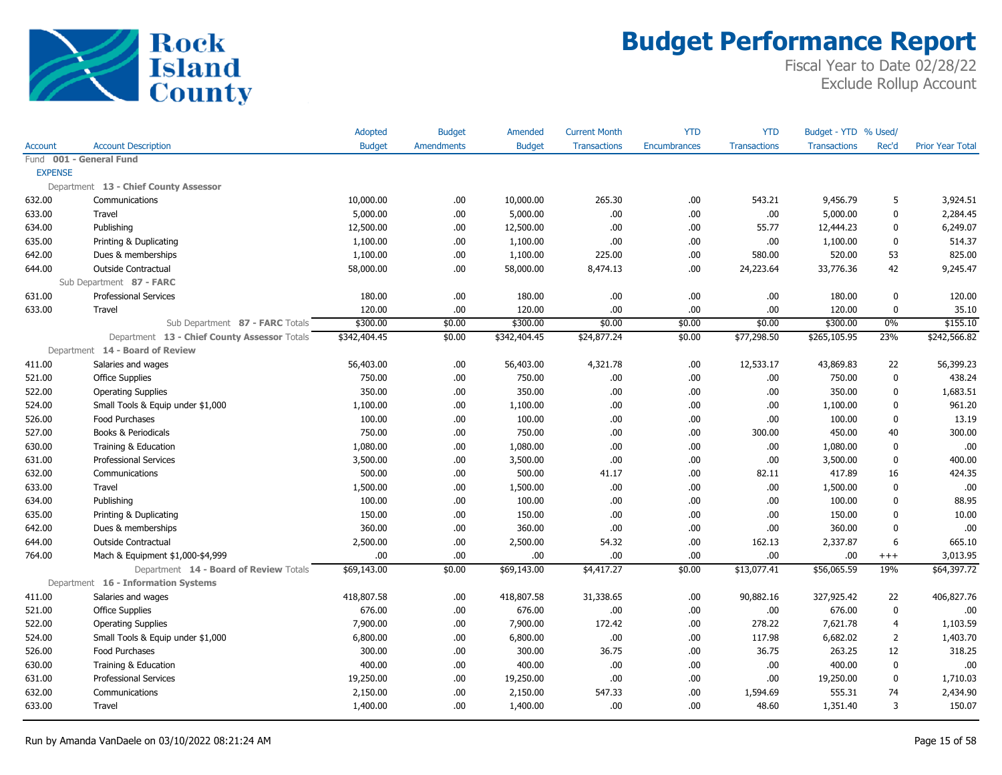

|                |                                              | Adopted       | <b>Budget</b>     | Amended       | <b>Current Month</b> | <b>YTD</b>          | <b>YTD</b>          | Budget - YTD % Used/ |                |                         |
|----------------|----------------------------------------------|---------------|-------------------|---------------|----------------------|---------------------|---------------------|----------------------|----------------|-------------------------|
| <b>Account</b> | <b>Account Description</b>                   | <b>Budget</b> | <b>Amendments</b> | <b>Budget</b> | <b>Transactions</b>  | <b>Encumbrances</b> | <b>Transactions</b> | <b>Transactions</b>  | Rec'd          | <b>Prior Year Total</b> |
|                | Fund 001 - General Fund                      |               |                   |               |                      |                     |                     |                      |                |                         |
| <b>EXPENSE</b> |                                              |               |                   |               |                      |                     |                     |                      |                |                         |
|                | Department 13 - Chief County Assessor        |               |                   |               |                      |                     |                     |                      |                |                         |
| 632.00         | Communications                               | 10,000.00     | .00.              | 10,000.00     | 265.30               | .00                 | 543.21              | 9,456.79             | 5              | 3,924.51                |
| 633.00         | Travel                                       | 5,000.00      | .00.              | 5,000.00      | .00.                 | .00.                | .00                 | 5,000.00             | 0              | 2,284.45                |
| 634.00         | Publishing                                   | 12,500.00     | .00.              | 12,500.00     | .00                  | .00.                | 55.77               | 12,444.23            | 0              | 6,249.07                |
| 635.00         | Printing & Duplicating                       | 1,100.00      | .00               | 1,100.00      | .00                  | .00.                | .00                 | 1,100.00             | $\mathbf{0}$   | 514.37                  |
| 642.00         | Dues & memberships                           | 1,100.00      | .00.              | 1,100.00      | 225.00               | .00.                | 580.00              | 520.00               | 53             | 825.00                  |
| 644.00         | Outside Contractual                          | 58,000.00     | .00.              | 58,000.00     | 8,474.13             | .00.                | 24,223.64           | 33,776.36            | 42             | 9,245.47                |
|                | Sub Department 87 - FARC                     |               |                   |               |                      |                     |                     |                      |                |                         |
| 631.00         | <b>Professional Services</b>                 | 180.00        | .00               | 180.00        | .00                  | .00.                | .00                 | 180.00               | 0              | 120.00                  |
| 633.00         | Travel                                       | 120.00        | .00.              | 120.00        | .00                  | .00.                | .00                 | 120.00               | 0              | 35.10                   |
|                | Sub Department 87 - FARC Totals              | \$300.00      | \$0.00            | \$300.00      | \$0.00               | \$0.00              | \$0.00              | \$300.00             | $0\%$          | \$155.10                |
|                | Department 13 - Chief County Assessor Totals | \$342,404.45  | \$0.00            | \$342,404.45  | \$24,877.24          | \$0.00              | \$77,298.50         | \$265,105.95         | 23%            | \$242,566.82            |
|                | Department 14 - Board of Review              |               |                   |               |                      |                     |                     |                      |                |                         |
| 411.00         | Salaries and wages                           | 56,403.00     | .00.              | 56,403.00     | 4,321.78             | .00.                | 12,533.17           | 43,869.83            | 22             | 56,399.23               |
| 521.00         | <b>Office Supplies</b>                       | 750.00        | .00               | 750.00        | .00.                 | .00.                | .00                 | 750.00               | $\mathbf{0}$   | 438.24                  |
| 522.00         | <b>Operating Supplies</b>                    | 350.00        | .00.              | 350.00        | .00.                 | .00                 | .00                 | 350.00               | $\mathbf{0}$   | 1,683.51                |
| 524.00         | Small Tools & Equip under \$1,000            | 1,100.00      | .00.              | 1,100.00      | .00                  | .00                 | .00                 | 1,100.00             | 0              | 961.20                  |
| 526.00         | Food Purchases                               | 100.00        | .00.              | 100.00        | .00.                 | .00.                | .00                 | 100.00               | 0              | 13.19                   |
| 527.00         | Books & Periodicals                          | 750.00        | .00               | 750.00        | .00.                 | .00                 | 300.00              | 450.00               | 40             | 300.00                  |
| 630.00         | Training & Education                         | 1,080.00      | .00               | 1,080.00      | .00                  | .00.                | .00                 | 1,080.00             | $\mathbf{0}$   | .00                     |
| 631.00         | Professional Services                        | 3,500.00      | .00.              | 3,500.00      | .00                  | .00                 | .00                 | 3,500.00             | 0              | 400.00                  |
| 632.00         | Communications                               | 500.00        | .00.              | 500.00        | 41.17                | .00.                | 82.11               | 417.89               | 16             | 424.35                  |
| 633.00         | Travel                                       | 1,500.00      | .00.              | 1,500.00      | .00.                 | .00.                | .00                 | 1,500.00             | 0              | .00                     |
| 634.00         | Publishing                                   | 100.00        | .00.              | 100.00        | .00                  | .00                 | .00                 | 100.00               | $\mathbf{0}$   | 88.95                   |
| 635.00         | Printing & Duplicating                       | 150.00        | .00.              | 150.00        | .00.                 | .00.                | .00                 | 150.00               | $\mathbf{0}$   | 10.00                   |
| 642.00         | Dues & memberships                           | 360.00        | .00.              | 360.00        | .00                  | .00.                | .00                 | 360.00               | 0              | .00                     |
| 644.00         | <b>Outside Contractual</b>                   | 2,500.00      | .00.              | 2,500.00      | 54.32                | .00.                | 162.13              | 2,337.87             | 6              | 665.10                  |
| 764.00         | Mach & Equipment \$1,000-\$4,999             | .00.          | .00               | .00           | .00                  | .00.                | .00                 | .00.                 | $^{+++}$       | 3,013.95                |
|                | Department 14 - Board of Review Totals       | \$69,143.00   | \$0.00            | \$69,143.00   | \$4,417.27           | \$0.00              | \$13,077.41         | \$56,065.59          | 19%            | \$64,397.72             |
|                | Department 16 - Information Systems          |               |                   |               |                      |                     |                     |                      |                |                         |
| 411.00         | Salaries and wages                           | 418,807.58    | .00.              | 418,807.58    | 31,338.65            | .00                 | 90,882.16           | 327,925.42           | 22             | 406,827.76              |
| 521.00         | <b>Office Supplies</b>                       | 676.00        | .00.              | 676.00        | .00.                 | .00.                | .00                 | 676.00               | 0              | .00                     |
| 522.00         | <b>Operating Supplies</b>                    | 7,900.00      | .00.              | 7,900.00      | 172.42               | .00                 | 278.22              | 7,621.78             | 4              | 1,103.59                |
| 524.00         | Small Tools & Equip under \$1,000            | 6,800.00      | .00               | 6,800.00      | .00                  | .00                 | 117.98              | 6,682.02             | $\overline{2}$ | 1,403.70                |
| 526.00         | Food Purchases                               | 300.00        | .00               | 300.00        | 36.75                | .00                 | 36.75               | 263.25               | 12             | 318.25                  |
| 630.00         | Training & Education                         | 400.00        | .00               | 400.00        | .00                  | .00                 | .00                 | 400.00               | 0              | .00                     |
| 631.00         | <b>Professional Services</b>                 | 19,250.00     | .00               | 19,250.00     | .00                  | .00.                | .00                 | 19,250.00            | 0              | 1,710.03                |
| 632.00         | Communications                               | 2,150.00      | .00               | 2,150.00      | 547.33               | .00                 | 1,594.69            | 555.31               | 74             | 2,434.90                |
| 633.00         | Travel                                       | 1,400.00      | .00.              | 1,400.00      | .00.                 | .00.                | 48.60               | 1,351.40             | 3              | 150.07                  |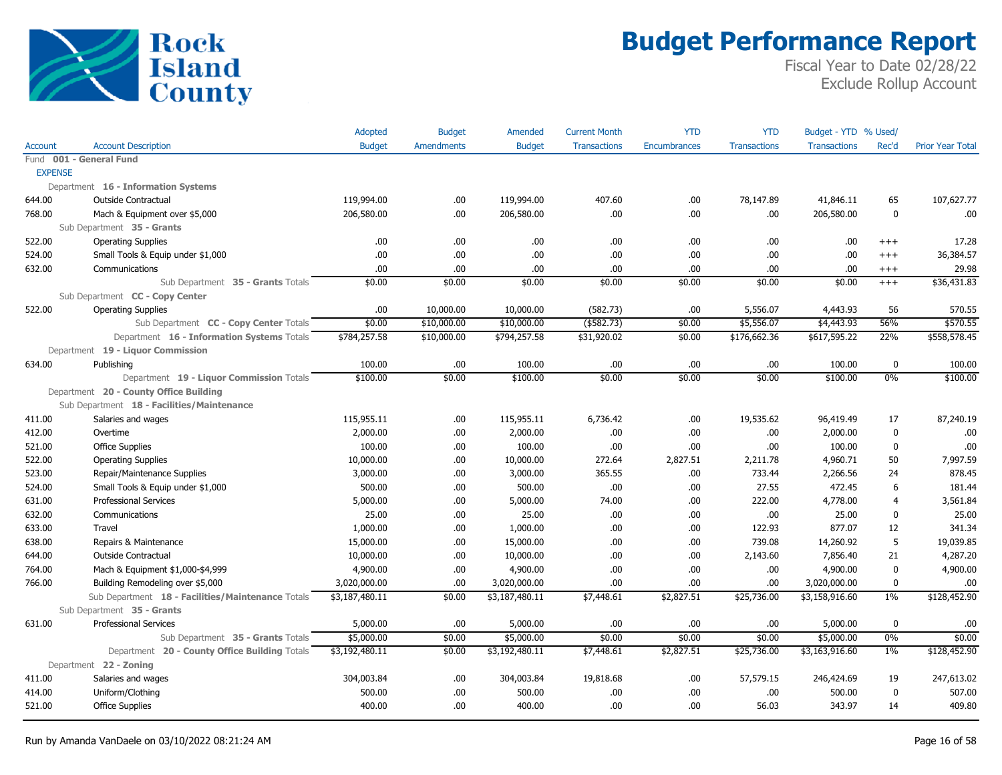

|                |                                                   | Adopted        | <b>Budget</b>     | Amended        | <b>Current Month</b> | <b>YTD</b>   | <b>YTD</b>          | Budget - YTD % Used/ |                |                         |
|----------------|---------------------------------------------------|----------------|-------------------|----------------|----------------------|--------------|---------------------|----------------------|----------------|-------------------------|
| Account        | <b>Account Description</b>                        | <b>Budget</b>  | <b>Amendments</b> | <b>Budget</b>  | <b>Transactions</b>  | Encumbrances | <b>Transactions</b> | <b>Transactions</b>  | Rec'd          | <b>Prior Year Total</b> |
|                | Fund 001 - General Fund                           |                |                   |                |                      |              |                     |                      |                |                         |
| <b>EXPENSE</b> |                                                   |                |                   |                |                      |              |                     |                      |                |                         |
|                | Department 16 - Information Systems               |                |                   |                |                      |              |                     |                      |                |                         |
| 644.00         | Outside Contractual                               | 119,994.00     | .00.              | 119,994.00     | 407.60               | .00          | 78,147.89           | 41,846.11            | 65             | 107,627.77              |
| 768.00         | Mach & Equipment over \$5,000                     | 206,580.00     | .00.              | 206,580.00     | .00                  | .00          | .00                 | 206,580.00           | $\mathbf 0$    | .00                     |
|                | Sub Department 35 - Grants                        |                |                   |                |                      |              |                     |                      |                |                         |
| 522.00         | <b>Operating Supplies</b>                         | .00.           | .00.              | .00.           | .00                  | .00          | .00.                | .00                  | $^{+++}$       | 17.28                   |
| 524.00         | Small Tools & Equip under \$1,000                 | .00.           | .00               | .00            | .00                  | .00          | .00.                | .00                  | $^{+++}$       | 36,384.57               |
| 632.00         | Communications                                    | .00            | .00               | .00            | .00                  | .00          | .00.                | .00                  | $^{+++}$       | 29.98                   |
|                | Sub Department 35 - Grants Totals                 | \$0.00         | \$0.00            | \$0.00         | \$0.00               | \$0.00       | \$0.00              | \$0.00               | $^{+++}$       | \$36,431.83             |
|                | Sub Department CC - Copy Center                   |                |                   |                |                      |              |                     |                      |                |                         |
| 522.00         | <b>Operating Supplies</b>                         | .00            | 10,000.00         | 10,000.00      | (582.73)             | .00          | 5,556.07            | 4,443.93             | 56             | 570.55                  |
|                | Sub Department CC - Copy Center Totals            | \$0.00         | \$10,000.00       | \$10,000.00    | $($ \$582.73)        | \$0.00       | \$5,556.07          | \$4,443.93           | 56%            | \$570.55                |
|                | Department 16 - Information Systems Totals        | \$784,257.58   | \$10,000.00       | \$794,257.58   | \$31,920.02          | \$0.00       | \$176,662.36        | \$617,595.22         | 22%            | \$558,578.45            |
|                | Department 19 - Liquor Commission                 |                |                   |                |                      |              |                     |                      |                |                         |
| 634.00         | Publishing                                        | 100.00         | .00.              | 100.00         | .00                  | .00          | .00.                | 100.00               | $\bf{0}$       | 100.00                  |
|                | Department 19 - Liquor Commission Totals          | \$100.00       | \$0.00            | \$100.00       | \$0.00               | \$0.00       | \$0.00              | \$100.00             | 0%             | \$100.00                |
|                | Department 20 - County Office Building            |                |                   |                |                      |              |                     |                      |                |                         |
|                | Sub Department 18 - Facilities/Maintenance        |                |                   |                |                      |              |                     |                      |                |                         |
| 411.00         | Salaries and wages                                | 115,955.11     | .00.              | 115,955.11     | 6,736.42             | .00.         | 19,535.62           | 96,419.49            | 17             | 87,240.19               |
| 412.00         | Overtime                                          | 2,000.00       | .00               | 2,000.00       | .00                  | .00          | .00.                | 2,000.00             | $\bf{0}$       | .00                     |
| 521.00         | <b>Office Supplies</b>                            | 100.00         | .00.              | 100.00         | .00                  | .00          | .00.                | 100.00               | $\pmb{0}$      | .00                     |
| 522.00         | <b>Operating Supplies</b>                         | 10,000.00      | .00.              | 10,000.00      | 272.64               | 2,827.51     | 2,211.78            | 4,960.71             | 50             | 7,997.59                |
| 523.00         | Repair/Maintenance Supplies                       | 3,000.00       | .00.              | 3,000.00       | 365.55               | .00.         | 733.44              | 2,266.56             | 24             | 878.45                  |
| 524.00         | Small Tools & Equip under \$1,000                 | 500.00         | .00.              | 500.00         | .00                  | .00          | 27.55               | 472.45               | 6              | 181.44                  |
| 631.00         | <b>Professional Services</b>                      | 5,000.00       | .00.              | 5,000.00       | 74.00                | .00          | 222.00              | 4,778.00             | $\overline{4}$ | 3,561.84                |
| 632.00         | Communications                                    | 25.00          | .00               | 25.00          | .00                  | .00.         | .00.                | 25.00                | $\bf{0}$       | 25.00                   |
| 633.00         | Travel                                            | 1,000.00       | .00.              | 1,000.00       | .00                  | .00          | 122.93              | 877.07               | 12             | 341.34                  |
| 638.00         | Repairs & Maintenance                             | 15,000.00      | .00.              | 15,000.00      | .00                  | .00          | 739.08              | 14,260.92            | 5              | 19,039.85               |
| 644.00         | Outside Contractual                               | 10,000.00      | .00.              | 10,000.00      | .00                  | .00          | 2,143.60            | 7,856.40             | 21             | 4,287.20                |
| 764.00         | Mach & Equipment \$1,000-\$4,999                  | 4,900.00       | .00.              | 4,900.00       | .00                  | .00          | .00.                | 4,900.00             | $\pmb{0}$      | 4,900.00                |
| 766.00         | Building Remodeling over \$5,000                  | 3,020,000.00   | .00               | 3,020,000.00   | .00                  | .00          | .00.                | 3,020,000.00         | $\mathbf 0$    | .00                     |
|                | Sub Department 18 - Facilities/Maintenance Totals | \$3,187,480.11 | \$0.00            | \$3,187,480.11 | \$7,448.61           | \$2,827.51   | \$25,736.00         | \$3,158,916.60       | $1\%$          | \$128,452.90            |
|                | Sub Department 35 - Grants                        |                |                   |                |                      |              |                     |                      |                |                         |
| 631.00         | <b>Professional Services</b>                      | 5,000.00       | .00.              | 5,000.00       | .00                  | .00          | .00.                | 5,000.00             | $\bf{0}$       | .00                     |
|                | Sub Department 35 - Grants Totals                 | \$5,000.00     | \$0.00            | \$5,000.00     | \$0.00               | \$0.00       | \$0.00              | \$5,000.00           | 0%             | \$0.00                  |
|                | Department 20 - County Office Building Totals     | \$3,192,480.11 | \$0.00            | \$3,192,480.11 | \$7,448.61           | \$2,827.51   | \$25,736.00         | \$3,163,916.60       | $1\%$          | \$128,452.90            |
|                | Department 22 - Zoning                            |                |                   |                |                      |              |                     |                      |                |                         |
| 411.00         | Salaries and wages                                | 304,003.84     | .00.              | 304,003.84     | 19,818.68            | .00.         | 57,579.15           | 246,424.69           | 19             | 247,613.02              |
| 414.00         | Uniform/Clothing                                  | 500.00         | .00.              | 500.00         | .00                  | .00          | .00.                | 500.00               | $\mathbf{0}$   | 507.00                  |
| 521.00         | <b>Office Supplies</b>                            | 400.00         | .00.              | 400.00         | .00                  | .00          | 56.03               | 343.97               | 14             | 409.80                  |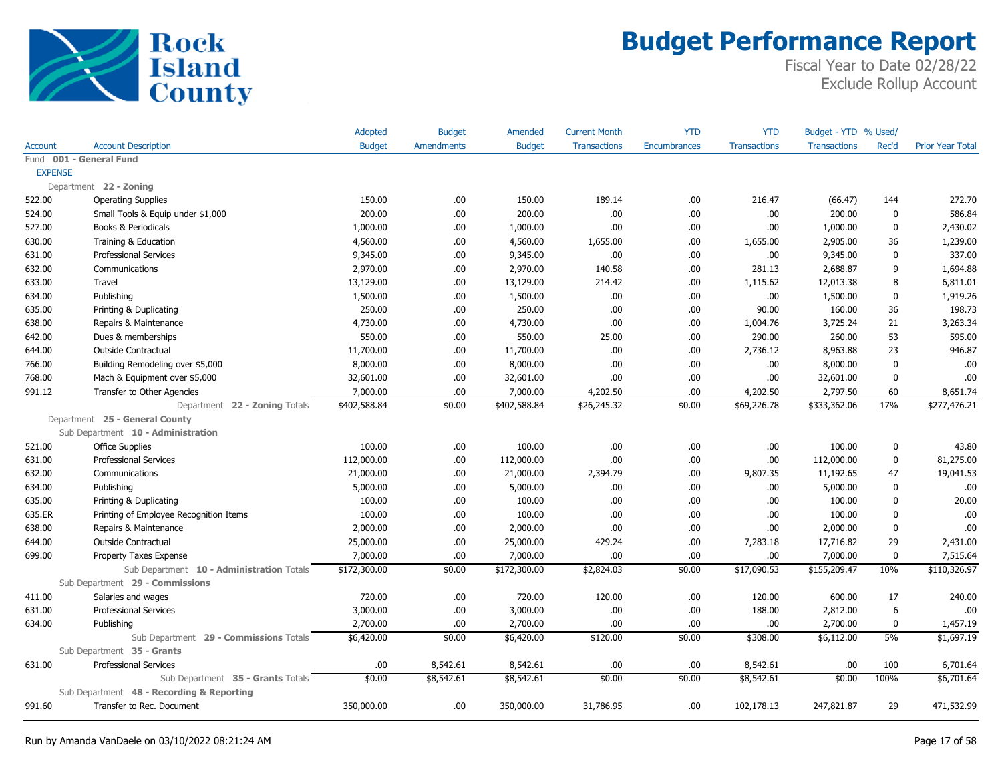

|                |                                           | Adopted       | <b>Budget</b>     | Amended       | <b>Current Month</b> | <b>YTD</b>   | <b>YTD</b>          | Budget - YTD % Used/ |              |                         |
|----------------|-------------------------------------------|---------------|-------------------|---------------|----------------------|--------------|---------------------|----------------------|--------------|-------------------------|
| Account        | <b>Account Description</b>                | <b>Budget</b> | <b>Amendments</b> | <b>Budget</b> | <b>Transactions</b>  | Encumbrances | <b>Transactions</b> | Transactions         | Rec'd        | <b>Prior Year Total</b> |
|                | Fund 001 - General Fund                   |               |                   |               |                      |              |                     |                      |              |                         |
| <b>EXPENSE</b> |                                           |               |                   |               |                      |              |                     |                      |              |                         |
|                | Department 22 - Zoning                    |               |                   |               |                      |              |                     |                      |              |                         |
| 522.00         | <b>Operating Supplies</b>                 | 150.00        | .00.              | 150.00        | 189.14               | .00          | 216.47              | (66.47)              | 144          | 272.70                  |
| 524.00         | Small Tools & Equip under \$1,000         | 200.00        | .00.              | 200.00        | .00.                 | .00.         | .00.                | 200.00               | 0            | 586.84                  |
| 527.00         | Books & Periodicals                       | 1,000.00      | .00.              | 1,000.00      | .00.                 | .00.         | .00.                | 1,000.00             | $\mathbf 0$  | 2,430.02                |
| 630.00         | Training & Education                      | 4,560.00      | .00.              | 4,560.00      | 1,655.00             | .00.         | 1,655.00            | 2,905.00             | 36           | 1,239.00                |
| 631.00         | <b>Professional Services</b>              | 9,345.00      | .00.              | 9,345.00      | .00.                 | .00.         | .00.                | 9,345.00             | $\mathbf{0}$ | 337.00                  |
| 632.00         | Communications                            | 2,970.00      | .00.              | 2,970.00      | 140.58               | .00.         | 281.13              | 2,688.87             | 9            | 1,694.88                |
| 633.00         | Travel                                    | 13,129.00     | .00.              | 13,129.00     | 214.42               | .00.         | 1,115.62            | 12,013.38            | 8            | 6,811.01                |
| 634.00         | Publishing                                | 1,500.00      | .00.              | 1,500.00      | .00.                 | .00.         | .00.                | 1,500.00             | $\mathbf 0$  | 1,919.26                |
| 635.00         | Printing & Duplicating                    | 250.00        | .00.              | 250.00        | .00.                 | .00.         | 90.00               | 160.00               | 36           | 198.73                  |
| 638.00         | Repairs & Maintenance                     | 4,730.00      | .00.              | 4,730.00      | .00.                 | .00.         | 1,004.76            | 3,725.24             | 21           | 3,263.34                |
| 642.00         | Dues & memberships                        | 550.00        | .00.              | 550.00        | 25.00                | .00.         | 290.00              | 260.00               | 53           | 595.00                  |
| 644.00         | <b>Outside Contractual</b>                | 11,700.00     | .00.              | 11,700.00     | .00.                 | .00.         | 2,736.12            | 8,963.88             | 23           | 946.87                  |
| 766.00         | Building Remodeling over \$5,000          | 8,000.00      | .00.              | 8,000.00      | .00.                 | .00.         | .00                 | 8,000.00             | 0            | .00                     |
| 768.00         | Mach & Equipment over \$5,000             | 32,601.00     | .00.              | 32,601.00     | .00.                 | .00.         | .00                 | 32,601.00            | 0            | .00                     |
| 991.12         | Transfer to Other Agencies                | 7,000.00      | .00.              | 7,000.00      | 4,202.50             | .00.         | 4,202.50            | 2,797.50             | 60           | 8,651.74                |
|                | Department 22 - Zoning Totals             | \$402,588.84  | \$0.00            | \$402,588.84  | \$26,245.32          | \$0.00       | \$69,226.78         | \$333,362.06         | 17%          | \$277,476.21            |
|                | Department 25 - General County            |               |                   |               |                      |              |                     |                      |              |                         |
|                | Sub Department 10 - Administration        |               |                   |               |                      |              |                     |                      |              |                         |
| 521.00         | <b>Office Supplies</b>                    | 100.00        | .00.              | 100.00        | .00.                 | .00.         | .00                 | 100.00               | 0            | 43.80                   |
| 631.00         | <b>Professional Services</b>              | 112,000.00    | .00.              | 112,000.00    | .00.                 | .00.         | .00.                | 112,000.00           | 0            | 81,275.00               |
| 632.00         | Communications                            | 21,000.00     | .00.              | 21,000.00     | 2,394.79             | .00.         | 9,807.35            | 11,192.65            | 47           | 19,041.53               |
| 634.00         | Publishing                                | 5,000.00      | .00               | 5,000.00      | .00.                 | .00.         | .00.                | 5,000.00             | $\mathbf{0}$ | .00                     |
| 635.00         | Printing & Duplicating                    | 100.00        | .00.              | 100.00        | .00.                 | .00.         | .00.                | 100.00               | $\mathbf{0}$ | 20.00                   |
| 635.ER         | Printing of Employee Recognition Items    | 100.00        | .00.              | 100.00        | .00.                 | .00.         | .00.                | 100.00               | 0            | .00                     |
| 638.00         | Repairs & Maintenance                     | 2,000.00      | .00.              | 2,000.00      | .00.                 | .00.         | .00                 | 2,000.00             | $\mathbf 0$  | .00                     |
| 644.00         | <b>Outside Contractual</b>                | 25,000.00     | .00.              | 25,000.00     | 429.24               | .00.         | 7,283.18            | 17,716.82            | 29           | 2,431.00                |
| 699.00         | Property Taxes Expense                    | 7,000.00      | .00.              | 7,000.00      | .00.                 | .00.         | .00.                | 7,000.00             | $\mathbf{0}$ | 7,515.64                |
|                | Sub Department 10 - Administration Totals | \$172,300.00  | \$0.00            | \$172,300.00  | \$2,824.03           | \$0.00       | \$17,090.53         | \$155,209.47         | 10%          | \$110,326.97            |
|                | Sub Department 29 - Commissions           |               |                   |               |                      |              |                     |                      |              |                         |
| 411.00         | Salaries and wages                        | 720.00        | .00.              | 720.00        | 120.00               | .00.         | 120.00              | 600.00               | 17           | 240.00                  |
| 631.00         | <b>Professional Services</b>              | 3,000.00      | .00               | 3,000.00      | .00.                 | .00.         | 188.00              | 2,812.00             | 6            | .00                     |
| 634.00         | Publishing                                | 2,700.00      | .00.              | 2,700.00      | .00.                 | .00.         | .00                 | 2,700.00             | 0            | 1,457.19                |
|                | Sub Department 29 - Commissions Totals    | \$6,420.00    | \$0.00            | \$6,420.00    | \$120.00             | \$0.00       | \$308.00            | \$6,112.00           | 5%           | \$1,697.19              |
|                | Sub Department 35 - Grants                |               |                   |               |                      |              |                     |                      |              |                         |
| 631.00         | <b>Professional Services</b>              | .00           | 8,542.61          | 8,542.61      | .00.                 | .00.         | 8,542.61            | .00                  | 100          | 6,701.64                |
|                | Sub Department 35 - Grants Totals         | \$0.00        | \$8,542.61        | \$8,542.61    | \$0.00               | \$0.00       | \$8,542.61          | \$0.00               | 100%         | \$6,701.64              |
|                | Sub Department 48 - Recording & Reporting |               |                   |               |                      |              |                     |                      |              |                         |
| 991.60         | Transfer to Rec. Document                 | 350,000.00    | .00               | 350,000.00    | 31,786.95            | .00          | 102,178.13          | 247,821.87           | 29           | 471,532.99              |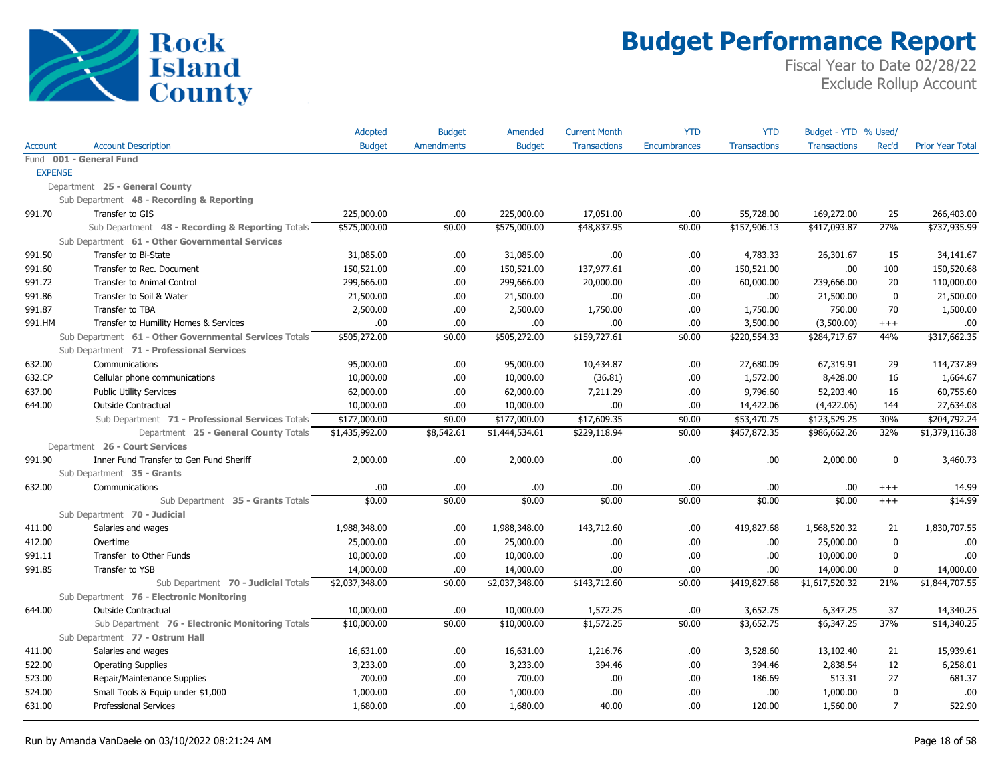

|                |                                                        | Adopted        | <b>Budget</b>     | <b>Amended</b> | <b>Current Month</b> | <b>YTD</b>          | <b>YTD</b>          | Budget - YTD % Used/ |                |                         |
|----------------|--------------------------------------------------------|----------------|-------------------|----------------|----------------------|---------------------|---------------------|----------------------|----------------|-------------------------|
| <b>Account</b> | <b>Account Description</b>                             | <b>Budget</b>  | <b>Amendments</b> | <b>Budget</b>  | <b>Transactions</b>  | <b>Encumbrances</b> | <b>Transactions</b> | <b>Transactions</b>  | Rec'd          | <b>Prior Year Total</b> |
|                | Fund 001 - General Fund                                |                |                   |                |                      |                     |                     |                      |                |                         |
| <b>EXPENSE</b> |                                                        |                |                   |                |                      |                     |                     |                      |                |                         |
|                | Department 25 - General County                         |                |                   |                |                      |                     |                     |                      |                |                         |
|                | Sub Department 48 - Recording & Reporting              |                |                   |                |                      |                     |                     |                      |                |                         |
| 991.70         | Transfer to GIS                                        | 225,000.00     | .00               | 225,000.00     | 17,051.00            | .00                 | 55,728.00           | 169,272.00           | 25             | 266,403.00              |
|                | Sub Department 48 - Recording & Reporting Totals       | \$575,000.00   | \$0.00            | \$575,000.00   | \$48,837.95          | \$0.00              | \$157,906.13        | \$417,093.87         | 27%            | \$737,935.99            |
|                | Sub Department 61 - Other Governmental Services        |                |                   |                |                      |                     |                     |                      |                |                         |
| 991.50         | Transfer to Bi-State                                   | 31,085.00      | .00.              | 31,085.00      | .00.                 | .00                 | 4,783.33            | 26,301.67            | 15             | 34,141.67               |
| 991.60         | Transfer to Rec. Document                              | 150,521.00     | .00.              | 150,521.00     | 137,977.61           | .00                 | 150,521.00          | .00                  | 100            | 150,520.68              |
| 991.72         | <b>Transfer to Animal Control</b>                      | 299,666.00     | .00.              | 299,666.00     | 20,000.00            | .00                 | 60,000.00           | 239,666.00           | 20             | 110,000.00              |
| 991.86         | Transfer to Soil & Water                               | 21,500.00      | .00.              | 21,500.00      | .00.                 | .00                 | .00.                | 21,500.00            | $\mathbf 0$    | 21,500.00               |
| 991.87         | Transfer to TBA                                        | 2,500.00       | .00.              | 2,500.00       | 1,750.00             | .00                 | 1,750.00            | 750.00               | 70             | 1,500.00                |
| 991.HM         | Transfer to Humility Homes & Services                  | .00.           | .00.              | .00            | .00.                 | .00                 | 3,500.00            | (3,500.00)           | $^{+++}$       | .00                     |
|                | Sub Department 61 - Other Governmental Services Totals | \$505,272.00   | \$0.00            | \$505,272.00   | \$159,727.61         | \$0.00              | \$220,554.33        | \$284,717.67         | 44%            | \$317,662.35            |
|                | Sub Department 71 - Professional Services              |                |                   |                |                      |                     |                     |                      |                |                         |
| 632.00         | Communications                                         | 95,000.00      | .00.              | 95,000.00      | 10,434.87            | .00                 | 27,680.09           | 67,319.91            | 29             | 114,737.89              |
| 632.CP         | Cellular phone communications                          | 10,000.00      | .00.              | 10,000.00      | (36.81)              | .00                 | 1,572.00            | 8,428.00             | 16             | 1,664.67                |
| 637.00         | <b>Public Utility Services</b>                         | 62,000.00      | .00.              | 62,000.00      | 7,211.29             | .00                 | 9,796.60            | 52,203.40            | 16             | 60,755.60               |
| 644.00         | Outside Contractual                                    | 10,000.00      | .00.              | 10,000.00      | .00.                 | .00                 | 14,422.06           | (4,422.06)           | 144            | 27,634.08               |
|                | Sub Department 71 - Professional Services Totals       | \$177,000.00   | \$0.00            | \$177,000.00   | \$17,609.35          | \$0.00              | \$53,470.75         | \$123,529.25         | 30%            | \$204,792.24            |
|                | Department 25 - General County Totals                  | \$1,435,992.00 | \$8,542.61        | \$1,444,534.61 | \$229,118.94         | \$0.00              | \$457,872.35        | \$986,662.26         | 32%            | \$1,379,116.38          |
|                | Department 26 - Court Services                         |                |                   |                |                      |                     |                     |                      |                |                         |
| 991.90         | Inner Fund Transfer to Gen Fund Sheriff                | 2,000.00       | .00.              | 2,000.00       | .00.                 | .00                 | .00                 | 2,000.00             | 0              | 3,460.73                |
|                | Sub Department 35 - Grants                             |                |                   |                |                      |                     |                     |                      |                |                         |
| 632.00         | Communications                                         | .00.           | .00.              | .00            | .00.                 | .00                 | .00.                | .00                  | $^{+++}$       | 14.99                   |
|                | Sub Department 35 - Grants Totals                      | \$0.00         | \$0.00            | \$0.00         | \$0.00               | \$0.00              | \$0.00              | \$0.00               | $^{+++}$       | \$14.99                 |
|                | Sub Department 70 - Judicial                           |                |                   |                |                      |                     |                     |                      |                |                         |
| 411.00         | Salaries and wages                                     | 1,988,348.00   | .00.              | 1,988,348.00   | 143,712.60           | .00                 | 419,827.68          | 1,568,520.32         | 21             | 1,830,707.55            |
| 412.00         | Overtime                                               | 25,000.00      | .00.              | 25,000.00      | .00.                 | .00                 | .00                 | 25,000.00            | 0              | .00                     |
| 991.11         | Transfer to Other Funds                                | 10,000.00      | .00.              | 10,000.00      | .00.                 | .00                 | .00                 | 10,000.00            | $\mathbf 0$    | .00                     |
| 991.85         | Transfer to YSB                                        | 14,000.00      | .00.              | 14,000.00      | .00.                 | .00                 | .00                 | 14,000.00            | $\mathbf{0}$   | 14,000.00               |
|                | Sub Department 70 - Judicial Totals                    | \$2,037,348.00 | \$0.00            | \$2,037,348.00 | \$143,712.60         | \$0.00              | \$419,827.68        | \$1,617,520.32       | 21%            | \$1,844,707.55          |
|                | Sub Department 76 - Electronic Monitoring              |                |                   |                |                      |                     |                     |                      |                |                         |
| 644.00         | <b>Outside Contractual</b>                             | 10,000.00      | .00               | 10,000.00      | 1,572.25             | .00                 | 3,652.75            | 6,347.25             | 37             | 14,340.25               |
|                | Sub Department 76 - Electronic Monitoring Totals       | \$10,000.00    | \$0.00            | \$10,000.00    | \$1,572.25           | \$0.00              | \$3,652.75          | \$6,347.25           | 37%            | \$14,340.25             |
|                | Sub Department 77 - Ostrum Hall                        |                |                   |                |                      |                     |                     |                      |                |                         |
| 411.00         | Salaries and wages                                     | 16,631.00      | .00.              | 16,631.00      | 1,216.76             | .00                 | 3,528.60            | 13,102.40            | 21             | 15,939.61               |
| 522.00         | <b>Operating Supplies</b>                              | 3,233.00       | .00.              | 3,233.00       | 394.46               | .00                 | 394.46              | 2,838.54             | 12             | 6,258.01                |
| 523.00         | Repair/Maintenance Supplies                            | 700.00         | .00.              | 700.00         | .00.                 | .00                 | 186.69              | 513.31               | 27             | 681.37                  |
| 524.00         | Small Tools & Equip under \$1,000                      | 1,000.00       | .00.              | 1,000.00       | .00.                 | .00                 | .00.                | 1,000.00             | 0              | .00                     |
| 631.00         | <b>Professional Services</b>                           | 1,680.00       | .00.              | 1,680.00       | 40.00                | .00                 | 120.00              | 1,560.00             | $\overline{7}$ | 522.90                  |
|                |                                                        |                |                   |                |                      |                     |                     |                      |                |                         |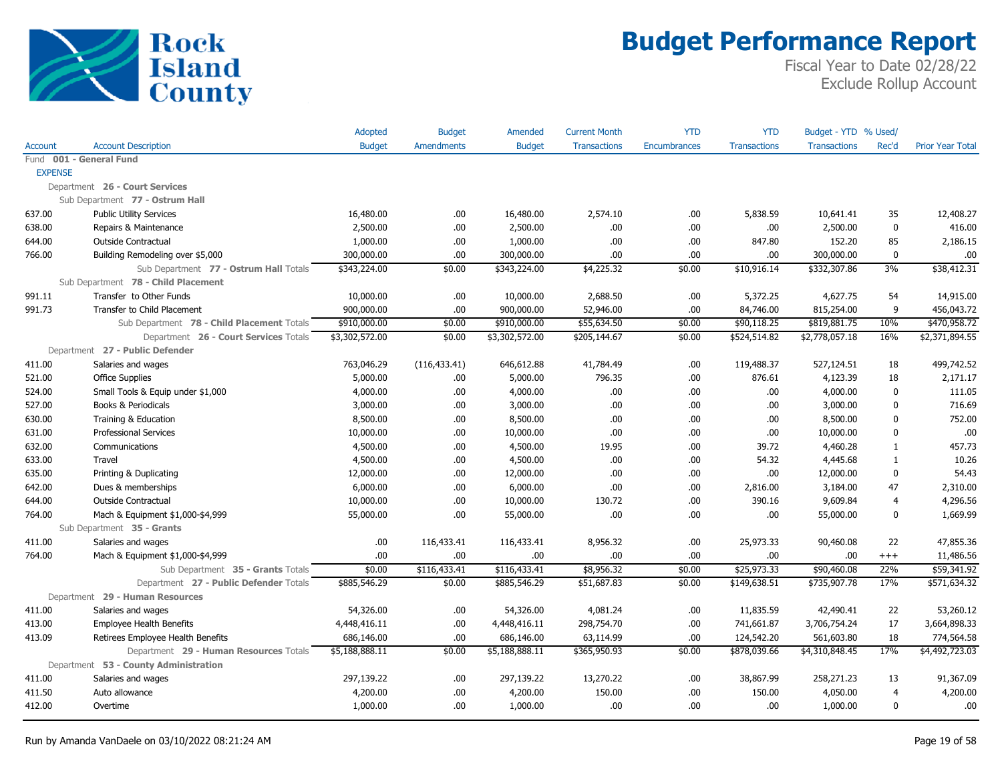

|                |                                            | Adopted        | <b>Budget</b>     | Amended        | <b>Current Month</b> | <b>YTD</b>   | <b>YTD</b>          | Budget - YTD % Used/ |                |                         |
|----------------|--------------------------------------------|----------------|-------------------|----------------|----------------------|--------------|---------------------|----------------------|----------------|-------------------------|
| <b>Account</b> | <b>Account Description</b>                 | <b>Budget</b>  | <b>Amendments</b> | <b>Budget</b>  | <b>Transactions</b>  | Encumbrances | <b>Transactions</b> | <b>Transactions</b>  | Rec'd          | <b>Prior Year Total</b> |
|                | Fund 001 - General Fund                    |                |                   |                |                      |              |                     |                      |                |                         |
| <b>EXPENSE</b> |                                            |                |                   |                |                      |              |                     |                      |                |                         |
|                | Department 26 - Court Services             |                |                   |                |                      |              |                     |                      |                |                         |
|                | Sub Department 77 - Ostrum Hall            |                |                   |                |                      |              |                     |                      |                |                         |
| 637.00         | <b>Public Utility Services</b>             | 16,480.00      | .00.              | 16,480.00      | 2,574.10             | .00.         | 5,838.59            | 10,641.41            | 35             | 12,408.27               |
| 638.00         | Repairs & Maintenance                      | 2,500.00       | .00.              | 2,500.00       | .00.                 | .00.         | .00.                | 2,500.00             | $\mathbf 0$    | 416.00                  |
| 644.00         | <b>Outside Contractual</b>                 | 1,000.00       | .00.              | 1,000.00       | .00.                 | .00.         | 847.80              | 152.20               | 85             | 2,186.15                |
| 766.00         | Building Remodeling over \$5,000           | 300,000.00     | .00.              | 300,000.00     | .00.                 | .00.         | .00.                | 300,000.00           | $\mathbf 0$    | .00                     |
|                | Sub Department 77 - Ostrum Hall Totals     | \$343,224.00   | \$0.00            | \$343,224.00   | \$4,225.32           | \$0.00       | \$10,916.14         | \$332,307.86         | 3%             | \$38,412.31             |
|                | Sub Department 78 - Child Placement        |                |                   |                |                      |              |                     |                      |                |                         |
| 991.11         | Transfer to Other Funds                    | 10,000.00      | .00.              | 10,000.00      | 2,688.50             | .00          | 5,372.25            | 4,627.75             | 54             | 14,915.00               |
| 991.73         | Transfer to Child Placement                | 900,000.00     | 00.               | 900,000.00     | 52,946.00            | .00.         | 84,746.00           | 815,254.00           | 9              | 456,043.72              |
|                | Sub Department 78 - Child Placement Totals | \$910,000.00   | \$0.00            | \$910,000.00   | \$55,634.50          | \$0.00       | \$90,118.25         | \$819,881.75         | 10%            | \$470,958.72            |
|                | Department 26 - Court Services Totals      | \$3,302,572.00 | \$0.00            | \$3,302,572.00 | \$205,144.67         | \$0.00       | \$524,514.82        | \$2,778,057.18       | 16%            | \$2,371,894.55          |
|                | Department 27 - Public Defender            |                |                   |                |                      |              |                     |                      |                |                         |
| 411.00         | Salaries and wages                         | 763,046.29     | (116, 433.41)     | 646,612.88     | 41,784.49            | .00.         | 119,488.37          | 527,124.51           | 18             | 499,742.52              |
| 521.00         | <b>Office Supplies</b>                     | 5,000.00       | .00.              | 5,000.00       | 796.35               | .00.         | 876.61              | 4,123.39             | 18             | 2,171.17                |
| 524.00         | Small Tools & Equip under \$1,000          | 4,000.00       | .00.              | 4,000.00       | .00.                 | .00.         | .00.                | 4,000.00             | $\mathbf{0}$   | 111.05                  |
| 527.00         | Books & Periodicals                        | 3,000.00       | .00.              | 3,000.00       | .00.                 | .00.         | .00.                | 3,000.00             | $\mathbf{0}$   | 716.69                  |
| 630.00         | Training & Education                       | 8,500.00       | 00.               | 8,500.00       | .00.                 | .00.         | .00                 | 8,500.00             | $\Omega$       | 752.00                  |
| 631.00         | <b>Professional Services</b>               | 10,000.00      | .00.              | 10,000.00      | .00.                 | .00.         | .00.                | 10,000.00            | $\mathbf{0}$   | .00                     |
| 632.00         | Communications                             | 4,500.00       | .00.              | 4,500.00       | 19.95                | .00.         | 39.72               | 4,460.28             | $\mathbf{1}$   | 457.73                  |
| 633.00         | Travel                                     | 4,500.00       | .00.              | 4,500.00       | .00.                 | .00.         | 54.32               | 4,445.68             | $\mathbf{1}$   | 10.26                   |
| 635.00         | Printing & Duplicating                     | 12,000.00      | .00.              | 12,000.00      | .00.                 | .00.         | .00.                | 12,000.00            | $\mathbf{0}$   | 54.43                   |
| 642.00         | Dues & memberships                         | 6,000.00       | .00.              | 6,000.00       | .00                  | .00.         | 2,816.00            | 3,184.00             | 47             | 2,310.00                |
| 644.00         | Outside Contractual                        | 10,000.00      | .00.              | 10,000.00      | 130.72               | .00.         | 390.16              | 9,609.84             | $\overline{4}$ | 4,296.56                |
| 764.00         | Mach & Equipment \$1,000-\$4,999           | 55,000.00      | .00.              | 55,000.00      | .00.                 | .00.         | .00.                | 55,000.00            | $\Omega$       | 1,669.99                |
|                | Sub Department 35 - Grants                 |                |                   |                |                      |              |                     |                      |                |                         |
| 411.00         | Salaries and wages                         | .00            | 116,433.41        | 116,433.41     | 8,956.32             | .00.         | 25,973.33           | 90,460.08            | 22             | 47,855.36               |
| 764.00         | Mach & Equipment \$1,000-\$4,999           | .00            | .00.              | .00            | .00.                 | .00          | .00.                | .00                  | $^{+++}$       | 11,486.56               |
|                | Sub Department 35 - Grants Totals          | \$0.00         | \$116,433.41      | \$116,433.41   | \$8,956.32           | \$0.00       | \$25,973.33         | \$90,460.08          | 22%            | \$59,341.92             |
|                | Department 27 - Public Defender Totals     | \$885,546.29   | \$0.00            | \$885,546.29   | \$51,687.83          | \$0.00       | \$149,638.51        | \$735,907.78         | 17%            | \$571,634.32            |
|                | Department 29 - Human Resources            |                |                   |                |                      |              |                     |                      |                |                         |
| 411.00         | Salaries and wages                         | 54,326.00      | .00               | 54,326.00      | 4,081.24             | .00.         | 11,835.59           | 42,490.41            | 22             | 53,260.12               |
| 413.00         | <b>Employee Health Benefits</b>            | 4,448,416.11   | .00.              | 4,448,416.11   | 298,754.70           | .00.         | 741,661.87          | 3,706,754.24         | 17             | 3,664,898.33            |
| 413.09         | Retirees Employee Health Benefits          | 686,146.00     | .00.              | 686,146.00     | 63,114.99            | .00          | 124,542.20          | 561,603.80           | 18             | 774,564.58              |
|                | Department 29 - Human Resources Totals     | \$5,188,888.11 | \$0.00            | \$5,188,888.11 | \$365,950.93         | \$0.00       | \$878,039.66        | \$4,310,848.45       | 17%            | \$4,492,723.03          |
|                | Department 53 - County Administration      |                |                   |                |                      |              |                     |                      |                |                         |
| 411.00         | Salaries and wages                         | 297,139.22     | .00.              | 297,139.22     | 13,270.22            | .00.         | 38,867.99           | 258,271.23           | 13             | 91,367.09               |
| 411.50         | Auto allowance                             | 4,200.00       | .00.              | 4,200.00       | 150.00               | .00.         | 150.00              | 4,050.00             | $\overline{4}$ | 4,200.00                |
| 412.00         | Overtime                                   | 1,000.00       | .00.              | 1,000.00       | .00.                 | .00.         | .00.                | 1,000.00             | $\mathbf{0}$   | .00                     |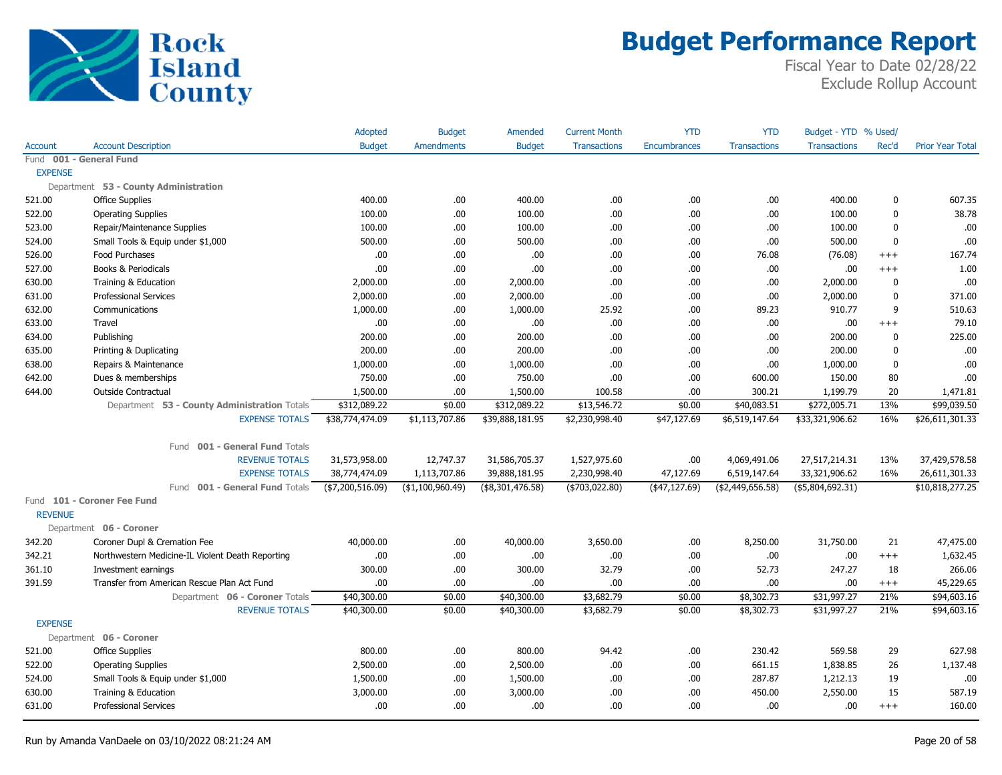

|                |                                                  | Adopted          | <b>Budget</b>     | Amended             | <b>Current Month</b> | <b>YTD</b>          | <b>YTD</b>          | Budget - YTD % Used/ |             |                         |
|----------------|--------------------------------------------------|------------------|-------------------|---------------------|----------------------|---------------------|---------------------|----------------------|-------------|-------------------------|
| Account        | <b>Account Description</b>                       | <b>Budget</b>    | <b>Amendments</b> | <b>Budget</b>       | <b>Transactions</b>  | <b>Encumbrances</b> | <b>Transactions</b> | <b>Transactions</b>  | Rec'd       | <b>Prior Year Total</b> |
|                | Fund 001 - General Fund                          |                  |                   |                     |                      |                     |                     |                      |             |                         |
| <b>EXPENSE</b> |                                                  |                  |                   |                     |                      |                     |                     |                      |             |                         |
|                | Department 53 - County Administration            |                  |                   |                     |                      |                     |                     |                      |             |                         |
| 521.00         | <b>Office Supplies</b>                           | 400.00           | .00.              | 400.00              | .00                  | .00                 | .00                 | 400.00               | $\mathbf 0$ | 607.35                  |
| 522.00         | <b>Operating Supplies</b>                        | 100.00           | .00.              | 100.00              | .00                  | .00                 | .00                 | 100.00               | $\mathbf 0$ | 38.78                   |
| 523.00         | Repair/Maintenance Supplies                      | 100.00           | .00.              | 100.00              | .00                  | .00                 | .00                 | 100.00               | $\mathbf 0$ | .00                     |
| 524.00         | Small Tools & Equip under \$1,000                | 500.00           | .00.              | 500.00              | .00                  | .00                 | .00                 | 500.00               | $\mathbf 0$ | .00                     |
| 526.00         | Food Purchases                                   | .00              | .00               | .00.                | .00                  | .00                 | 76.08               | (76.08)              | $^{+++}$    | 167.74                  |
| 527.00         | Books & Periodicals                              | .00              | .00               | .00.                | .00.                 | .00                 | .00                 | .00                  | $+++$       | 1.00                    |
| 630.00         | Training & Education                             | 2,000.00         | .00.              | 2,000.00            | .00                  | .00                 | .00                 | 2,000.00             | 0           | .00.                    |
| 631.00         | <b>Professional Services</b>                     | 2,000.00         | .00               | 2,000.00            | .00                  | .00                 | .00                 | 2,000.00             | $\mathbf 0$ | 371.00                  |
| 632.00         | Communications                                   | 1,000.00         | .00.              | 1,000.00            | 25.92                | .00                 | 89.23               | 910.77               | 9           | 510.63                  |
| 633.00         | Travel                                           | .00.             | .00.              | .00                 | .00                  | .00                 | .00.                | .00                  | $^{+++}$    | 79.10                   |
| 634.00         | Publishing                                       | 200.00           | .00.              | 200.00              | .00                  | .00                 | .00                 | 200.00               | $\mathbf 0$ | 225.00                  |
| 635.00         | Printing & Duplicating                           | 200.00           | .00.              | 200.00              | .00                  | .00                 | .00                 | 200.00               | $\mathbf 0$ | .00.                    |
| 638.00         | Repairs & Maintenance                            | 1,000.00         | .00.              | 1,000.00            | .00                  | .00                 | .00                 | 1,000.00             | $\mathbf 0$ | .00                     |
| 642.00         | Dues & memberships                               | 750.00           | .00.              | 750.00              | .00                  | .00                 | 600.00              | 150.00               | 80          | .00                     |
| 644.00         | Outside Contractual                              | 1,500.00         | .00.              | 1,500.00            | 100.58               | .00                 | 300.21              | 1,199.79             | 20          | 1,471.81                |
|                | Department 53 - County Administration Totals     | \$312,089.22     | \$0.00            | \$312,089.22        | \$13,546.72          | \$0.00              | \$40,083.51         | \$272,005.71         | 13%         | \$99,039.50             |
|                | <b>EXPENSE TOTALS</b>                            | \$38,774,474.09  | \$1,113,707.86    | \$39,888,181.95     | \$2,230,998.40       | \$47,127.69         | \$6,519,147.64      | \$33,321,906.62      | 16%         | \$26,611,301.33         |
|                |                                                  |                  |                   |                     |                      |                     |                     |                      |             |                         |
|                | Fund 001 - General Fund Totals                   |                  |                   |                     |                      |                     |                     |                      |             |                         |
|                | <b>REVENUE TOTALS</b>                            | 31,573,958.00    | 12,747.37         | 31,586,705.37       | 1,527,975.60         | .00                 | 4,069,491.06        | 27,517,214.31        | 13%         | 37,429,578.58           |
|                | <b>EXPENSE TOTALS</b>                            | 38,774,474.09    | 1,113,707.86      | 39,888,181.95       | 2,230,998.40         | 47,127.69           | 6,519,147.64        | 33,321,906.62        | 16%         | 26,611,301.33           |
|                | Fund 001 - General Fund Totals                   | (\$7,200,516.09) | (\$1,100,960.49)  | $($ \$8,301,476.58) | ( \$703,022.80)      | (47, 127.69)        | ( \$2,449,656.58)   | $($ \$5,804,692.31)  |             | \$10,818,277.25         |
|                | Fund 101 - Coroner Fee Fund                      |                  |                   |                     |                      |                     |                     |                      |             |                         |
| <b>REVENUE</b> |                                                  |                  |                   |                     |                      |                     |                     |                      |             |                         |
|                | Department 06 - Coroner                          |                  |                   |                     |                      |                     |                     |                      |             |                         |
| 342.20         | Coroner Dupl & Cremation Fee                     | 40,000.00        | .00               | 40,000.00           | 3,650.00             | .00                 | 8,250.00            | 31,750.00            | 21          | 47,475.00               |
| 342.21         | Northwestern Medicine-IL Violent Death Reporting | .00.             | .00.              | .00.                | .00                  | .00                 | .00                 | .00                  | $^{+++}$    | 1,632.45                |
| 361.10         | Investment earnings                              | 300.00           | .00.              | 300.00              | 32.79                | .00                 | 52.73               | 247.27               | 18          | 266.06                  |
| 391.59         | Transfer from American Rescue Plan Act Fund      | .00              | .00.              | .00                 | .00                  | .00                 | .00                 | .00                  | $^{+++}$    | 45,229.65               |
|                | Department 06 - Coroner Totals                   | \$40,300.00      | \$0.00            | \$40,300.00         | \$3,682.79           | \$0.00              | \$8,302.73          | \$31,997.27          | 21%         | \$94,603.16             |
|                | <b>REVENUE TOTALS</b>                            | \$40,300.00      | \$0.00            | \$40,300.00         | \$3,682.79           | \$0.00              | \$8,302.73          | \$31,997.27          | 21%         | \$94,603.16             |
| <b>EXPENSE</b> |                                                  |                  |                   |                     |                      |                     |                     |                      |             |                         |
|                | Department 06 - Coroner                          |                  |                   |                     |                      |                     |                     |                      |             |                         |
| 521.00         | <b>Office Supplies</b>                           | 800.00           | .00.              | 800.00              | 94.42                | .00                 | 230.42              | 569.58               | 29          | 627.98                  |
| 522.00         | <b>Operating Supplies</b>                        | 2,500.00         | .00.              | 2,500.00            | .00                  | .00                 | 661.15              | 1,838.85             | 26          | 1,137.48                |
| 524.00         | Small Tools & Equip under \$1,000                | 1,500.00         | .00               | 1,500.00            | .00                  | .00                 | 287.87              | 1,212.13             | 19          | .00.                    |
| 630.00         | Training & Education                             | 3,000.00         | .00.              | 3,000.00            | .00                  | .00                 | 450.00              | 2,550.00             | 15          | 587.19                  |
| 631.00         | <b>Professional Services</b>                     | .00.             | .00.              | .00.                | .00                  | .00                 | .00                 | .00                  | $^{+++}$    | 160.00                  |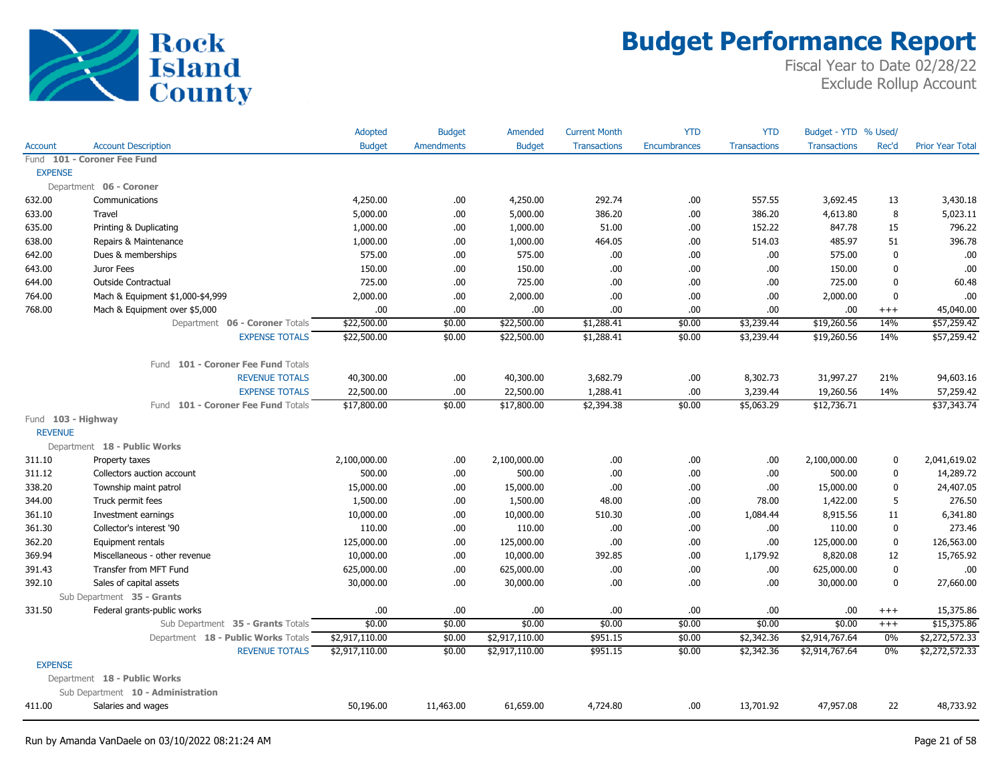

|                    |                                     | Adopted        | <b>Budget</b>     | <b>Amended</b> | <b>Current Month</b> | <b>YTD</b>   | <b>YTD</b>          | Budget - YTD % Used/ |              |                         |
|--------------------|-------------------------------------|----------------|-------------------|----------------|----------------------|--------------|---------------------|----------------------|--------------|-------------------------|
| <b>Account</b>     | <b>Account Description</b>          | <b>Budget</b>  | <b>Amendments</b> | <b>Budget</b>  | <b>Transactions</b>  | Encumbrances | <b>Transactions</b> | <b>Transactions</b>  | Rec'd        | <b>Prior Year Total</b> |
|                    | Fund 101 - Coroner Fee Fund         |                |                   |                |                      |              |                     |                      |              |                         |
| <b>EXPENSE</b>     |                                     |                |                   |                |                      |              |                     |                      |              |                         |
|                    | Department 06 - Coroner             |                |                   |                |                      |              |                     |                      |              |                         |
| 632.00             | Communications                      | 4,250.00       | .00.              | 4,250.00       | 292.74               | .00          | 557.55              | 3,692.45             | 13           | 3,430.18                |
| 633.00             | Travel                              | 5,000.00       | .00.              | 5,000.00       | 386.20               | .00          | 386.20              | 4,613.80             | 8            | 5,023.11                |
| 635.00             | Printing & Duplicating              | 1,000.00       | .00.              | 1,000.00       | 51.00                | .00          | 152.22              | 847.78               | 15           | 796.22                  |
| 638.00             | Repairs & Maintenance               | 1,000.00       | .00.              | 1,000.00       | 464.05               | .00          | 514.03              | 485.97               | 51           | 396.78                  |
| 642.00             | Dues & memberships                  | 575.00         | .00.              | 575.00         | .00.                 | .00          | .00.                | 575.00               | $\mathbf 0$  | .00                     |
| 643.00             | Juror Fees                          | 150.00         | .00.              | 150.00         | .00.                 | .00          | .00.                | 150.00               | $\mathbf 0$  | .00                     |
| 644.00             | <b>Outside Contractual</b>          | 725.00         | .00.              | 725.00         | .00.                 | .00          | .00.                | 725.00               | $\mathbf{0}$ | 60.48                   |
| 764.00             | Mach & Equipment \$1,000-\$4,999    | 2,000.00       | .00.              | 2,000.00       | .00.                 | .00          | .00.                | 2,000.00             | $\mathbf 0$  | .00                     |
| 768.00             | Mach & Equipment over \$5,000       | .00.           | .00.              | .00            | .00.                 | .00          | .00                 | .00                  | $^{+++}$     | 45,040.00               |
|                    | Department 06 - Coroner Totals      | \$22,500.00    | \$0.00            | \$22,500.00    | \$1,288.41           | \$0.00       | \$3,239.44          | \$19,260.56          | 14%          | \$57,259.42             |
|                    | <b>EXPENSE TOTALS</b>               | \$22,500.00    | \$0.00            | \$22,500.00    | \$1,288.41           | \$0.00       | \$3,239.44          | \$19,260.56          | 14%          | \$57,259.42             |
|                    | Fund 101 - Coroner Fee Fund Totals  |                |                   |                |                      |              |                     |                      |              |                         |
|                    | <b>REVENUE TOTALS</b>               | 40,300.00      | .00               | 40,300.00      | 3,682.79             | .00          | 8,302.73            | 31,997.27            | 21%          | 94,603.16               |
|                    | <b>EXPENSE TOTALS</b>               | 22,500.00      | .00.              | 22,500.00      | 1,288.41             | .00          | 3,239.44            | 19,260.56            | 14%          | 57,259.42               |
|                    | Fund 101 - Coroner Fee Fund Totals  | \$17,800.00    | \$0.00            | \$17,800.00    | \$2,394.38           | \$0.00       | \$5,063.29          | \$12,736.71          |              | \$37,343.74             |
| Fund 103 - Highway |                                     |                |                   |                |                      |              |                     |                      |              |                         |
| <b>REVENUE</b>     |                                     |                |                   |                |                      |              |                     |                      |              |                         |
|                    | Department 18 - Public Works        |                |                   |                |                      |              |                     |                      |              |                         |
| 311.10             | Property taxes                      | 2,100,000.00   | .00               | 2,100,000.00   | .00                  | .00          | .00.                | 2,100,000.00         | 0            | 2,041,619.02            |
| 311.12             | Collectors auction account          | 500.00         | .00               | 500.00         | .00                  | .00          | .00.                | 500.00               | 0            | 14,289.72               |
| 338.20             | Township maint patrol               | 15,000.00      | .00.              | 15,000.00      | .00.                 | .00          | .00.                | 15,000.00            | $\mathbf 0$  | 24,407.05               |
| 344.00             | Truck permit fees                   | 1,500.00       | .00.              | 1,500.00       | 48.00                | .00          | 78.00               | 1,422.00             | 5            | 276.50                  |
| 361.10             | Investment earnings                 | 10,000.00      | .00.              | 10,000.00      | 510.30               | .00          | 1,084.44            | 8,915.56             | 11           | 6,341.80                |
| 361.30             | Collector's interest '90            | 110.00         | .00.              | 110.00         | .00.                 | .00          | .00.                | 110.00               | $\mathbf 0$  | 273.46                  |
| 362.20             | Equipment rentals                   | 125,000.00     | .00.              | 125,000.00     | .00.                 | .00          | .00.                | 125,000.00           | $\mathbf 0$  | 126,563.00              |
| 369.94             | Miscellaneous - other revenue       | 10,000.00      | .00.              | 10,000.00      | 392.85               | .00          | 1,179.92            | 8,820.08             | 12           | 15,765.92               |
| 391.43             | Transfer from MFT Fund              | 625,000.00     | .00.              | 625,000.00     | .00                  | .00          | .00.                | 625,000.00           | 0            | .00                     |
| 392.10             | Sales of capital assets             | 30,000.00      | .00.              | 30,000.00      | .00.                 | .00          | .00.                | 30,000.00            | 0            | 27,660.00               |
|                    | Sub Department 35 - Grants          |                |                   |                |                      |              |                     |                      |              |                         |
| 331.50             | Federal grants-public works         | .00            | .00.              | .00            | .00.                 | .00          | .00.                | .00                  | $^{+++}$     | 15,375.86               |
|                    | Sub Department 35 - Grants Totals   | \$0.00         | \$0.00            | \$0.00         | \$0.00               | \$0.00       | \$0.00              | \$0.00               | $^{+++}$     | \$15,375.86             |
|                    | Department 18 - Public Works Totals | \$2,917,110.00 | \$0.00            | \$2,917,110.00 | \$951.15             | \$0.00       | \$2,342.36          | \$2,914,767.64       | 0%           | \$2,272,572.33          |
|                    | <b>REVENUE TOTALS</b>               | \$2,917,110.00 | \$0.00            | \$2,917,110.00 | \$951.15             | \$0.00       | \$2,342.36          | \$2,914,767.64       | 0%           | \$2,272,572.33          |
| <b>EXPENSE</b>     |                                     |                |                   |                |                      |              |                     |                      |              |                         |
|                    | Department 18 - Public Works        |                |                   |                |                      |              |                     |                      |              |                         |
|                    | Sub Department 10 - Administration  |                |                   |                |                      |              |                     |                      |              |                         |
| 411.00             | Salaries and wages                  | 50,196.00      | 11,463.00         | 61,659.00      | 4,724.80             | .00          | 13,701.92           | 47,957.08            | 22           | 48,733.92               |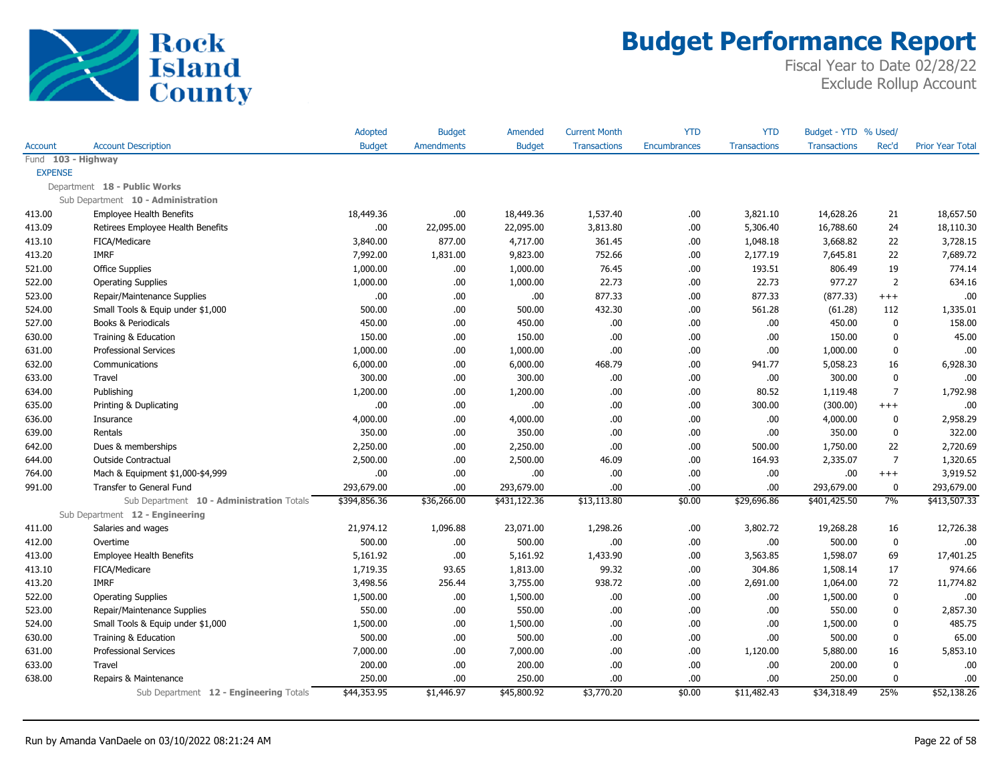

|                    |                                           | Adopted       | <b>Budget</b> | Amended       | <b>Current Month</b> | <b>YTD</b>          | <b>YTD</b>          | Budget - YTD % Used/ |                |                         |
|--------------------|-------------------------------------------|---------------|---------------|---------------|----------------------|---------------------|---------------------|----------------------|----------------|-------------------------|
| <b>Account</b>     | <b>Account Description</b>                | <b>Budget</b> | Amendments    | <b>Budget</b> | <b>Transactions</b>  | <b>Encumbrances</b> | <b>Transactions</b> | <b>Transactions</b>  | Rec'd          | <b>Prior Year Total</b> |
| Fund 103 - Highway |                                           |               |               |               |                      |                     |                     |                      |                |                         |
| <b>EXPENSE</b>     |                                           |               |               |               |                      |                     |                     |                      |                |                         |
|                    | Department 18 - Public Works              |               |               |               |                      |                     |                     |                      |                |                         |
|                    | Sub Department 10 - Administration        |               |               |               |                      |                     |                     |                      |                |                         |
| 413.00             | <b>Employee Health Benefits</b>           | 18,449.36     | .00.          | 18,449.36     | 1,537.40             | .00.                | 3,821.10            | 14,628.26            | 21             | 18,657.50               |
| 413.09             | Retirees Employee Health Benefits         | .00.          | 22,095.00     | 22,095.00     | 3,813.80             | .00                 | 5,306.40            | 16,788.60            | 24             | 18,110.30               |
| 413.10             | FICA/Medicare                             | 3,840.00      | 877.00        | 4,717.00      | 361.45               | .00.                | 1,048.18            | 3,668.82             | 22             | 3,728.15                |
| 413.20             | <b>IMRF</b>                               | 7,992.00      | 1,831.00      | 9,823.00      | 752.66               | .00                 | 2,177.19            | 7,645.81             | 22             | 7,689.72                |
| 521.00             | <b>Office Supplies</b>                    | 1,000.00      | .00           | 1,000.00      | 76.45                | .00.                | 193.51              | 806.49               | 19             | 774.14                  |
| 522.00             | <b>Operating Supplies</b>                 | 1,000.00      | .00.          | 1,000.00      | 22.73                | .00                 | 22.73               | 977.27               | $\overline{2}$ | 634.16                  |
| 523.00             | Repair/Maintenance Supplies               | .00           | .00.          | .00.          | 877.33               | .00                 | 877.33              | (877.33)             | $^{+++}$       | .00                     |
| 524.00             | Small Tools & Equip under \$1,000         | 500.00        | .00.          | 500.00        | 432.30               | .00                 | 561.28              | (61.28)              | 112            | 1,335.01                |
| 527.00             | Books & Periodicals                       | 450.00        | .00           | 450.00        | .00.                 | .00                 | .00.                | 450.00               | 0              | 158.00                  |
| 630.00             | Training & Education                      | 150.00        | .00.          | 150.00        | .00                  | .00                 | .00                 | 150.00               | 0              | 45.00                   |
| 631.00             | <b>Professional Services</b>              | 1,000.00      | .00.          | 1,000.00      | .00                  | .00                 | .00                 | 1,000.00             | 0              | .00                     |
| 632.00             | Communications                            | 6,000.00      | .00.          | 6,000.00      | 468.79               | .00                 | 941.77              | 5,058.23             | 16             | 6,928.30                |
| 633.00             | Travel                                    | 300.00        | .00.          | 300.00        | .00.                 | .00                 | .00                 | 300.00               | 0              | .00                     |
| 634.00             | Publishing                                | 1,200.00      | .00.          | 1,200.00      | .00                  | .00                 | 80.52               | 1,119.48             | $\overline{7}$ | 1,792.98                |
| 635.00             | Printing & Duplicating                    | .00           | .00.          | .00           | .00                  | .00                 | 300.00              | (300.00)             | $^{+++}$       | .00.                    |
| 636.00             | Insurance                                 | 4,000.00      | .00.          | 4,000.00      | .00                  | .00                 | .00                 | 4,000.00             | 0              | 2,958.29                |
| 639.00             | Rentals                                   | 350.00        | .00.          | 350.00        | .00                  | .00                 | .00                 | 350.00               | 0              | 322.00                  |
| 642.00             | Dues & memberships                        | 2,250.00      | .00.          | 2,250.00      | .00                  | .00                 | 500.00              | 1,750.00             | 22             | 2,720.69                |
| 644.00             | <b>Outside Contractual</b>                | 2,500.00      | .00.          | 2,500.00      | 46.09                | .00                 | 164.93              | 2,335.07             | $\overline{7}$ | 1,320.65                |
| 764.00             | Mach & Equipment \$1,000-\$4,999          | .00           | .00.          | .00.          | .00                  | .00                 | .00                 | .00.                 | $+++$          | 3,919.52                |
| 991.00             | Transfer to General Fund                  | 293,679.00    | .00           | 293,679.00    | .00                  | .00                 | .00                 | 293,679.00           | 0              | 293,679.00              |
|                    | Sub Department 10 - Administration Totals | \$394,856.36  | \$36,266.00   | \$431,122.36  | \$13,113.80          | \$0.00              | \$29,696.86         | \$401,425.50         | 7%             | \$413,507.33            |
|                    | Sub Department 12 - Engineering           |               |               |               |                      |                     |                     |                      |                |                         |
| 411.00             | Salaries and wages                        | 21,974.12     | 1,096.88      | 23,071.00     | 1,298.26             | .00                 | 3,802.72            | 19,268.28            | 16             | 12,726.38               |
| 412.00             | Overtime                                  | 500.00        | .00.          | 500.00        | .00                  | .00                 | .00                 | 500.00               | 0              | .00                     |
| 413.00             | <b>Employee Health Benefits</b>           | 5,161.92      | .00           | 5,161.92      | 1,433.90             | .00                 | 3,563.85            | 1,598.07             | 69             | 17,401.25               |
| 413.10             | FICA/Medicare                             | 1,719.35      | 93.65         | 1,813.00      | 99.32                | .00                 | 304.86              | 1,508.14             | 17             | 974.66                  |
| 413.20             | <b>IMRF</b>                               | 3,498.56      | 256.44        | 3,755.00      | 938.72               | .00.                | 2,691.00            | 1,064.00             | 72             | 11,774.82               |
| 522.00             | <b>Operating Supplies</b>                 | 1,500.00      | .00.          | 1,500.00      | .00.                 | .00                 | .00                 | 1,500.00             | 0              | .00                     |
| 523.00             | Repair/Maintenance Supplies               | 550.00        | .00           | 550.00        | .00                  | .00                 | .00                 | 550.00               | 0              | 2,857.30                |
| 524.00             | Small Tools & Equip under \$1,000         | 1,500.00      | .00.          | 1,500.00      | .00.                 | .00                 | .00                 | 1,500.00             | $\mathbf{0}$   | 485.75                  |
| 630.00             | Training & Education                      | 500.00        | .00.          | 500.00        | .00.                 | .00                 | .00                 | 500.00               | 0              | 65.00                   |
| 631.00             | <b>Professional Services</b>              | 7,000.00      | .00.          | 7,000.00      | .00                  | .00                 | 1,120.00            | 5,880.00             | 16             | 5,853.10                |
| 633.00             | Travel                                    | 200.00        | .00.          | 200.00        | .00                  | .00                 | .00                 | 200.00               | $\mathbf{0}$   | .00.                    |
| 638.00             | Repairs & Maintenance                     | 250.00        | .00           | 250.00        | .00                  | .00                 | .00                 | 250.00               | 0              | .00                     |
|                    | Sub Department 12 - Engineering Totals    | \$44,353.95   | \$1,446.97    | \$45,800.92   | \$3,770.20           | \$0.00              | \$11,482.43         | \$34,318.49          | 25%            | \$52,138.26             |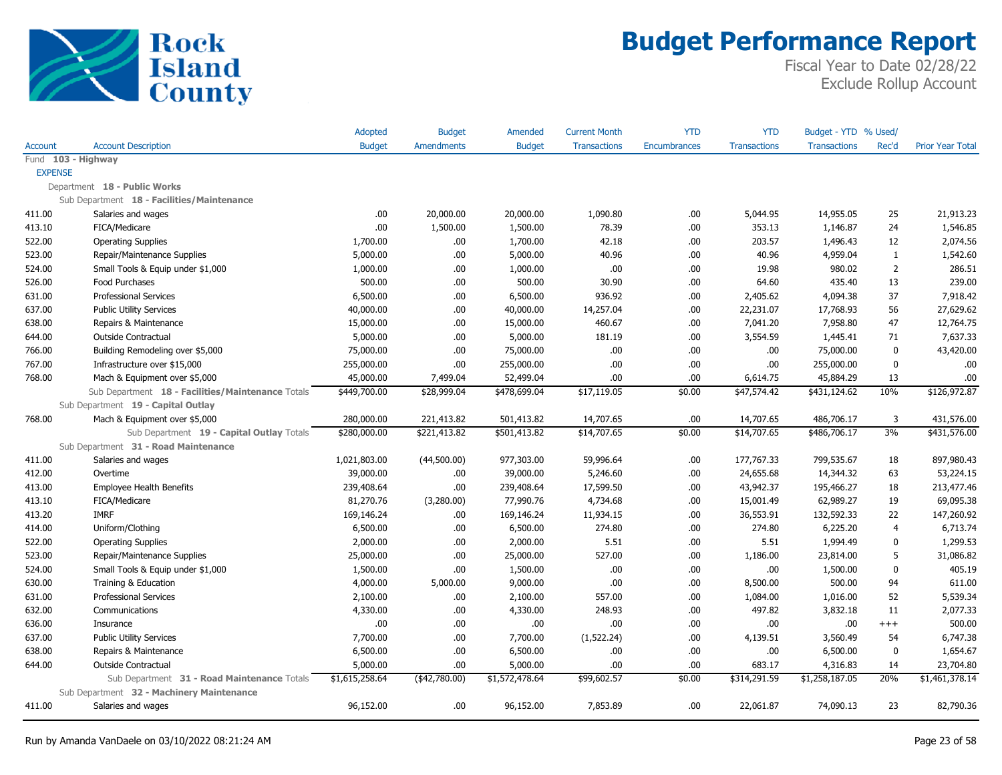

|                |                                                   | Adopted        | <b>Budget</b>     | Amended        | <b>Current Month</b> | <b>YTD</b>          | <b>YTD</b>          | Budget - YTD % Used/ |                |                         |
|----------------|---------------------------------------------------|----------------|-------------------|----------------|----------------------|---------------------|---------------------|----------------------|----------------|-------------------------|
| Account        | <b>Account Description</b>                        | <b>Budget</b>  | <b>Amendments</b> | <b>Budget</b>  | <b>Transactions</b>  | <b>Encumbrances</b> | <b>Transactions</b> | <b>Transactions</b>  | Rec'd          | <b>Prior Year Total</b> |
|                | Fund 103 - Highway                                |                |                   |                |                      |                     |                     |                      |                |                         |
| <b>EXPENSE</b> |                                                   |                |                   |                |                      |                     |                     |                      |                |                         |
|                | Department 18 - Public Works                      |                |                   |                |                      |                     |                     |                      |                |                         |
|                | Sub Department 18 - Facilities/Maintenance        |                |                   |                |                      |                     |                     |                      |                |                         |
| 411.00         | Salaries and wages                                | .00            | 20,000.00         | 20,000.00      | 1,090.80             | .00                 | 5,044.95            | 14,955.05            | 25             | 21,913.23               |
| 413.10         | FICA/Medicare                                     | .00            | 1,500.00          | 1,500.00       | 78.39                | .00                 | 353.13              | 1,146.87             | 24             | 1,546.85                |
| 522.00         | <b>Operating Supplies</b>                         | 1,700.00       | .00.              | 1,700.00       | 42.18                | .00                 | 203.57              | 1,496.43             | 12             | 2,074.56                |
| 523.00         | Repair/Maintenance Supplies                       | 5,000.00       | .00.              | 5,000.00       | 40.96                | .00                 | 40.96               | 4,959.04             | $\mathbf{1}$   | 1,542.60                |
| 524.00         | Small Tools & Equip under \$1,000                 | 1,000.00       | .00.              | 1,000.00       | .00.                 | .00                 | 19.98               | 980.02               | $\overline{2}$ | 286.51                  |
| 526.00         | Food Purchases                                    | 500.00         | .00.              | 500.00         | 30.90                | .00                 | 64.60               | 435.40               | 13             | 239.00                  |
| 631.00         | <b>Professional Services</b>                      | 6,500.00       | .00.              | 6,500.00       | 936.92               | .00                 | 2,405.62            | 4,094.38             | 37             | 7,918.42                |
| 637.00         | <b>Public Utility Services</b>                    | 40,000.00      | .00.              | 40,000.00      | 14,257.04            | .00.                | 22,231.07           | 17,768.93            | 56             | 27,629.62               |
| 638.00         | Repairs & Maintenance                             | 15,000.00      | .00.              | 15,000.00      | 460.67               | .00.                | 7,041.20            | 7,958.80             | 47             | 12,764.75               |
| 644.00         | <b>Outside Contractual</b>                        | 5,000.00       | .00.              | 5,000.00       | 181.19               | .00.                | 3,554.59            | 1,445.41             | 71             | 7,637.33                |
| 766.00         | Building Remodeling over \$5,000                  | 75,000.00      | .00.              | 75,000.00      | .00.                 | .00                 | .00                 | 75,000.00            | 0              | 43,420.00               |
| 767.00         | Infrastructure over \$15,000                      | 255,000.00     | .00.              | 255,000.00     | .00.                 | .00                 | .00                 | 255,000.00           | $\mathbf{0}$   | .00                     |
| 768.00         | Mach & Equipment over \$5,000                     | 45,000.00      | 7,499.04          | 52,499.04      | .00                  | .00                 | 6,614.75            | 45,884.29            | 13             | .00                     |
|                | Sub Department 18 - Facilities/Maintenance Totals | \$449,700.00   | \$28,999.04       | \$478,699.04   | \$17,119.05          | \$0.00              | \$47,574.42         | \$431,124.62         | 10%            | \$126,972.87            |
|                | Sub Department 19 - Capital Outlay                |                |                   |                |                      |                     |                     |                      |                |                         |
| 768.00         | Mach & Equipment over \$5,000                     | 280,000.00     | 221,413.82        | 501,413.82     | 14,707.65            | .00                 | 14,707.65           | 486,706.17           | 3              | 431,576.00              |
|                | Sub Department 19 - Capital Outlay Totals         | \$280,000.00   | \$221,413.82      | \$501,413.82   | \$14,707.65          | \$0.00              | \$14,707.65         | \$486,706.17         | 3%             | \$431,576.00            |
|                | Sub Department 31 - Road Maintenance              |                |                   |                |                      |                     |                     |                      |                |                         |
| 411.00         | Salaries and wages                                | 1,021,803.00   | (44,500.00)       | 977,303.00     | 59,996.64            | .00                 | 177,767.33          | 799,535.67           | 18             | 897,980.43              |
| 412.00         | Overtime                                          | 39,000.00      | .00.              | 39,000.00      | 5,246.60             | .00                 | 24,655.68           | 14,344.32            | 63             | 53,224.15               |
| 413.00         | <b>Employee Health Benefits</b>                   | 239,408.64     | .00.              | 239,408.64     | 17,599.50            | .00.                | 43,942.37           | 195,466.27           | 18             | 213,477.46              |
| 413.10         | FICA/Medicare                                     | 81,270.76      | (3,280.00)        | 77,990.76      | 4,734.68             | .00                 | 15,001.49           | 62,989.27            | 19             | 69,095.38               |
| 413.20         | <b>IMRF</b>                                       | 169,146.24     | .00.              | 169,146.24     | 11,934.15            | .00.                | 36,553.91           | 132,592.33           | 22             | 147,260.92              |
| 414.00         | Uniform/Clothing                                  | 6,500.00       | .00.              | 6,500.00       | 274.80               | .00                 | 274.80              | 6,225.20             | 4              | 6,713.74                |
| 522.00         | <b>Operating Supplies</b>                         | 2,000.00       | .00.              | 2,000.00       | 5.51                 | .00                 | 5.51                | 1,994.49             | $\mathbf{0}$   | 1,299.53                |
| 523.00         | Repair/Maintenance Supplies                       | 25,000.00      | .00.              | 25,000.00      | 527.00               | .00                 | 1,186.00            | 23,814.00            | 5              | 31,086.82               |
| 524.00         | Small Tools & Equip under \$1,000                 | 1,500.00       | .00               | 1,500.00       | .00.                 | .00                 | .00                 | 1,500.00             | 0              | 405.19                  |
| 630.00         | Training & Education                              | 4,000.00       | 5,000.00          | 9,000.00       | .00                  | .00                 | 8,500.00            | 500.00               | 94             | 611.00                  |
| 631.00         | <b>Professional Services</b>                      | 2,100.00       | .00.              | 2,100.00       | 557.00               | .00                 | 1,084.00            | 1,016.00             | 52             | 5,539.34                |
| 632.00         | Communications                                    | 4,330.00       | .00.              | 4,330.00       | 248.93               | .00                 | 497.82              | 3,832.18             | 11             | 2,077.33                |
| 636.00         | Insurance                                         | .00            | .00.              | .00            | .00.                 | .00                 | .00                 | .00                  | $^{+++}$       | 500.00                  |
| 637.00         | <b>Public Utility Services</b>                    | 7,700.00       | .00.              | 7,700.00       | (1,522.24)           | .00.                | 4,139.51            | 3,560.49             | 54             | 6,747.38                |
| 638.00         | Repairs & Maintenance                             | 6,500.00       | .00.              | 6,500.00       | .00                  | .00                 | .00                 | 6,500.00             | 0              | 1,654.67                |
| 644.00         | <b>Outside Contractual</b>                        | 5,000.00       | .00.              | 5,000.00       | .00.                 | .00                 | 683.17              | 4,316.83             | 14             | 23,704.80               |
|                | Sub Department 31 - Road Maintenance Totals       | \$1,615,258.64 | ( \$42,780.00)    | \$1,572,478.64 | \$99,602.57          | \$0.00              | \$314,291.59        | \$1,258,187.05       | 20%            | \$1,461,378.14          |
|                | Sub Department 32 - Machinery Maintenance         |                |                   |                |                      |                     |                     |                      |                |                         |
| 411.00         | Salaries and wages                                | 96,152.00      | .00.              | 96,152.00      | 7,853.89             | .00                 | 22,061.87           | 74,090.13            | 23             | 82,790.36               |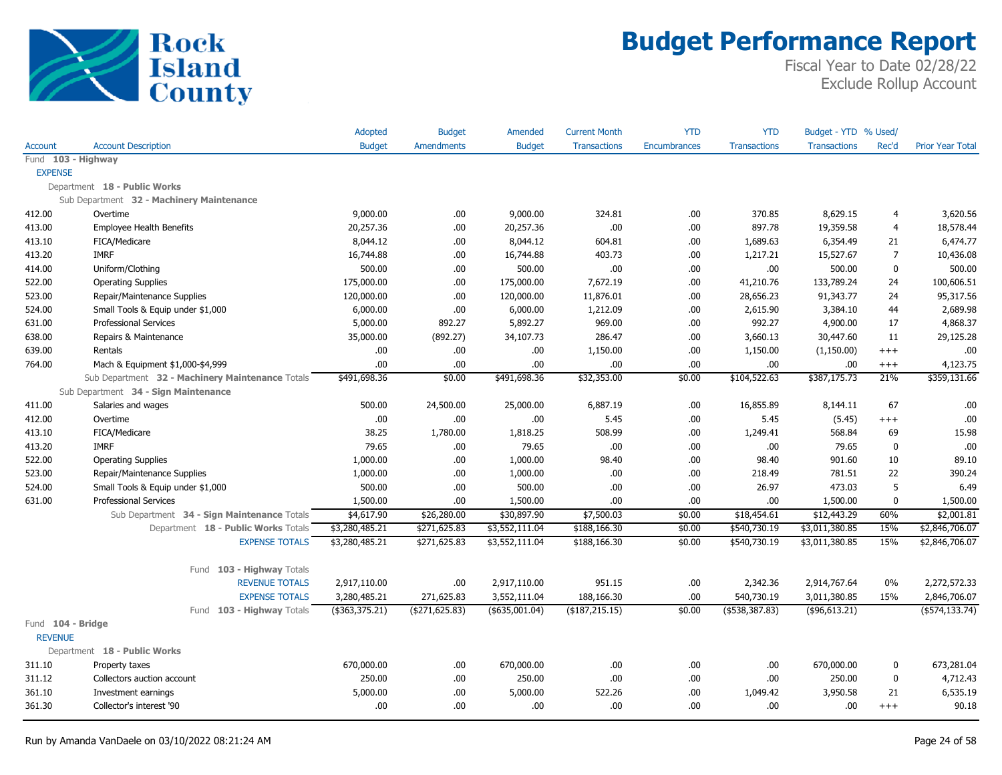

|                   |                                                  | Adopted          | <b>Budget</b>     | Amended         | <b>Current Month</b> | <b>YTD</b>   | <b>YTD</b>          | Budget - YTD % Used/ |                |                         |
|-------------------|--------------------------------------------------|------------------|-------------------|-----------------|----------------------|--------------|---------------------|----------------------|----------------|-------------------------|
| <b>Account</b>    | <b>Account Description</b>                       | <b>Budget</b>    | <b>Amendments</b> | <b>Budget</b>   | <b>Transactions</b>  | Encumbrances | <b>Transactions</b> | <b>Transactions</b>  | Rec'd          | <b>Prior Year Total</b> |
|                   | Fund 103 - Highway                               |                  |                   |                 |                      |              |                     |                      |                |                         |
| <b>EXPENSE</b>    |                                                  |                  |                   |                 |                      |              |                     |                      |                |                         |
|                   | Department 18 - Public Works                     |                  |                   |                 |                      |              |                     |                      |                |                         |
|                   | Sub Department 32 - Machinery Maintenance        |                  |                   |                 |                      |              |                     |                      |                |                         |
| 412.00            | Overtime                                         | 9,000.00         | .00.              | 9,000.00        | 324.81               | .00          | 370.85              | 8,629.15             | $\overline{4}$ | 3,620.56                |
| 413.00            | <b>Employee Health Benefits</b>                  | 20,257.36        | .00.              | 20,257.36       | .00.                 | .00          | 897.78              | 19,359.58            | $\overline{4}$ | 18,578.44               |
| 413.10            | FICA/Medicare                                    | 8,044.12         | .00.              | 8,044.12        | 604.81               | .00          | 1,689.63            | 6,354.49             | 21             | 6,474.77                |
| 413.20            | <b>IMRF</b>                                      | 16,744.88        | .00.              | 16,744.88       | 403.73               | .00          | 1,217.21            | 15,527.67            | $\overline{7}$ | 10,436.08               |
| 414.00            | Uniform/Clothing                                 | 500.00           | .00.              | 500.00          | .00.                 | .00          | .00.                | 500.00               | $\pmb{0}$      | 500.00                  |
| 522.00            | <b>Operating Supplies</b>                        | 175,000.00       | .00.              | 175,000.00      | 7,672.19             | .00          | 41,210.76           | 133,789.24           | 24             | 100,606.51              |
| 523.00            | Repair/Maintenance Supplies                      | 120,000.00       | .00.              | 120,000.00      | 11,876.01            | .00          | 28,656.23           | 91,343.77            | 24             | 95,317.56               |
| 524.00            | Small Tools & Equip under \$1,000                | 6,000.00         | .00.              | 6,000.00        | 1,212.09             | .00          | 2,615.90            | 3,384.10             | 44             | 2,689.98                |
| 631.00            | <b>Professional Services</b>                     | 5,000.00         | 892.27            | 5,892.27        | 969.00               | .00          | 992.27              | 4,900.00             | 17             | 4,868.37                |
| 638.00            | Repairs & Maintenance                            | 35,000.00        | (892.27)          | 34,107.73       | 286.47               | .00          | 3,660.13            | 30,447.60            | 11             | 29,125.28               |
| 639.00            | Rentals                                          | .00.             | .00.              | .00.            | 1,150.00             | .00          | 1,150.00            | (1, 150.00)          | $^{+++}$       | .00                     |
| 764.00            | Mach & Equipment \$1,000-\$4,999                 | .00              | .00.              | .00             | .00.                 | .00          | .00.                | .00                  | $+++$          | 4,123.75                |
|                   | Sub Department 32 - Machinery Maintenance Totals | \$491,698.36     | \$0.00            | \$491,698.36    | \$32,353.00          | \$0.00       | \$104,522.63        | \$387,175.73         | 21%            | \$359,131.66            |
|                   | Sub Department 34 - Sign Maintenance             |                  |                   |                 |                      |              |                     |                      |                |                         |
| 411.00            | Salaries and wages                               | 500.00           | 24,500.00         | 25,000.00       | 6,887.19             | .00          | 16,855.89           | 8,144.11             | 67             | .00                     |
| 412.00            | Overtime                                         | .00              | .00.              | .00             | 5.45                 | .00          | 5.45                | (5.45)               | $^{+++}$       | .00                     |
| 413.10            | FICA/Medicare                                    | 38.25            | 1,780.00          | 1,818.25        | 508.99               | .00          | 1,249.41            | 568.84               | 69             | 15.98                   |
| 413.20            | <b>IMRF</b>                                      | 79.65            | .00.              | 79.65           | .00                  | .00          | .00.                | 79.65                | $\mathbf{0}$   | .00                     |
| 522.00            | <b>Operating Supplies</b>                        | 1,000.00         | .00.              | 1,000.00        | 98.40                | .00          | 98.40               | 901.60               | 10             | 89.10                   |
| 523.00            | Repair/Maintenance Supplies                      | 1,000.00         | .00.              | 1,000.00        | .00.                 | .00          | 218.49              | 781.51               | 22             | 390.24                  |
| 524.00            | Small Tools & Equip under \$1,000                | 500.00           | .00.              | 500.00          | .00.                 | .00          | 26.97               | 473.03               | 5              | 6.49                    |
| 631.00            | <b>Professional Services</b>                     | 1,500.00         | .00.              | 1,500.00        | .00.                 | .00          | .00.                | 1,500.00             | $\mathbf 0$    | 1,500.00                |
|                   | Sub Department 34 - Sign Maintenance Totals      | \$4,617.90       | \$26,280.00       | \$30,897.90     | \$7,500.03           | \$0.00       | \$18,454.61         | \$12,443.29          | 60%            | \$2,001.81              |
|                   | Department 18 - Public Works Totals              | \$3,280,485.21   | \$271,625.83      | \$3,552,111.04  | \$188,166.30         | \$0.00       | \$540,730.19        | \$3,011,380.85       | 15%            | \$2,846,706.07          |
|                   | <b>EXPENSE TOTALS</b>                            | \$3,280,485.21   | \$271,625.83      | \$3,552,111.04  | \$188,166.30         | \$0.00       | \$540,730.19        | \$3,011,380.85       | 15%            | \$2,846,706.07          |
|                   |                                                  |                  |                   |                 |                      |              |                     |                      |                |                         |
|                   | Fund 103 - Highway Totals                        |                  |                   |                 |                      |              |                     |                      |                |                         |
|                   | <b>REVENUE TOTALS</b>                            | 2,917,110.00     | .00.              | 2,917,110.00    | 951.15               | .00          | 2,342.36            | 2,914,767.64         | $0\%$          | 2,272,572.33            |
|                   | <b>EXPENSE TOTALS</b>                            | 3,280,485.21     | 271,625.83        | 3,552,111.04    | 188,166.30           | .00          | 540,730.19          | 3,011,380.85         | 15%            | 2,846,706.07            |
|                   | Fund 103 - Highway Totals                        | ( \$363, 375.21) | ( \$271, 625.83)  | $(*635,001.04)$ | ( \$187, 215.15)     | \$0.00       | $($ \$538,387.83)   | $(*96,613.21)$       |                | $($ \$574,133.74 $)$    |
| Fund 104 - Bridge |                                                  |                  |                   |                 |                      |              |                     |                      |                |                         |
| <b>REVENUE</b>    |                                                  |                  |                   |                 |                      |              |                     |                      |                |                         |
|                   | Department 18 - Public Works                     |                  |                   |                 |                      |              |                     |                      |                |                         |
| 311.10            | Property taxes                                   | 670,000.00       | .00.              | 670,000.00      | .00.                 | .00          | .00.                | 670,000.00           | 0              | 673,281.04              |
| 311.12            | Collectors auction account                       | 250.00           | .00.              | 250.00          | .00.                 | .00          | .00.                | 250.00               | 0              | 4,712.43                |
| 361.10            | Investment earnings                              | 5,000.00         | .00               | 5,000.00        | 522.26               | .00          | 1,049.42            | 3,950.58             | 21             | 6,535.19                |
| 361.30            | Collector's interest '90                         | .00              | .00.              | .00             | .00.                 | .00          | .00.                | .00                  | $^{+++}$       | 90.18                   |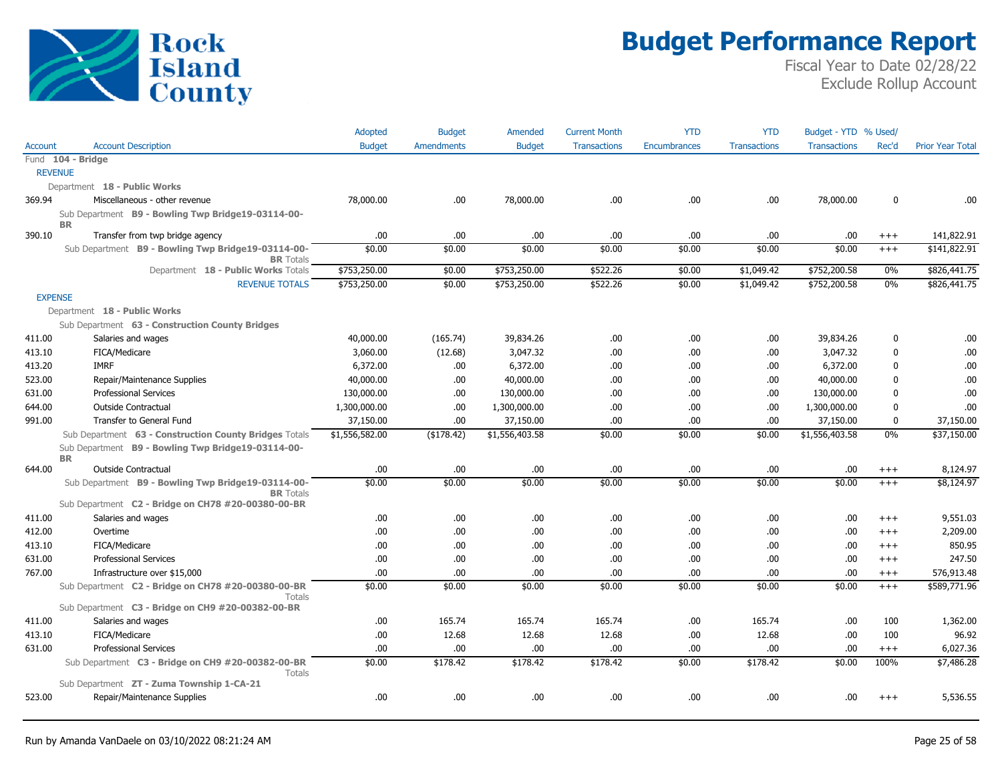

|                |                                                                        | Adopted        | <b>Budget</b>     | Amended        | <b>Current Month</b> | <b>YTD</b>   | <b>YTD</b>          | Budget - YTD % Used/ |              |                         |
|----------------|------------------------------------------------------------------------|----------------|-------------------|----------------|----------------------|--------------|---------------------|----------------------|--------------|-------------------------|
| <b>Account</b> | <b>Account Description</b>                                             | <b>Budget</b>  | <b>Amendments</b> | <b>Budget</b>  | <b>Transactions</b>  | Encumbrances | <b>Transactions</b> | <b>Transactions</b>  | Rec'd        | <b>Prior Year Total</b> |
|                | Fund 104 - Bridge                                                      |                |                   |                |                      |              |                     |                      |              |                         |
| <b>REVENUE</b> |                                                                        |                |                   |                |                      |              |                     |                      |              |                         |
|                | Department 18 - Public Works                                           |                |                   |                |                      |              |                     |                      |              |                         |
| 369.94         | Miscellaneous - other revenue                                          | 78,000.00      | .00.              | 78,000.00      | .00.                 | .00          | .00                 | 78,000.00            | 0            | .00.                    |
|                | Sub Department B9 - Bowling Twp Bridge19-03114-00-                     |                |                   |                |                      |              |                     |                      |              |                         |
| 390.10         | <b>BR</b><br>Transfer from twp bridge agency                           | .00.           | .00               | .00            | .00                  | .00          | .00                 | .00                  | $^{+++}$     | 141,822.91              |
|                | Sub Department B9 - Bowling Twp Bridge19-03114-00-<br><b>BR</b> Totals | \$0.00         | \$0.00            | \$0.00         | \$0.00               | \$0.00       | \$0.00              | \$0.00               | $+++$        | \$141,822.91            |
|                | Department 18 - Public Works Totals                                    | \$753,250.00   | \$0.00            | \$753,250.00   | \$522.26             | \$0.00       | \$1,049.42          | \$752,200.58         | 0%           | \$826,441.75            |
|                | <b>REVENUE TOTALS</b>                                                  | \$753,250.00   | \$0.00            | \$753,250.00   | \$522.26             | \$0.00       | \$1,049.42          | \$752,200.58         | 0%           | \$826,441.75            |
| <b>EXPENSE</b> |                                                                        |                |                   |                |                      |              |                     |                      |              |                         |
|                | Department 18 - Public Works                                           |                |                   |                |                      |              |                     |                      |              |                         |
|                | Sub Department 63 - Construction County Bridges                        |                |                   |                |                      |              |                     |                      |              |                         |
| 411.00         | Salaries and wages                                                     | 40,000.00      | (165.74)          | 39,834.26      | .00                  | .00          | .00                 | 39,834.26            | 0            | .00                     |
| 413.10         | FICA/Medicare                                                          | 3,060.00       | (12.68)           | 3,047.32       | .00                  | .00          | .00                 | 3,047.32             | 0            | .00                     |
| 413.20         | <b>IMRF</b>                                                            | 6,372.00       | .00               | 6,372.00       | .00                  | .00          | .00                 | 6,372.00             | 0            | .00                     |
| 523.00         | Repair/Maintenance Supplies                                            | 40,000.00      | .00               | 40,000.00      | .00                  | .00          | .00                 | 40,000.00            | 0            | .00                     |
| 631.00         | <b>Professional Services</b>                                           | 130,000.00     | .00               | 130,000.00     | .00                  | .00          | .00                 | 130,000.00           | 0            | .00                     |
| 644.00         | <b>Outside Contractual</b>                                             | 1,300,000.00   | .00               | 1,300,000.00   | .00                  | .00          | .00                 | 1,300,000.00         | $\mathbf{0}$ | .00                     |
| 991.00         | Transfer to General Fund                                               | 37,150.00      | .00               | 37,150.00      | .00                  | .00          | .00                 | 37,150.00            | 0            | 37,150.00               |
|                | Sub Department 63 - Construction County Bridges Totals                 | \$1,556,582.00 | (\$178.42)        | \$1,556,403.58 | \$0.00               | \$0.00       | \$0.00              | \$1,556,403.58       | 0%           | \$37,150.00             |
|                | Sub Department B9 - Bowling Twp Bridge19-03114-00-                     |                |                   |                |                      |              |                     |                      |              |                         |
|                | <b>BR</b>                                                              |                |                   |                |                      |              |                     |                      |              |                         |
| 644.00         | <b>Outside Contractual</b>                                             | .00            | .00.              | .00            | .00                  | .00          | .00                 | .00                  | $^{+++}$     | 8,124.97                |
|                | Sub Department B9 - Bowling Twp Bridge19-03114-00-<br><b>BR</b> Totals | \$0.00         | \$0.00            | \$0.00         | \$0.00               | \$0.00       | \$0.00              | \$0.00               | $+++$        | \$8,124.97              |
|                | Sub Department C2 - Bridge on CH78 #20-00380-00-BR                     |                |                   |                |                      |              |                     |                      |              |                         |
| 411.00         | Salaries and wages                                                     | .00            | .00.              | .00.           | .00                  | .00          | .00                 | .00                  | $^{++}$      | 9,551.03                |
| 412.00         | Overtime                                                               | .00            | .00               | .00            | .00                  | .00          | .00                 | .00                  | $^{+++}$     | 2,209.00                |
| 413.10         | FICA/Medicare                                                          | .00            | .00               | .00            | .00                  | .00          | .00                 | .00                  | $^{++}$      | 850.95                  |
| 631.00         | <b>Professional Services</b>                                           | .00.           | .00               | .00            | .00                  | .00          | .00                 | .00                  | $^{+++}$     | 247.50                  |
| 767.00         | Infrastructure over \$15,000                                           | .00            | .00               | .00            | .00                  | .00          | .00                 | .00                  | $^{+++}$     | 576,913.48              |
|                | Sub Department C2 - Bridge on CH78 #20-00380-00-BR<br><b>Totals</b>    | \$0.00         | \$0.00            | \$0.00         | \$0.00               | \$0.00       | \$0.00              | \$0.00               | $+++$        | \$589,771.96            |
|                | Sub Department C3 - Bridge on CH9 #20-00382-00-BR                      |                |                   |                |                      |              |                     |                      |              |                         |
| 411.00         | Salaries and wages                                                     | .00.           | 165.74            | 165.74         | 165.74               | .00          | 165.74              | .00                  | 100          | 1,362.00                |
| 413.10         | FICA/Medicare                                                          | .00            | 12.68             | 12.68          | 12.68                | .00          | 12.68               | .00                  | 100          | 96.92                   |
| 631.00         | <b>Professional Services</b>                                           | .00            | .00               | .00            | .00                  | .00          | .00                 | .00                  | $^{+++}$     | 6,027.36                |
|                | Sub Department C3 - Bridge on CH9 #20-00382-00-BR                      | \$0.00         | \$178.42          | \$178.42       | \$178.42             | \$0.00       | \$178.42            | \$0.00               | 100%         | \$7,486.28              |
|                | Totals<br>Sub Department ZT - Zuma Township 1-CA-21                    |                |                   |                |                      |              |                     |                      |              |                         |
| 523.00         | Repair/Maintenance Supplies                                            | .00            | .00               | .00            | .00                  | .00          | .00                 | .00                  | $+++$        | 5,536.55                |
|                |                                                                        |                |                   |                |                      |              |                     |                      |              |                         |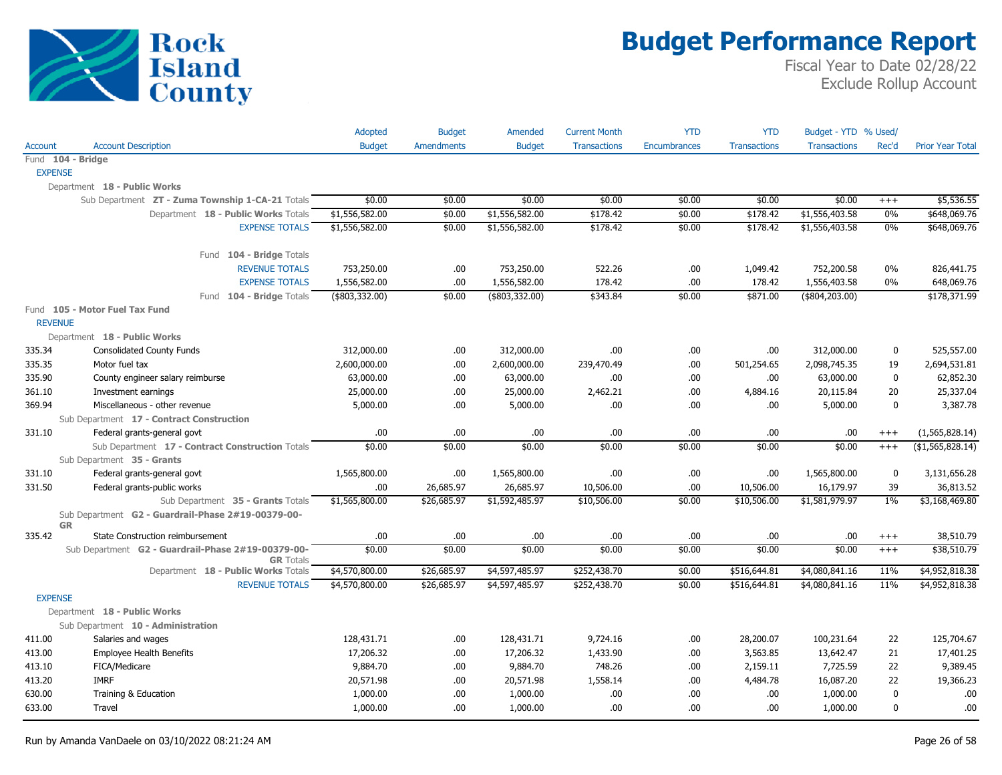

|                   |                                                                        | <b>Adopted</b> | <b>Budget</b> | Amended        | <b>Current Month</b> | <b>YTD</b>          | <b>YTD</b>          | Budget - YTD % Used/ |              |                         |
|-------------------|------------------------------------------------------------------------|----------------|---------------|----------------|----------------------|---------------------|---------------------|----------------------|--------------|-------------------------|
| Account           | <b>Account Description</b>                                             | <b>Budget</b>  | Amendments    | <b>Budget</b>  | <b>Transactions</b>  | <b>Encumbrances</b> | <b>Transactions</b> | <b>Transactions</b>  | Rec'd        | <b>Prior Year Total</b> |
| Fund 104 - Bridge |                                                                        |                |               |                |                      |                     |                     |                      |              |                         |
| <b>EXPENSE</b>    |                                                                        |                |               |                |                      |                     |                     |                      |              |                         |
|                   | Department 18 - Public Works                                           |                |               |                |                      |                     |                     |                      |              |                         |
|                   | Sub Department ZT - Zuma Township 1-CA-21 Totals                       | \$0.00         | \$0.00        | \$0.00         | \$0.00               | \$0.00              | \$0.00              | \$0.00               | $^{+++}$     | \$5,536.55              |
|                   | Department 18 - Public Works Totals                                    | \$1,556,582.00 | \$0.00        | \$1,556,582.00 | \$178.42             | \$0.00              | \$178.42            | \$1,556,403.58       | 0%           | \$648,069.76            |
|                   | <b>EXPENSE TOTALS</b>                                                  | \$1,556,582.00 | \$0.00        | \$1,556,582.00 | \$178.42             | \$0.00              | \$178.42            | \$1,556,403.58       | 0%           | \$648,069.76            |
|                   | Fund 104 - Bridge Totals                                               |                |               |                |                      |                     |                     |                      |              |                         |
|                   | <b>REVENUE TOTALS</b>                                                  | 753,250.00     | .00.          | 753,250.00     | 522.26               | .00                 | 1,049.42            | 752,200.58           | $0\%$        | 826,441.75              |
|                   | <b>EXPENSE TOTALS</b>                                                  | 1,556,582.00   | .00           | 1,556,582.00   | 178.42               | .00                 | 178.42              | 1,556,403.58         | $0\%$        | 648,069.76              |
|                   | Fund 104 - Bridge Totals                                               | (\$803,332.00) | \$0.00        | (\$803,332.00) | \$343.84             | \$0.00              | \$871.00            | $($ \$804,203.00)    |              | \$178,371.99            |
|                   | Fund 105 - Motor Fuel Tax Fund                                         |                |               |                |                      |                     |                     |                      |              |                         |
| <b>REVENUE</b>    |                                                                        |                |               |                |                      |                     |                     |                      |              |                         |
|                   | Department 18 - Public Works                                           |                |               |                |                      |                     |                     |                      |              |                         |
| 335.34            | Consolidated County Funds                                              | 312,000.00     | .00           | 312,000.00     | .00.                 | .00                 | .00.                | 312,000.00           | 0            | 525,557.00              |
| 335.35            | Motor fuel tax                                                         | 2,600,000.00   | .00           | 2,600,000.00   | 239,470.49           | .00                 | 501,254.65          | 2,098,745.35         | 19           | 2,694,531.81            |
| 335.90            | County engineer salary reimburse                                       | 63,000.00      | .00.          | 63,000.00      | .00.                 | .00                 | .00.                | 63,000.00            | $\mathbf 0$  | 62,852.30               |
| 361.10            | Investment earnings                                                    | 25,000.00      | .00.          | 25,000.00      | 2,462.21             | .00                 | 4,884.16            | 20,115.84            | 20           | 25,337.04               |
| 369.94            | Miscellaneous - other revenue                                          | 5,000.00       | .00.          | 5,000.00       | .00                  | .00                 | .00                 | 5,000.00             | $\mathbf 0$  | 3,387.78                |
|                   | Sub Department 17 - Contract Construction                              |                |               |                |                      |                     |                     |                      |              |                         |
| 331.10            | Federal grants-general govt                                            | .00            | .00           | .00.           | .00                  | .00                 | .00.                | .00                  | $^{+++}$     | (1,565,828.14)          |
|                   | Sub Department 17 - Contract Construction Totals                       | \$0.00         | \$0.00        | \$0.00         | \$0.00               | \$0.00              | \$0.00              | \$0.00               | $+++$        | (\$1,565,828.14)        |
|                   | Sub Department 35 - Grants                                             |                |               |                |                      |                     |                     |                      |              |                         |
| 331.10            | Federal grants-general govt                                            | 1,565,800.00   | .00           | 1,565,800.00   | .00.                 | .00                 | .00                 | 1,565,800.00         | $\mathbf 0$  | 3,131,656.28            |
| 331.50            | Federal grants-public works                                            | .00.           | 26,685.97     | 26,685.97      | 10,506.00            | .00                 | 10,506.00           | 16,179.97            | 39           | 36,813.52               |
|                   | Sub Department 35 - Grants Totals                                      | \$1,565,800.00 | \$26,685.97   | \$1,592,485.97 | \$10,506.00          | \$0.00              | \$10,506.00         | \$1,581,979.97       | $1\%$        | \$3,168,469.80          |
| <b>GR</b>         | Sub Department G2 - Guardrail-Phase 2#19-00379-00-                     |                |               |                |                      |                     |                     |                      |              |                         |
| 335.42            | State Construction reimbursement                                       | .00            | .00           | .00.           | .00                  | .00                 | .00                 | .00.                 | $^{+++}$     | 38,510.79               |
|                   | Sub Department G2 - Guardrail-Phase 2#19-00379-00-<br><b>GR</b> Totals | \$0.00         | \$0.00        | \$0.00         | \$0.00               | \$0.00              | \$0.00              | \$0.00               | $^{+++}$     | \$38,510.79             |
|                   | Department 18 - Public Works Totals                                    | \$4,570,800.00 | \$26,685.97   | \$4,597,485.97 | \$252,438.70         | \$0.00              | \$516,644.81        | \$4,080,841.16       | 11%          | \$4,952,818.38          |
|                   | <b>REVENUE TOTALS</b>                                                  | \$4,570,800.00 | \$26,685.97   | \$4,597,485.97 | \$252,438.70         | \$0.00              | \$516,644.81        | \$4,080,841.16       | 11%          | \$4,952,818.38          |
| <b>EXPENSE</b>    |                                                                        |                |               |                |                      |                     |                     |                      |              |                         |
|                   | Department 18 - Public Works                                           |                |               |                |                      |                     |                     |                      |              |                         |
|                   | Sub Department 10 - Administration                                     |                |               |                |                      |                     |                     |                      |              |                         |
| 411.00            | Salaries and wages                                                     | 128,431.71     | .00.          | 128,431.71     | 9,724.16             | .00                 | 28,200.07           | 100,231.64           | 22           | 125,704.67              |
| 413.00            | <b>Employee Health Benefits</b>                                        | 17,206.32      | .00.          | 17,206.32      | 1,433.90             | .00                 | 3,563.85            | 13,642.47            | 21           | 17,401.25               |
| 413.10            | FICA/Medicare                                                          | 9,884.70       | .00.          | 9,884.70       | 748.26               | .00                 | 2,159.11            | 7,725.59             | 22           | 9,389.45                |
| 413.20            | <b>IMRF</b>                                                            | 20,571.98      | .00.          | 20,571.98      | 1,558.14             | .00                 | 4,484.78            | 16,087.20            | 22           | 19,366.23               |
| 630.00            | Training & Education                                                   | 1,000.00       | .00.          | 1,000.00       | .00                  | .00                 | .00.                | 1,000.00             | $\mathbf{0}$ | .00                     |
| 633.00            | Travel                                                                 | 1,000.00       | .00.          | 1,000.00       | .00.                 | .00                 | .00                 | 1,000.00             | $\mathbf{0}$ | .00                     |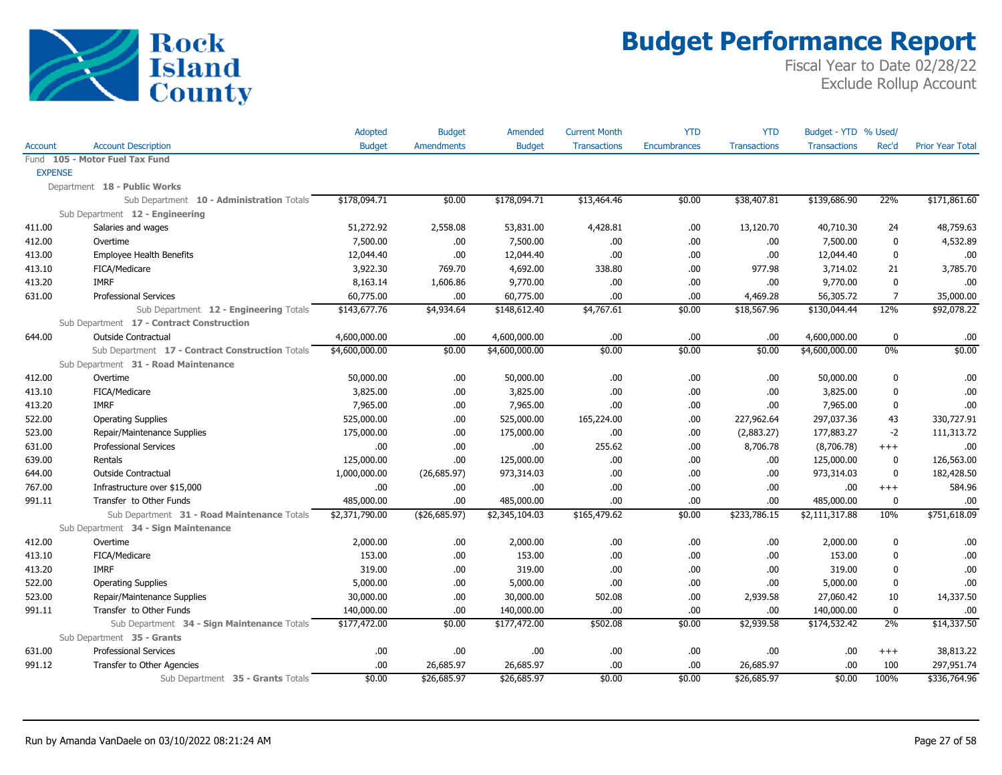

|                |                                                  | Adopted        | <b>Budget</b>     | Amended        | <b>Current Month</b> | YTD                 | <b>YTD</b>          | Budget - YTD % Used/ |                |                         |
|----------------|--------------------------------------------------|----------------|-------------------|----------------|----------------------|---------------------|---------------------|----------------------|----------------|-------------------------|
| Account        | <b>Account Description</b>                       | <b>Budget</b>  | <b>Amendments</b> | <b>Budget</b>  | <b>Transactions</b>  | <b>Encumbrances</b> | <b>Transactions</b> | <b>Transactions</b>  | Rec'd          | <b>Prior Year Total</b> |
|                | Fund 105 - Motor Fuel Tax Fund                   |                |                   |                |                      |                     |                     |                      |                |                         |
| <b>EXPENSE</b> |                                                  |                |                   |                |                      |                     |                     |                      |                |                         |
|                | Department 18 - Public Works                     |                |                   |                |                      |                     |                     |                      |                |                         |
|                | Sub Department 10 - Administration Totals        | \$178,094.71   | \$0.00            | \$178,094.71   | \$13,464.46          | \$0.00              | \$38,407.81         | \$139,686.90         | 22%            | \$171,861.60            |
|                | Sub Department 12 - Engineering                  |                |                   |                |                      |                     |                     |                      |                |                         |
| 411.00         | Salaries and wages                               | 51,272.92      | 2,558.08          | 53,831.00      | 4,428.81             | .00                 | 13,120.70           | 40,710.30            | 24             | 48,759.63               |
| 412.00         | Overtime                                         | 7,500.00       | .00.              | 7,500.00       | .00.                 | .00.                | .00                 | 7,500.00             | 0              | 4,532.89                |
| 413.00         | <b>Employee Health Benefits</b>                  | 12,044.40      | .00.              | 12,044.40      | .00.                 | .00                 | .00                 | 12,044.40            | 0              | .00                     |
| 413.10         | FICA/Medicare                                    | 3,922.30       | 769.70            | 4,692.00       | 338.80               | .00                 | 977.98              | 3,714.02             | 21             | 3,785.70                |
| 413.20         | <b>IMRF</b>                                      | 8,163.14       | 1,606.86          | 9,770.00       | .00.                 | .00                 | .00                 | 9,770.00             | $\mathbf 0$    | .00                     |
| 631.00         | <b>Professional Services</b>                     | 60,775.00      | .00.              | 60,775.00      | .00.                 | .00                 | 4,469.28            | 56,305.72            | $\overline{7}$ | 35,000.00               |
|                | Sub Department 12 - Engineering Totals           | \$143,677.76   | \$4,934.64        | \$148,612.40   | \$4,767.61           | \$0.00              | \$18,567.96         | \$130,044.44         | 12%            | \$92,078.22             |
|                | Sub Department 17 - Contract Construction        |                |                   |                |                      |                     |                     |                      |                |                         |
| 644.00         | <b>Outside Contractual</b>                       | 4,600,000.00   | .00.              | 4,600,000.00   | .00.                 | .00                 | .00                 | 4,600,000.00         | $\mathbf 0$    | .00                     |
|                | Sub Department 17 - Contract Construction Totals | \$4,600,000.00 | \$0.00            | \$4,600,000.00 | \$0.00               | \$0.00              | \$0.00              | \$4,600,000.00       | 0%             | \$0.00                  |
|                | Sub Department 31 - Road Maintenance             |                |                   |                |                      |                     |                     |                      |                |                         |
| 412.00         | Overtime                                         | 50,000.00      | .00.              | 50,000.00      | .00.                 | .00                 | .00                 | 50,000.00            | 0              | .00                     |
| 413.10         | FICA/Medicare                                    | 3,825.00       | .00.              | 3,825.00       | .00.                 | .00.                | .00                 | 3,825.00             | $\mathbf 0$    | .00                     |
| 413.20         | <b>IMRF</b>                                      | 7,965.00       | .00.              | 7,965.00       | .00.                 | .00.                | .00                 | 7,965.00             | 0              | .00                     |
| 522.00         | <b>Operating Supplies</b>                        | 525,000.00     | .00.              | 525,000.00     | 165,224.00           | .00                 | 227,962.64          | 297,037.36           | 43             | 330,727.91              |
| 523.00         | Repair/Maintenance Supplies                      | 175,000.00     | .00.              | 175,000.00     | .00.                 | .00                 | (2,883.27)          | 177,883.27           | $-2$           | 111,313.72              |
| 631.00         | <b>Professional Services</b>                     | .00            | .00.              | .00.           | 255.62               | .00                 | 8,706.78            | (8,706.78)           | $+++$          | .00                     |
| 639.00         | Rentals                                          | 125,000.00     | .00.              | 125,000.00     | .00.                 | .00                 | .00                 | 125,000.00           | 0              | 126,563.00              |
| 644.00         | <b>Outside Contractual</b>                       | 1,000,000.00   | (26, 685.97)      | 973,314.03     | .00.                 | .00                 | .00                 | 973,314.03           | $\mathbf 0$    | 182,428.50              |
| 767.00         | Infrastructure over \$15,000                     | .00            | .00               | .00            | .00                  | .00                 | .00                 | .00                  | $+++$          | 584.96                  |
| 991.11         | Transfer to Other Funds                          | 485,000.00     | .00.              | 485,000.00     | .00                  | .00                 | .00                 | 485,000.00           | $\mathbf 0$    | .00                     |
|                | Sub Department 31 - Road Maintenance Totals      | \$2,371,790.00 | (426, 685.97)     | \$2,345,104.03 | \$165,479.62         | \$0.00              | \$233,786.15        | \$2,111,317.88       | 10%            | \$751,618.09            |
|                | Sub Department 34 - Sign Maintenance             |                |                   |                |                      |                     |                     |                      |                |                         |
| 412.00         | Overtime                                         | 2,000.00       | .00               | 2,000.00       | .00.                 | .00.                | .00                 | 2,000.00             | 0              | .00                     |
| 413.10         | FICA/Medicare                                    | 153.00         | .00.              | 153.00         | .00.                 | .00                 | .00                 | 153.00               | $\mathbf 0$    | .00                     |
| 413.20         | <b>IMRF</b>                                      | 319.00         | .00               | 319.00         | .00.                 | .00                 | .00                 | 319.00               | 0              | .00                     |
| 522.00         | <b>Operating Supplies</b>                        | 5,000.00       | .00.              | 5,000.00       | .00.                 | .00.                | .00                 | 5,000.00             | $\mathbf 0$    | .00                     |
| 523.00         | Repair/Maintenance Supplies                      | 30,000.00      | .00.              | 30,000.00      | 502.08               | .00                 | 2,939.58            | 27,060.42            | 10             | 14,337.50               |
| 991.11         | Transfer to Other Funds                          | 140,000.00     | .00               | 140,000.00     | .00.                 | .00                 | .00                 | 140,000.00           | 0              | .00                     |
|                | Sub Department 34 - Sign Maintenance Totals      | \$177,472.00   | \$0.00            | \$177,472.00   | \$502.08             | \$0.00              | \$2,939.58          | \$174,532.42         | 2%             | \$14,337.50             |
|                | Sub Department 35 - Grants                       |                |                   |                |                      |                     |                     |                      |                |                         |
| 631.00         | <b>Professional Services</b>                     | .00            | .00               | .00.           | .00.                 | .00                 | .00                 | .00                  | $+++$          | 38,813.22               |
| 991.12         | Transfer to Other Agencies                       | .00            | 26,685.97         | 26,685.97      | .00.                 | .00                 | 26,685.97           | .00                  | 100            | 297,951.74              |
|                | Sub Department 35 - Grants Totals                | \$0.00         | \$26,685.97       | \$26,685.97    | \$0.00               | \$0.00              | \$26,685.97         | \$0.00               | 100%           | \$336,764.96            |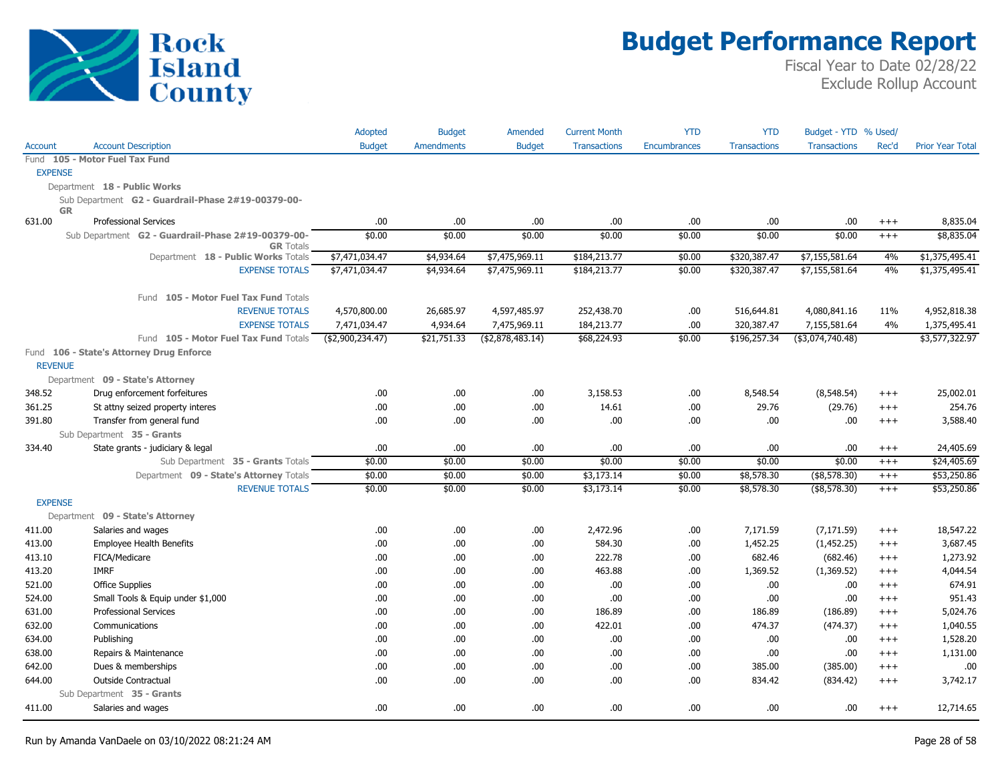

|                |                                                                        | Adopted          | <b>Budget</b>     | Amended           | <b>Current Month</b> | <b>YTD</b>          | <b>YTD</b>          | Budget - YTD % Used/ |          |                         |
|----------------|------------------------------------------------------------------------|------------------|-------------------|-------------------|----------------------|---------------------|---------------------|----------------------|----------|-------------------------|
| Account        | <b>Account Description</b>                                             | <b>Budget</b>    | <b>Amendments</b> | <b>Budget</b>     | <b>Transactions</b>  | <b>Encumbrances</b> | <b>Transactions</b> | <b>Transactions</b>  | Rec'd    | <b>Prior Year Total</b> |
|                | Fund 105 - Motor Fuel Tax Fund                                         |                  |                   |                   |                      |                     |                     |                      |          |                         |
| <b>EXPENSE</b> |                                                                        |                  |                   |                   |                      |                     |                     |                      |          |                         |
|                | Department 18 - Public Works                                           |                  |                   |                   |                      |                     |                     |                      |          |                         |
| <b>GR</b>      | Sub Department G2 - Guardrail-Phase 2#19-00379-00-                     |                  |                   |                   |                      |                     |                     |                      |          |                         |
| 631.00         | <b>Professional Services</b>                                           | .00.             | .00.              | .00               | .00.                 | .00                 | .00.                | .00                  | $+++$    | 8,835.04                |
|                | Sub Department G2 - Guardrail-Phase 2#19-00379-00-<br><b>GR</b> Totals | \$0.00           | \$0.00            | \$0.00            | \$0.00               | \$0.00              | \$0.00              | \$0.00               | $^{+++}$ | \$8,835.04              |
|                | Department 18 - Public Works Totals                                    | \$7,471,034.47   | \$4,934.64        | \$7,475,969.11    | \$184,213.77         | \$0.00              | \$320,387.47        | \$7,155,581.64       | 4%       | \$1,375,495.41          |
|                | <b>EXPENSE TOTALS</b>                                                  | \$7,471,034.47   | \$4,934.64        | \$7,475,969.11    | \$184,213.77         | \$0.00              | \$320,387.47        | \$7,155,581.64       | 4%       | \$1,375,495.41          |
|                | Fund 105 - Motor Fuel Tax Fund Totals                                  |                  |                   |                   |                      |                     |                     |                      |          |                         |
|                | <b>REVENUE TOTALS</b>                                                  | 4,570,800.00     | 26,685.97         | 4,597,485.97      | 252,438.70           | .00                 | 516,644.81          | 4,080,841.16         | 11%      | 4,952,818.38            |
|                | <b>EXPENSE TOTALS</b>                                                  | 7,471,034.47     | 4,934.64          | 7,475,969.11      | 184,213.77           | .00                 | 320,387.47          | 7,155,581.64         | 4%       | 1,375,495.41            |
|                | Fund 105 - Motor Fuel Tax Fund Totals                                  | (\$2,900,234.47) | \$21,751.33       | ( \$2,878,483.14) | \$68,224.93          | \$0.00              | \$196,257.34        | (\$3,074,740.48)     |          | \$3,577,322.97          |
|                | Fund 106 - State's Attorney Drug Enforce                               |                  |                   |                   |                      |                     |                     |                      |          |                         |
| <b>REVENUE</b> |                                                                        |                  |                   |                   |                      |                     |                     |                      |          |                         |
|                | Department 09 - State's Attorney                                       |                  |                   |                   |                      |                     |                     |                      |          |                         |
| 348.52         | Drug enforcement forfeitures                                           | .00.             | .00.              | .00.              | 3,158.53             | .00                 | 8,548.54<br>29.76   | (8,548.54)           | $^{+++}$ | 25,002.01<br>254.76     |
| 361.25         | St attny seized property interes                                       | .00.             | .00<br>.00        | .00               | 14.61<br>.00.        | .00                 | .00                 | (29.76)              | $+++$    |                         |
| 391.80         | Transfer from general fund<br>Sub Department 35 - Grants               | .00              |                   | .00.              |                      | .00                 |                     | .00                  | $+++$    | 3,588.40                |
| 334.40         | State grants - judiciary & legal                                       | .00              | .00.              | .00               | .00.                 | .00                 | .00.                | .00                  | $^{+++}$ | 24,405.69               |
|                | Sub Department 35 - Grants Totals                                      | \$0.00           | \$0.00            | \$0.00            | \$0.00               | \$0.00              | \$0.00              | \$0.00               | $^{+++}$ | \$24,405.69             |
|                | Department 09 - State's Attorney Totals                                | \$0.00           | \$0.00            | \$0.00            | \$3,173.14           | \$0.00              | \$8,578.30          | $($ \$8,578.30)      | $^{+++}$ | \$53,250.86             |
|                | <b>REVENUE TOTALS</b>                                                  | \$0.00           | \$0.00            | \$0.00            | \$3,173.14           | \$0.00              | \$8,578.30          | $($ \$8,578.30)      | $+++$    | \$53,250.86             |
| <b>EXPENSE</b> |                                                                        |                  |                   |                   |                      |                     |                     |                      |          |                         |
|                | Department 09 - State's Attorney                                       |                  |                   |                   |                      |                     |                     |                      |          |                         |
| 411.00         | Salaries and wages                                                     | .00.             | .00.              | .00               | 2,472.96             | .00                 | 7,171.59            | (7, 171.59)          | $^{+++}$ | 18,547.22               |
| 413.00         | <b>Employee Health Benefits</b>                                        | .00.             | .00.              | .00.              | 584.30               | .00                 | 1,452.25            | (1,452.25)           | $^{+++}$ | 3,687.45                |
| 413.10         | FICA/Medicare                                                          | .00              | .00.              | .00               | 222.78               | .00                 | 682.46              | (682.46)             | $^{+++}$ | 1,273.92                |
| 413.20         | <b>IMRF</b>                                                            | .00              | .00.              | .00               | 463.88               | .00                 | 1,369.52            | (1,369.52)           | $+++$    | 4,044.54                |
| 521.00         | <b>Office Supplies</b>                                                 | .00              | .00.              | .00.              | .00.                 | .00                 | .00.                | .00                  | $+++$    | 674.91                  |
| 524.00         | Small Tools & Equip under \$1,000                                      | .00.             | .00.              | .00               | .00                  | .00                 | .00.                | .00                  | $^{+++}$ | 951.43                  |
| 631.00         | <b>Professional Services</b>                                           | .00              | .00.              | .00.              | 186.89               | .00                 | 186.89              | (186.89)             | $^{+++}$ | 5,024.76                |
| 632.00         | Communications                                                         | .00              | .00.              | .00.              | 422.01               | .00                 | 474.37              | (474.37)             | $^{+++}$ | 1,040.55                |
| 634.00         | Publishing                                                             | .00              | .00.              | .00.              | .00.                 | .00                 | .00                 | .00                  | $^{+++}$ | 1,528.20                |
| 638.00         | Repairs & Maintenance                                                  | .00              | .00.              | .00.              | .00.                 | .00                 | .00                 | .00                  | $^{+++}$ | 1,131.00                |
| 642.00         | Dues & memberships                                                     | .00.             | .00               | .00               | .00.                 | .00                 | 385.00              | (385.00)             | $^{+++}$ | .00                     |
| 644.00         | <b>Outside Contractual</b>                                             | .00.             | .00.              | .00.              | .00.                 | .00                 | 834.42              | (834.42)             | $+++$    | 3,742.17                |
|                | Sub Department 35 - Grants                                             |                  |                   |                   |                      |                     |                     |                      |          |                         |
| 411.00         | Salaries and wages                                                     | .00              | .00.              | .00.              | .00.                 | .00                 | .00.                | .00.                 | $+++$    | 12,714.65               |
|                |                                                                        |                  |                   |                   |                      |                     |                     |                      |          |                         |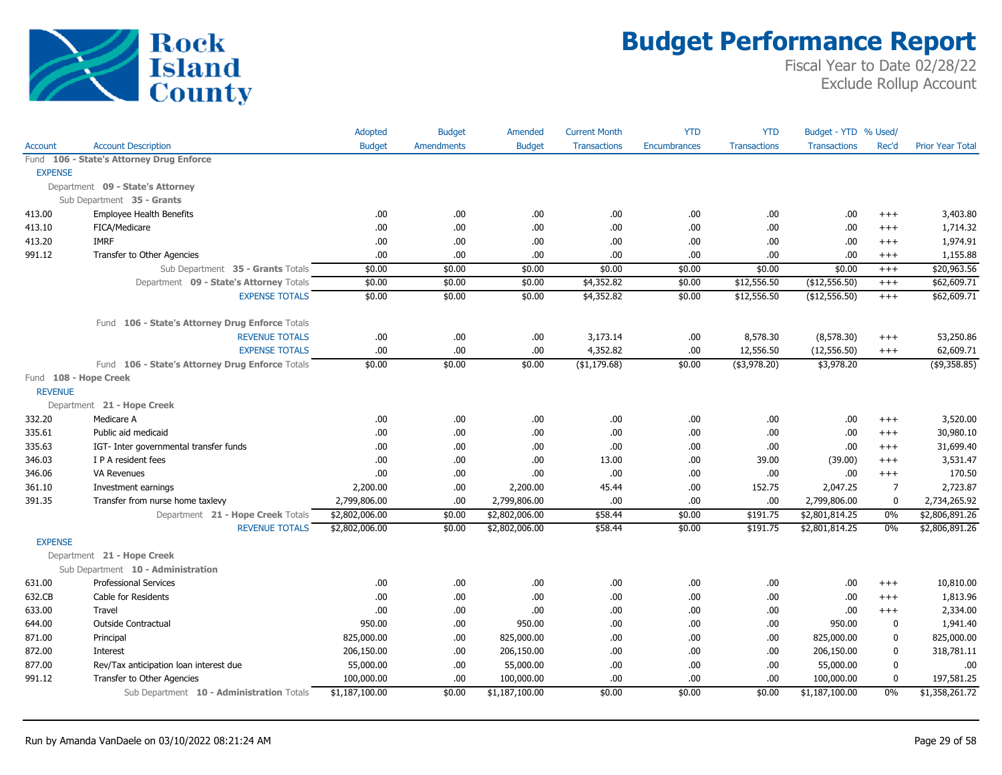

|                |                                                 | Adopted        | <b>Budget</b>     | Amended        | <b>Current Month</b> | <b>YTD</b>          | <b>YTD</b>          | Budget - YTD % Used/ |                |                         |
|----------------|-------------------------------------------------|----------------|-------------------|----------------|----------------------|---------------------|---------------------|----------------------|----------------|-------------------------|
| Account        | <b>Account Description</b>                      | <b>Budget</b>  | <b>Amendments</b> | <b>Budget</b>  | <b>Transactions</b>  | <b>Encumbrances</b> | <b>Transactions</b> | <b>Transactions</b>  | Rec'd          | <b>Prior Year Total</b> |
|                | Fund 106 - State's Attorney Drug Enforce        |                |                   |                |                      |                     |                     |                      |                |                         |
| <b>EXPENSE</b> |                                                 |                |                   |                |                      |                     |                     |                      |                |                         |
|                | Department 09 - State's Attorney                |                |                   |                |                      |                     |                     |                      |                |                         |
|                | Sub Department 35 - Grants                      |                |                   |                |                      |                     |                     |                      |                |                         |
| 413.00         | <b>Employee Health Benefits</b>                 | .00            | .00               | .00.           | .00                  | .00                 | .00                 | .00.                 | $^{+++}$       | 3,403.80                |
| 413.10         | FICA/Medicare                                   | .00.           | .00.              | .00.           | .00                  | .00.                | .00                 | .00.                 | $^{+++}$       | 1,714.32                |
| 413.20         | <b>IMRF</b>                                     | .00.           | .00               | .00.           | .00                  | .00.                | .00                 | .00.                 | $+++$          | 1,974.91                |
| 991.12         | Transfer to Other Agencies                      | .00.           | .00               | .00.           | .00                  | .00                 | .00                 | .00.                 | $^{+++}$       | 1,155.88                |
|                | Sub Department 35 - Grants Totals               | \$0.00         | \$0.00            | \$0.00         | \$0.00               | \$0.00              | \$0.00              | \$0.00               | $^{+++}$       | \$20,963.56             |
|                | Department 09 - State's Attorney Totals         | \$0.00         | \$0.00            | \$0.00         | \$4,352.82           | \$0.00              | \$12,556.50         | (\$12,556.50)        | $^{+++}$       | \$62,609.71             |
|                | <b>EXPENSE TOTALS</b>                           | \$0.00         | \$0.00            | \$0.00         | \$4,352.82           | \$0.00              | \$12,556.50         | (\$12,556.50)        | $^{+++}$       | \$62,609.71             |
|                | Fund 106 - State's Attorney Drug Enforce Totals |                |                   |                |                      |                     |                     |                      |                |                         |
|                | <b>REVENUE TOTALS</b>                           | .00.           | .00.              | .00            | 3,173.14             | .00                 | 8,578.30            | (8,578.30)           | $^{+++}$       | 53,250.86               |
|                | <b>EXPENSE TOTALS</b>                           | .00.           | .00               | .00.           | 4,352.82             | .00.                | 12,556.50           | (12, 556.50)         | $^{+++}$       | 62,609.71               |
|                | Fund 106 - State's Attorney Drug Enforce Totals | \$0.00         | \$0.00            | \$0.00         | (\$1,179.68)         | \$0.00              | $($ \$3,978.20)     | \$3,978.20           |                | $($ \$9,358.85)         |
| <b>REVENUE</b> | Fund 108 - Hope Creek                           |                |                   |                |                      |                     |                     |                      |                |                         |
|                | Department 21 - Hope Creek                      |                |                   |                |                      |                     |                     |                      |                |                         |
| 332.20         | Medicare A                                      | .00.           | .00.              | .00.           | .00                  | .00.                | .00                 | .00                  | $^{+++}$       | 3,520.00                |
| 335.61         | Public aid medicaid                             | .00.           | .00               | .00.           | .00                  | .00.                | .00                 | .00.                 | $+++$          | 30,980.10               |
| 335.63         | IGT- Inter governmental transfer funds          | .00.           | .00               | .00.           | .00                  | .00.                | .00                 | .00                  | $^{+++}$       | 31,699.40               |
| 346.03         | I P A resident fees                             | .00.           | .00               | .00.           | 13.00                | .00                 | 39.00               | (39.00)              | $^{+++}$       | 3,531.47                |
| 346.06         | <b>VA Revenues</b>                              | .00.           | .00.              | .00.           | .00                  | .00.                | .00                 | .00                  | $^{+++}$       | 170.50                  |
| 361.10         | Investment earnings                             | 2,200.00       | .00               | 2,200.00       | 45.44                | .00.                | 152.75              | 2,047.25             | $\overline{7}$ | 2,723.87                |
| 391.35         | Transfer from nurse home taxlevy                | 2,799,806.00   | .00               | 2,799,806.00   | .00                  | .00.                | .00                 | 2,799,806.00         | 0              | 2,734,265.92            |
|                | Department 21 - Hope Creek Totals               | \$2,802,006.00 | \$0.00            | \$2,802,006.00 | \$58.44              | \$0.00              | \$191.75            | \$2,801,814.25       | $0\%$          | \$2,806,891.26          |
|                | <b>REVENUE TOTALS</b>                           | \$2,802,006.00 | \$0.00            | \$2,802,006.00 | \$58.44              | \$0.00              | \$191.75            | \$2,801,814.25       | 0%             | \$2,806,891.26          |
| <b>EXPENSE</b> |                                                 |                |                   |                |                      |                     |                     |                      |                |                         |
|                | Department 21 - Hope Creek                      |                |                   |                |                      |                     |                     |                      |                |                         |
|                | Sub Department 10 - Administration              |                |                   |                |                      |                     |                     |                      |                |                         |
| 631.00         | <b>Professional Services</b>                    | .00            | .00               | .00.           | .00                  | .00                 | .00                 | .00.                 | $^{+++}$       | 10,810.00               |
| 632.CB         | Cable for Residents                             | .00.           | .00.              | .00.           | .00                  | .00.                | .00                 | .00.                 | $^{+++}$       | 1,813.96                |
| 633.00         | Travel                                          | .00            | .00               | .00.           | .00                  | .00.                | .00                 | .00.                 | $+++$          | 2,334.00                |
| 644.00         | <b>Outside Contractual</b>                      | 950.00         | .00.              | 950.00         | .00                  | .00.                | .00                 | 950.00               | $\mathbf 0$    | 1,941.40                |
| 871.00         | Principal                                       | 825,000.00     | .00.              | 825,000.00     | .00                  | .00.                | .00                 | 825,000.00           | 0              | 825,000.00              |
| 872.00         | Interest                                        | 206,150.00     | .00.              | 206,150.00     | .00                  | .00.                | .00                 | 206,150.00           | 0              | 318,781.11              |
| 877.00         | Rev/Tax anticipation loan interest due          | 55,000.00      | .00.              | 55,000.00      | .00                  | .00                 | .00                 | 55,000.00            | 0              | .00                     |
| 991.12         | Transfer to Other Agencies                      | 100,000.00     | .00               | 100,000.00     | .00                  | .00                 | .00                 | 100,000.00           | $\mathbf 0$    | 197,581.25              |
|                | Sub Department 10 - Administration Totals       | \$1,187,100.00 | \$0.00            | \$1,187,100.00 | \$0.00               | \$0.00              | \$0.00              | \$1,187,100.00       | 0%             | \$1,358,261.72          |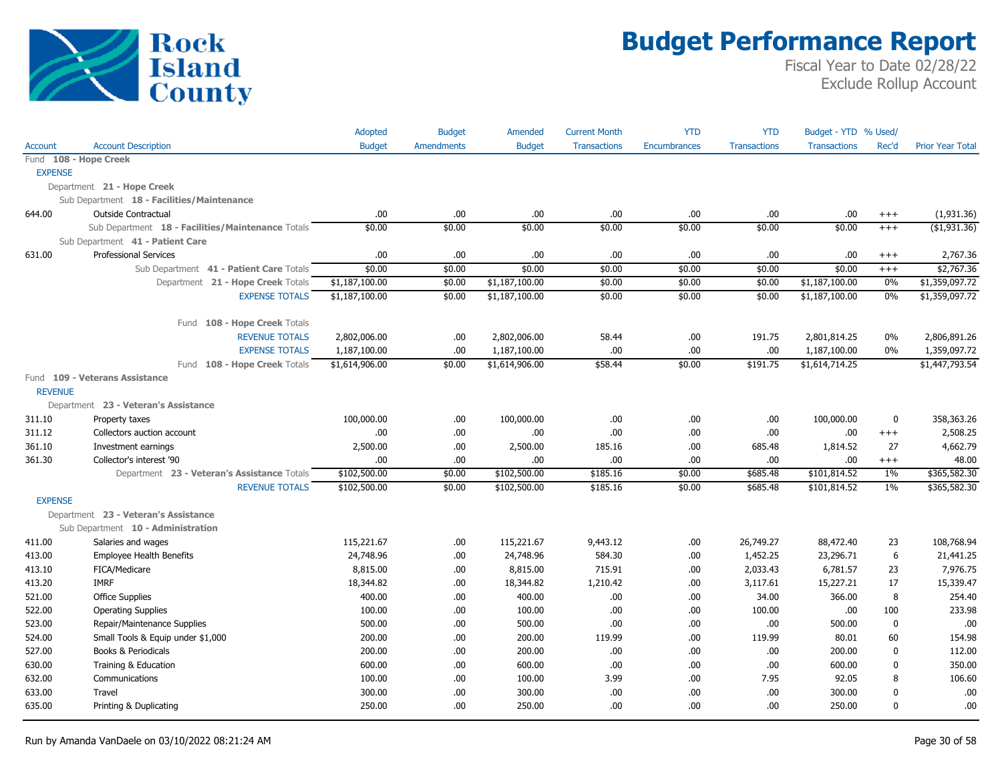

|                |                                                   | Adopted        | <b>Budget</b>     | Amended        | <b>Current Month</b> | <b>YTD</b>   | <b>YTD</b>          | Budget - YTD % Used/ |              |                         |
|----------------|---------------------------------------------------|----------------|-------------------|----------------|----------------------|--------------|---------------------|----------------------|--------------|-------------------------|
| Account        | <b>Account Description</b>                        | <b>Budget</b>  | <b>Amendments</b> | <b>Budget</b>  | <b>Transactions</b>  | Encumbrances | <b>Transactions</b> | <b>Transactions</b>  | Rec'd        | <b>Prior Year Total</b> |
|                | Fund 108 - Hope Creek                             |                |                   |                |                      |              |                     |                      |              |                         |
| <b>EXPENSE</b> |                                                   |                |                   |                |                      |              |                     |                      |              |                         |
|                | Department 21 - Hope Creek                        |                |                   |                |                      |              |                     |                      |              |                         |
|                | Sub Department 18 - Facilities/Maintenance        |                |                   |                |                      |              |                     |                      |              |                         |
| 644.00         | Outside Contractual                               | .00.           | .00.              | .00            | .00.                 | .00          | .00.                | .00                  | $^{+++}$     | (1,931.36)              |
|                | Sub Department 18 - Facilities/Maintenance Totals | \$0.00         | \$0.00            | \$0.00         | \$0.00               | \$0.00       | \$0.00              | \$0.00               | $^{+++}$     | ( \$1,931.36)           |
|                | Sub Department 41 - Patient Care                  |                |                   |                |                      |              |                     |                      |              |                         |
| 631.00         | Professional Services                             | .00            | .00               | .00            | .00                  | .00          | .00.                | .00                  | $^{+++}$     | 2,767.36                |
|                | Sub Department 41 - Patient Care Totals           | \$0.00         | \$0.00            | \$0.00         | \$0.00               | \$0.00       | \$0.00              | \$0.00               | $^{+++}$     | \$2,767.36              |
|                | Department 21 - Hope Creek Totals                 | \$1,187,100.00 | \$0.00            | \$1,187,100.00 | \$0.00               | \$0.00       | \$0.00              | \$1,187,100.00       | 0%           | \$1,359,097.72          |
|                | <b>EXPENSE TOTALS</b>                             | \$1,187,100.00 | \$0.00            | \$1,187,100.00 | \$0.00               | \$0.00       | \$0.00              | \$1,187,100.00       | 0%           | \$1,359,097.72          |
|                | Fund 108 - Hope Creek Totals                      |                |                   |                |                      |              |                     |                      |              |                         |
|                | <b>REVENUE TOTALS</b>                             | 2,802,006.00   | .00.              | 2,802,006.00   | 58.44                | .00          | 191.75              | 2,801,814.25         | $0\%$        | 2,806,891.26            |
|                | <b>EXPENSE TOTALS</b>                             | 1,187,100.00   | .00.              | 1,187,100.00   | .00.                 | .00          | .00.                | 1,187,100.00         | $0\%$        | 1,359,097.72            |
|                | Fund 108 - Hope Creek Totals                      | \$1,614,906.00 | \$0.00            | \$1,614,906.00 | \$58.44              | \$0.00       | \$191.75            | \$1,614,714.25       |              | \$1,447,793.54          |
|                | Fund 109 - Veterans Assistance                    |                |                   |                |                      |              |                     |                      |              |                         |
| <b>REVENUE</b> |                                                   |                |                   |                |                      |              |                     |                      |              |                         |
|                | Department 23 - Veteran's Assistance              |                |                   |                |                      |              |                     |                      |              |                         |
| 311.10         | Property taxes                                    | 100,000.00     | .00.              | 100,000.00     | .00.                 | .00          | .00.                | 100,000.00           | $\mathbf 0$  | 358,363.26              |
| 311.12         | Collectors auction account                        | .00            | .00.              | .00            | .00.                 | .00          | .00.                | .00                  | $^{+++}$     | 2,508.25                |
| 361.10         | Investment earnings                               | 2,500.00       | .00               | 2,500.00       | 185.16               | .00          | 685.48              | 1,814.52             | 27           | 4,662.79                |
| 361.30         | Collector's interest '90                          | .00            | .00.              | .00            | .00.                 | .00          | .00.                | .00                  | $^{+++}$     | 48.00                   |
|                | Department 23 - Veteran's Assistance Totals       | \$102,500.00   | \$0.00            | \$102,500.00   | \$185.16             | \$0.00       | \$685.48            | \$101,814.52         | $1\%$        | \$365,582.30            |
| <b>EXPENSE</b> | <b>REVENUE TOTALS</b>                             | \$102,500.00   | \$0.00            | \$102,500.00   | \$185.16             | \$0.00       | \$685.48            | \$101,814.52         | $1\%$        | \$365,582.30            |
|                | Department 23 - Veteran's Assistance              |                |                   |                |                      |              |                     |                      |              |                         |
|                | Sub Department 10 - Administration                |                |                   |                |                      |              |                     |                      |              |                         |
| 411.00         | Salaries and wages                                | 115,221.67     | .00.              | 115,221.67     | 9,443.12             | .00          | 26,749.27           | 88,472.40            | 23           | 108,768.94              |
| 413.00         | <b>Employee Health Benefits</b>                   | 24,748.96      | .00.              | 24,748.96      | 584.30               | .00          | 1,452.25            | 23,296.71            | 6            | 21,441.25               |
| 413.10         | FICA/Medicare                                     | 8,815.00       | .00               | 8,815.00       | 715.91               | .00          | 2,033.43            | 6,781.57             | 23           | 7,976.75                |
| 413.20         | <b>IMRF</b>                                       | 18,344.82      | .00.              | 18,344.82      | 1,210.42             | .00          | 3,117.61            | 15,227.21            | 17           | 15,339.47               |
| 521.00         | <b>Office Supplies</b>                            | 400.00         | .00.              | 400.00         | .00.                 | .00          | 34.00               | 366.00               | 8            | 254.40                  |
| 522.00         | <b>Operating Supplies</b>                         | 100.00         | .00.              | 100.00         | .00.                 | .00          | 100.00              | .00                  | 100          | 233.98                  |
| 523.00         | Repair/Maintenance Supplies                       | 500.00         | .00.              | 500.00         | .00                  | .00          | .00                 | 500.00               | $\pmb{0}$    | .00                     |
| 524.00         | Small Tools & Equip under \$1,000                 | 200.00         | .00               | 200.00         | 119.99               | .00          | 119.99              | 80.01                | 60           | 154.98                  |
| 527.00         | Books & Periodicals                               | 200.00         | .00.              | 200.00         | .00.                 | .00          | .00.                | 200.00               | $\mathbf 0$  | 112.00                  |
| 630.00         | Training & Education                              | 600.00         | .00.              | 600.00         | .00.                 | .00          | .00.                | 600.00               | $\mathbf{0}$ | 350.00                  |
| 632.00         | Communications                                    | 100.00         | .00.              | 100.00         | 3.99                 | .00          | 7.95                | 92.05                | 8            | 106.60                  |
| 633.00         | Travel                                            | 300.00         | .00               | 300.00         | .00.                 | .00          | .00                 | 300.00               | $\mathbf{0}$ | .00                     |
| 635.00         | Printing & Duplicating                            | 250.00         | .00.              | 250.00         | .00.                 | .00          | .00                 | 250.00               | $\mathbf{0}$ | .00                     |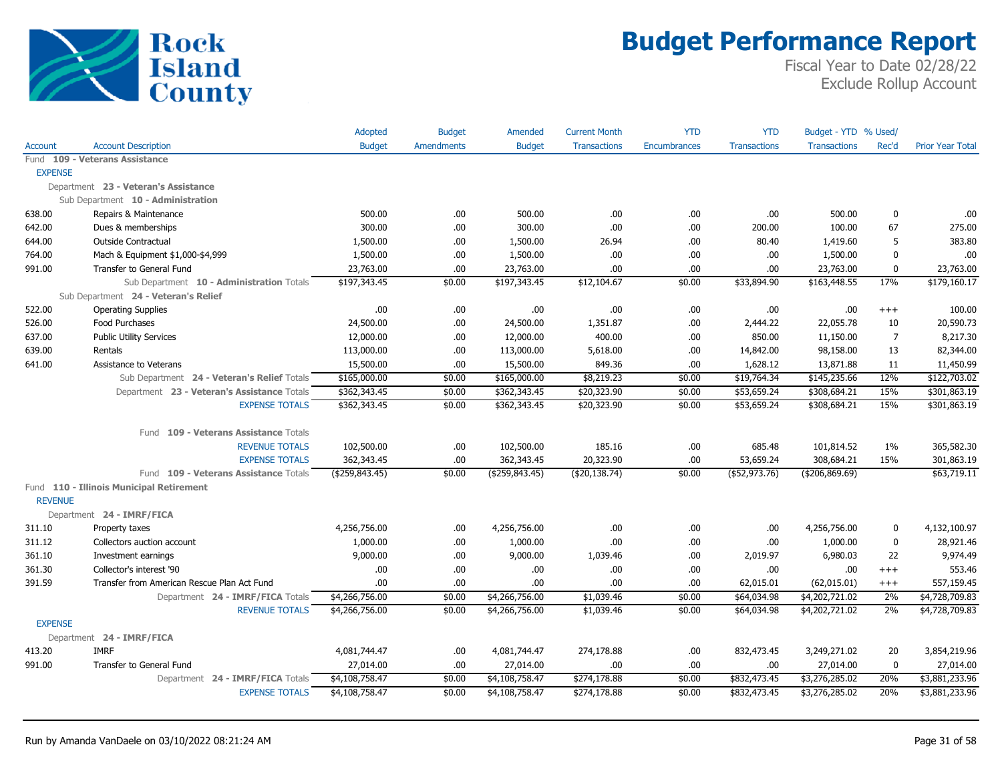

|                |                                             | Adopted          | <b>Budget</b>     | Amended          | <b>Current Month</b> | <b>YTD</b>          | <b>YTD</b>          | Budget - YTD % Used/ |                |                         |
|----------------|---------------------------------------------|------------------|-------------------|------------------|----------------------|---------------------|---------------------|----------------------|----------------|-------------------------|
| Account        | <b>Account Description</b>                  | <b>Budget</b>    | <b>Amendments</b> | <b>Budget</b>    | <b>Transactions</b>  | <b>Encumbrances</b> | <b>Transactions</b> | <b>Transactions</b>  | Rec'd          | <b>Prior Year Total</b> |
|                | Fund 109 - Veterans Assistance              |                  |                   |                  |                      |                     |                     |                      |                |                         |
| <b>EXPENSE</b> |                                             |                  |                   |                  |                      |                     |                     |                      |                |                         |
|                | Department 23 - Veteran's Assistance        |                  |                   |                  |                      |                     |                     |                      |                |                         |
|                | Sub Department 10 - Administration          |                  |                   |                  |                      |                     |                     |                      |                |                         |
| 638.00         | Repairs & Maintenance                       | 500.00           | .00.              | 500.00           | .00                  | .00                 | .00                 | 500.00               | $\mathbf 0$    | .00                     |
| 642.00         | Dues & memberships                          | 300.00           | .00               | 300.00           | .00                  | .00                 | 200.00              | 100.00               | 67             | 275.00                  |
| 644.00         | <b>Outside Contractual</b>                  | 1,500.00         | .00.              | 1,500.00         | 26.94                | .00.                | 80.40               | 1,419.60             | 5              | 383.80                  |
| 764.00         | Mach & Equipment \$1,000-\$4,999            | 1,500.00         | .00.              | 1,500.00         | .00                  | .00                 | .00                 | 1,500.00             | $\mathbf 0$    | .00                     |
| 991.00         | Transfer to General Fund                    | 23,763.00        | .00               | 23,763.00        | .00.                 | .00.                | .00.                | 23,763.00            | $\mathbf 0$    | 23,763.00               |
|                | Sub Department 10 - Administration Totals   | \$197,343.45     | \$0.00            | \$197,343.45     | \$12,104.67          | \$0.00              | \$33,894.90         | \$163,448.55         | 17%            | \$179,160.17            |
|                | Sub Department 24 - Veteran's Relief        |                  |                   |                  |                      |                     |                     |                      |                |                         |
| 522.00         | <b>Operating Supplies</b>                   | .00              | .00.              | .00              | .00.                 | .00.                | .00                 | .00.                 | $^{+++}$       | 100.00                  |
| 526.00         | Food Purchases                              | 24,500.00        | .00               | 24,500.00        | 1,351.87             | .00.                | 2,444.22            | 22,055.78            | 10             | 20,590.73               |
| 637.00         | <b>Public Utility Services</b>              | 12,000.00        | .00.              | 12,000.00        | 400.00               | .00                 | 850.00              | 11,150.00            | $\overline{7}$ | 8,217.30                |
| 639.00         | Rentals                                     | 113,000.00       | .00.              | 113,000.00       | 5,618.00             | .00.                | 14,842.00           | 98,158.00            | 13             | 82,344.00               |
| 641.00         | Assistance to Veterans                      | 15,500.00        | .00               | 15,500.00        | 849.36               | .00.                | 1,628.12            | 13,871.88            | 11             | 11,450.99               |
|                | Sub Department 24 - Veteran's Relief Totals | \$165,000.00     | \$0.00            | \$165,000.00     | \$8,219.23           | \$0.00              | \$19,764.34         | \$145,235.66         | 12%            | \$122,703.02            |
|                | Department 23 - Veteran's Assistance Totals | \$362,343.45     | \$0.00            | \$362,343.45     | \$20,323.90          | \$0.00              | \$53,659.24         | \$308,684.21         | 15%            | \$301,863.19            |
|                | <b>EXPENSE TOTALS</b>                       | \$362,343.45     | \$0.00            | \$362,343.45     | \$20,323.90          | \$0.00              | \$53,659.24         | \$308,684.21         | 15%            | \$301,863.19            |
|                | Fund 109 - Veterans Assistance Totals       |                  |                   |                  |                      |                     |                     |                      |                |                         |
|                | <b>REVENUE TOTALS</b>                       | 102,500.00       | .00.              | 102,500.00       | 185.16               | .00.                | 685.48              | 101,814.52           | 1%             | 365,582.30              |
|                | <b>EXPENSE TOTALS</b>                       | 362,343.45       | .00               | 362,343.45       | 20,323.90            | .00.                | 53,659.24           | 308,684.21           | 15%            | 301,863.19              |
|                | Fund 109 - Veterans Assistance Totals       | ( \$259, 843.45) | \$0.00            | ( \$259, 843.45) | ( \$20,138.74)       | \$0.00              | $($ \$52,973.76)    | ( \$206, 869.69)     |                | \$63,719.11             |
|                | Fund 110 - Illinois Municipal Retirement    |                  |                   |                  |                      |                     |                     |                      |                |                         |
| <b>REVENUE</b> |                                             |                  |                   |                  |                      |                     |                     |                      |                |                         |
|                | Department 24 - IMRF/FICA                   |                  |                   |                  |                      |                     |                     |                      |                |                         |
| 311.10         | Property taxes                              | 4,256,756.00     | .00.              | 4,256,756.00     | .00.                 | .00.                | .00                 | 4,256,756.00         | $\mathbf 0$    | 4,132,100.97            |
| 311.12         | Collectors auction account                  | 1,000.00         | .00               | 1,000.00         | .00.                 | .00.                | .00                 | 1,000.00             | $\mathbf 0$    | 28,921.46               |
| 361.10         | Investment earnings                         | 9,000.00         | .00.              | 9,000.00         | 1,039.46             | .00.                | 2,019.97            | 6,980.03             | 22             | 9,974.49                |
| 361.30         | Collector's interest '90                    | .00              | .00.              | .00.             | .00.                 | .00                 | .00                 | .00                  | $^{+++}$       | 553.46                  |
| 391.59         | Transfer from American Rescue Plan Act Fund | .00.             | .00.              | .00.             | .00.                 | .00.                | 62,015.01           | (62, 015.01)         | $^{+++}$       | 557,159.45              |
|                | Department 24 - IMRF/FICA Totals            | \$4,266,756.00   | \$0.00            | \$4,266,756.00   | \$1,039.46           | \$0.00              | \$64,034.98         | \$4,202,721.02       | 2%             | \$4,728,709.83          |
|                | <b>REVENUE TOTALS</b>                       | \$4,266,756.00   | \$0.00            | \$4,266,756.00   | \$1,039.46           | \$0.00              | \$64,034.98         | \$4,202,721.02       | 2%             | \$4,728,709.83          |
| <b>EXPENSE</b> |                                             |                  |                   |                  |                      |                     |                     |                      |                |                         |
|                | Department 24 - IMRF/FICA                   |                  |                   |                  |                      |                     |                     |                      |                |                         |
| 413.20         | <b>IMRF</b>                                 | 4,081,744.47     | .00.              | 4,081,744.47     | 274,178.88           | .00.                | 832,473.45          | 3,249,271.02         | 20             | 3,854,219.96            |
| 991.00         | Transfer to General Fund                    | 27,014.00        | .00               | 27,014.00        | .00                  | .00.                | .00                 | 27,014.00            | $\mathbf 0$    | 27,014.00               |
|                | Department 24 - IMRF/FICA Totals            | \$4,108,758.47   | \$0.00            | \$4,108,758.47   | \$274,178.88         | \$0.00              | \$832,473.45        | \$3,276,285.02       | 20%            | \$3,881,233.96          |
|                | <b>EXPENSE TOTALS</b>                       | \$4,108,758.47   | \$0.00            | \$4,108,758.47   | \$274,178.88         | \$0.00              | \$832,473.45        | \$3,276,285.02       | 20%            | \$3,881,233.96          |
|                |                                             |                  |                   |                  |                      |                     |                     |                      |                |                         |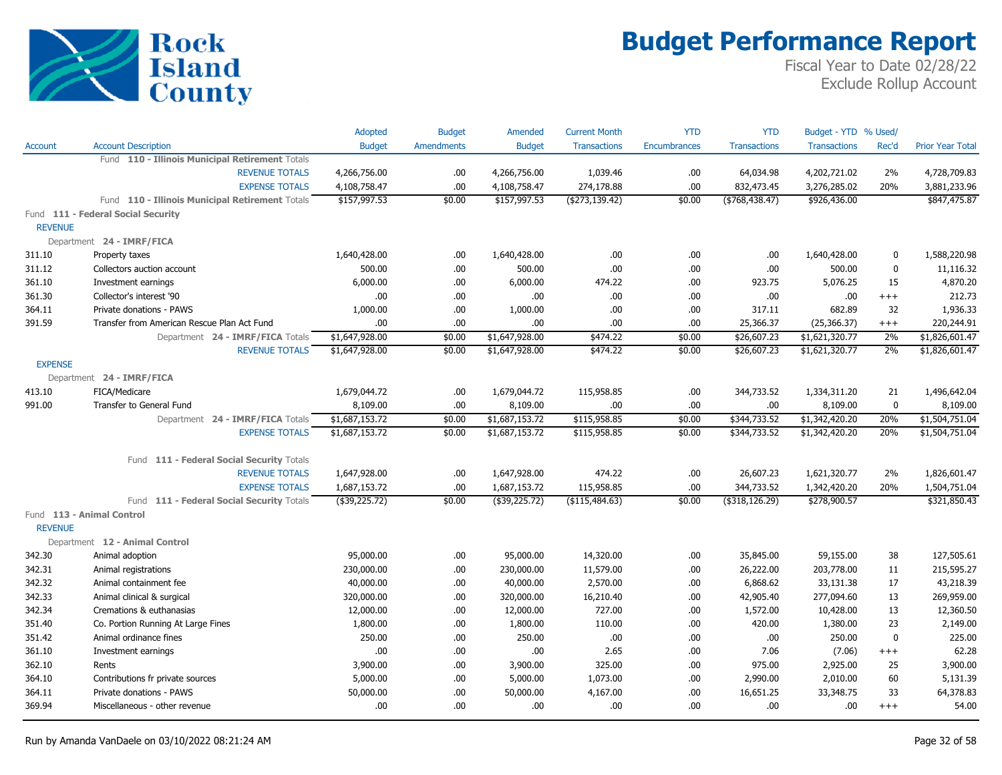

|                |                                                 | Adopted        | <b>Budget</b>     | Amended        | <b>Current Month</b> | <b>YTD</b>          | <b>YTD</b>          | Budget - YTD % Used/ |             |                         |
|----------------|-------------------------------------------------|----------------|-------------------|----------------|----------------------|---------------------|---------------------|----------------------|-------------|-------------------------|
| <b>Account</b> | <b>Account Description</b>                      | <b>Budget</b>  | <b>Amendments</b> | <b>Budget</b>  | <b>Transactions</b>  | <b>Encumbrances</b> | <b>Transactions</b> | <b>Transactions</b>  | Rec'd       | <b>Prior Year Total</b> |
|                | Fund 110 - Illinois Municipal Retirement Totals |                |                   |                |                      |                     |                     |                      |             |                         |
|                | <b>REVENUE TOTALS</b>                           | 4,266,756.00   | .00.              | 4,266,756.00   | 1,039.46             | .00.                | 64,034.98           | 4,202,721.02         | 2%          | 4,728,709.83            |
|                | <b>EXPENSE TOTALS</b>                           | 4,108,758.47   | .00.              | 4,108,758.47   | 274,178.88           | .00                 | 832,473.45          | 3,276,285.02         | 20%         | 3,881,233.96            |
|                | Fund 110 - Illinois Municipal Retirement Totals | \$157,997.53   | \$0.00            | \$157,997.53   | ( \$273,139.42)      | \$0.00              | ( \$768, 438.47)    | \$926,436.00         |             | \$847,475.87            |
|                | Fund 111 - Federal Social Security              |                |                   |                |                      |                     |                     |                      |             |                         |
| <b>REVENUE</b> |                                                 |                |                   |                |                      |                     |                     |                      |             |                         |
|                | Department 24 - IMRF/FICA                       |                |                   |                |                      |                     |                     |                      |             |                         |
| 311.10         | Property taxes                                  | 1,640,428.00   | .00.              | 1,640,428.00   | .00                  | .00.                | .00                 | 1,640,428.00         | $\mathbf 0$ | 1,588,220.98            |
| 311.12         | Collectors auction account                      | 500.00         | .00.              | 500.00         | .00                  | .00                 | .00                 | 500.00               | $\mathbf 0$ | 11,116.32               |
| 361.10         | Investment earnings                             | 6,000.00       | .00.              | 6,000.00       | 474.22               | .00.                | 923.75              | 5,076.25             | 15          | 4,870.20                |
| 361.30         | Collector's interest '90                        | .00.           | .00.              | .00.           | .00                  | .00.                | .00                 | .00                  | $^{+++}$    | 212.73                  |
| 364.11         | Private donations - PAWS                        | 1,000.00       | .00.              | 1,000.00       | .00                  | .00.                | 317.11              | 682.89               | 32          | 1,936.33                |
| 391.59         | Transfer from American Rescue Plan Act Fund     | .00.           | .00.              | .00            | .00                  | .00.                | 25,366.37           | (25, 366.37)         | $^{+++}$    | 220,244.91              |
|                | Department 24 - IMRF/FICA Totals                | \$1,647,928.00 | \$0.00            | \$1,647,928.00 | \$474.22             | \$0.00              | \$26,607.23         | \$1,621,320.77       | 2%          | \$1,826,601.47          |
|                | <b>REVENUE TOTALS</b>                           | \$1,647,928.00 | \$0.00            | \$1,647,928.00 | \$474.22             | \$0.00              | \$26,607.23         | \$1,621,320.77       | 2%          | \$1,826,601.47          |
| <b>EXPENSE</b> |                                                 |                |                   |                |                      |                     |                     |                      |             |                         |
|                | Department 24 - IMRF/FICA                       |                |                   |                |                      |                     |                     |                      |             |                         |
| 413.10         | FICA/Medicare                                   | 1,679,044.72   | .00.              | 1,679,044.72   | 115,958.85           | .00.                | 344,733.52          | 1,334,311.20         | 21          | 1,496,642.04            |
| 991.00         | Transfer to General Fund                        | 8,109.00       | .00               | 8,109.00       | .00                  | .00.                | .00                 | 8,109.00             | $\mathbf 0$ | 8,109.00                |
|                | Department 24 - IMRF/FICA Totals                | \$1,687,153.72 | \$0.00            | \$1,687,153.72 | \$115,958.85         | \$0.00              | \$344,733.52        | \$1,342,420.20       | 20%         | \$1,504,751.04          |
|                | <b>EXPENSE TOTALS</b>                           | \$1,687,153.72 | \$0.00            | \$1,687,153.72 | \$115,958.85         | \$0.00              | \$344,733.52        | \$1,342,420.20       | 20%         | \$1,504,751.04          |
|                |                                                 |                |                   |                |                      |                     |                     |                      |             |                         |
|                | Fund 111 - Federal Social Security Totals       |                |                   |                |                      |                     |                     |                      |             |                         |
|                | <b>REVENUE TOTALS</b>                           | 1,647,928.00   | .00.              | 1,647,928.00   | 474.22               | .00.                | 26,607.23           | 1,621,320.77         | 2%          | 1,826,601.47            |
|                | <b>EXPENSE TOTALS</b>                           | 1,687,153.72   | .00               | 1,687,153.72   | 115,958.85           | .00.                | 344,733.52          | 1,342,420.20         | 20%         | 1,504,751.04            |
|                | Fund 111 - Federal Social Security Totals       | (\$39,225.72)  | \$0.00            | $(*39,225.72)$ | (\$115,484.63)       | \$0.00              | $($ \$318,126.29)   | \$278,900.57         |             | \$321,850.43            |
| <b>REVENUE</b> | Fund 113 - Animal Control                       |                |                   |                |                      |                     |                     |                      |             |                         |
|                | Department 12 - Animal Control                  |                |                   |                |                      |                     |                     |                      |             |                         |
| 342.30         | Animal adoption                                 | 95,000.00      | .00.              | 95,000.00      | 14,320.00            | .00.                | 35,845.00           | 59,155.00            | 38          | 127,505.61              |
| 342.31         | Animal registrations                            | 230,000.00     | .00               | 230,000.00     | 11,579.00            | .00.                | 26,222.00           | 203,778.00           | 11          | 215,595.27              |
| 342.32         | Animal containment fee                          | 40,000.00      | .00               | 40,000.00      | 2,570.00             | .00                 | 6,868.62            | 33,131.38            | 17          | 43,218.39               |
| 342.33         | Animal clinical & surgical                      | 320,000.00     | .00.              | 320,000.00     | 16,210.40            | .00.                | 42,905.40           | 277,094.60           | 13          | 269,959.00              |
| 342.34         | Cremations & euthanasias                        | 12,000.00      | .00.              | 12,000.00      | 727.00               | .00.                | 1,572.00            | 10,428.00            | 13          | 12,360.50               |
| 351.40         | Co. Portion Running At Large Fines              | 1,800.00       | .00.              | 1,800.00       | 110.00               | .00.                | 420.00              | 1,380.00             | 23          | 2,149.00                |
| 351.42         | Animal ordinance fines                          | 250.00         | .00.              | 250.00         | .00                  | .00                 | .00.                | 250.00               | $\mathbf 0$ | 225.00                  |
| 361.10         |                                                 | .00.           | .00.              | .00.           | 2.65                 | .00.                | 7.06                |                      | $^{+++}$    | 62.28                   |
| 362.10         | Investment earnings<br>Rents                    | 3,900.00       | .00.              | 3,900.00       | 325.00               | .00.                | 975.00              | (7.06)<br>2,925.00   | 25          | 3,900.00                |
| 364.10         | Contributions fr private sources                | 5,000.00       | .00               | 5,000.00       | 1,073.00             | .00.                | 2,990.00            | 2,010.00             | 60          | 5,131.39                |
| 364.11         | Private donations - PAWS                        | 50,000.00      | .00.              | 50,000.00      | 4,167.00             | .00                 | 16,651.25           | 33,348.75            | 33          | 64,378.83               |
| 369.94         | Miscellaneous - other revenue                   | .00.           | .00               | .00.           | .00                  | .00                 | .00                 | .00.                 | $^{+++}$    | 54.00                   |
|                |                                                 |                |                   |                |                      |                     |                     |                      |             |                         |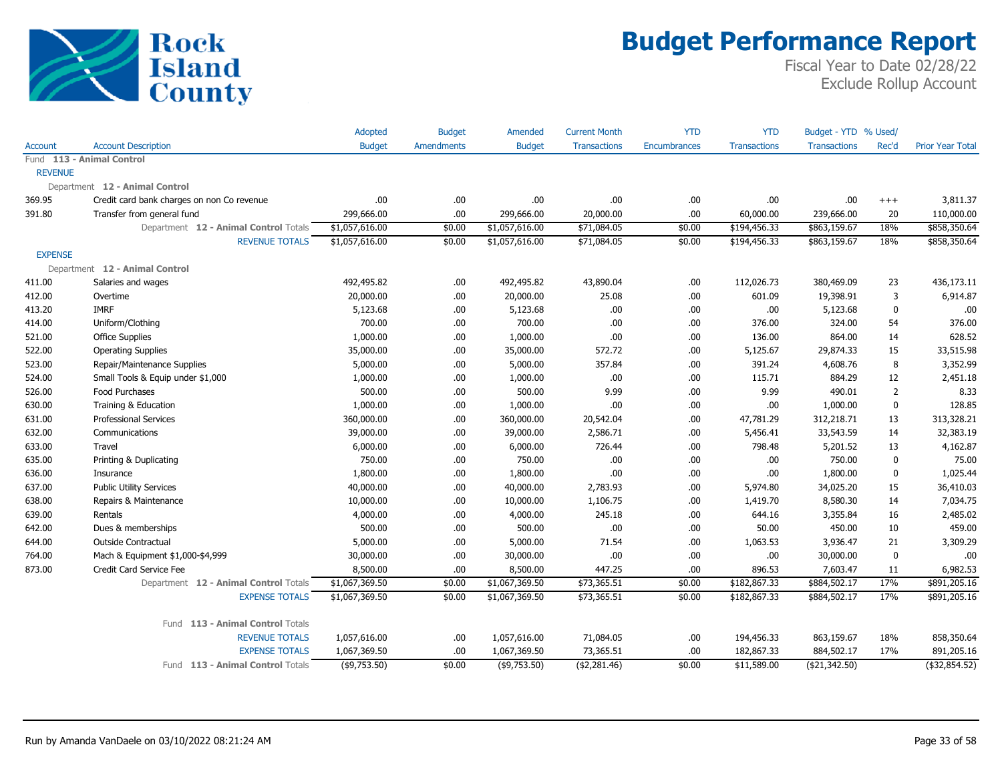

|                |                                            | Adopted         | <b>Budget</b>     | Amended         | <b>Current Month</b> | <b>YTD</b>          | <b>YTD</b>          | Budget - YTD % Used/ |                |                         |
|----------------|--------------------------------------------|-----------------|-------------------|-----------------|----------------------|---------------------|---------------------|----------------------|----------------|-------------------------|
| <b>Account</b> | <b>Account Description</b>                 | <b>Budget</b>   | <b>Amendments</b> | <b>Budget</b>   | <b>Transactions</b>  | <b>Encumbrances</b> | <b>Transactions</b> | <b>Transactions</b>  | Rec'd          | <b>Prior Year Total</b> |
|                | Fund 113 - Animal Control                  |                 |                   |                 |                      |                     |                     |                      |                |                         |
| <b>REVENUE</b> |                                            |                 |                   |                 |                      |                     |                     |                      |                |                         |
|                | Department 12 - Animal Control             |                 |                   |                 |                      |                     |                     |                      |                |                         |
| 369.95         | Credit card bank charges on non Co revenue | .00             | .00               | .00             | .00                  | .00                 | .00                 | .00                  | $^{+++}$       | 3,811.37                |
| 391.80         | Transfer from general fund                 | 299,666.00      | .00               | 299,666.00      | 20,000.00            | .00                 | 60,000.00           | 239,666.00           | 20             | 110,000.00              |
|                | Department 12 - Animal Control Totals      | \$1,057,616.00  | \$0.00            | \$1,057,616.00  | \$71,084.05          | \$0.00              | \$194,456.33        | \$863,159.67         | 18%            | \$858,350.64            |
|                | <b>REVENUE TOTALS</b>                      | \$1,057,616.00  | \$0.00            | \$1,057,616.00  | \$71,084.05          | \$0.00              | \$194,456.33        | \$863,159.67         | 18%            | \$858,350.64            |
| <b>EXPENSE</b> |                                            |                 |                   |                 |                      |                     |                     |                      |                |                         |
|                | Department 12 - Animal Control             |                 |                   |                 |                      |                     |                     |                      |                |                         |
| 411.00         | Salaries and wages                         | 492,495.82      | .00.              | 492,495.82      | 43,890.04            | .00.                | 112,026.73          | 380,469.09           | 23             | 436,173.11              |
| 412.00         | Overtime                                   | 20,000.00       | .00               | 20,000.00       | 25.08                | .00.                | 601.09              | 19,398.91            | 3              | 6,914.87                |
| 413.20         | <b>IMRF</b>                                | 5,123.68        | .00.              | 5,123.68        | .00.                 | .00                 | .00                 | 5,123.68             | 0              | .00                     |
| 414.00         | Uniform/Clothing                           | 700.00          | .00               | 700.00          | .00                  | .00                 | 376.00              | 324.00               | 54             | 376.00                  |
| 521.00         | <b>Office Supplies</b>                     | 1,000.00        | .00.              | 1,000.00        | .00.                 | .00.                | 136.00              | 864.00               | 14             | 628.52                  |
| 522.00         | <b>Operating Supplies</b>                  | 35,000.00       | .00               | 35,000.00       | 572.72               | .00                 | 5,125.67            | 29,874.33            | 15             | 33,515.98               |
| 523.00         | Repair/Maintenance Supplies                | 5,000.00        | .00               | 5,000.00        | 357.84               | .00.                | 391.24              | 4,608.76             | 8              | 3,352.99                |
| 524.00         | Small Tools & Equip under \$1,000          | 1,000.00        | .00               | 1,000.00        | .00                  | .00                 | 115.71              | 884.29               | 12             | 2,451.18                |
| 526.00         | Food Purchases                             | 500.00          | .00               | 500.00          | 9.99                 | .00                 | 9.99                | 490.01               | $\overline{2}$ | 8.33                    |
| 630.00         | Training & Education                       | 1,000.00        | .00.              | 1,000.00        | .00                  | .00                 | .00                 | 1,000.00             | 0              | 128.85                  |
| 631.00         | Professional Services                      | 360,000.00      | .00               | 360,000.00      | 20,542.04            | .00                 | 47,781.29           | 312,218.71           | 13             | 313,328.21              |
| 632.00         | Communications                             | 39,000.00       | .00               | 39,000.00       | 2,586.71             | .00                 | 5,456.41            | 33,543.59            | 14             | 32,383.19               |
| 633.00         | Travel                                     | 6,000.00        | .00.              | 6,000.00        | 726.44               | .00.                | 798.48              | 5,201.52             | 13             | 4,162.87                |
| 635.00         | Printing & Duplicating                     | 750.00          | .00.              | 750.00          | .00                  | .00.                | .00                 | 750.00               | $\mathbf 0$    | 75.00                   |
| 636.00         | Insurance                                  | 1,800.00        | .00               | 1,800.00        | .00                  | .00                 | .00                 | 1,800.00             | 0              | 1,025.44                |
| 637.00         | <b>Public Utility Services</b>             | 40,000.00       | .00               | 40,000.00       | 2,783.93             | .00                 | 5,974.80            | 34,025.20            | 15             | 36,410.03               |
| 638.00         | Repairs & Maintenance                      | 10,000.00       | .00               | 10,000.00       | 1,106.75             | .00                 | 1,419.70            | 8,580.30             | 14             | 7,034.75                |
| 639.00         | Rentals                                    | 4,000.00        | .00               | 4,000.00        | 245.18               | .00                 | 644.16              | 3,355.84             | 16             | 2,485.02                |
| 642.00         | Dues & memberships                         | 500.00          | .00.              | 500.00          | .00                  | .00                 | 50.00               | 450.00               | 10             | 459.00                  |
| 644.00         | Outside Contractual                        | 5,000.00        | .00               | 5,000.00        | 71.54                | .00                 | 1,063.53            | 3,936.47             | 21             | 3,309.29                |
| 764.00         | Mach & Equipment \$1,000-\$4,999           | 30,000.00       | .00               | 30,000.00       | .00.                 | .00                 | .00                 | 30,000.00            | 0              | .00                     |
| 873.00         | Credit Card Service Fee                    | 8,500.00        | .00               | 8,500.00        | 447.25               | .00                 | 896.53              | 7,603.47             | 11             | 6,982.53                |
|                | Department 12 - Animal Control Totals      | \$1,067,369.50  | \$0.00            | \$1,067,369.50  | \$73,365.51          | \$0.00              | \$182,867.33        | \$884,502.17         | 17%            | \$891,205.16            |
|                | <b>EXPENSE TOTALS</b>                      | \$1,067,369.50  | \$0.00            | \$1,067,369.50  | \$73,365.51          | \$0.00              | \$182,867.33        | \$884,502.17         | 17%            | \$891,205.16            |
|                | Fund 113 - Animal Control Totals           |                 |                   |                 |                      |                     |                     |                      |                |                         |
|                | <b>REVENUE TOTALS</b>                      | 1,057,616.00    | .00               | 1,057,616.00    | 71,084.05            | .00                 | 194,456.33          | 863,159.67           | 18%            | 858,350.64              |
|                | <b>EXPENSE TOTALS</b>                      | 1,067,369.50    | .00               | 1,067,369.50    | 73,365.51            | .00                 | 182,867.33          | 884,502.17           | 17%            | 891,205.16              |
|                | Fund 113 - Animal Control Totals           | $($ \$9,753.50) | \$0.00            | $($ \$9,753.50) | ( \$2,281.46)        | \$0.00              | \$11,589.00         | (\$21,342.50)        |                | $($ \$32,854.52)        |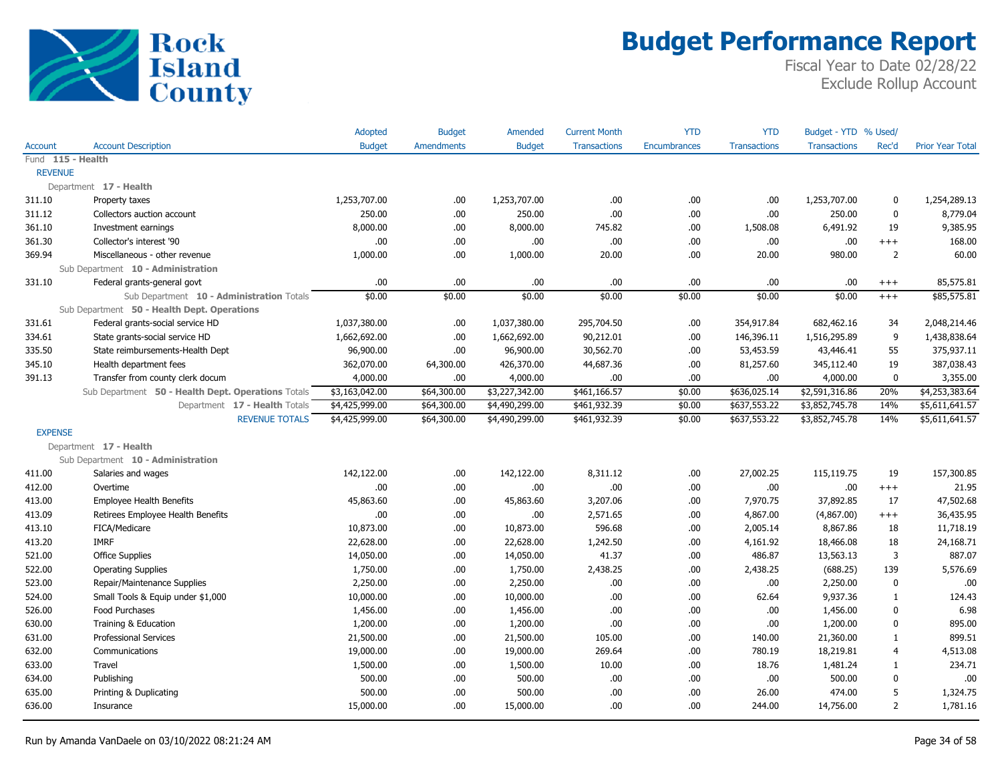

|                   |                                                    | <b>Adopted</b> | <b>Budget</b>     | <b>Amended</b> | <b>Current Month</b> | <b>YTD</b>   | <b>YTD</b>          | Budget - YTD % Used/ |                |                         |
|-------------------|----------------------------------------------------|----------------|-------------------|----------------|----------------------|--------------|---------------------|----------------------|----------------|-------------------------|
| <b>Account</b>    | <b>Account Description</b>                         | <b>Budget</b>  | <b>Amendments</b> | <b>Budget</b>  | <b>Transactions</b>  | Encumbrances | <b>Transactions</b> | <b>Transactions</b>  | Rec'd          | <b>Prior Year Total</b> |
| Fund 115 - Health |                                                    |                |                   |                |                      |              |                     |                      |                |                         |
| <b>REVENUE</b>    |                                                    |                |                   |                |                      |              |                     |                      |                |                         |
|                   | Department 17 - Health                             |                |                   |                |                      |              |                     |                      |                |                         |
| 311.10            | Property taxes                                     | 1,253,707.00   | .00.              | 1,253,707.00   | .00.                 | .00          | .00.                | 1,253,707.00         | 0              | 1,254,289.13            |
| 311.12            | Collectors auction account                         | 250.00         | .00.              | 250.00         | .00                  | .00          | .00.                | 250.00               | $\mathbf 0$    | 8,779.04                |
| 361.10            | Investment earnings                                | 8,000.00       | .00.              | 8,000.00       | 745.82               | .00          | 1,508.08            | 6,491.92             | 19             | 9,385.95                |
| 361.30            | Collector's interest '90                           | .00            | .00               | .00            | .00.                 | .00          | .00                 | .00                  | $^{+++}$       | 168.00                  |
| 369.94            | Miscellaneous - other revenue                      | 1,000.00       | .00.              | 1,000.00       | 20.00                | .00          | 20.00               | 980.00               | $\overline{2}$ | 60.00                   |
|                   | Sub Department 10 - Administration                 |                |                   |                |                      |              |                     |                      |                |                         |
| 331.10            | Federal grants-general govt                        | .00            | .00.              | .00            | .00                  | .00          | .00.                | .00                  | $^{+++}$       | 85,575.81               |
|                   | Sub Department 10 - Administration Totals          | \$0.00         | \$0.00            | \$0.00         | \$0.00               | \$0.00       | \$0.00              | \$0.00               | $^{+++}$       | \$85,575.81             |
|                   | Sub Department 50 - Health Dept. Operations        |                |                   |                |                      |              |                     |                      |                |                         |
| 331.61            | Federal grants-social service HD                   | 1,037,380.00   | .00.              | 1,037,380.00   | 295,704.50           | .00          | 354,917.84          | 682,462.16           | 34             | 2,048,214.46            |
| 334.61            | State grants-social service HD                     | 1,662,692.00   | .00.              | 1,662,692.00   | 90,212.01            | .00          | 146,396.11          | 1,516,295.89         | 9              | 1,438,838.64            |
| 335.50            | State reimbursements-Health Dept                   | 96,900.00      | .00.              | 96,900.00      | 30,562.70            | .00          | 53,453.59           | 43,446.41            | 55             | 375,937.11              |
| 345.10            | Health department fees                             | 362,070.00     | 64,300.00         | 426,370.00     | 44,687.36            | .00          | 81,257.60           | 345,112.40           | 19             | 387,038.43              |
| 391.13            | Transfer from county clerk docum                   | 4,000.00       | 00.               | 4,000.00       | .00.                 | .00          | .00.                | 4,000.00             | $\mathbf 0$    | 3,355.00                |
|                   | Sub Department 50 - Health Dept. Operations Totals | \$3,163,042.00 | \$64,300.00       | \$3,227,342.00 | \$461,166.57         | \$0.00       | \$636,025.14        | \$2,591,316.86       | 20%            | \$4,253,383.64          |
|                   | Department 17 - Health Totals                      | \$4,425,999.00 | \$64,300.00       | \$4,490,299.00 | \$461,932.39         | \$0.00       | \$637,553.22        | \$3,852,745.78       | 14%            | \$5,611,641.57          |
|                   | <b>REVENUE TOTALS</b>                              | \$4,425,999.00 | \$64,300.00       | \$4,490,299.00 | \$461,932.39         | \$0.00       | \$637,553.22        | \$3,852,745.78       | 14%            | \$5,611,641.57          |
| <b>EXPENSE</b>    |                                                    |                |                   |                |                      |              |                     |                      |                |                         |
|                   | Department 17 - Health                             |                |                   |                |                      |              |                     |                      |                |                         |
|                   | Sub Department 10 - Administration                 |                |                   |                |                      |              |                     |                      |                |                         |
| 411.00            | Salaries and wages                                 | 142,122.00     | .00.              | 142,122.00     | 8,311.12             | .00          | 27,002.25           | 115,119.75           | 19             | 157,300.85              |
| 412.00            | Overtime                                           | .00            | .00.              | .00            | .00.                 | .00          | .00.                | .00                  | $^{+++}$       | 21.95                   |
| 413.00            | <b>Employee Health Benefits</b>                    | 45,863.60      | .00.              | 45,863.60      | 3,207.06             | .00          | 7,970.75            | 37,892.85            | 17             | 47,502.68               |
| 413.09            | Retirees Employee Health Benefits                  | .00            | .00.              | .00            | 2,571.65             | .00          | 4,867.00            | (4,867.00)           | $^{+++}$       | 36,435.95               |
| 413.10            | FICA/Medicare                                      | 10,873.00      | .00.              | 10,873.00      | 596.68               | .00          | 2,005.14            | 8,867.86             | 18             | 11,718.19               |
| 413.20            | <b>IMRF</b>                                        | 22,628.00      | .00.              | 22,628.00      | 1,242.50             | .00          | 4,161.92            | 18,466.08            | 18             | 24,168.71               |
| 521.00            | <b>Office Supplies</b>                             | 14,050.00      | .00.              | 14,050.00      | 41.37                | .00          | 486.87              | 13,563.13            | 3              | 887.07                  |
| 522.00            | <b>Operating Supplies</b>                          | 1,750.00       | .00.              | 1,750.00       | 2,438.25             | .00          | 2,438.25            | (688.25)             | 139            | 5,576.69                |
| 523.00            | Repair/Maintenance Supplies                        | 2,250.00       | .00.              | 2,250.00       | .00.                 | .00          | .00.                | 2,250.00             | $\mathbf 0$    | .00                     |
| 524.00            | Small Tools & Equip under \$1,000                  | 10,000.00      | .00.              | 10,000.00      | .00.                 | .00          | 62.64               | 9,937.36             | 1              | 124.43                  |
| 526.00            | Food Purchases                                     | 1,456.00       | .00.              | 1,456.00       | .00.                 | .00          | .00.                | 1,456.00             | $\mathbf{0}$   | 6.98                    |
| 630.00            | Training & Education                               | 1,200.00       | .00.              | 1,200.00       | .00.                 | .00          | .00                 | 1,200.00             | $\mathbf 0$    | 895.00                  |
| 631.00            | <b>Professional Services</b>                       | 21,500.00      | .00.              | 21,500.00      | 105.00               | .00          | 140.00              | 21,360.00            | 1              | 899.51                  |
| 632.00            | Communications                                     | 19,000.00      | .00.              | 19,000.00      | 269.64               | .00          | 780.19              | 18,219.81            | $\overline{4}$ | 4,513.08                |
| 633.00            | Travel                                             | 1,500.00       | .00.              | 1,500.00       | 10.00                | .00          | 18.76               | 1,481.24             | 1              | 234.71                  |
| 634.00            | Publishing                                         | 500.00         | .00.              | 500.00         | .00.                 | .00          | .00.                | 500.00               | $\pmb{0}$      | .00                     |
| 635.00            | Printing & Duplicating                             | 500.00         | .00.              | 500.00         | .00.                 | .00          | 26.00               | 474.00               | 5              | 1,324.75                |
| 636.00            | Insurance                                          | 15,000.00      | .00.              | 15,000.00      | .00.                 | .00          | 244.00              | 14,756.00            | $\overline{2}$ | 1,781.16                |
|                   |                                                    |                |                   |                |                      |              |                     |                      |                |                         |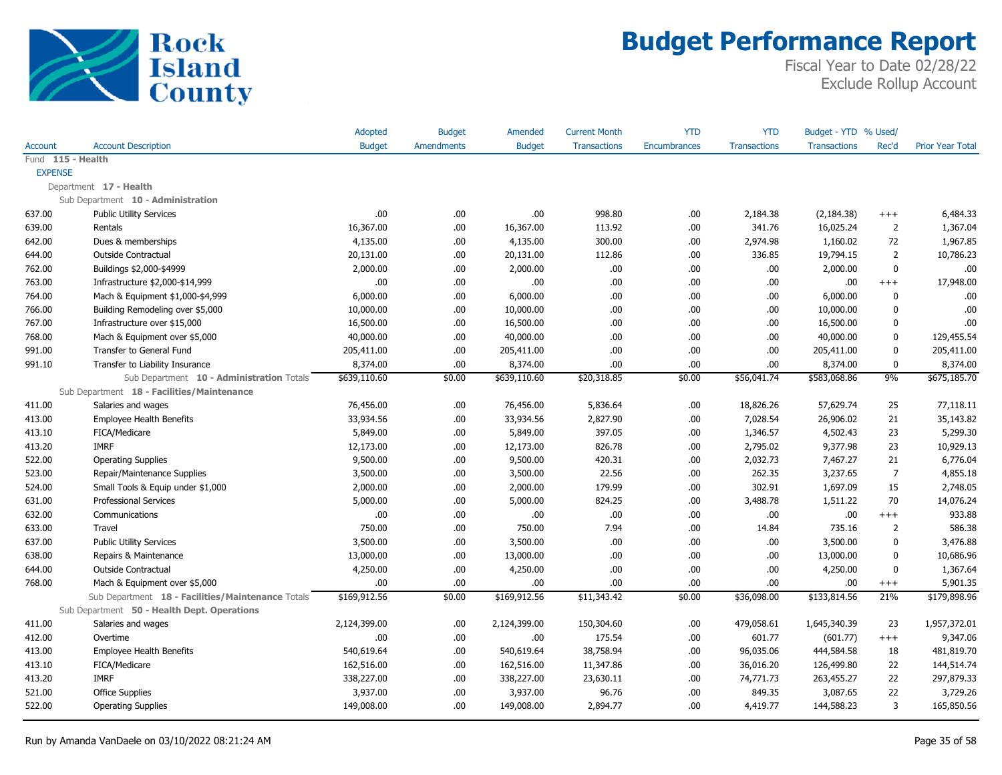

|                |                                                   | Adopted       | <b>Budget</b>     | Amended       | <b>Current Month</b> | <b>YTD</b>   | <b>YTD</b>          | Budget - YTD % Used/ |                |                         |
|----------------|---------------------------------------------------|---------------|-------------------|---------------|----------------------|--------------|---------------------|----------------------|----------------|-------------------------|
| <b>Account</b> | <b>Account Description</b>                        | <b>Budget</b> | <b>Amendments</b> | <b>Budget</b> | <b>Transactions</b>  | Encumbrances | <b>Transactions</b> | <b>Transactions</b>  | Rec'd          | <b>Prior Year Total</b> |
|                | Fund 115 - Health                                 |               |                   |               |                      |              |                     |                      |                |                         |
| <b>EXPENSE</b> |                                                   |               |                   |               |                      |              |                     |                      |                |                         |
|                | Department 17 - Health                            |               |                   |               |                      |              |                     |                      |                |                         |
|                | Sub Department 10 - Administration                |               |                   |               |                      |              |                     |                      |                |                         |
| 637.00         | <b>Public Utility Services</b>                    | .00           | .00.              | .00.          | 998.80               | .00          | 2,184.38            | (2, 184.38)          | $^{+++}$       | 6,484.33                |
| 639.00         | Rentals                                           | 16,367.00     | .00.              | 16,367.00     | 113.92               | .00          | 341.76              | 16,025.24            | $\overline{2}$ | 1,367.04                |
| 642.00         | Dues & memberships                                | 4,135.00      | .00.              | 4,135.00      | 300.00               | .00          | 2,974.98            | 1,160.02             | 72             | 1,967.85                |
| 644.00         | Outside Contractual                               | 20,131.00     | .00.              | 20,131.00     | 112.86               | .00          | 336.85              | 19,794.15            | $\overline{2}$ | 10,786.23               |
| 762.00         | Buildings \$2,000-\$4999                          | 2,000.00      | .00.              | 2,000.00      | .00.                 | .00          | .00.                | 2,000.00             | $\mathbf{0}$   | .00                     |
| 763.00         | Infrastructure \$2,000-\$14,999                   | .00.          | .00.              | .00           | .00                  | .00          | .00.                | .00                  | $^{+++}$       | 17,948.00               |
| 764.00         | Mach & Equipment \$1,000-\$4,999                  | 6,000.00      | .00.              | 6,000.00      | .00.                 | .00          | .00.                | 6,000.00             | $\mathbf{0}$   | .00                     |
| 766.00         | Building Remodeling over \$5,000                  | 10,000.00     | .00.              | 10,000.00     | .00.                 | .00          | .00.                | 10,000.00            | $\mathbf{0}$   | .00                     |
| 767.00         | Infrastructure over \$15,000                      | 16,500.00     | .00.              | 16,500.00     | .00.                 | .00          | .00.                | 16,500.00            | $\mathbf{0}$   | .00                     |
| 768.00         | Mach & Equipment over \$5,000                     | 40,000.00     | .00.              | 40,000.00     | .00.                 | .00          | .00.                | 40,000.00            | 0              | 129,455.54              |
| 991.00         | Transfer to General Fund                          | 205,411.00    | .00.              | 205,411.00    | .00.                 | .00          | .00.                | 205,411.00           | $\mathbf 0$    | 205,411.00              |
| 991.10         | Transfer to Liability Insurance                   | 8,374.00      | .00.              | 8,374.00      | .00.                 | .00          | .00.                | 8,374.00             | $\mathbf 0$    | 8,374.00                |
|                | Sub Department 10 - Administration Totals         | \$639,110.60  | \$0.00            | \$639,110.60  | \$20,318.85          | \$0.00       | \$56,041.74         | \$583,068.86         | 9%             | \$675,185.70            |
|                | Sub Department 18 - Facilities/Maintenance        |               |                   |               |                      |              |                     |                      |                |                         |
| 411.00         | Salaries and wages                                | 76,456.00     | .00.              | 76,456.00     | 5,836.64             | .00          | 18,826.26           | 57,629.74            | 25             | 77,118.11               |
| 413.00         | <b>Employee Health Benefits</b>                   | 33,934.56     | .00.              | 33,934.56     | 2,827.90             | .00          | 7,028.54            | 26,906.02            | 21             | 35,143.82               |
| 413.10         | FICA/Medicare                                     | 5,849.00      | .00.              | 5,849.00      | 397.05               | .00          | 1,346.57            | 4,502.43             | 23             | 5,299.30                |
| 413.20         | <b>IMRF</b>                                       | 12,173.00     | .00.              | 12,173.00     | 826.78               | .00          | 2,795.02            | 9,377.98             | 23             | 10,929.13               |
| 522.00         | <b>Operating Supplies</b>                         | 9,500.00      | .00.              | 9,500.00      | 420.31               | .00          | 2,032.73            | 7,467.27             | 21             | 6,776.04                |
| 523.00         | Repair/Maintenance Supplies                       | 3,500.00      | .00.              | 3,500.00      | 22.56                | .00          | 262.35              | 3,237.65             | $\overline{7}$ | 4,855.18                |
| 524.00         | Small Tools & Equip under \$1,000                 | 2,000.00      | .00.              | 2,000.00      | 179.99               | .00          | 302.91              | 1,697.09             | 15             | 2,748.05                |
| 631.00         | <b>Professional Services</b>                      | 5,000.00      | .00.              | 5,000.00      | 824.25               | .00          | 3,488.78            | 1,511.22             | 70             | 14,076.24               |
| 632.00         | Communications                                    | .00           | .00.              | .00.          | .00.                 | .00          | .00.                | .00                  | $+++$          | 933.88                  |
| 633.00         | Travel                                            | 750.00        | .00.              | 750.00        | 7.94                 | .00          | 14.84               | 735.16               | $\overline{2}$ | 586.38                  |
| 637.00         | <b>Public Utility Services</b>                    | 3,500.00      | .00.              | 3,500.00      | .00.                 | .00          | .00.                | 3,500.00             | $\mathbf{0}$   | 3,476.88                |
| 638.00         | Repairs & Maintenance                             | 13,000.00     | .00               | 13,000.00     | .00.                 | .00          | .00                 | 13,000.00            | $\mathbf 0$    | 10,686.96               |
| 644.00         | <b>Outside Contractual</b>                        | 4,250.00      | .00.              | 4,250.00      | .00.                 | .00          | .00.                | 4,250.00             | $\mathbf 0$    | 1,367.64                |
| 768.00         | Mach & Equipment over \$5,000                     | .00           | .00.              | .00.          | .00.                 | .00          | .00.                | .00                  | $^{+++}$       | 5,901.35                |
|                | Sub Department 18 - Facilities/Maintenance Totals | \$169,912.56  | \$0.00            | \$169,912.56  | \$11,343.42          | \$0.00       | \$36,098.00         | \$133,814.56         | 21%            | \$179,898.96            |
|                | Sub Department 50 - Health Dept. Operations       |               |                   |               |                      |              |                     |                      |                |                         |
| 411.00         | Salaries and wages                                | 2,124,399.00  | .00.              | 2,124,399.00  | 150,304.60           | .00          | 479,058.61          | 1,645,340.39         | 23             | 1,957,372.01            |
| 412.00         | Overtime                                          | .00           | .00.              | .00           | 175.54               | .00          | 601.77              | (601.77)             | $^{+++}$       | 9,347.06                |
| 413.00         | <b>Employee Health Benefits</b>                   | 540,619.64    | .00.              | 540,619.64    | 38,758.94            | .00          | 96,035.06           | 444,584.58           | 18             | 481,819.70              |
| 413.10         | FICA/Medicare                                     | 162,516.00    | .00.              | 162,516.00    | 11,347.86            | .00          | 36,016.20           | 126,499.80           | 22             | 144,514.74              |
| 413.20         | <b>IMRF</b>                                       | 338,227.00    | .00.              | 338,227.00    | 23,630.11            | .00          | 74,771.73           | 263,455.27           | 22             | 297,879.33              |
| 521.00         | <b>Office Supplies</b>                            | 3,937.00      | .00.              | 3,937.00      | 96.76                | .00          | 849.35              | 3,087.65             | 22             | 3,729.26                |
| 522.00         | <b>Operating Supplies</b>                         | 149,008.00    | .00               | 149,008.00    | 2,894.77             | .00          | 4,419.77            | 144,588.23           | 3              | 165,850.56              |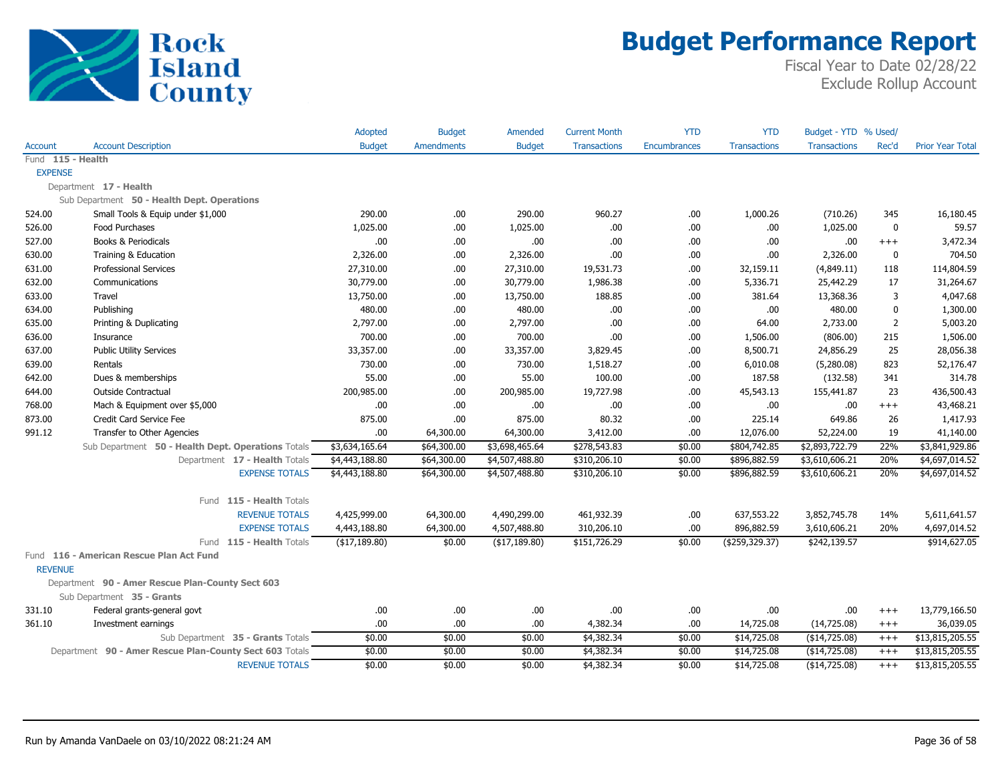

|                   |                                                         | Adopted          | <b>Budget</b>     | Amended        | <b>Current Month</b> | <b>YTD</b>   | <b>YTD</b>          | Budget - YTD % Used/ |                |                         |
|-------------------|---------------------------------------------------------|------------------|-------------------|----------------|----------------------|--------------|---------------------|----------------------|----------------|-------------------------|
| Account           | <b>Account Description</b>                              | <b>Budget</b>    | <b>Amendments</b> | <b>Budget</b>  | <b>Transactions</b>  | Encumbrances | <b>Transactions</b> | <b>Transactions</b>  | Rec'd          | <b>Prior Year Total</b> |
| Fund 115 - Health |                                                         |                  |                   |                |                      |              |                     |                      |                |                         |
| <b>EXPENSE</b>    |                                                         |                  |                   |                |                      |              |                     |                      |                |                         |
|                   | Department 17 - Health                                  |                  |                   |                |                      |              |                     |                      |                |                         |
|                   | Sub Department 50 - Health Dept. Operations             |                  |                   |                |                      |              |                     |                      |                |                         |
| 524.00            | Small Tools & Equip under \$1,000                       | 290.00           | .00.              | 290.00         | 960.27               | .00          | 1,000.26            | (710.26)             | 345            | 16,180.45               |
| 526.00            | Food Purchases                                          | 1,025.00         | .00.              | 1,025.00       | .00                  | .00          | .00                 | 1,025.00             | $\pmb{0}$      | 59.57                   |
| 527.00            | <b>Books &amp; Periodicals</b>                          | .00              | .00               | .00.           | .00                  | .00          | .00                 | .00                  | $^{+++}$       | 3,472.34                |
| 630.00            | Training & Education                                    | 2,326.00         | .00.              | 2,326.00       | .00                  | .00          | .00                 | 2,326.00             | 0              | 704.50                  |
| 631.00            | <b>Professional Services</b>                            | 27,310.00        | .00               | 27,310.00      | 19,531.73            | .00          | 32,159.11           | (4,849.11)           | 118            | 114,804.59              |
| 632.00            | Communications                                          | 30,779.00        | .00               | 30,779.00      | 1,986.38             | .00          | 5,336.71            | 25,442.29            | 17             | 31,264.67               |
| 633.00            | Travel                                                  | 13,750.00        | .00               | 13,750.00      | 188.85               | .00          | 381.64              | 13,368.36            | 3              | 4,047.68                |
| 634.00            | Publishing                                              | 480.00           | .00               | 480.00         | .00                  | .00          | .00                 | 480.00               | $\mathbf 0$    | 1,300.00                |
| 635.00            | Printing & Duplicating                                  | 2,797.00         | .00.              | 2,797.00       | .00                  | .00          | 64.00               | 2,733.00             | $\overline{2}$ | 5,003.20                |
| 636.00            | Insurance                                               | 700.00           | .00.              | 700.00         | .00                  | .00          | 1,506.00            | (806.00)             | 215            | 1,506.00                |
| 637.00            | <b>Public Utility Services</b>                          | 33,357.00        | .00.              | 33,357.00      | 3,829.45             | .00          | 8,500.71            | 24,856.29            | 25             | 28,056.38               |
| 639.00            | Rentals                                                 | 730.00           | .00.              | 730.00         | 1,518.27             | .00          | 6,010.08            | (5,280.08)           | 823            | 52,176.47               |
| 642.00            | Dues & memberships                                      | 55.00            | .00.              | 55.00          | 100.00               | .00          | 187.58              | (132.58)             | 341            | 314.78                  |
| 644.00            | <b>Outside Contractual</b>                              | 200,985.00       | .00.              | 200,985.00     | 19,727.98            | .00          | 45,543.13           | 155,441.87           | 23             | 436,500.43              |
| 768.00            | Mach & Equipment over \$5,000                           | .00              | .00               | .00            | .00                  | .00          | .00                 | .00                  | $++++$         | 43,468.21               |
| 873.00            | Credit Card Service Fee                                 | 875.00           | .00               | 875.00         | 80.32                | .00          | 225.14              | 649.86               | 26             | 1,417.93                |
| 991.12            | Transfer to Other Agencies                              | .00.             | 64,300.00         | 64,300.00      | 3,412.00             | .00          | 12,076.00           | 52,224.00            | 19             | 41,140.00               |
|                   | Sub Department 50 - Health Dept. Operations Totals      | \$3,634,165.64   | \$64,300.00       | \$3,698,465.64 | \$278,543.83         | \$0.00       | \$804,742.85        | \$2,893,722.79       | 22%            | \$3,841,929.86          |
|                   | Department 17 - Health Totals                           | \$4,443,188.80   | \$64,300.00       | \$4,507,488.80 | \$310,206.10         | \$0.00       | \$896,882.59        | \$3,610,606.21       | 20%            | \$4,697,014.52          |
|                   | <b>EXPENSE TOTALS</b>                                   | \$4,443,188.80   | \$64,300.00       | \$4,507,488.80 | \$310,206.10         | \$0.00       | \$896,882.59        | \$3,610,606.21       | 20%            | \$4,697,014.52          |
|                   | Fund 115 - Health Totals                                |                  |                   |                |                      |              |                     |                      |                |                         |
|                   | <b>REVENUE TOTALS</b>                                   | 4,425,999.00     | 64,300.00         | 4,490,299.00   | 461,932.39           | .00          | 637,553.22          | 3,852,745.78         | 14%            | 5,611,641.57            |
|                   | <b>EXPENSE TOTALS</b>                                   | 4,443,188.80     | 64,300.00         | 4,507,488.80   | 310,206.10           | .00          | 896,882.59          | 3,610,606.21         | 20%            | 4,697,014.52            |
|                   | Fund 115 - Health Totals                                | $($ \$17,189.80) | \$0.00            | (\$17,189.80)  | \$151,726.29         | \$0.00       | ( \$259, 329.37)    | \$242,139.57         |                | \$914,627.05            |
|                   | Fund 116 - American Rescue Plan Act Fund                |                  |                   |                |                      |              |                     |                      |                |                         |
| <b>REVENUE</b>    |                                                         |                  |                   |                |                      |              |                     |                      |                |                         |
|                   | Department 90 - Amer Rescue Plan-County Sect 603        |                  |                   |                |                      |              |                     |                      |                |                         |
|                   | Sub Department 35 - Grants                              |                  |                   |                |                      |              |                     |                      |                |                         |
| 331.10            | Federal grants-general govt                             | .00              | .00               | .00.           | .00                  | .00          | .00                 | .00                  | $^{+++}$       | 13,779,166.50           |
| 361.10            | Investment earnings                                     | .00              | .00.              | .00.           | 4,382.34             | .00          | 14,725.08           | (14, 725.08)         | $^{+++}$       | 36,039.05               |
|                   | Sub Department 35 - Grants Totals                       | \$0.00           | \$0.00            | \$0.00         | \$4,382.34           | \$0.00       | \$14,725.08         | (\$14,725.08)        | $+++$          | \$13,815,205.55         |
|                   | Department 90 - Amer Rescue Plan-County Sect 603 Totals | \$0.00           | \$0.00            | \$0.00         | \$4,382.34           | \$0.00       | \$14,725.08         | (\$14,725.08)        | $^{+++}$       | \$13,815,205.55         |
|                   | <b>REVENUE TOTALS</b>                                   | \$0.00           | \$0.00            | \$0.00         | \$4,382.34           | \$0.00       | \$14,725.08         | (\$14,725.08)        | $+++$          | \$13,815,205.55         |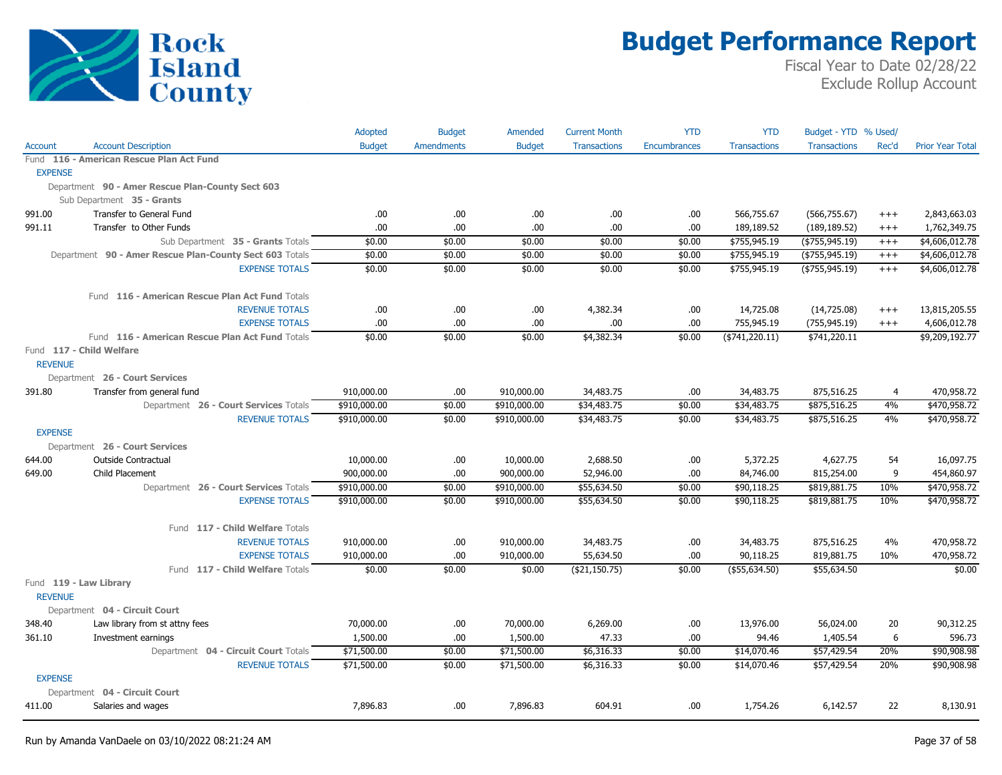

|                |                                                         | Adopted       | <b>Budget</b>     | Amended       | <b>Current Month</b> | <b>YTD</b>   | <b>YTD</b>          | Budget - YTD % Used/ |          |                         |
|----------------|---------------------------------------------------------|---------------|-------------------|---------------|----------------------|--------------|---------------------|----------------------|----------|-------------------------|
| Account        | <b>Account Description</b>                              | <b>Budget</b> | <b>Amendments</b> | <b>Budget</b> | <b>Transactions</b>  | Encumbrances | <b>Transactions</b> | <b>Transactions</b>  | Rec'd    | <b>Prior Year Total</b> |
|                | Fund 116 - American Rescue Plan Act Fund                |               |                   |               |                      |              |                     |                      |          |                         |
| <b>EXPENSE</b> |                                                         |               |                   |               |                      |              |                     |                      |          |                         |
|                | Department 90 - Amer Rescue Plan-County Sect 603        |               |                   |               |                      |              |                     |                      |          |                         |
|                | Sub Department 35 - Grants                              |               |                   |               |                      |              |                     |                      |          |                         |
| 991.00         | Transfer to General Fund                                | .00.          | .00.              | .00.          | .00                  | .00.         | 566,755.67          | (566, 755.67)        | $+++$    | 2,843,663.03            |
| 991.11         | Transfer to Other Funds                                 | .00.          | .00.              | .00           | .00                  | .00          | 189,189.52          | (189, 189.52)        | $^{+++}$ | 1,762,349.75            |
|                | Sub Department 35 - Grants Totals                       | \$0.00        | \$0.00            | \$0.00        | \$0.00               | \$0.00       | \$755,945.19        | $($ \$755,945.19)    | $^{+++}$ | \$4,606,012.78          |
|                | Department 90 - Amer Rescue Plan-County Sect 603 Totals | \$0.00        | \$0.00            | \$0.00        | \$0.00               | \$0.00       | \$755,945.19        | $($ \$755,945.19)    | $^{+++}$ | \$4,606,012.78          |
|                | <b>EXPENSE TOTALS</b>                                   | \$0.00        | \$0.00            | \$0.00        | \$0.00               | \$0.00       | \$755,945.19        | $($ \$755,945.19)    | $+++$    | \$4,606,012.78          |
|                | Fund 116 - American Rescue Plan Act Fund Totals         |               |                   |               |                      |              |                     |                      |          |                         |
|                | <b>REVENUE TOTALS</b>                                   | .00           | .00.              | .00.          | 4,382.34             | .00.         | 14,725.08           | (14,725.08)          | $^{+++}$ | 13,815,205.55           |
|                | <b>EXPENSE TOTALS</b>                                   | .00.          | .00.              | .00           | .00                  | .00          | 755,945.19          | (755, 945.19)        | $^{+++}$ | 4,606,012.78            |
|                | Fund 116 - American Rescue Plan Act Fund Totals         | \$0.00        | \$0.00            | \$0.00        | \$4,382.34           | \$0.00       | $($ \$741,220.11)   | \$741,220.11         |          | \$9,209,192.77          |
|                | Fund 117 - Child Welfare                                |               |                   |               |                      |              |                     |                      |          |                         |
| <b>REVENUE</b> |                                                         |               |                   |               |                      |              |                     |                      |          |                         |
|                | Department 26 - Court Services                          |               |                   |               |                      |              |                     |                      |          |                         |
| 391.80         | Transfer from general fund                              | 910,000.00    | .00.              | 910,000.00    | 34,483.75            | .00          | 34,483.75           | 875,516.25           | 4        | 470,958.72              |
|                | Department 26 - Court Services Totals                   | \$910,000.00  | \$0.00            | \$910,000.00  | \$34,483.75          | \$0.00       | \$34,483.75         | \$875,516.25         | 4%       | \$470,958.72            |
|                | <b>REVENUE TOTALS</b>                                   | \$910,000.00  | \$0.00            | \$910,000.00  | \$34,483.75          | \$0.00       | \$34,483.75         | \$875,516.25         | 4%       | \$470,958.72            |
| <b>EXPENSE</b> |                                                         |               |                   |               |                      |              |                     |                      |          |                         |
|                | Department 26 - Court Services                          |               |                   |               |                      |              |                     |                      |          |                         |
| 644.00         | <b>Outside Contractual</b>                              | 10,000.00     | .00.              | 10,000.00     | 2,688.50             | .00          | 5,372.25            | 4,627.75             | 54       | 16,097.75               |
| 649.00         | Child Placement                                         | 900,000.00    | .00.              | 900,000.00    | 52,946.00            | .00          | 84,746.00           | 815,254.00           | 9        | 454,860.97              |
|                | Department 26 - Court Services Totals                   | \$910,000.00  | \$0.00            | \$910,000.00  | \$55,634.50          | \$0.00       | \$90,118.25         | \$819,881.75         | 10%      | \$470,958.72            |
|                | <b>EXPENSE TOTALS</b>                                   | \$910,000.00  | \$0.00            | \$910,000.00  | \$55,634.50          | \$0.00       | \$90,118.25         | \$819,881.75         | 10%      | \$470,958.72            |
|                | Fund 117 - Child Welfare Totals                         |               |                   |               |                      |              |                     |                      |          |                         |
|                | <b>REVENUE TOTALS</b>                                   | 910,000.00    | .00.              | 910,000.00    | 34,483.75            | .00          | 34,483.75           | 875,516.25           | 4%       | 470,958.72              |
|                | <b>EXPENSE TOTALS</b>                                   | 910,000.00    | .00               | 910,000.00    | 55,634.50            | .00          | 90,118.25           | 819,881.75           | 10%      | 470,958.72              |
|                | Fund 117 - Child Welfare Totals                         | \$0.00        | \$0.00            | \$0.00        | ( \$21,150.75)       | \$0.00       | (\$55,634.50)       | \$55,634.50          |          | \$0.00                  |
|                | Fund 119 - Law Library                                  |               |                   |               |                      |              |                     |                      |          |                         |
| <b>REVENUE</b> |                                                         |               |                   |               |                      |              |                     |                      |          |                         |
|                | Department 04 - Circuit Court                           |               |                   |               |                      |              |                     |                      |          |                         |
| 348.40         | Law library from st attny fees                          | 70,000.00     | .00.              | 70,000.00     | 6,269.00             | .00          | 13,976.00           | 56,024.00            | 20       | 90,312.25               |
| 361.10         | Investment earnings                                     | 1,500.00      | .00.              | 1,500.00      | 47.33                | .00          | 94.46               | 1,405.54             | 6        | 596.73                  |
|                | Department 04 - Circuit Court Totals                    | \$71,500.00   | \$0.00            | \$71,500.00   | \$6,316.33           | \$0.00       | \$14,070.46         | \$57,429.54          | 20%      | \$90,908.98             |
|                | <b>REVENUE TOTALS</b>                                   | \$71,500.00   | \$0.00            | \$71,500.00   | \$6,316.33           | \$0.00       | \$14,070.46         | \$57,429.54          | 20%      | \$90,908.98             |
| <b>EXPENSE</b> |                                                         |               |                   |               |                      |              |                     |                      |          |                         |
|                | Department 04 - Circuit Court                           |               |                   |               | 604.91               |              |                     |                      | 22       |                         |
| 411.00         | Salaries and wages                                      | 7,896.83      | .00.              | 7,896.83      |                      | .00          | 1,754.26            | 6,142.57             |          | 8,130.91                |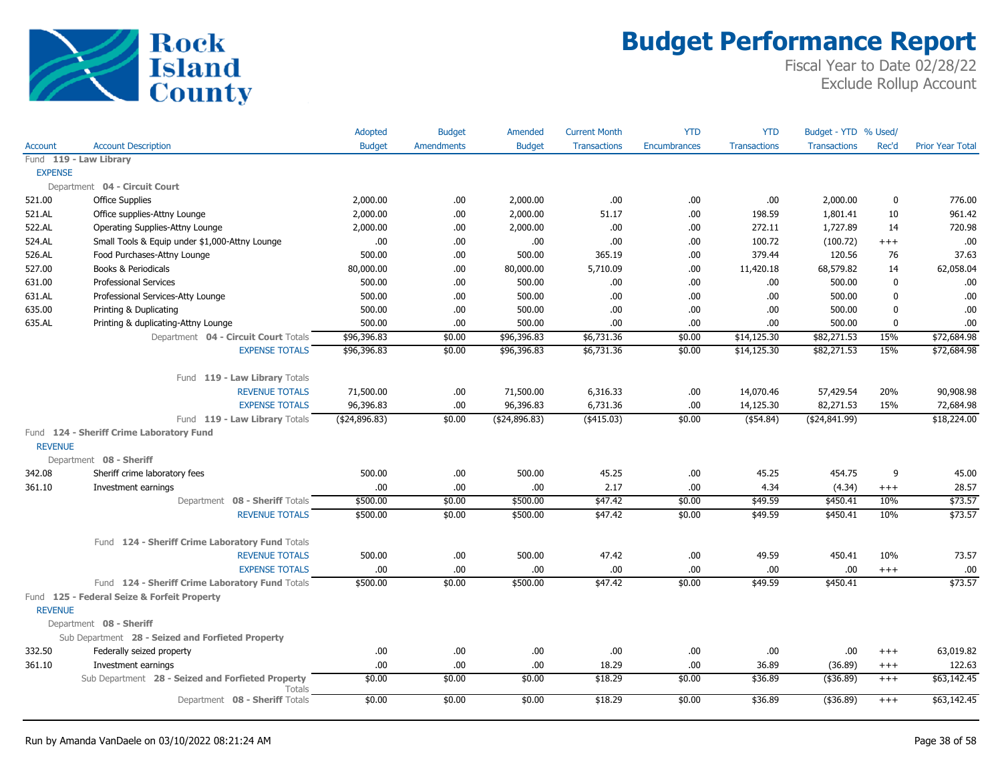

|                |                                                             | Adopted         | <b>Budget</b>     | Amended         | <b>Current Month</b> | <b>YTD</b>          | <b>YTD</b>          | Budget - YTD % Used/ |             |                         |
|----------------|-------------------------------------------------------------|-----------------|-------------------|-----------------|----------------------|---------------------|---------------------|----------------------|-------------|-------------------------|
| Account        | <b>Account Description</b>                                  | <b>Budget</b>   | <b>Amendments</b> | <b>Budget</b>   | <b>Transactions</b>  | <b>Encumbrances</b> | <b>Transactions</b> | <b>Transactions</b>  | Rec'd       | <b>Prior Year Total</b> |
|                | Fund 119 - Law Library                                      |                 |                   |                 |                      |                     |                     |                      |             |                         |
| <b>EXPENSE</b> |                                                             |                 |                   |                 |                      |                     |                     |                      |             |                         |
|                | Department 04 - Circuit Court                               |                 |                   |                 |                      |                     |                     |                      |             |                         |
| 521.00         | <b>Office Supplies</b>                                      | 2,000.00        | .00.              | 2,000.00        | .00.                 | .00.                | .00                 | 2,000.00             | $\mathbf 0$ | 776.00                  |
| 521.AL         | Office supplies-Attny Lounge                                | 2,000.00        | .00               | 2,000.00        | 51.17                | .00.                | 198.59              | 1,801.41             | 10          | 961.42                  |
| 522.AL         | Operating Supplies-Attny Lounge                             | 2,000.00        | .00.              | 2,000.00        | .00.                 | .00.                | 272.11              | 1,727.89             | 14          | 720.98                  |
| 524.AL         | Small Tools & Equip under \$1,000-Attny Lounge              | .00             | .00.              | .00.            | .00                  | .00                 | 100.72              | (100.72)             | $+++$       | .00                     |
| 526.AL         | Food Purchases-Attny Lounge                                 | 500.00          | .00               | 500.00          | 365.19               | .00                 | 379.44              | 120.56               | 76          | 37.63                   |
| 527.00         | Books & Periodicals                                         | 80,000.00       | .00               | 80,000.00       | 5,710.09             | .00.                | 11,420.18           | 68,579.82            | 14          | 62,058.04               |
| 631.00         | <b>Professional Services</b>                                | 500.00          | .00               | 500.00          | .00.                 | .00.                | .00                 | 500.00               | $\mathbf 0$ | .00                     |
| 631.AL         | Professional Services-Atty Lounge                           | 500.00          | .00               | 500.00          | .00.                 | .00.                | .00                 | 500.00               | $\mathbf 0$ | .00                     |
| 635.00         | Printing & Duplicating                                      | 500.00          | .00               | 500.00          | .00.                 | .00.                | .00                 | 500.00               | $\mathbf 0$ | .00.                    |
| 635.AL         | Printing & duplicating-Attny Lounge                         | 500.00          | .00.              | 500.00          | .00.                 | .00.                | .00                 | 500.00               | $\mathbf 0$ | .00                     |
|                | Department 04 - Circuit Court Totals                        | \$96,396.83     | \$0.00            | \$96,396.83     | \$6,731.36           | \$0.00              | \$14,125.30         | \$82,271.53          | 15%         | \$72,684.98             |
|                | <b>EXPENSE TOTALS</b>                                       | \$96,396.83     | \$0.00            | \$96,396.83     | \$6,731.36           | \$0.00              | \$14,125.30         | \$82,271.53          | 15%         | \$72,684.98             |
|                | Fund 119 - Law Library Totals                               |                 |                   |                 |                      |                     |                     |                      |             |                         |
|                | <b>REVENUE TOTALS</b>                                       | 71,500.00       | .00               | 71,500.00       | 6,316.33             | .00.                | 14,070.46           | 57,429.54            | 20%         | 90,908.98               |
|                | <b>EXPENSE TOTALS</b>                                       | 96,396.83       | .00               | 96,396.83       | 6,731.36             | .00.                | 14,125.30           | 82,271.53            | 15%         | 72,684.98               |
|                | Fund 119 - Law Library Totals                               | ( \$24, 896.83) | \$0.00            | ( \$24, 896.83) | $($ \$415.03)        | \$0.00              | $($ \$54.84)        | ( \$24, 841.99)      |             | \$18,224.00             |
|                | Fund 124 - Sheriff Crime Laboratory Fund                    |                 |                   |                 |                      |                     |                     |                      |             |                         |
| <b>REVENUE</b> |                                                             |                 |                   |                 |                      |                     |                     |                      |             |                         |
|                | Department 08 - Sheriff                                     |                 |                   |                 |                      |                     |                     |                      |             |                         |
| 342.08         | Sheriff crime laboratory fees                               | 500.00          | .00               | 500.00          | 45.25                | .00.                | 45.25               | 454.75               | 9           | 45.00                   |
| 361.10         | Investment earnings                                         | .00             | .00               | .00             | 2.17                 | .00.                | 4.34                | (4.34)               | $^{+++}$    | 28.57                   |
|                | Department 08 - Sheriff Totals                              | \$500.00        | \$0.00            | \$500.00        | \$47.42              | \$0.00              | \$49.59             | \$450.41             | 10%         | \$73.57                 |
|                | <b>REVENUE TOTALS</b>                                       | \$500.00        | \$0.00            | \$500.00        | \$47.42              | \$0.00              | \$49.59             | \$450.41             | 10%         | \$73.57                 |
|                | Fund 124 - Sheriff Crime Laboratory Fund Totals             |                 |                   |                 |                      |                     |                     |                      |             |                         |
|                | <b>REVENUE TOTALS</b>                                       | 500.00          | .00.              | 500.00          | 47.42                | .00                 | 49.59               | 450.41               | 10%         | 73.57                   |
|                | <b>EXPENSE TOTALS</b>                                       | .00.            | .00.              | .00.            | .00                  | .00                 | .00                 | .00                  | $^{+++}$    | .00                     |
|                | Fund 124 - Sheriff Crime Laboratory Fund Totals             | \$500.00        | \$0.00            | \$500.00        | \$47.42              | \$0.00              | \$49.59             | \$450.41             |             | \$73.57                 |
|                | Fund 125 - Federal Seize & Forfeit Property                 |                 |                   |                 |                      |                     |                     |                      |             |                         |
| <b>REVENUE</b> |                                                             |                 |                   |                 |                      |                     |                     |                      |             |                         |
|                | Department 08 - Sheriff                                     |                 |                   |                 |                      |                     |                     |                      |             |                         |
|                | Sub Department 28 - Seized and Forfieted Property           |                 |                   |                 |                      |                     |                     |                      |             |                         |
| 332.50         | Federally seized property                                   | .00.            | .00               | .00.            | .00                  | .00                 | .00                 | .00                  | $^{+++}$    | 63,019.82               |
| 361.10         | Investment earnings                                         | .00.            | .00.              | .00.            | 18.29                | .00.                | 36.89               | (36.89)              | $^{+++}$    | 122.63                  |
|                | Sub Department 28 - Seized and Forfieted Property<br>Totals | \$0.00          | \$0.00            | \$0.00          | \$18.29              | \$0.00              | \$36.89             | ( \$36.89)           | $^{+++}$    | \$63,142.45             |
|                | Department 08 - Sheriff Totals                              | \$0.00          | \$0.00            | \$0.00          | \$18.29              | \$0.00              | \$36.89             | ( \$36.89)           | $+++$       | \$63,142.45             |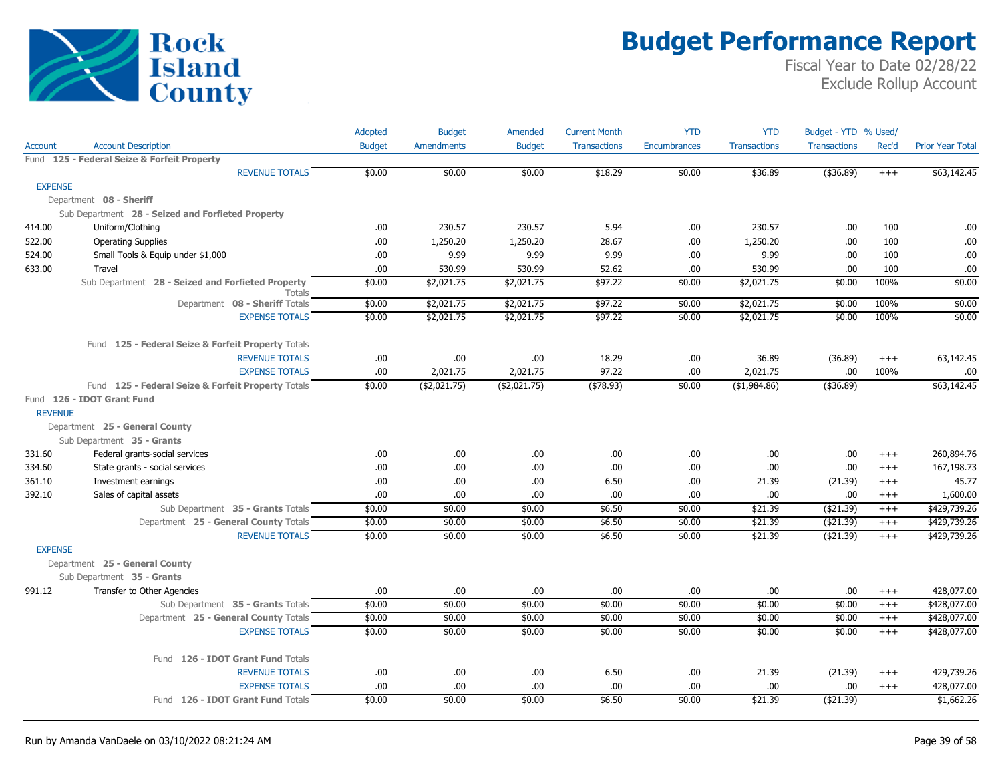

|                |                                                             | Adopted       | <b>Budget</b>     | Amended       | <b>Current Month</b> | <b>YTD</b>          | <b>YTD</b>          | Budget - YTD % Used/ |          |                         |
|----------------|-------------------------------------------------------------|---------------|-------------------|---------------|----------------------|---------------------|---------------------|----------------------|----------|-------------------------|
| Account        | <b>Account Description</b>                                  | <b>Budget</b> | <b>Amendments</b> | <b>Budget</b> | <b>Transactions</b>  | <b>Encumbrances</b> | <b>Transactions</b> | <b>Transactions</b>  | Rec'd    | <b>Prior Year Total</b> |
|                | Fund 125 - Federal Seize & Forfeit Property                 |               |                   |               |                      |                     |                     |                      |          |                         |
|                | <b>REVENUE TOTALS</b>                                       | \$0.00        | \$0.00            | \$0.00        | \$18.29              | \$0.00              | \$36.89             | ( \$36.89)           | $+++$    | \$63,142.45             |
| <b>EXPENSE</b> |                                                             |               |                   |               |                      |                     |                     |                      |          |                         |
|                | Department 08 - Sheriff                                     |               |                   |               |                      |                     |                     |                      |          |                         |
|                | Sub Department 28 - Seized and Forfieted Property           |               |                   |               |                      |                     |                     |                      |          |                         |
| 414.00         | Uniform/Clothing                                            | .00           | 230.57            | 230.57        | 5.94                 | .00.                | 230.57              | .00.                 | 100      | .00                     |
| 522.00         | <b>Operating Supplies</b>                                   | .00           | 1,250.20          | 1,250.20      | 28.67                | .00                 | 1,250.20            | .00.                 | 100      | .00                     |
| 524.00         | Small Tools & Equip under \$1,000                           | .00           | 9.99              | 9.99          | 9.99                 | .00                 | 9.99                | .00                  | 100      | .00                     |
| 633.00         | Travel                                                      | .00.          | 530.99            | 530.99        | 52.62                | .00                 | 530.99              | .00.                 | 100      | .00                     |
|                | Sub Department 28 - Seized and Forfieted Property<br>Totals | \$0.00        | \$2,021.75        | \$2,021.75    | \$97.22              | \$0.00              | \$2,021.75          | \$0.00               | 100%     | \$0.00                  |
|                | Department 08 - Sheriff Totals                              | \$0.00        | \$2,021.75        | \$2,021.75    | \$97.22              | \$0.00              | \$2,021.75          | \$0.00               | 100%     | \$0.00                  |
|                | <b>EXPENSE TOTALS</b>                                       | \$0.00        | \$2,021.75        | \$2,021.75    | \$97.22              | \$0.00              | \$2,021.75          | \$0.00               | 100%     | \$0.00                  |
|                | Fund 125 - Federal Seize & Forfeit Property Totals          |               |                   |               |                      |                     |                     |                      |          |                         |
|                | <b>REVENUE TOTALS</b>                                       | .00           | .00.              | .00.          | 18.29                | .00.                | 36.89               | (36.89)              | $^{+++}$ | 63,142.45               |
|                | <b>EXPENSE TOTALS</b>                                       | .00.          | 2,021.75          | 2,021.75      | 97.22                | .00                 | 2,021.75            | .00                  | 100%     | .00.                    |
|                | Fund 125 - Federal Seize & Forfeit Property Totals          | \$0.00        | $($ \$2,021.75)   | ( \$2,021.75) | ( \$78.93)           | \$0.00              | (\$1,984.86)        | (\$36.89)            |          | \$63,142.45             |
|                | Fund 126 - IDOT Grant Fund                                  |               |                   |               |                      |                     |                     |                      |          |                         |
| <b>REVENUE</b> |                                                             |               |                   |               |                      |                     |                     |                      |          |                         |
|                | Department 25 - General County                              |               |                   |               |                      |                     |                     |                      |          |                         |
|                | Sub Department 35 - Grants                                  |               |                   |               |                      |                     |                     |                      |          |                         |
| 331.60         | Federal grants-social services                              | .00           | .00.              | .00           | .00                  | .00.                | .00.                | .00.                 | $^{+++}$ | 260,894.76              |
| 334.60         | State grants - social services                              | .00.          | .00.              | .00.          | .00                  | .00                 | .00                 | .00                  | $^{+++}$ | 167,198.73              |
| 361.10         | Investment earnings                                         | .00           | .00.              | .00           | 6.50                 | .00                 | 21.39               | (21.39)              | $^{+++}$ | 45.77                   |
| 392.10         | Sales of capital assets                                     | .00           | .00.              | .00.          | .00.                 | .00.                | .00                 | .00                  | $^{+++}$ | 1,600.00                |
|                | Sub Department 35 - Grants Totals                           | \$0.00        | \$0.00            | \$0.00        | \$6.50               | \$0.00              | \$21.39             | (\$21.39)            | $^{+++}$ | \$429,739.26            |
|                | Department 25 - General County Totals                       | \$0.00        | \$0.00            | \$0.00        | \$6.50               | \$0.00              | \$21.39             | (\$21.39)            | $^{+++}$ | \$429,739.26            |
|                | <b>REVENUE TOTALS</b>                                       | \$0.00        | \$0.00            | \$0.00        | \$6.50               | \$0.00              | \$21.39             | (\$21.39)            | $^{+++}$ | \$429,739.26            |
| <b>EXPENSE</b> |                                                             |               |                   |               |                      |                     |                     |                      |          |                         |
|                | Department 25 - General County                              |               |                   |               |                      |                     |                     |                      |          |                         |
|                | Sub Department 35 - Grants                                  |               |                   |               |                      |                     |                     |                      |          |                         |
| 991.12         | Transfer to Other Agencies                                  | .00           | .00.              | .00.          | .00                  | .00                 | .00                 | .00                  | $^{+++}$ | 428,077.00              |
|                | Sub Department 35 - Grants Totals                           | \$0.00        | \$0.00            | \$0.00        | \$0.00               | \$0.00              | \$0.00              | \$0.00               | $^{+++}$ | \$428,077.00            |
|                | Department 25 - General County Totals                       | \$0.00        | \$0.00            | \$0.00        | \$0.00               | \$0.00              | \$0.00              | \$0.00               | $^{+++}$ | \$428,077.00            |
|                | <b>EXPENSE TOTALS</b>                                       | \$0.00        | \$0.00            | \$0.00        | \$0.00               | \$0.00              | \$0.00              | \$0.00               | $^{+++}$ | \$428,077.00            |
|                | Fund 126 - IDOT Grant Fund Totals                           |               |                   |               |                      |                     |                     |                      |          |                         |
|                | <b>REVENUE TOTALS</b>                                       | .00.          | .00.              | .00.          | 6.50                 | .00.                | 21.39               | (21.39)              | $^{+++}$ | 429,739.26              |
|                | <b>EXPENSE TOTALS</b>                                       | .00.          | .00.              | .00.          | .00                  | .00                 | .00                 | .00                  | $^{+++}$ | 428,077.00              |
|                | Fund 126 - IDOT Grant Fund Totals                           | \$0.00        | \$0.00            | \$0.00        | \$6.50               | \$0.00              | \$21.39             | ( \$21.39)           |          | \$1,662.26              |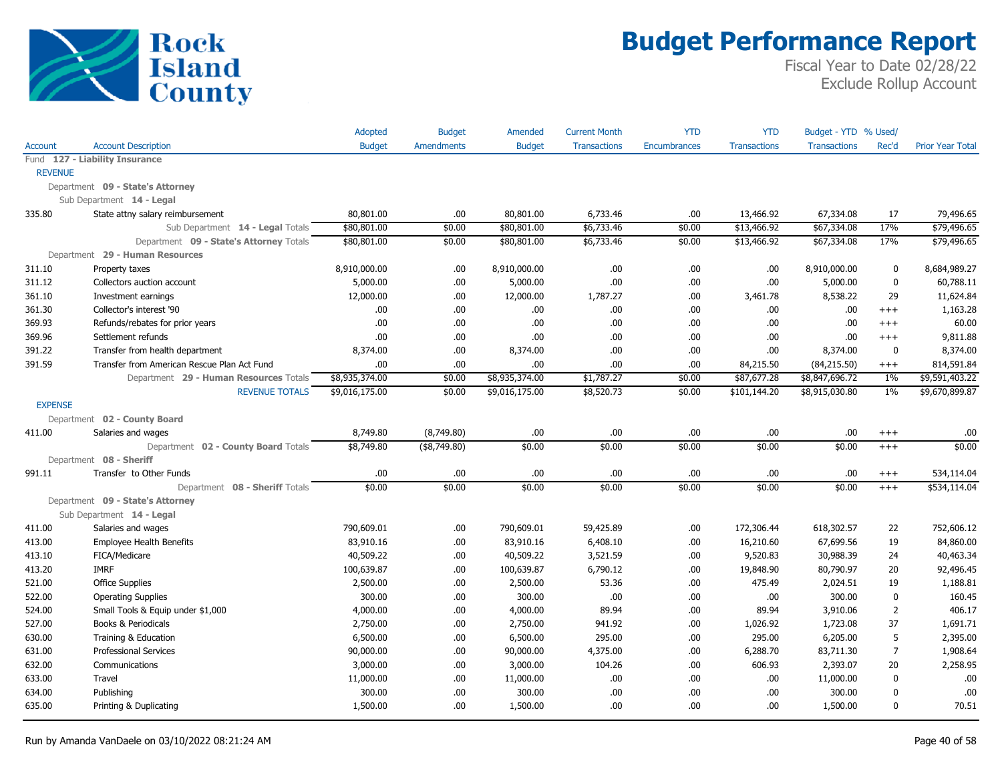

|                |                                             | Adopted        | <b>Budget</b>     | Amended        | <b>Current Month</b> | <b>YTD</b>   | <b>YTD</b>          | Budget - YTD % Used/ |                |                         |
|----------------|---------------------------------------------|----------------|-------------------|----------------|----------------------|--------------|---------------------|----------------------|----------------|-------------------------|
| Account        | <b>Account Description</b>                  | <b>Budget</b>  | <b>Amendments</b> | <b>Budget</b>  | <b>Transactions</b>  | Encumbrances | <b>Transactions</b> | <b>Transactions</b>  | Rec'd          | <b>Prior Year Total</b> |
|                | Fund 127 - Liability Insurance              |                |                   |                |                      |              |                     |                      |                |                         |
| <b>REVENUE</b> |                                             |                |                   |                |                      |              |                     |                      |                |                         |
|                | Department 09 - State's Attorney            |                |                   |                |                      |              |                     |                      |                |                         |
|                | Sub Department 14 - Legal                   |                |                   |                |                      |              |                     |                      |                |                         |
| 335.80         | State attny salary reimbursement            | 80,801.00      | .00.              | 80,801.00      | 6,733.46             | .00          | 13,466.92           | 67,334.08            | 17             | 79,496.65               |
|                | Sub Department 14 - Legal Totals            | \$80,801.00    | \$0.00            | \$80,801.00    | \$6,733.46           | \$0.00       | \$13,466.92         | \$67,334.08          | 17%            | \$79,496.65             |
|                | Department 09 - State's Attorney Totals     | \$80,801.00    | \$0.00            | \$80,801.00    | \$6,733.46           | \$0.00       | \$13,466.92         | \$67,334.08          | 17%            | \$79,496.65             |
|                | Department 29 - Human Resources             |                |                   |                |                      |              |                     |                      |                |                         |
| 311.10         | Property taxes                              | 8,910,000.00   | .00.              | 8,910,000.00   | .00                  | .00.         | .00.                | 8,910,000.00         | 0              | 8,684,989.27            |
| 311.12         | Collectors auction account                  | 5,000.00       | .00.              | 5,000.00       | .00                  | .00          | .00.                | 5,000.00             | $\mathbf 0$    | 60,788.11               |
| 361.10         | Investment earnings                         | 12,000.00      | .00.              | 12,000.00      | 1,787.27             | .00          | 3,461.78            | 8,538.22             | 29             | 11,624.84               |
| 361.30         | Collector's interest '90                    | .00.           | .00.              | .00            | .00.                 | .00          | .00                 | .00                  | $^{+++}$       | 1,163.28                |
| 369.93         | Refunds/rebates for prior years             | .00.           | .00.              | .00            | .00                  | .00          | .00.                | .00                  | $^{+++}$       | 60.00                   |
| 369.96         | Settlement refunds                          | .00.           | .00.              | .00            | .00                  | .00          | .00.                | .00                  | $^{+++}$       | 9,811.88                |
| 391.22         | Transfer from health department             | 8,374.00       | .00.              | 8,374.00       | .00                  | .00          | .00.                | 8,374.00             | $\mathbf{0}$   | 8,374.00                |
| 391.59         | Transfer from American Rescue Plan Act Fund | .00.           | .00.              | .00            | .00                  | .00          | 84,215.50           | (84, 215.50)         | $^{+++}$       | 814,591.84              |
|                | Department 29 - Human Resources Totals      | \$8,935,374.00 | \$0.00            | \$8,935,374.00 | \$1,787.27           | \$0.00       | \$87,677.28         | \$8,847,696.72       | 1%             | \$9,591,403.22          |
|                | <b>REVENUE TOTALS</b>                       | \$9,016,175.00 | \$0.00            | \$9,016,175.00 | \$8,520.73           | \$0.00       | \$101,144.20        | \$8,915,030.80       | $1\%$          | \$9,670,899.87          |
| <b>EXPENSE</b> |                                             |                |                   |                |                      |              |                     |                      |                |                         |
|                | Department 02 - County Board                |                |                   |                |                      |              |                     |                      |                |                         |
| 411.00         | Salaries and wages                          | 8,749.80       | (8,749.80)        | .00            | .00                  | .00          | .00.                | .00                  | $^{+++}$       | .00                     |
|                | Department 02 - County Board Totals         | \$8,749.80     | (\$8,749.80)      | \$0.00         | \$0.00               | \$0.00       | \$0.00              | \$0.00               | $+++$          | \$0.00                  |
|                | Department 08 - Sheriff                     |                |                   |                |                      |              |                     |                      |                |                         |
| 991.11         | Transfer to Other Funds                     | .00.           | .00               | .00            | .00                  | .00          | .00.                | .00                  | $^{+++}$       | 534,114.04              |
|                | Department 08 - Sheriff Totals              | \$0.00         | \$0.00            | \$0.00         | \$0.00               | \$0.00       | \$0.00              | \$0.00               | $^{+++}$       | \$534,114.04            |
|                | Department 09 - State's Attorney            |                |                   |                |                      |              |                     |                      |                |                         |
|                | Sub Department 14 - Legal                   |                |                   |                |                      |              |                     |                      |                |                         |
| 411.00         | Salaries and wages                          | 790,609.01     | .00               | 790,609.01     | 59,425.89            | .00          | 172,306.44          | 618,302.57           | 22             | 752,606.12              |
| 413.00         | <b>Employee Health Benefits</b>             | 83,910.16      | .00.              | 83,910.16      | 6,408.10             | .00          | 16,210.60           | 67,699.56            | 19             | 84,860.00               |
| 413.10         | FICA/Medicare                               | 40,509.22      | .00.              | 40,509.22      | 3,521.59             | .00.         | 9,520.83            | 30,988.39            | 24             | 40,463.34               |
| 413.20         | <b>IMRF</b>                                 | 100,639.87     | .00.              | 100,639.87     | 6,790.12             | .00          | 19,848.90           | 80,790.97            | 20             | 92,496.45               |
| 521.00         | <b>Office Supplies</b>                      | 2,500.00       | .00               | 2,500.00       | 53.36                | .00          | 475.49              | 2,024.51             | 19             | 1,188.81                |
| 522.00         | <b>Operating Supplies</b>                   | 300.00         | .00.              | 300.00         | .00                  | .00          | .00.                | 300.00               | 0              | 160.45                  |
| 524.00         | Small Tools & Equip under \$1,000           | 4,000.00       | .00.              | 4,000.00       | 89.94                | .00          | 89.94               | 3,910.06             | $\overline{2}$ | 406.17                  |
| 527.00         | Books & Periodicals                         | 2,750.00       | .00.              | 2,750.00       | 941.92               | .00          | 1,026.92            | 1,723.08             | 37             | 1,691.71                |
| 630.00         | Training & Education                        | 6,500.00       | .00.              | 6,500.00       | 295.00               | .00          | 295.00              | 6,205.00             | 5              | 2,395.00                |
| 631.00         | <b>Professional Services</b>                | 90,000.00      | .00.              | 90,000.00      | 4,375.00             | .00          | 6,288.70            | 83,711.30            | 7              | 1,908.64                |
| 632.00         | Communications                              | 3,000.00       | .00.              | 3,000.00       | 104.26               | .00          | 606.93              | 2,393.07             | 20             | 2,258.95                |
| 633.00         | Travel                                      | 11,000.00      | .00.              | 11,000.00      | .00                  | .00          | .00.                | 11,000.00            | $\mathbf 0$    | .00                     |
| 634.00         | Publishing                                  | 300.00         | .00               | 300.00         | .00                  | .00          | .00.                | 300.00               | $\mathbf{0}$   | .00                     |
| 635.00         | Printing & Duplicating                      | 1,500.00       | .00               | 1,500.00       | .00.                 | .00          | .00                 | 1,500.00             | $\mathbf{0}$   | 70.51                   |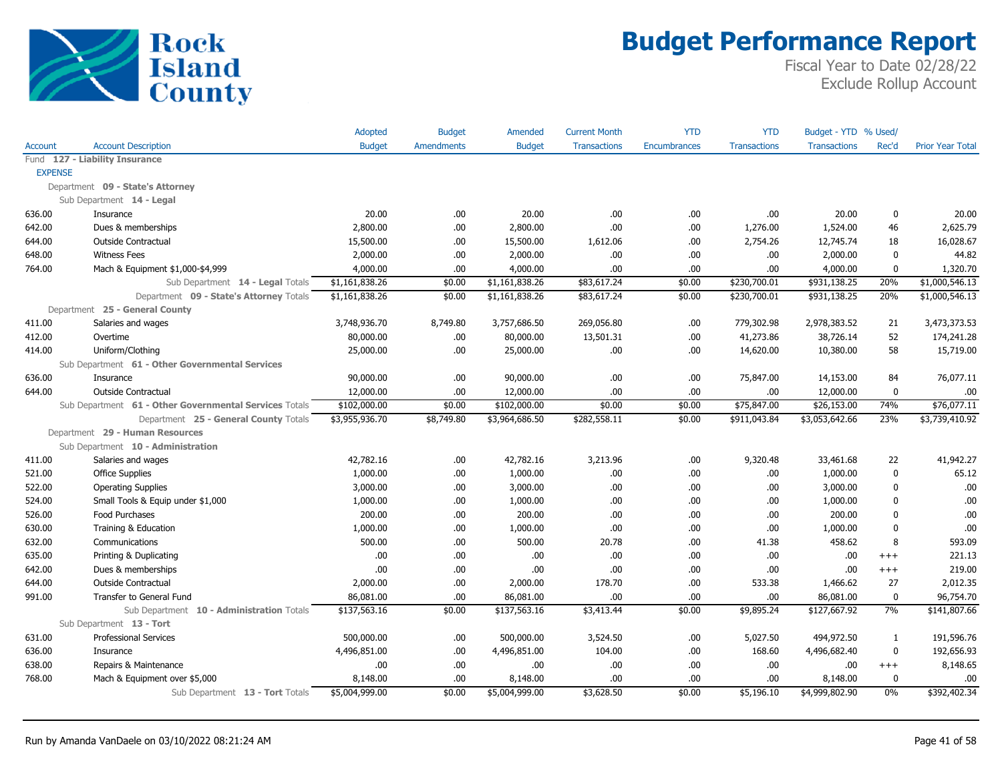

|                |                                                        | Adopted        | <b>Budget</b>     | Amended        | <b>Current Month</b> | <b>YTD</b>   | <b>YTD</b>          | Budget - YTD % Used/ |              |                         |
|----------------|--------------------------------------------------------|----------------|-------------------|----------------|----------------------|--------------|---------------------|----------------------|--------------|-------------------------|
| <b>Account</b> | <b>Account Description</b>                             | <b>Budget</b>  | <b>Amendments</b> | <b>Budget</b>  | <b>Transactions</b>  | Encumbrances | <b>Transactions</b> | <b>Transactions</b>  | Rec'd        | <b>Prior Year Total</b> |
|                | Fund 127 - Liability Insurance                         |                |                   |                |                      |              |                     |                      |              |                         |
| <b>EXPENSE</b> |                                                        |                |                   |                |                      |              |                     |                      |              |                         |
|                | Department 09 - State's Attorney                       |                |                   |                |                      |              |                     |                      |              |                         |
|                | Sub Department 14 - Legal                              |                |                   |                |                      |              |                     |                      |              |                         |
| 636.00         | Insurance                                              | 20.00          | .00               | 20.00          | .00.                 | .00          | .00                 | 20.00                | $\mathbf{0}$ | 20.00                   |
| 642.00         | Dues & memberships                                     | 2,800.00       | .00               | 2,800.00       | .00                  | .00          | 1,276.00            | 1,524.00             | 46           | 2,625.79                |
| 644.00         | Outside Contractual                                    | 15,500.00      | 00.               | 15,500.00      | 1,612.06             | .00          | 2,754.26            | 12,745.74            | 18           | 16,028.67               |
| 648.00         | <b>Witness Fees</b>                                    | 2,000.00       | .00               | 2,000.00       | .00                  | .00          | .00                 | 2,000.00             | $\mathbf{0}$ | 44.82                   |
| 764.00         | Mach & Equipment \$1,000-\$4,999                       | 4,000.00       | .00.              | 4,000.00       | .00.                 | .00          | .00                 | 4,000.00             | $\mathbf{0}$ | 1,320.70                |
|                | Sub Department 14 - Legal Totals                       | \$1,161,838.26 | \$0.00            | \$1,161,838.26 | \$83,617.24          | \$0.00       | \$230,700.01        | \$931,138.25         | 20%          | \$1,000,546.13          |
|                | Department 09 - State's Attorney Totals                | \$1,161,838.26 | \$0.00            | \$1,161,838.26 | \$83,617.24          | \$0.00       | \$230,700.01        | \$931,138.25         | 20%          | \$1,000,546.13          |
|                | Department 25 - General County                         |                |                   |                |                      |              |                     |                      |              |                         |
| 411.00         | Salaries and wages                                     | 3,748,936.70   | 8,749.80          | 3,757,686.50   | 269,056.80           | .00          | 779,302.98          | 2,978,383.52         | 21           | 3,473,373.53            |
| 412.00         | Overtime                                               | 80,000.00      | .00.              | 80,000.00      | 13,501.31            | .00          | 41,273.86           | 38,726.14            | 52           | 174,241.28              |
| 414.00         | Uniform/Clothing                                       | 25,000.00      | 00.               | 25,000.00      | .00.                 | .00.         | 14,620.00           | 10,380.00            | 58           | 15,719.00               |
|                | Sub Department 61 - Other Governmental Services        |                |                   |                |                      |              |                     |                      |              |                         |
| 636.00         | Insurance                                              | 90,000.00      | .00               | 90,000.00      | .00.                 | .00          | 75,847.00           | 14,153.00            | 84           | 76,077.11               |
| 644.00         | <b>Outside Contractual</b>                             | 12,000.00      | .00.              | 12,000.00      | .00.                 | .00          | .00                 | 12,000.00            | $\mathbf 0$  | .00                     |
|                | Sub Department 61 - Other Governmental Services Totals | \$102,000.00   | \$0.00            | \$102,000.00   | \$0.00               | \$0.00       | \$75,847.00         | \$26,153.00          | 74%          | \$76,077.11             |
|                | Department 25 - General County Totals                  | \$3,955,936.70 | \$8,749.80        | \$3,964,686.50 | \$282,558.11         | \$0.00       | \$911,043.84        | \$3,053,642.66       | 23%          | \$3,739,410.92          |
|                | Department 29 - Human Resources                        |                |                   |                |                      |              |                     |                      |              |                         |
|                | Sub Department 10 - Administration                     |                |                   |                |                      |              |                     |                      |              |                         |
| 411.00         | Salaries and wages                                     | 42,782.16      | .00               | 42,782.16      | 3,213.96             | .00.         | 9,320.48            | 33,461.68            | 22           | 41,942.27               |
| 521.00         | <b>Office Supplies</b>                                 | 1,000.00       | .00               | 1,000.00       | .00                  | .00          | .00                 | 1,000.00             | $\mathbf{0}$ | 65.12                   |
| 522.00         | <b>Operating Supplies</b>                              | 3,000.00       | .00.              | 3,000.00       | .00.                 | .00          | .00                 | 3,000.00             | 0            | .00                     |
| 524.00         | Small Tools & Equip under \$1,000                      | 1,000.00       | .00.              | 1,000.00       | .00.                 | .00          | .00                 | 1,000.00             | $\mathbf{0}$ | .00                     |
| 526.00         | Food Purchases                                         | 200.00         | .00.              | 200.00         | .00.                 | .00          | .00                 | 200.00               | $\mathbf{0}$ | .00                     |
| 630.00         | Training & Education                                   | 1,000.00       | .00               | 1,000.00       | .00.                 | .00          | .00                 | 1,000.00             | $\mathbf{0}$ | .00                     |
| 632.00         | Communications                                         | 500.00         | .00               | 500.00         | 20.78                | .00          | 41.38               | 458.62               | 8            | 593.09                  |
| 635.00         | Printing & Duplicating                                 | .00            | 00.               | .00.           | .00.                 | .00          | .00                 | .00                  | $^{+++}$     | 221.13                  |
| 642.00         | Dues & memberships                                     | .00            | .00.              | .00            | .00.                 | .00          | .00                 | .00                  | $^{+++}$     | 219.00                  |
| 644.00         | <b>Outside Contractual</b>                             | 2,000.00       | .00.              | 2,000.00       | 178.70               | .00          | 533.38              | 1,466.62             | 27           | 2,012.35                |
| 991.00         | Transfer to General Fund                               | 86,081.00      | .00               | 86,081.00      | .00.                 | .00          | .00                 | 86,081.00            | $\mathbf 0$  | 96,754.70               |
|                | Sub Department 10 - Administration Totals              | \$137,563.16   | \$0.00            | \$137,563.16   | \$3,413.44           | \$0.00       | \$9,895.24          | \$127,667.92         | 7%           | \$141,807.66            |
|                | Sub Department 13 - Tort                               |                |                   |                |                      |              |                     |                      |              |                         |
| 631.00         | <b>Professional Services</b>                           | 500,000.00     | .00.              | 500,000.00     | 3,524.50             | .00          | 5,027.50            | 494,972.50           | 1            | 191,596.76              |
| 636.00         | Insurance                                              | 4,496,851.00   | .00               | 4,496,851.00   | 104.00               | .00          | 168.60              | 4,496,682.40         | $\mathbf 0$  | 192,656.93              |
| 638.00         | Repairs & Maintenance                                  | .00            | .00               | .00            | .00.                 | .00          | .00                 | .00                  | $^{+++}$     | 8,148.65                |
| 768.00         | Mach & Equipment over \$5,000                          | 8,148.00       | 00.               | 8,148.00       | .00.                 | .00          | .00                 | 8,148.00             | $\Omega$     | .00                     |
|                | Sub Department 13 - Tort Totals                        | \$5,004,999.00 | \$0.00            | \$5,004,999.00 | \$3,628.50           | \$0.00       | \$5,196.10          | \$4,999,802.90       | 0%           | \$392,402.34            |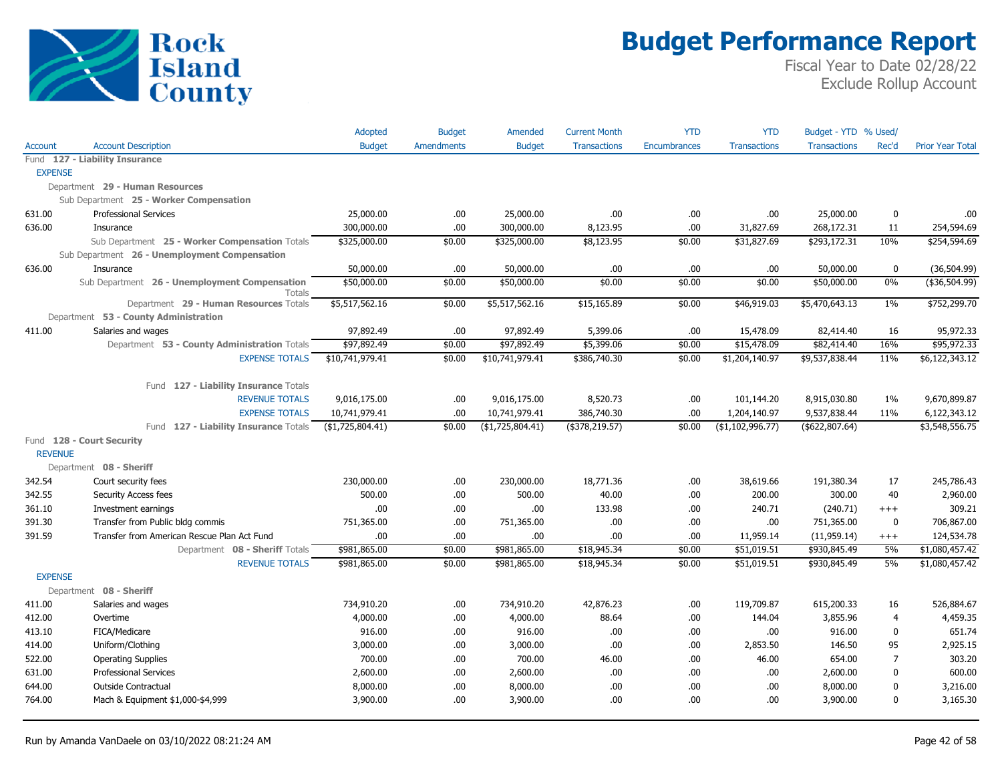

|                |                                                                | Adopted          | <b>Budget</b>     | Amended             | <b>Current Month</b> | <b>YTD</b>   | <b>YTD</b>          | Budget - YTD % Used/ |                |                         |
|----------------|----------------------------------------------------------------|------------------|-------------------|---------------------|----------------------|--------------|---------------------|----------------------|----------------|-------------------------|
| Account        | <b>Account Description</b>                                     | <b>Budget</b>    | <b>Amendments</b> | <b>Budget</b>       | <b>Transactions</b>  | Encumbrances | <b>Transactions</b> | <b>Transactions</b>  | Rec'd          | <b>Prior Year Total</b> |
|                | Fund 127 - Liability Insurance                                 |                  |                   |                     |                      |              |                     |                      |                |                         |
| <b>EXPENSE</b> |                                                                |                  |                   |                     |                      |              |                     |                      |                |                         |
|                | Department 29 - Human Resources                                |                  |                   |                     |                      |              |                     |                      |                |                         |
|                | Sub Department 25 - Worker Compensation                        |                  |                   |                     |                      |              |                     |                      |                |                         |
| 631.00         | <b>Professional Services</b>                                   | 25,000.00        | .00.              | 25,000.00           | .00.                 | .00          | .00.                | 25,000.00            | 0              | .00                     |
| 636.00         | Insurance                                                      | 300,000.00       | .00               | 300,000.00          | 8,123.95             | .00          | 31,827.69           | 268,172.31           | 11             | 254,594.69              |
|                | Sub Department 25 - Worker Compensation Totals                 | \$325,000.00     | \$0.00            | \$325,000.00        | \$8,123.95           | \$0.00       | \$31,827.69         | \$293,172.31         | 10%            | \$254,594.69            |
|                | Sub Department 26 - Unemployment Compensation                  |                  |                   |                     |                      |              |                     |                      |                |                         |
| 636.00         | Insurance                                                      | 50,000.00        | .00               | 50,000.00           | .00.                 | .00          | .00.                | 50,000.00            | 0              | (36, 504.99)            |
|                | Sub Department 26 - Unemployment Compensation<br><b>Totals</b> | \$50,000.00      | \$0.00            | \$50,000.00         | \$0.00               | \$0.00       | \$0.00              | \$50,000.00          | $0\%$          | $($ \$36,504.99)        |
|                | Department 29 - Human Resources Totals                         | \$5,517,562.16   | \$0.00            | \$5,517,562.16      | \$15,165.89          | \$0.00       | \$46,919.03         | \$5,470,643.13       | $1\%$          | \$752,299.70            |
|                | Department 53 - County Administration                          |                  |                   |                     |                      |              |                     |                      |                |                         |
| 411.00         | Salaries and wages                                             | 97,892.49        | .00.              | 97,892.49           | 5,399.06             | .00          | 15,478.09           | 82,414.40            | 16             | 95,972.33               |
|                | Department 53 - County Administration Totals                   | \$97,892.49      | \$0.00            | \$97,892.49         | \$5,399.06           | \$0.00       | \$15,478.09         | \$82,414.40          | 16%            | \$95,972.33             |
|                | <b>EXPENSE TOTALS</b>                                          | \$10,741,979.41  | \$0.00            | \$10,741,979.41     | \$386,740.30         | \$0.00       | \$1,204,140.97      | \$9,537,838.44       | 11%            | \$6,122,343.12          |
|                |                                                                |                  |                   |                     |                      |              |                     |                      |                |                         |
|                | Fund 127 - Liability Insurance Totals                          |                  |                   |                     |                      |              |                     |                      |                |                         |
|                | <b>REVENUE TOTALS</b>                                          | 9,016,175.00     | .00.              | 9,016,175.00        | 8,520.73             | .00          | 101,144.20          | 8,915,030.80         | $1\%$          | 9,670,899.87            |
|                | <b>EXPENSE TOTALS</b>                                          | 10,741,979.41    | .00.              | 10,741,979.41       | 386,740.30           | .00          | 1,204,140.97        | 9,537,838.44         | 11%            | 6,122,343.12            |
|                | Fund 127 - Liability Insurance Totals                          | (\$1,725,804.41) | \$0.00            | $($ \$1,725,804.41) | $($ \$378,219.57)    | \$0.00       | $($ \$1,102,996.77) | $($ \$622,807.64)    |                | \$3,548,556.75          |
| <b>REVENUE</b> | Fund 128 - Court Security                                      |                  |                   |                     |                      |              |                     |                      |                |                         |
|                |                                                                |                  |                   |                     |                      |              |                     |                      |                |                         |
| 342.54         | Department 08 - Sheriff<br>Court security fees                 | 230,000.00       | .00.              | 230,000.00          | 18,771.36            | .00          | 38,619.66           | 191,380.34           | 17             | 245,786.43              |
| 342.55         | Security Access fees                                           | 500.00           | .00.              | 500.00              | 40.00                | .00          | 200.00              | 300.00               | 40             | 2,960.00                |
| 361.10         | Investment earnings                                            | .00              | .00.              | .00                 | 133.98               | .00          | 240.71              | (240.71)             | $+++$          | 309.21                  |
| 391.30         | Transfer from Public bldg commis                               | 751,365.00       | .00.              | 751,365.00          | .00.                 | .00          | .00.                | 751,365.00           | 0              | 706,867.00              |
| 391.59         | Transfer from American Rescue Plan Act Fund                    | .00              | .00               | .00                 | .00.                 | .00          | 11,959.14           | (11, 959.14)         | $+++$          | 124,534.78              |
|                | Department 08 - Sheriff Totals                                 | \$981,865.00     | \$0.00            | \$981,865.00        | \$18,945.34          | \$0.00       | \$51,019.51         | \$930,845.49         | 5%             | \$1,080,457.42          |
|                | <b>REVENUE TOTALS</b>                                          | \$981,865.00     | \$0.00            | \$981,865.00        | \$18,945.34          | \$0.00       | \$51,019.51         | \$930,845.49         | 5%             | \$1,080,457.42          |
| <b>EXPENSE</b> |                                                                |                  |                   |                     |                      |              |                     |                      |                |                         |
|                | Department 08 - Sheriff                                        |                  |                   |                     |                      |              |                     |                      |                |                         |
| 411.00         | Salaries and wages                                             | 734,910.20       | .00.              | 734,910.20          | 42,876.23            | .00          | 119,709.87          | 615,200.33           | 16             | 526,884.67              |
| 412.00         | Overtime                                                       | 4,000.00         | .00.              | 4,000.00            | 88.64                | .00          | 144.04              | 3,855.96             | 4              | 4,459.35                |
| 413.10         | FICA/Medicare                                                  | 916.00           | .00.              | 916.00              | .00.                 | .00          | .00.                | 916.00               | $\mathbf{0}$   | 651.74                  |
| 414.00         | Uniform/Clothing                                               | 3,000.00         | .00.              | 3,000.00            | .00.                 | .00          | 2,853.50            | 146.50               | 95             | 2,925.15                |
| 522.00         | <b>Operating Supplies</b>                                      | 700.00           | .00.              | 700.00              | 46.00                | .00          | 46.00               | 654.00               | $\overline{7}$ | 303.20                  |
| 631.00         | <b>Professional Services</b>                                   | 2,600.00         | .00.              | 2,600.00            | .00                  | .00          | .00.                | 2,600.00             | 0              | 600.00                  |
| 644.00         | <b>Outside Contractual</b>                                     | 8,000.00         | .00.              | 8,000.00            | .00.                 | .00          | .00                 | 8,000.00             | 0              | 3,216.00                |
| 764.00         | Mach & Equipment \$1,000-\$4,999                               | 3,900.00         | .00               | 3,900.00            | .00                  | .00          | .00                 | 3,900.00             | 0              | 3,165.30                |
|                |                                                                |                  |                   |                     |                      |              |                     |                      |                |                         |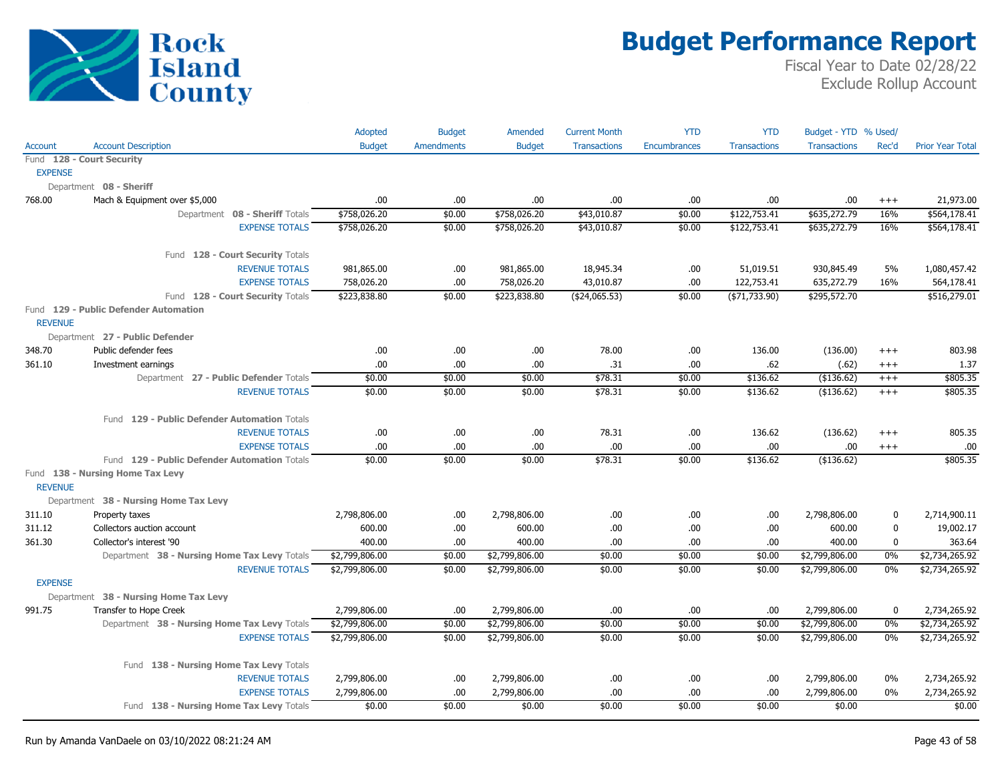

|                |                                              | Adopted        | <b>Budget</b>     | Amended        | <b>Current Month</b> | <b>YTD</b>          | <b>YTD</b>          | Budget - YTD % Used/ |             |                         |
|----------------|----------------------------------------------|----------------|-------------------|----------------|----------------------|---------------------|---------------------|----------------------|-------------|-------------------------|
| Account        | <b>Account Description</b>                   | <b>Budget</b>  | <b>Amendments</b> | <b>Budget</b>  | <b>Transactions</b>  | <b>Encumbrances</b> | <b>Transactions</b> | <b>Transactions</b>  | Rec'd       | <b>Prior Year Total</b> |
|                | Fund 128 - Court Security                    |                |                   |                |                      |                     |                     |                      |             |                         |
| <b>EXPENSE</b> |                                              |                |                   |                |                      |                     |                     |                      |             |                         |
|                | Department 08 - Sheriff                      |                |                   |                |                      |                     |                     |                      |             |                         |
| 768.00         | Mach & Equipment over \$5,000                | .00.           | .00.              | .00            | .00                  | .00.                | .00                 | .00                  | $^{+++}$    | 21,973.00               |
|                | Department 08 - Sheriff Totals               | \$758,026.20   | \$0.00            | \$758,026.20   | \$43,010.87          | \$0.00              | \$122,753.41        | \$635,272.79         | 16%         | \$564,178.41            |
|                | <b>EXPENSE TOTALS</b>                        | \$758,026.20   | \$0.00            | \$758,026.20   | \$43,010.87          | \$0.00              | \$122,753.41        | \$635,272.79         | 16%         | \$564,178.41            |
|                | Fund 128 - Court Security Totals             |                |                   |                |                      |                     |                     |                      |             |                         |
|                | <b>REVENUE TOTALS</b>                        | 981,865.00     | .00.              | 981,865.00     | 18,945.34            | .00.                | 51,019.51           | 930,845.49           | 5%          | 1,080,457.42            |
|                | <b>EXPENSE TOTALS</b>                        | 758,026.20     | .00.              | 758,026.20     | 43,010.87            | .00.                | 122,753.41          | 635,272.79           | 16%         | 564,178.41              |
|                | Fund 128 - Court Security Totals             | \$223,838.80   | \$0.00            | \$223,838.80   | ( \$24,065.53)       | \$0.00              | (\$71,733.90)       | \$295,572.70         |             | \$516,279.01            |
| <b>REVENUE</b> | Fund 129 - Public Defender Automation        |                |                   |                |                      |                     |                     |                      |             |                         |
|                | Department 27 - Public Defender              |                |                   |                |                      |                     |                     |                      |             |                         |
| 348.70         | Public defender fees                         | .00            | .00.              | .00.           | 78.00                | .00.                | 136.00              | (136.00)             | $+++$       | 803.98                  |
| 361.10         | Investment earnings                          | .00            | .00.              | .00.           | .31                  | .00.                | .62                 | (.62)                | $++++$      | 1.37                    |
|                | Department 27 - Public Defender Totals       | \$0.00         | \$0.00            | \$0.00         | \$78.31              | \$0.00              | \$136.62            | $($ \$136.62)        | $^{+++}$    | \$805.35                |
|                | <b>REVENUE TOTALS</b>                        | \$0.00         | \$0.00            | \$0.00         | \$78.31              | \$0.00              | \$136.62            | (\$136.62)           | $^{+++}$    | \$805.35                |
|                | Fund 129 - Public Defender Automation Totals |                |                   |                |                      |                     |                     |                      |             |                         |
|                | <b>REVENUE TOTALS</b>                        | .00.           | .00.              | .00.           | 78.31                | .00.                | 136.62              | (136.62)             | $^{+++}$    | 805.35                  |
|                | <b>EXPENSE TOTALS</b>                        | .00            | .00               | .00            | .00                  | .00                 | .00.                | .00                  | $^{+++}$    | .00.                    |
|                | Fund 129 - Public Defender Automation Totals | \$0.00         | \$0.00            | \$0.00         | \$78.31              | \$0.00              | \$136.62            | (\$136.62)           |             | \$805.35                |
|                | Fund 138 - Nursing Home Tax Levy             |                |                   |                |                      |                     |                     |                      |             |                         |
| <b>REVENUE</b> |                                              |                |                   |                |                      |                     |                     |                      |             |                         |
|                | Department 38 - Nursing Home Tax Levy        |                |                   |                |                      |                     |                     |                      |             |                         |
| 311.10         | Property taxes                               | 2,798,806.00   | .00.              | 2,798,806.00   | .00                  | .00.                | .00                 | 2,798,806.00         | $\pmb{0}$   | 2,714,900.11            |
| 311.12         | Collectors auction account                   | 600.00         | .00.              | 600.00         | .00                  | .00.                | .00                 | 600.00               | $\pmb{0}$   | 19,002.17               |
| 361.30         | Collector's interest '90                     | 400.00         | .00               | 400.00         | .00                  | .00.                | .00.                | 400.00               | $\mathbf 0$ | 363.64                  |
|                | Department 38 - Nursing Home Tax Levy Totals | \$2,799,806.00 | \$0.00            | \$2,799,806.00 | \$0.00               | \$0.00              | \$0.00              | \$2,799,806.00       | 0%          | \$2,734,265.92          |
|                | <b>REVENUE TOTALS</b>                        | \$2,799,806.00 | \$0.00            | \$2,799,806.00 | \$0.00               | \$0.00              | \$0.00              | \$2,799,806.00       | 0%          | \$2,734,265.92          |
| <b>EXPENSE</b> |                                              |                |                   |                |                      |                     |                     |                      |             |                         |
|                | Department 38 - Nursing Home Tax Levy        |                |                   |                |                      |                     |                     |                      |             |                         |
| 991.75         | Transfer to Hope Creek                       | 2,799,806.00   | .00.              | 2,799,806.00   | .00                  | .00.                | .00                 | 2,799,806.00         | $\mathbf 0$ | 2,734,265.92            |
|                | Department 38 - Nursing Home Tax Levy Totals | \$2,799,806.00 | \$0.00            | \$2,799,806.00 | \$0.00               | \$0.00              | \$0.00              | \$2,799,806.00       | $0\%$       | \$2,734,265.92          |
|                | <b>EXPENSE TOTALS</b>                        | \$2,799,806.00 | \$0.00            | \$2,799,806.00 | \$0.00               | \$0.00              | \$0.00              | \$2,799,806.00       | 0%          | \$2,734,265.92          |
|                | Fund 138 - Nursing Home Tax Levy Totals      |                |                   |                |                      |                     |                     |                      |             |                         |
|                | <b>REVENUE TOTALS</b>                        | 2,799,806.00   | .00.              | 2,799,806.00   | .00                  | .00.                | .00                 | 2,799,806.00         | $0\%$       | 2,734,265.92            |
|                | <b>EXPENSE TOTALS</b>                        | 2,799,806.00   | .00.              | 2,799,806.00   | .00                  | .00                 | .00                 | 2,799,806.00         | 0%          | 2,734,265.92            |
|                | Fund 138 - Nursing Home Tax Levy Totals      | \$0.00         | \$0.00            | \$0.00         | \$0.00               | \$0.00              | \$0.00              | \$0.00               |             | \$0.00                  |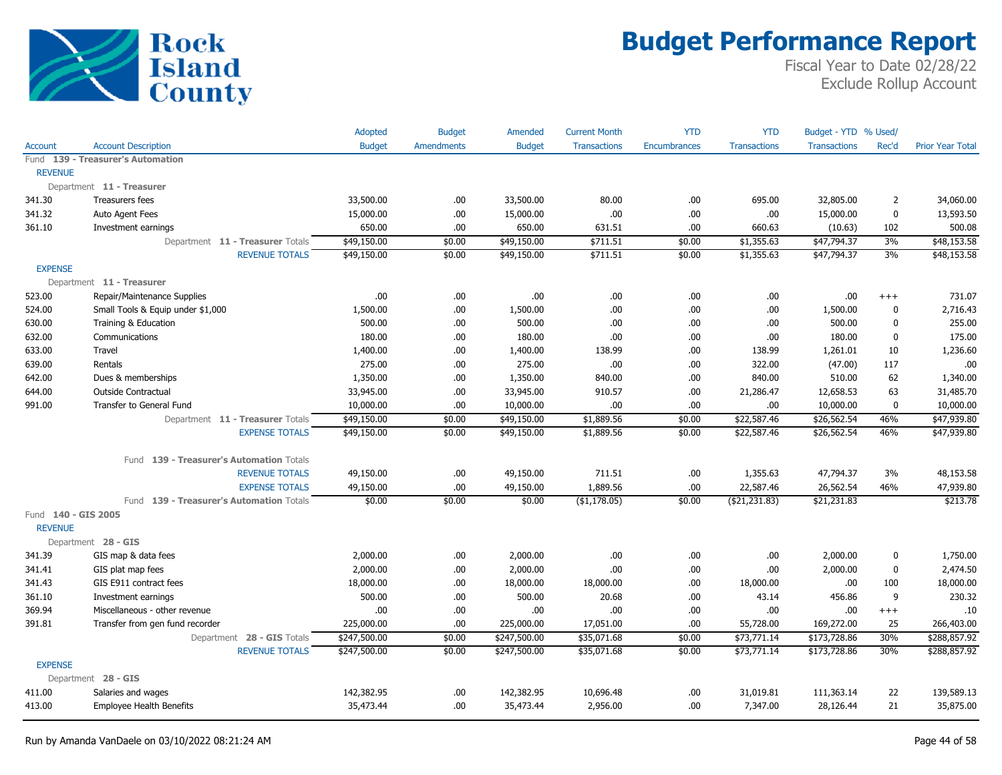

|                                       |                                          | Adopted       | <b>Budget</b>     | Amended       | <b>Current Month</b> | <b>YTD</b>   | <b>YTD</b>          | Budget - YTD % Used/ |                |                         |
|---------------------------------------|------------------------------------------|---------------|-------------------|---------------|----------------------|--------------|---------------------|----------------------|----------------|-------------------------|
| <b>Account</b>                        | <b>Account Description</b>               | <b>Budget</b> | <b>Amendments</b> | <b>Budget</b> | <b>Transactions</b>  | Encumbrances | <b>Transactions</b> | <b>Transactions</b>  | Rec'd          | <b>Prior Year Total</b> |
|                                       | Fund 139 - Treasurer's Automation        |               |                   |               |                      |              |                     |                      |                |                         |
| <b>REVENUE</b>                        |                                          |               |                   |               |                      |              |                     |                      |                |                         |
|                                       | Department 11 - Treasurer                |               |                   |               |                      |              |                     |                      |                |                         |
| 341.30                                | Treasurers fees                          | 33,500.00     | .00.              | 33,500.00     | 80.00                | .00          | 695.00              | 32,805.00            | $\overline{2}$ | 34,060.00               |
| 341.32                                | Auto Agent Fees                          | 15,000.00     | .00.              | 15,000.00     | .00                  | .00          | .00                 | 15,000.00            | $\pmb{0}$      | 13,593.50               |
| 361.10                                | Investment earnings                      | 650.00        | .00               | 650.00        | 631.51               | .00          | 660.63              | (10.63)              | 102            | 500.08                  |
|                                       | Department 11 - Treasurer Totals         | \$49,150.00   | \$0.00            | \$49,150.00   | \$711.51             | \$0.00       | \$1,355.63          | \$47,794.37          | 3%             | \$48,153.58             |
|                                       | <b>REVENUE TOTALS</b>                    | \$49,150.00   | \$0.00            | \$49,150.00   | \$711.51             | \$0.00       | \$1,355.63          | \$47,794.37          | 3%             | \$48,153.58             |
| <b>EXPENSE</b>                        |                                          |               |                   |               |                      |              |                     |                      |                |                         |
|                                       | Department 11 - Treasurer                |               |                   |               |                      |              |                     |                      |                |                         |
| 523.00                                | Repair/Maintenance Supplies              | .00           | .00.              | .00.          | .00                  | .00          | .00                 | .00                  | $^{+++}$       | 731.07                  |
| 524.00                                | Small Tools & Equip under \$1,000        | 1,500.00      | .00               | 1,500.00      | .00                  | .00          | .00                 | 1,500.00             | $\mathbf 0$    | 2,716.43                |
| 630.00                                | Training & Education                     | 500.00        | .00.              | 500.00        | .00                  | .00          | .00.                | 500.00               | $\pmb{0}$      | 255.00                  |
| 632.00                                | Communications                           | 180.00        | .00.              | 180.00        | .00                  | .00          | .00                 | 180.00               | $\pmb{0}$      | 175.00                  |
| 633.00                                | Travel                                   | 1,400.00      | .00.              | 1,400.00      | 138.99               | .00          | 138.99              | 1,261.01             | 10             | 1,236.60                |
| 639.00                                | Rentals                                  | 275.00        | .00               | 275.00        | .00                  | .00          | 322.00              | (47.00)              | 117            | .00.                    |
| 642.00                                | Dues & memberships                       | 1,350.00      | .00.              | 1,350.00      | 840.00               | .00          | 840.00              | 510.00               | 62             | 1,340.00                |
| 644.00                                | Outside Contractual                      | 33,945.00     | .00.              | 33,945.00     | 910.57               | .00          | 21,286.47           | 12,658.53            | 63             | 31,485.70               |
| 991.00                                | Transfer to General Fund                 | 10,000.00     | .00               | 10,000.00     | .00                  | .00          | .00                 | 10,000.00            | $\mathbf 0$    | 10,000.00               |
|                                       | Department 11 - Treasurer Totals         | \$49,150.00   | \$0.00            | \$49,150.00   | \$1,889.56           | \$0.00       | \$22,587.46         | \$26,562.54          | 46%            | \$47,939.80             |
|                                       | <b>EXPENSE TOTALS</b>                    | \$49,150.00   | \$0.00            | \$49,150.00   | \$1,889.56           | \$0.00       | \$22,587.46         | \$26,562.54          | 46%            | \$47,939.80             |
|                                       | Fund 139 - Treasurer's Automation Totals |               |                   |               |                      |              |                     |                      |                |                         |
|                                       | <b>REVENUE TOTALS</b>                    | 49,150.00     | .00.              | 49,150.00     | 711.51               | .00          | 1,355.63            | 47,794.37            | 3%             | 48,153.58               |
|                                       | <b>EXPENSE TOTALS</b>                    | 49,150.00     | .00               | 49,150.00     | 1,889.56             | .00          | 22,587.46           | 26,562.54            | 46%            | 47,939.80               |
|                                       | Fund 139 - Treasurer's Automation Totals | \$0.00        | \$0.00            | \$0.00        | ( \$1,178.05)        | \$0.00       | ( \$21, 231.83)     | \$21,231.83          |                | \$213.78                |
| Fund 140 - GIS 2005<br><b>REVENUE</b> |                                          |               |                   |               |                      |              |                     |                      |                |                         |
|                                       | Department 28 - GIS                      |               |                   |               |                      |              |                     |                      |                |                         |
| 341.39                                | GIS map & data fees                      | 2,000.00      | .00.              | 2,000.00      | .00                  | .00          | .00                 | 2,000.00             | $\pmb{0}$      | 1,750.00                |
| 341.41                                | GIS plat map fees                        | 2,000.00      | .00.              | 2,000.00      | .00                  | .00          | .00.                | 2,000.00             | $\pmb{0}$      | 2,474.50                |
| 341.43                                | GIS E911 contract fees                   | 18,000.00     | .00               | 18,000.00     | 18,000.00            | .00          | 18,000.00           | .00                  | 100            | 18,000.00               |
| 361.10                                | Investment earnings                      | 500.00        | .00               | 500.00        | 20.68                | .00          | 43.14               | 456.86               | 9              | 230.32                  |
| 369.94                                | Miscellaneous - other revenue            | .00.          | .00               | .00           | .00                  | .00          | .00                 | .00                  | $^{+++}$       | .10                     |
| 391.81                                | Transfer from gen fund recorder          | 225,000.00    | .00               | 225,000.00    | 17,051.00            | .00          | 55,728.00           | 169,272.00           | 25             | 266,403.00              |
|                                       | Department 28 - GIS Totals               | \$247,500.00  | \$0.00            | \$247,500.00  | \$35,071.68          | \$0.00       | \$73,771.14         | \$173,728.86         | 30%            | \$288,857.92            |
|                                       | <b>REVENUE TOTALS</b>                    | \$247,500.00  | \$0.00            | \$247,500.00  | \$35,071.68          | \$0.00       | \$73,771.14         | \$173,728.86         | 30%            | \$288,857.92            |
| <b>EXPENSE</b>                        |                                          |               |                   |               |                      |              |                     |                      |                |                         |
|                                       | Department 28 - GIS                      |               |                   |               |                      |              |                     |                      |                |                         |
| 411.00                                | Salaries and wages                       | 142,382.95    | .00.              | 142,382.95    | 10,696.48            | .00          | 31,019.81           | 111,363.14           | 22             | 139,589.13              |
| 413.00                                | Employee Health Benefits                 | 35,473.44     | .00.              | 35,473.44     | 2,956.00             | .00          | 7,347.00            | 28,126.44            | 21             | 35,875.00               |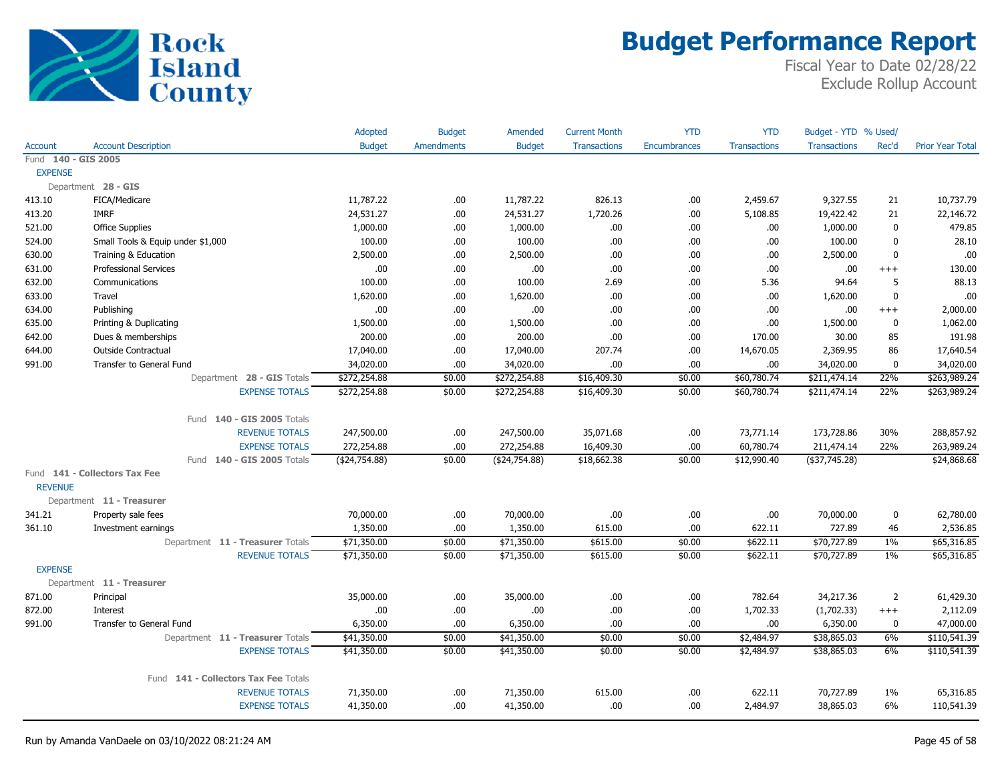

|                     |                                      | Adopted        | <b>Budget</b>     | Amended        | <b>Current Month</b> | <b>YTD</b>   | <b>YTD</b>          | Budget - YTD % Used/ |                |                         |
|---------------------|--------------------------------------|----------------|-------------------|----------------|----------------------|--------------|---------------------|----------------------|----------------|-------------------------|
| Account             | <b>Account Description</b>           | <b>Budget</b>  | <b>Amendments</b> | <b>Budget</b>  | <b>Transactions</b>  | Encumbrances | <b>Transactions</b> | <b>Transactions</b>  | Rec'd          | <b>Prior Year Total</b> |
| Fund 140 - GIS 2005 |                                      |                |                   |                |                      |              |                     |                      |                |                         |
| <b>EXPENSE</b>      |                                      |                |                   |                |                      |              |                     |                      |                |                         |
|                     | Department 28 - GIS                  |                |                   |                |                      |              |                     |                      |                |                         |
| 413.10              | FICA/Medicare                        | 11,787.22      | .00.              | 11,787.22      | 826.13               | .00.         | 2,459.67            | 9,327.55             | 21             | 10,737.79               |
| 413.20              | <b>IMRF</b>                          | 24,531.27      | .00.              | 24,531.27      | 1,720.26             | .00.         | 5,108.85            | 19,422.42            | 21             | 22,146.72               |
| 521.00              | <b>Office Supplies</b>               | 1,000.00       | .00.              | 1,000.00       | .00.                 | .00.         | .00.                | 1,000.00             | $\mathbf 0$    | 479.85                  |
| 524.00              | Small Tools & Equip under \$1,000    | 100.00         | .00.              | 100.00         | .00                  | .00.         | .00.                | 100.00               | $\mathbf 0$    | 28.10                   |
| 630.00              | Training & Education                 | 2,500.00       | .00.              | 2,500.00       | .00                  | .00          | .00.                | 2,500.00             | $\mathbf 0$    | .00                     |
| 631.00              | <b>Professional Services</b>         | .00.           | .00.              | .00.           | .00                  | .00.         | .00.                | .00                  | $^{+++}$       | 130.00                  |
| 632.00              | Communications                       | 100.00         | .00.              | 100.00         | 2.69                 | .00.         | 5.36                | 94.64                | 5              | 88.13                   |
| 633.00              | Travel                               | 1,620.00       | .00.              | 1,620.00       | .00.                 | .00          | .00.                | 1,620.00             | $\mathbf 0$    | .00                     |
| 634.00              | Publishing                           | .00.           | .00.              | .00.           | .00                  | .00          | .00.                | .00                  | $^{+++}$       | 2,000.00                |
| 635.00              | Printing & Duplicating               | 1,500.00       | .00.              | 1,500.00       | .00                  | .00.         | .00.                | 1,500.00             | $\mathbf 0$    | 1,062.00                |
| 642.00              | Dues & memberships                   | 200.00         | .00.              | 200.00         | .00                  | .00.         | 170.00              | 30.00                | 85             | 191.98                  |
| 644.00              | Outside Contractual                  | 17,040.00      | .00.              | 17,040.00      | 207.74               | .00.         | 14,670.05           | 2,369.95             | 86             | 17,640.54               |
| 991.00              | <b>Transfer to General Fund</b>      | 34,020.00      | .00.              | 34,020.00      | .00                  | .00.         | .00.                | 34,020.00            | $\bf{0}$       | 34,020.00               |
|                     | Department 28 - GIS Totals           | \$272,254.88   | \$0.00            | \$272,254.88   | \$16,409.30          | \$0.00       | \$60,780.74         | \$211,474.14         | 22%            | \$263,989.24            |
|                     | <b>EXPENSE TOTALS</b>                | \$272,254.88   | \$0.00            | \$272,254.88   | \$16,409.30          | \$0.00       | \$60,780.74         | \$211,474.14         | 22%            | \$263,989.24            |
|                     | Fund 140 - GIS 2005 Totals           |                |                   |                |                      |              |                     |                      |                |                         |
|                     | <b>REVENUE TOTALS</b>                | 247,500.00     | .00.              | 247,500.00     | 35,071.68            | .00.         | 73,771.14           | 173,728.86           | 30%            | 288,857.92              |
|                     | <b>EXPENSE TOTALS</b>                | 272,254.88     | .00               | 272,254.88     | 16,409.30            | .00          | 60,780.74           | 211,474.14           | 22%            | 263,989.24              |
|                     | Fund 140 - GIS 2005 Totals           | ( \$24,754.88) | \$0.00            | ( \$24,754.88) | \$18,662.38          | \$0.00       | \$12,990.40         | $($ \$37,745.28)     |                | \$24,868.68             |
|                     | Fund 141 - Collectors Tax Fee        |                |                   |                |                      |              |                     |                      |                |                         |
| <b>REVENUE</b>      |                                      |                |                   |                |                      |              |                     |                      |                |                         |
|                     | Department 11 - Treasurer            |                |                   |                |                      |              |                     |                      |                |                         |
| 341.21              | Property sale fees                   | 70,000.00      | .00.              | 70,000.00      | .00.                 | .00.         | .00.                | 70,000.00            | $\pmb{0}$      | 62,780.00               |
| 361.10              | Investment earnings                  | 1,350.00       | .00.              | 1,350.00       | 615.00               | .00.         | 622.11              | 727.89               | 46             | 2,536.85                |
|                     | Department 11 - Treasurer Totals     | \$71,350.00    | \$0.00            | \$71,350.00    | \$615.00             | \$0.00       | \$622.11            | \$70,727.89          | 1%             | \$65,316.85             |
|                     | <b>REVENUE TOTALS</b>                | \$71,350.00    | \$0.00            | \$71,350.00    | \$615.00             | \$0.00       | \$622.11            | \$70,727.89          | $1\%$          | \$65,316.85             |
| <b>EXPENSE</b>      |                                      |                |                   |                |                      |              |                     |                      |                |                         |
|                     | Department 11 - Treasurer            |                |                   |                |                      |              |                     |                      |                |                         |
| 871.00              | Principal                            | 35,000.00      | .00.              | 35,000.00      | .00                  | .00          | 782.64              | 34,217.36            | $\overline{2}$ | 61,429.30               |
| 872.00              | Interest                             | .00.           | .00               | .00.           | .00                  | .00          | 1,702.33            | (1,702.33)           | $^{+++}$       | 2,112.09                |
| 991.00              | Transfer to General Fund             | 6,350.00       | .00.              | 6,350.00       | .00.                 | .00.         | .00                 | 6,350.00             | $\mathbf 0$    | 47,000.00               |
|                     | Department 11 - Treasurer Totals     | \$41,350.00    | \$0.00            | \$41,350.00    | \$0.00               | \$0.00       | \$2,484.97          | \$38,865.03          | 6%             | \$110,541.39            |
|                     | <b>EXPENSE TOTALS</b>                | \$41,350.00    | \$0.00            | \$41,350.00    | \$0.00               | \$0.00       | \$2,484.97          | \$38,865.03          | 6%             | \$110,541.39            |
|                     | Fund 141 - Collectors Tax Fee Totals |                |                   |                |                      |              |                     |                      |                |                         |
|                     | <b>REVENUE TOTALS</b>                | 71,350.00      | .00               | 71,350.00      | 615.00               | .00.         | 622.11              | 70,727.89            | $1\%$          | 65,316.85               |
|                     | <b>EXPENSE TOTALS</b>                | 41,350.00      | .00.              | 41,350.00      | .00                  | .00.         | 2,484.97            | 38,865.03            | 6%             | 110,541.39              |
|                     |                                      |                |                   |                |                      |              |                     |                      |                |                         |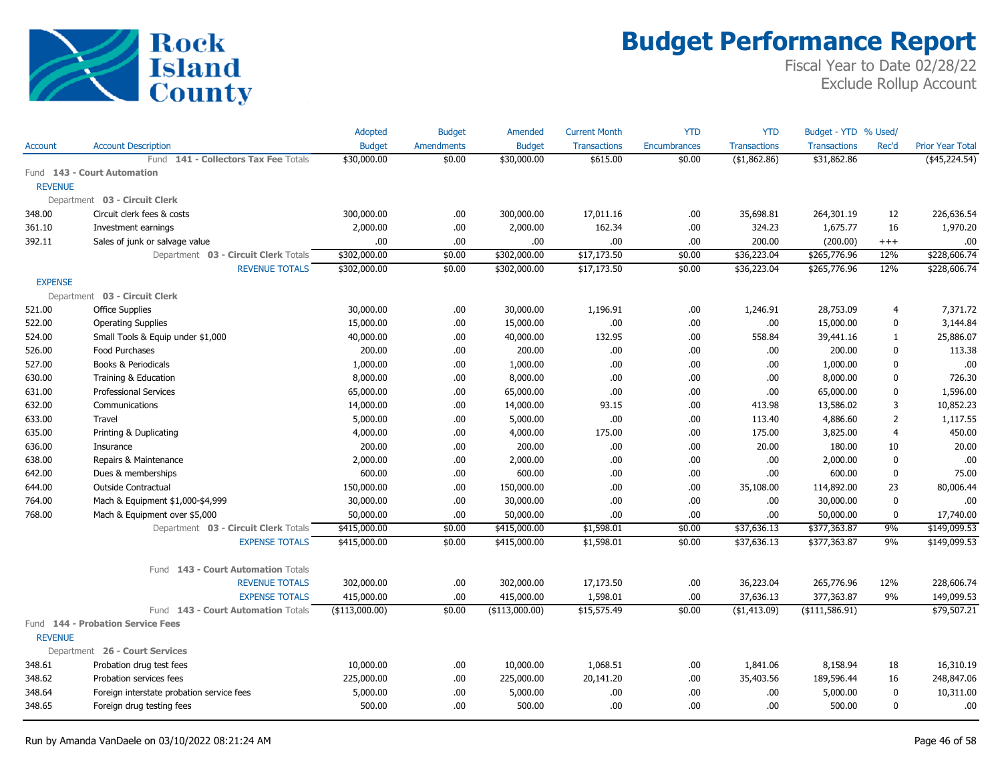

|                |                                           | Adopted        | <b>Budget</b>     | Amended         | <b>Current Month</b> | <b>YTD</b>          | <b>YTD</b>          | Budget - YTD % Used/ |                |                         |
|----------------|-------------------------------------------|----------------|-------------------|-----------------|----------------------|---------------------|---------------------|----------------------|----------------|-------------------------|
| <b>Account</b> | <b>Account Description</b>                | <b>Budget</b>  | <b>Amendments</b> | <b>Budget</b>   | Transactions         | <b>Encumbrances</b> | <b>Transactions</b> | <b>Transactions</b>  | Rec'd          | <b>Prior Year Total</b> |
|                | Fund 141 - Collectors Tax Fee Totals      | \$30,000.00    | \$0.00            | \$30,000.00     | \$615.00             | \$0.00              | (\$1,862.86)        | \$31,862.86          |                | $($ \$45,224.54)        |
|                | Fund 143 - Court Automation               |                |                   |                 |                      |                     |                     |                      |                |                         |
| <b>REVENUE</b> |                                           |                |                   |                 |                      |                     |                     |                      |                |                         |
|                | Department 03 - Circuit Clerk             |                |                   |                 |                      |                     |                     |                      |                |                         |
| 348.00         | Circuit clerk fees & costs                | 300,000.00     | .00.              | 300,000.00      | 17,011.16            | .00.                | 35,698.81           | 264,301.19           | 12             | 226,636.54              |
| 361.10         | Investment earnings                       | 2,000.00       | .00.              | 2,000.00        | 162.34               | .00.                | 324.23              | 1,675.77             | 16             | 1,970.20                |
| 392.11         | Sales of junk or salvage value            | .00            | .00               | .00.            | .00                  | .00                 | 200.00              | (200.00)             | $^{+++}$       | .00                     |
|                | Department 03 - Circuit Clerk Totals      | \$302,000.00   | \$0.00            | \$302,000.00    | \$17,173.50          | \$0.00              | \$36,223.04         | \$265,776.96         | 12%            | \$228,606.74            |
|                | <b>REVENUE TOTALS</b>                     | \$302,000.00   | \$0.00            | \$302,000.00    | \$17,173.50          | \$0.00              | \$36,223.04         | \$265,776.96         | 12%            | \$228,606.74            |
| <b>EXPENSE</b> |                                           |                |                   |                 |                      |                     |                     |                      |                |                         |
|                | Department 03 - Circuit Clerk             |                |                   |                 |                      |                     |                     |                      |                |                         |
| 521.00         | <b>Office Supplies</b>                    | 30,000.00      | .00.              | 30,000.00       | 1,196.91             | .00.                | 1,246.91            | 28,753.09            | 4              | 7,371.72                |
| 522.00         | <b>Operating Supplies</b>                 | 15,000.00      | .00.              | 15,000.00       | .00                  | .00.                | .00                 | 15,000.00            | 0              | 3,144.84                |
| 524.00         | Small Tools & Equip under \$1,000         | 40,000.00      | .00.              | 40,000.00       | 132.95               | .00.                | 558.84              | 39,441.16            | $\mathbf{1}$   | 25,886.07               |
| 526.00         | Food Purchases                            | 200.00         | .00.              | 200.00          | .00                  | .00.                | .00                 | 200.00               | 0              | 113.38                  |
| 527.00         | Books & Periodicals                       | 1,000.00       | .00.              | 1,000.00        | .00                  | .00.                | .00                 | 1,000.00             | 0              | .00                     |
| 630.00         | Training & Education                      | 8,000.00       | .00.              | 8,000.00        | .00                  | .00.                | .00                 | 8,000.00             | 0              | 726.30                  |
| 631.00         | <b>Professional Services</b>              | 65,000.00      | .00.              | 65,000.00       | .00                  | .00                 | .00                 | 65,000.00            | 0              | 1,596.00                |
| 632.00         | Communications                            | 14,000.00      | .00.              | 14,000.00       | 93.15                | .00.                | 413.98              | 13,586.02            | 3              | 10,852.23               |
| 633.00         | <b>Travel</b>                             | 5,000.00       | .00.              | 5,000.00        | .00                  | .00.                | 113.40              | 4,886.60             | $\overline{2}$ | 1,117.55                |
| 635.00         | Printing & Duplicating                    | 4,000.00       | .00.              | 4,000.00        | 175.00               | .00.                | 175.00              | 3,825.00             | 4              | 450.00                  |
| 636.00         | Insurance                                 | 200.00         | .00               | 200.00          | .00                  | .00.                | 20.00               | 180.00               | 10             | 20.00                   |
| 638.00         | Repairs & Maintenance                     | 2,000.00       | .00.              | 2,000.00        | .00                  | .00.                | .00                 | 2,000.00             | $\mathbf 0$    | .00                     |
| 642.00         | Dues & memberships                        | 600.00         | .00.              | 600.00          | .00                  | .00.                | .00                 | 600.00               | 0              | 75.00                   |
| 644.00         | <b>Outside Contractual</b>                | 150,000.00     | .00.              | 150,000.00      | .00                  | .00                 | 35,108.00           | 114,892.00           | 23             | 80,006.44               |
| 764.00         | Mach & Equipment \$1,000-\$4,999          | 30,000.00      | .00.              | 30,000.00       | .00                  | .00                 | .00                 | 30,000.00            | 0              | .00                     |
| 768.00         | Mach & Equipment over \$5,000             | 50,000.00      | .00.              | 50,000.00       | .00                  | .00                 | .00                 | 50,000.00            | 0              | 17,740.00               |
|                | Department 03 - Circuit Clerk Totals      | \$415,000.00   | \$0.00            | \$415,000.00    | \$1,598.01           | \$0.00              | \$37,636.13         | \$377,363.87         | 9%             | \$149,099.53            |
|                | <b>EXPENSE TOTALS</b>                     | \$415,000.00   | \$0.00            | \$415,000.00    | \$1,598.01           | \$0.00              | \$37,636.13         | \$377,363.87         | 9%             | \$149,099.53            |
|                |                                           |                |                   |                 |                      |                     |                     |                      |                |                         |
|                | Fund 143 - Court Automation Totals        |                |                   |                 |                      |                     |                     |                      |                |                         |
|                | <b>REVENUE TOTALS</b>                     | 302,000.00     | .00.              | 302,000.00      | 17,173.50            | .00.                | 36,223.04           | 265,776.96           | 12%            | 228,606.74              |
|                | <b>EXPENSE TOTALS</b>                     | 415,000.00     | .00               | 415,000.00      | 1,598.01             | .00                 | 37,636.13           | 377,363.87           | 9%             | 149,099.53              |
|                | Fund 143 - Court Automation Totals        | (\$113,000.00) | \$0.00            | ( \$113,000.00) | \$15,575.49          | \$0.00              | ( \$1,413.09)       | ( \$111, 586.91)     |                | \$79,507.21             |
| <b>REVENUE</b> | Fund 144 - Probation Service Fees         |                |                   |                 |                      |                     |                     |                      |                |                         |
|                | Department 26 - Court Services            |                |                   |                 |                      |                     |                     |                      |                |                         |
| 348.61         | Probation drug test fees                  | 10,000.00      | .00.              | 10,000.00       | 1,068.51             | .00.                | 1,841.06            | 8,158.94             | 18             | 16,310.19               |
| 348.62         | Probation services fees                   | 225,000.00     | .00.              | 225,000.00      | 20,141.20            | .00.                | 35,403.56           | 189,596.44           | 16             | 248,847.06              |
| 348.64         | Foreign interstate probation service fees | 5,000.00       | .00.              | 5,000.00        | .00                  | .00.                | .00                 | 5,000.00             | $\mathbf 0$    | 10,311.00               |
| 348.65         | Foreign drug testing fees                 | 500.00         | .00.              | 500.00          | .00                  | .00.                | .00                 | 500.00               | 0              | .00                     |
|                |                                           |                |                   |                 |                      |                     |                     |                      |                |                         |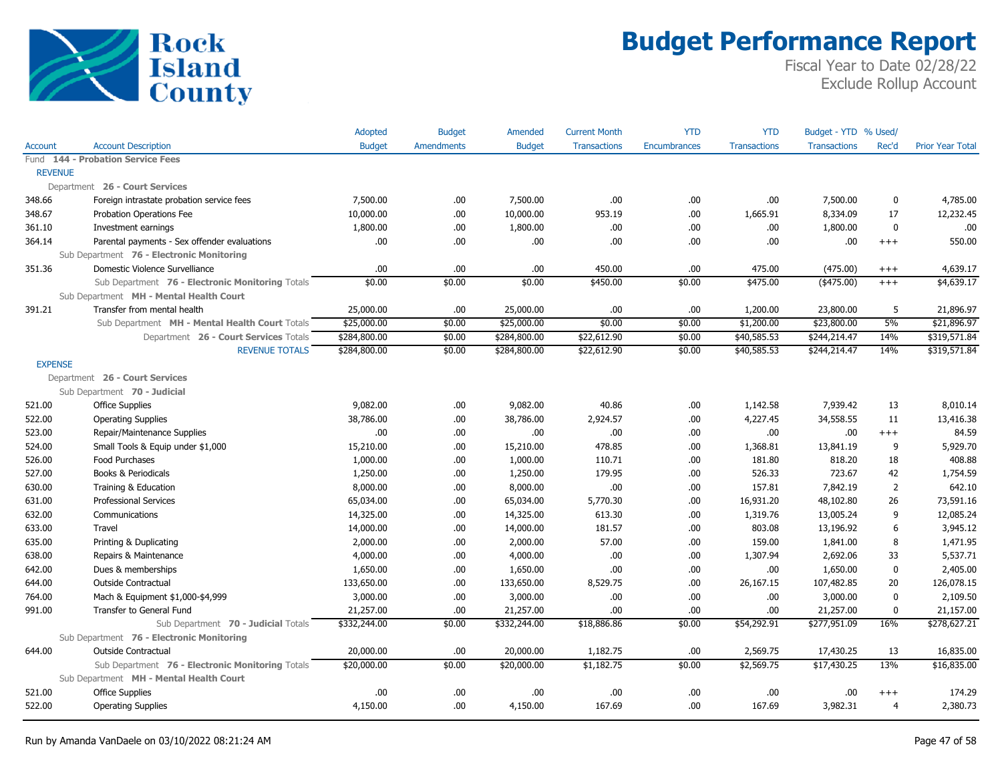

|                |                                                  | Adopted       | <b>Budget</b>     | Amended       | <b>Current Month</b> | <b>YTD</b>   | <b>YTD</b>          | Budget - YTD % Used/ |                |                         |
|----------------|--------------------------------------------------|---------------|-------------------|---------------|----------------------|--------------|---------------------|----------------------|----------------|-------------------------|
| <b>Account</b> | <b>Account Description</b>                       | <b>Budget</b> | <b>Amendments</b> | <b>Budget</b> | <b>Transactions</b>  | Encumbrances | <b>Transactions</b> | <b>Transactions</b>  | Rec'd          | <b>Prior Year Total</b> |
|                | Fund 144 - Probation Service Fees                |               |                   |               |                      |              |                     |                      |                |                         |
| <b>REVENUE</b> |                                                  |               |                   |               |                      |              |                     |                      |                |                         |
|                | Department 26 - Court Services                   |               |                   |               |                      |              |                     |                      |                |                         |
| 348.66         | Foreign intrastate probation service fees        | 7,500.00      | .00               | 7,500.00      | .00                  | .00          | .00                 | 7,500.00             | 0              | 4,785.00                |
| 348.67         | Probation Operations Fee                         | 10,000.00     | .00               | 10,000.00     | 953.19               | .00          | 1,665.91            | 8,334.09             | 17             | 12,232.45               |
| 361.10         | Investment earnings                              | 1,800.00      | .00.              | 1,800.00      | .00                  | .00          | .00.                | 1,800.00             | $\mathbf 0$    | .00.                    |
| 364.14         | Parental payments - Sex offender evaluations     | .00.          | .00.              | .00           | .00                  | .00          | .00                 | .00                  | $^{+++}$       | 550.00                  |
|                | Sub Department 76 - Electronic Monitoring        |               |                   |               |                      |              |                     |                      |                |                         |
| 351.36         | Domestic Violence Survelliance                   | .00           | .00               | .00           | 450.00               | .00          | 475.00              | (475.00)             | $^{+++}$       | 4,639.17                |
|                | Sub Department 76 - Electronic Monitoring Totals | \$0.00        | \$0.00            | \$0.00        | \$450.00             | \$0.00       | \$475.00            | $($ \$475.00)        | $^{+++}$       | \$4,639.17              |
|                | Sub Department MH - Mental Health Court          |               |                   |               |                      |              |                     |                      |                |                         |
| 391.21         | Transfer from mental health                      | 25,000.00     | .00               | 25,000.00     | .00                  | .00          | 1,200.00            | 23,800.00            | 5              | 21,896.97               |
|                | Sub Department MH - Mental Health Court Totals   | \$25,000.00   | \$0.00            | \$25,000.00   | \$0.00               | \$0.00       | \$1,200.00          | \$23,800.00          | 5%             | \$21,896.97             |
|                | Department 26 - Court Services Totals            | \$284,800.00  | \$0.00            | \$284,800.00  | \$22,612.90          | \$0.00       | \$40,585.53         | \$244,214.47         | 14%            | \$319,571.84            |
|                | <b>REVENUE TOTALS</b>                            | \$284,800.00  | \$0.00            | \$284,800.00  | \$22,612.90          | \$0.00       | \$40,585.53         | \$244,214.47         | 14%            | \$319,571.84            |
| <b>EXPENSE</b> |                                                  |               |                   |               |                      |              |                     |                      |                |                         |
|                | Department 26 - Court Services                   |               |                   |               |                      |              |                     |                      |                |                         |
|                | Sub Department 70 - Judicial                     |               |                   |               |                      |              |                     |                      |                |                         |
| 521.00         | <b>Office Supplies</b>                           | 9,082.00      | .00.              | 9,082.00      | 40.86                | .00          | 1,142.58            | 7,939.42             | 13             | 8,010.14                |
| 522.00         | <b>Operating Supplies</b>                        | 38,786.00     | .00.              | 38,786.00     | 2,924.57             | .00          | 4,227.45            | 34,558.55            | 11             | 13,416.38               |
| 523.00         | Repair/Maintenance Supplies                      | .00.          | .00.              | .00.          | .00                  | .00          | .00.                | .00                  | $^{+++}$       | 84.59                   |
| 524.00         | Small Tools & Equip under \$1,000                | 15,210.00     | .00.              | 15,210.00     | 478.85               | .00          | 1,368.81            | 13,841.19            | 9              | 5,929.70                |
| 526.00         | Food Purchases                                   | 1,000.00      | .00.              | 1,000.00      | 110.71               | .00          | 181.80              | 818.20               | 18             | 408.88                  |
| 527.00         | Books & Periodicals                              | 1,250.00      | .00.              | 1,250.00      | 179.95               | .00          | 526.33              | 723.67               | 42             | 1,754.59                |
| 630.00         | Training & Education                             | 8,000.00      | .00.              | 8,000.00      | .00                  | .00          | 157.81              | 7,842.19             | $\overline{2}$ | 642.10                  |
| 631.00         | <b>Professional Services</b>                     | 65,034.00     | .00.              | 65,034.00     | 5,770.30             | .00          | 16,931.20           | 48,102.80            | 26             | 73,591.16               |
| 632.00         | Communications                                   | 14,325.00     | .00.              | 14,325.00     | 613.30               | .00          | 1,319.76            | 13,005.24            | 9              | 12,085.24               |
| 633.00         | Travel                                           | 14,000.00     | .00.              | 14,000.00     | 181.57               | .00          | 803.08              | 13,196.92            | 6              | 3,945.12                |
| 635.00         | Printing & Duplicating                           | 2,000.00      | .00.              | 2,000.00      | 57.00                | .00          | 159.00              | 1,841.00             | 8              | 1,471.95                |
| 638.00         | Repairs & Maintenance                            | 4,000.00      | .00.              | 4,000.00      | .00                  | .00          | 1,307.94            | 2,692.06             | 33             | 5,537.71                |
| 642.00         | Dues & memberships                               | 1,650.00      | .00.              | 1,650.00      | .00                  | .00          | .00.                | 1,650.00             | $\pmb{0}$      | 2,405.00                |
| 644.00         | <b>Outside Contractual</b>                       | 133,650.00    | .00.              | 133,650.00    | 8,529.75             | .00          | 26,167.15           | 107,482.85           | 20             | 126,078.15              |
| 764.00         | Mach & Equipment \$1,000-\$4,999                 | 3,000.00      | .00.              | 3,000.00      | .00                  | .00          | .00.                | 3,000.00             | $\mathbf 0$    | 2,109.50                |
| 991.00         | Transfer to General Fund                         | 21,257.00     | .00.              | 21,257.00     | .00                  | .00          | .00.                | 21,257.00            | $\pmb{0}$      | 21,157.00               |
|                | Sub Department 70 - Judicial Totals              | \$332,244.00  | \$0.00            | \$332,244.00  | \$18,886.86          | \$0.00       | \$54,292.91         | \$277,951.09         | 16%            | \$278,627.21            |
|                | Sub Department 76 - Electronic Monitoring        |               |                   |               |                      |              |                     |                      |                |                         |
| 644.00         | <b>Outside Contractual</b>                       | 20,000.00     | .00               | 20,000.00     | 1,182.75             | .00          | 2,569.75            | 17,430.25            | 13             | 16,835.00               |
|                | Sub Department 76 - Electronic Monitoring Totals | \$20,000.00   | \$0.00            | \$20,000.00   | \$1,182.75           | \$0.00       | \$2,569.75          | \$17,430.25          | 13%            | \$16,835.00             |
|                | Sub Department MH - Mental Health Court          |               |                   |               |                      |              |                     |                      |                |                         |
| 521.00         | <b>Office Supplies</b>                           | .00           | .00.              | .00           | .00                  | .00          | .00                 | .00                  | $^{+++}$       | 174.29                  |
| 522.00         | <b>Operating Supplies</b>                        | 4,150.00      | .00               | 4,150.00      | 167.69               | .00          | 167.69              | 3,982.31             | $\overline{4}$ | 2,380.73                |
|                |                                                  |               |                   |               |                      |              |                     |                      |                |                         |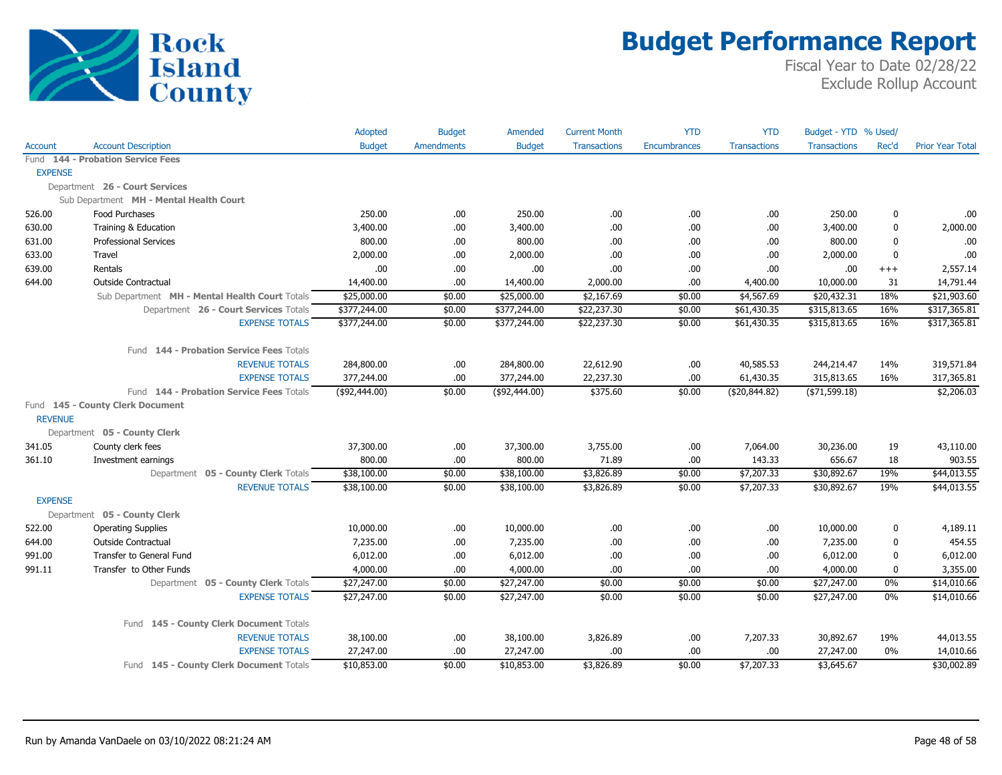

|                |                                                | Adopted       | <b>Budget</b>     | Amended       | <b>Current Month</b> | <b>YTD</b>          | <b>YTD</b>          | Budget - YTD % Used/ |             |                  |
|----------------|------------------------------------------------|---------------|-------------------|---------------|----------------------|---------------------|---------------------|----------------------|-------------|------------------|
| Account        | <b>Account Description</b>                     | <b>Budget</b> | <b>Amendments</b> | <b>Budget</b> | <b>Transactions</b>  | <b>Encumbrances</b> | <b>Transactions</b> | <b>Transactions</b>  | Rec'd       | Prior Year Total |
|                | Fund 144 - Probation Service Fees              |               |                   |               |                      |                     |                     |                      |             |                  |
| <b>EXPENSE</b> |                                                |               |                   |               |                      |                     |                     |                      |             |                  |
|                | Department 26 - Court Services                 |               |                   |               |                      |                     |                     |                      |             |                  |
|                | Sub Department MH - Mental Health Court        |               |                   |               |                      |                     |                     |                      |             |                  |
| 526.00         | Food Purchases                                 | 250.00        | .00.              | 250.00        | .00.                 | .00                 | .00                 | 250.00               | 0           | .00.             |
| 630.00         | Training & Education                           | 3,400.00      | .00.              | 3,400.00      | .00                  | .00                 | .00                 | 3,400.00             | $\pmb{0}$   | 2,000.00         |
| 631.00         | <b>Professional Services</b>                   | 800.00        | .00.              | 800.00        | .00.                 | .00                 | .00.                | 800.00               | 0           | .00              |
| 633.00         | Travel                                         | 2,000.00      | .00.              | 2,000.00      | .00                  | .00                 | .00                 | 2,000.00             | $\mathbf 0$ | .00              |
| 639.00         | Rentals                                        | .00           | .00.              | .00           | .00                  | .00                 | .00                 | .00                  | $+++$       | 2,557.14         |
| 644.00         | Outside Contractual                            | 14,400.00     | .00.              | 14,400.00     | 2,000.00             | .00                 | 4,400.00            | 10,000.00            | 31          | 14,791.44        |
|                | Sub Department MH - Mental Health Court Totals | \$25,000.00   | \$0.00            | \$25,000.00   | \$2,167.69           | \$0.00              | \$4,567.69          | \$20,432.31          | 18%         | \$21,903.60      |
|                | Department 26 - Court Services Totals          | \$377,244.00  | \$0.00            | \$377,244.00  | \$22,237.30          | \$0.00              | \$61,430.35         | \$315,813.65         | 16%         | \$317,365.81     |
|                | <b>EXPENSE TOTALS</b>                          | \$377,244.00  | \$0.00            | \$377,244.00  | \$22,237.30          | \$0.00              | \$61,430.35         | \$315,813.65         | 16%         | \$317,365.81     |
|                |                                                |               |                   |               |                      |                     |                     |                      |             |                  |
|                | Fund 144 - Probation Service Fees Totals       |               |                   |               |                      |                     |                     |                      |             |                  |
|                | <b>REVENUE TOTALS</b>                          | 284,800.00    | .00.              | 284,800.00    | 22,612.90            | .00                 | 40,585.53           | 244,214.47           | 14%         | 319,571.84       |
|                | <b>EXPENSE TOTALS</b>                          | 377,244.00    | .00.              | 377,244.00    | 22,237.30            | .00                 | 61,430.35           | 315,813.65           | 16%         | 317,365.81       |
|                | Fund 144 - Probation Service Fees Totals       | (\$92,444.00) | \$0.00            | (\$92,444.00) | \$375.60             | \$0.00              | ( \$20, 844.82)     | $($ \$71,599.18)     |             | \$2,206.03       |
|                | Fund 145 - County Clerk Document               |               |                   |               |                      |                     |                     |                      |             |                  |
| <b>REVENUE</b> |                                                |               |                   |               |                      |                     |                     |                      |             |                  |
|                | Department 05 - County Clerk                   |               |                   |               |                      |                     |                     |                      |             |                  |
| 341.05         | County clerk fees                              | 37,300.00     | .00               | 37,300.00     | 3,755.00             | .00                 | 7,064.00            | 30,236.00            | 19          | 43,110.00        |
| 361.10         | Investment earnings                            | 800.00        | .00.              | 800.00        | 71.89                | .00                 | 143.33              | 656.67               | 18          | 903.55           |
|                | Department 05 - County Clerk Totals            | \$38,100.00   | \$0.00            | \$38,100.00   | \$3,826.89           | \$0.00              | \$7,207.33          | \$30,892.67          | 19%         | \$44,013.55      |
|                | <b>REVENUE TOTALS</b>                          | \$38,100.00   | \$0.00            | \$38,100.00   | \$3,826.89           | \$0.00              | \$7,207.33          | \$30,892.67          | 19%         | \$44,013.55      |
| <b>EXPENSE</b> |                                                |               |                   |               |                      |                     |                     |                      |             |                  |
|                | Department 05 - County Clerk                   |               |                   |               |                      |                     |                     |                      |             |                  |
| 522.00         | <b>Operating Supplies</b>                      | 10,000.00     | .00               | 10,000.00     | .00                  | .00                 | .00                 | 10,000.00            | 0           | 4,189.11         |
| 644.00         | <b>Outside Contractual</b>                     | 7,235.00      | .00.              | 7,235.00      | .00                  | .00                 | .00                 | 7,235.00             | $\pmb{0}$   | 454.55           |
| 991.00         | Transfer to General Fund                       | 6,012.00      | .00.              | 6,012.00      | .00                  | .00                 | .00                 | 6,012.00             | $\pmb{0}$   | 6,012.00         |
| 991.11         | Transfer to Other Funds                        | 4,000.00      | .00.              | 4,000.00      | .00.                 | .00                 | .00                 | 4,000.00             | $\mathbf 0$ | 3,355.00         |
|                | Department 05 - County Clerk Totals            | \$27,247.00   | \$0.00            | \$27,247.00   | \$0.00               | \$0.00              | \$0.00              | \$27,247.00          | 0%          | \$14,010.66      |
|                | <b>EXPENSE TOTALS</b>                          | \$27,247.00   | \$0.00            | \$27,247.00   | \$0.00               | \$0.00              | \$0.00              | \$27,247.00          | 0%          | \$14,010.66      |
|                |                                                |               |                   |               |                      |                     |                     |                      |             |                  |
|                | Fund 145 - County Clerk Document Totals        |               |                   |               |                      |                     |                     |                      |             |                  |
|                | <b>REVENUE TOTALS</b>                          | 38,100.00     | .00               | 38,100.00     | 3,826.89             | .00                 | 7,207.33            | 30,892.67            | 19%         | 44,013.55        |
|                | <b>EXPENSE TOTALS</b>                          | 27,247.00     | .00.              | 27,247.00     | .00.                 | .00                 | .00                 | 27,247.00            | 0%          | 14,010.66        |
|                | Fund 145 - County Clerk Document Totals        | \$10,853.00   | \$0.00            | \$10,853.00   | \$3,826.89           | \$0.00              | \$7,207.33          | \$3,645.67           |             | \$30,002.89      |
|                |                                                |               |                   |               |                      |                     |                     |                      |             |                  |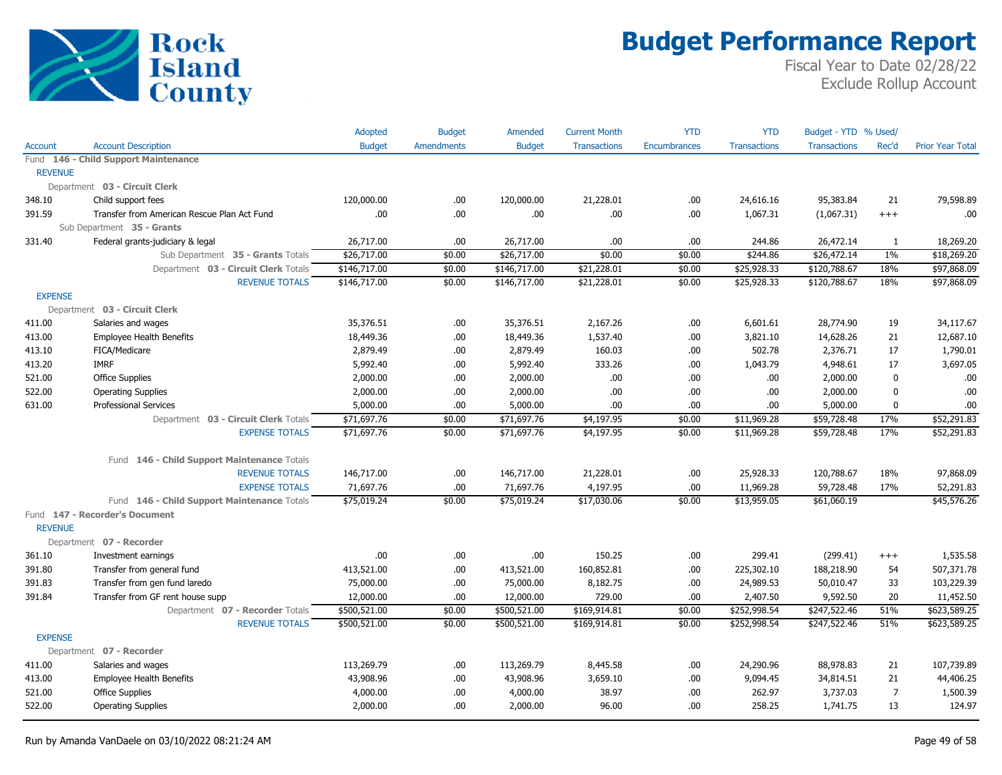

|                |                                             | Adopted       | <b>Budget</b>     | <b>Amended</b> | <b>Current Month</b> | <b>YTD</b>   | <b>YTD</b>          | Budget - YTD % Used/ |              |                         |
|----------------|---------------------------------------------|---------------|-------------------|----------------|----------------------|--------------|---------------------|----------------------|--------------|-------------------------|
| <b>Account</b> | <b>Account Description</b>                  | <b>Budget</b> | <b>Amendments</b> | <b>Budget</b>  | <b>Transactions</b>  | Encumbrances | <b>Transactions</b> | <b>Transactions</b>  | Rec'd        | <b>Prior Year Total</b> |
|                | Fund 146 - Child Support Maintenance        |               |                   |                |                      |              |                     |                      |              |                         |
| <b>REVENUE</b> |                                             |               |                   |                |                      |              |                     |                      |              |                         |
|                | Department 03 - Circuit Clerk               |               |                   |                |                      |              |                     |                      |              |                         |
| 348.10         | Child support fees                          | 120,000.00    | .00.              | 120,000.00     | 21,228.01            | .00          | 24,616.16           | 95,383.84            | 21           | 79,598.89               |
| 391.59         | Transfer from American Rescue Plan Act Fund | .00           | .00.              | .00            | .00.                 | .00          | 1,067.31            | (1,067.31)           | $+++$        | .00.                    |
|                | Sub Department 35 - Grants                  |               |                   |                |                      |              |                     |                      |              |                         |
| 331.40         | Federal grants-judiciary & legal            | 26,717.00     | .00.              | 26,717.00      | .00.                 | .00          | 244.86              | 26,472.14            | $\mathbf{1}$ | 18,269.20               |
|                | Sub Department 35 - Grants Totals           | \$26,717.00   | \$0.00            | \$26,717.00    | \$0.00               | \$0.00       | \$244.86            | \$26,472.14          | $1\%$        | \$18,269.20             |
|                | Department 03 - Circuit Clerk Totals        | \$146,717.00  | \$0.00            | \$146,717.00   | \$21,228.01          | \$0.00       | \$25,928.33         | \$120,788.67         | 18%          | \$97,868.09             |
|                | <b>REVENUE TOTALS</b>                       | \$146,717.00  | \$0.00            | \$146,717.00   | \$21,228.01          | \$0.00       | \$25,928.33         | \$120,788.67         | 18%          | \$97,868.09             |
| <b>EXPENSE</b> |                                             |               |                   |                |                      |              |                     |                      |              |                         |
|                | Department 03 - Circuit Clerk               |               |                   |                |                      |              |                     |                      |              |                         |
| 411.00         | Salaries and wages                          | 35,376.51     | .00.              | 35,376.51      | 2,167.26             | .00          | 6,601.61            | 28,774.90            | 19           | 34,117.67               |
| 413.00         | <b>Employee Health Benefits</b>             | 18,449.36     | .00.              | 18,449.36      | 1,537.40             | .00          | 3,821.10            | 14,628.26            | 21           | 12,687.10               |
| 413.10         | FICA/Medicare                               | 2,879.49      | .00.              | 2,879.49       | 160.03               | .00          | 502.78              | 2,376.71             | 17           | 1,790.01                |
| 413.20         | <b>IMRF</b>                                 | 5,992.40      | .00.              | 5,992.40       | 333.26               | .00          | 1,043.79            | 4,948.61             | 17           | 3,697.05                |
| 521.00         | <b>Office Supplies</b>                      | 2,000.00      | .00.              | 2,000.00       | .00.                 | .00          | .00.                | 2,000.00             | $\mathbf 0$  | .00                     |
| 522.00         | <b>Operating Supplies</b>                   | 2,000.00      | .00.              | 2,000.00       | .00.                 | .00          | .00.                | 2,000.00             | 0            | .00                     |
| 631.00         | <b>Professional Services</b>                | 5,000.00      | .00.              | 5,000.00       | .00.                 | .00          | .00                 | 5,000.00             | $\mathbf 0$  | .00                     |
|                | Department 03 - Circuit Clerk Totals        | \$71,697.76   | \$0.00            | \$71,697.76    | \$4,197.95           | \$0.00       | \$11,969.28         | \$59,728.48          | 17%          | \$52,291.83             |
|                | <b>EXPENSE TOTALS</b>                       | \$71,697.76   | \$0.00            | \$71,697.76    | \$4,197.95           | \$0.00       | \$11,969.28         | \$59,728.48          | 17%          | \$52,291.83             |
|                | Fund 146 - Child Support Maintenance Totals |               |                   |                |                      |              |                     |                      |              |                         |
|                | <b>REVENUE TOTALS</b>                       | 146,717.00    | .00.              | 146,717.00     | 21,228.01            | .00          | 25,928.33           | 120,788.67           | 18%          | 97,868.09               |
|                | <b>EXPENSE TOTALS</b>                       | 71,697.76     | .00.              | 71,697.76      | 4,197.95             | .00          | 11,969.28           | 59,728.48            | 17%          | 52,291.83               |
|                | Fund 146 - Child Support Maintenance Totals | \$75,019.24   | \$0.00            | \$75,019.24    | \$17,030.06          | \$0.00       | \$13,959.05         | \$61,060.19          |              | \$45,576.26             |
| <b>REVENUE</b> | Fund 147 - Recorder's Document              |               |                   |                |                      |              |                     |                      |              |                         |
|                | Department 07 - Recorder                    |               |                   |                |                      |              |                     |                      |              |                         |
| 361.10         | Investment earnings                         | .00           | .00.              | .00            | 150.25               | .00          | 299.41              | (299.41)             | $^{+++}$     | 1,535.58                |
| 391.80         | Transfer from general fund                  | 413,521.00    | .00.              | 413,521.00     | 160,852.81           | .00          | 225,302.10          | 188,218.90           | 54           | 507,371.78              |
| 391.83         | Transfer from gen fund laredo               | 75,000.00     | .00.              | 75,000.00      | 8,182.75             | .00          | 24,989.53           | 50,010.47            | 33           | 103,229.39              |
| 391.84         | Transfer from GF rent house supp            | 12,000.00     | .00.              | 12,000.00      | 729.00               | .00          | 2,407.50            | 9,592.50             | 20           | 11,452.50               |
|                | Department 07 - Recorder Totals             | \$500,521.00  | \$0.00            | \$500,521.00   | \$169,914.81         | \$0.00       | \$252,998.54        | \$247,522.46         | 51%          | \$623,589.25            |
|                | <b>REVENUE TOTALS</b>                       | \$500,521.00  | \$0.00            | \$500,521.00   | \$169,914.81         | \$0.00       | \$252,998.54        | \$247,522.46         | 51%          | \$623,589.25            |
| <b>EXPENSE</b> |                                             |               |                   |                |                      |              |                     |                      |              |                         |
|                | Department 07 - Recorder                    |               |                   |                |                      |              |                     |                      |              |                         |
| 411.00         | Salaries and wages                          | 113,269.79    | .00.              | 113,269.79     | 8,445.58             | .00          | 24,290.96           | 88,978.83            | 21           | 107,739.89              |
| 413.00         | Employee Health Benefits                    | 43,908.96     | .00.              | 43,908.96      | 3,659.10             | .00          | 9,094.45            | 34,814.51            | 21           | 44,406.25               |
| 521.00         | <b>Office Supplies</b>                      | 4,000.00      | .00.              | 4,000.00       | 38.97                | .00          | 262.97              | 3,737.03             | 7            | 1,500.39                |
| 522.00         | <b>Operating Supplies</b>                   | 2,000.00      | .00.              | 2,000.00       | 96.00                | .00          | 258.25              | 1,741.75             | 13           | 124.97                  |
|                |                                             |               |                   |                |                      |              |                     |                      |              |                         |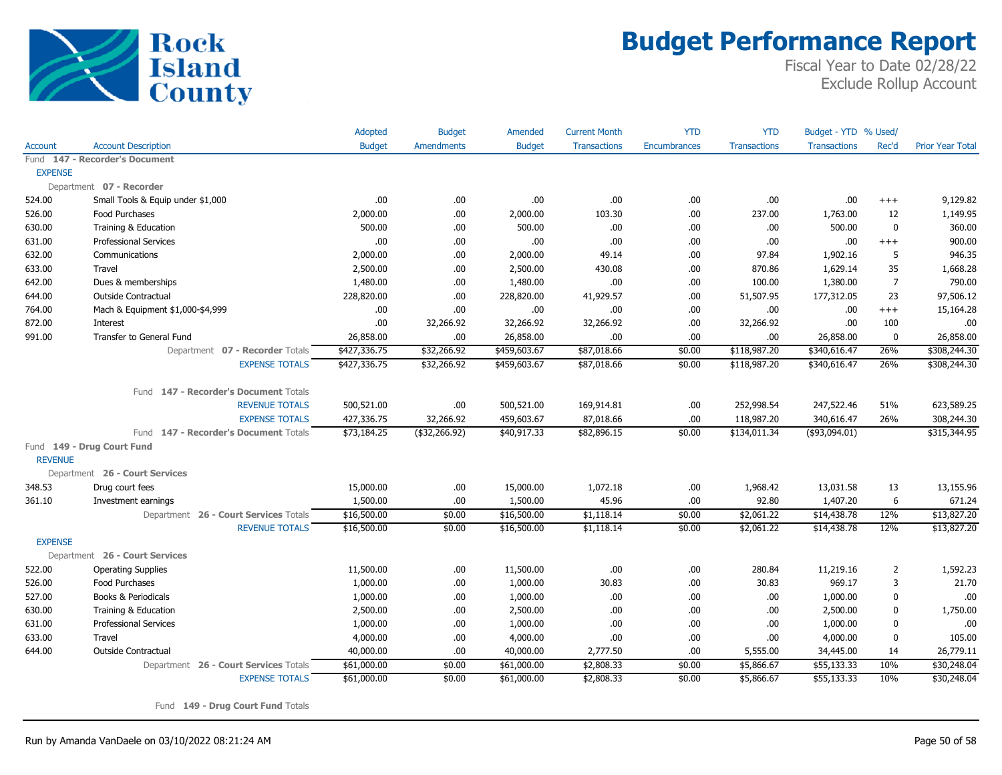

Fiscal Year to Date 02/28/22 Exclude Rollup Account

|                |                                       | Adopted       | <b>Budget</b>     | Amended       | <b>Current Month</b> | <b>YTD</b>   | <b>YTD</b>          | Budget - YTD % Used/ |                |                         |
|----------------|---------------------------------------|---------------|-------------------|---------------|----------------------|--------------|---------------------|----------------------|----------------|-------------------------|
| <b>Account</b> | <b>Account Description</b>            | <b>Budget</b> | <b>Amendments</b> | <b>Budget</b> | <b>Transactions</b>  | Encumbrances | <b>Transactions</b> | <b>Transactions</b>  | Rec'd          | <b>Prior Year Total</b> |
|                | Fund 147 - Recorder's Document        |               |                   |               |                      |              |                     |                      |                |                         |
| <b>EXPENSE</b> |                                       |               |                   |               |                      |              |                     |                      |                |                         |
|                | Department 07 - Recorder              |               |                   |               |                      |              |                     |                      |                |                         |
| 524.00         | Small Tools & Equip under \$1,000     | .00           | .00               | .00           | .00                  | .00          | .00                 | .00                  | $+++$          | 9,129.82                |
| 526.00         | <b>Food Purchases</b>                 | 2,000.00      | .00.              | 2,000.00      | 103.30               | .00          | 237.00              | 1,763.00             | 12             | 1,149.95                |
| 630.00         | Training & Education                  | 500.00        | .00               | 500.00        | .00.                 | .00          | .00.                | 500.00               | $\mathbf 0$    | 360.00                  |
| 631.00         | <b>Professional Services</b>          | .00           | .00               | .00           | .00.                 | .00          | .00.                | .00                  | $+++$          | 900.00                  |
| 632.00         | Communications                        | 2,000.00      | .00.              | 2,000.00      | 49.14                | .00          | 97.84               | 1,902.16             | 5              | 946.35                  |
| 633.00         | Travel                                | 2,500.00      | .00.              | 2,500.00      | 430.08               | .00          | 870.86              | 1,629.14             | 35             | 1,668.28                |
| 642.00         | Dues & memberships                    | 1,480.00      | .00.              | 1,480.00      | .00.                 | .00          | 100.00              | 1,380.00             | $\overline{7}$ | 790.00                  |
| 644.00         | <b>Outside Contractual</b>            | 228,820.00    | .00               | 228,820.00    | 41,929.57            | .00          | 51,507.95           | 177,312.05           | 23             | 97,506.12               |
| 764.00         | Mach & Equipment \$1,000-\$4,999      | .00           | .00               | .00           | .00                  | .00          | .00                 | .00                  | $+++$          | 15,164.28               |
| 872.00         | Interest                              | .00           | 32,266.92         | 32,266.92     | 32,266.92            | .00          | 32,266.92           | .00                  | 100            | .00                     |
| 991.00         | Transfer to General Fund              | 26,858.00     | .00.              | 26,858.00     | .00.                 | .00          | .00.                | 26,858.00            | $\mathbf 0$    | 26,858.00               |
|                | Department 07 - Recorder Totals       | \$427,336.75  | \$32,266.92       | \$459,603.67  | \$87,018.66          | \$0.00       | \$118,987.20        | \$340,616.47         | 26%            | \$308,244.30            |
|                | <b>EXPENSE TOTALS</b>                 | \$427,336.75  | \$32,266.92       | \$459,603.67  | \$87,018.66          | \$0.00       | \$118,987.20        | \$340,616.47         | 26%            | \$308,244.30            |
|                |                                       |               |                   |               |                      |              |                     |                      |                |                         |
|                | Fund 147 - Recorder's Document Totals |               |                   |               |                      |              |                     |                      |                |                         |
|                | <b>REVENUE TOTALS</b>                 | 500,521.00    | .00.              | 500,521.00    | 169,914.81           | .00          | 252,998.54          | 247,522.46           | 51%            | 623,589.25              |
|                | <b>EXPENSE TOTALS</b>                 | 427,336.75    | 32,266.92         | 459,603.67    | 87,018.66            | .00          | 118,987.20          | 340,616.47           | 26%            | 308,244.30              |
|                | Fund 147 - Recorder's Document Totals | \$73,184.25   | $($ \$32,266.92)  | \$40,917.33   | \$82,896.15          | \$0.00       | \$134,011.34        | $($ \$93,094.01)     |                | \$315,344.95            |
|                | Fund 149 - Drug Court Fund            |               |                   |               |                      |              |                     |                      |                |                         |
| <b>REVENUE</b> |                                       |               |                   |               |                      |              |                     |                      |                |                         |
|                | Department 26 - Court Services        |               |                   |               |                      |              |                     |                      |                |                         |
| 348.53         | Drug court fees                       | 15,000.00     | .00.              | 15,000.00     | 1,072.18             | .00          | 1,968.42            | 13,031.58            | 13             | 13,155.96               |
| 361.10         | Investment earnings                   | 1,500.00      | .00               | 1,500.00      | 45.96                | .00          | 92.80               | 1,407.20             | 6              | 671.24                  |
|                | Department 26 - Court Services Totals | \$16,500.00   | \$0.00            | \$16,500.00   | \$1,118.14           | \$0.00       | \$2,061.22          | \$14,438.78          | 12%            | \$13,827.20             |
|                | <b>REVENUE TOTALS</b>                 | \$16,500.00   | \$0.00            | \$16,500.00   | \$1,118.14           | \$0.00       | \$2,061.22          | \$14,438.78          | 12%            | \$13,827.20             |
| <b>EXPENSE</b> |                                       |               |                   |               |                      |              |                     |                      |                |                         |
|                | Department 26 - Court Services        |               |                   |               |                      |              |                     |                      |                |                         |
| 522.00         | <b>Operating Supplies</b>             | 11,500.00     | .00.              | 11,500.00     | .00.                 | .00          | 280.84              | 11,219.16            | $\overline{2}$ | 1,592.23                |
| 526.00         | <b>Food Purchases</b>                 | 1,000.00      | .00.              | 1,000.00      | 30.83                | .00          | 30.83               | 969.17               | 3              | 21.70                   |
| 527.00         | Books & Periodicals                   | 1,000.00      | .00.              | 1,000.00      | .00.                 | .00          | .00.                | 1,000.00             | $\mathbf 0$    | .00                     |
| 630.00         | Training & Education                  | 2,500.00      | .00               | 2,500.00      | .00                  | .00          | .00                 | 2,500.00             | 0              | 1,750.00                |
| 631.00         | <b>Professional Services</b>          | 1,000.00      | .00.              | 1,000.00      | .00.                 | .00          | .00.                | 1,000.00             | $\mathbf 0$    | .00                     |
| 633.00         | Travel                                | 4,000.00      | .00.              | 4,000.00      | .00.                 | .00          | .00.                | 4,000.00             | 0              | 105.00                  |
| 644.00         | <b>Outside Contractual</b>            | 40,000.00     | .00               | 40,000.00     | 2,777.50             | .00          | 5,555.00            | 34,445.00            | 14             | 26,779.11               |
|                | Department 26 - Court Services Totals | \$61,000.00   | \$0.00            | \$61,000.00   | \$2,808.33           | \$0.00       | \$5,866.67          | \$55,133.33          | 10%            | \$30,248.04             |
|                | <b>EXPENSE TOTALS</b>                 | \$61,000.00   | \$0.00            | \$61,000.00   | \$2,808.33           | \$0.00       | \$5,866.67          | \$55,133.33          | 10%            | \$30,248.04             |

Fund **149 - Drug Court Fund** Totals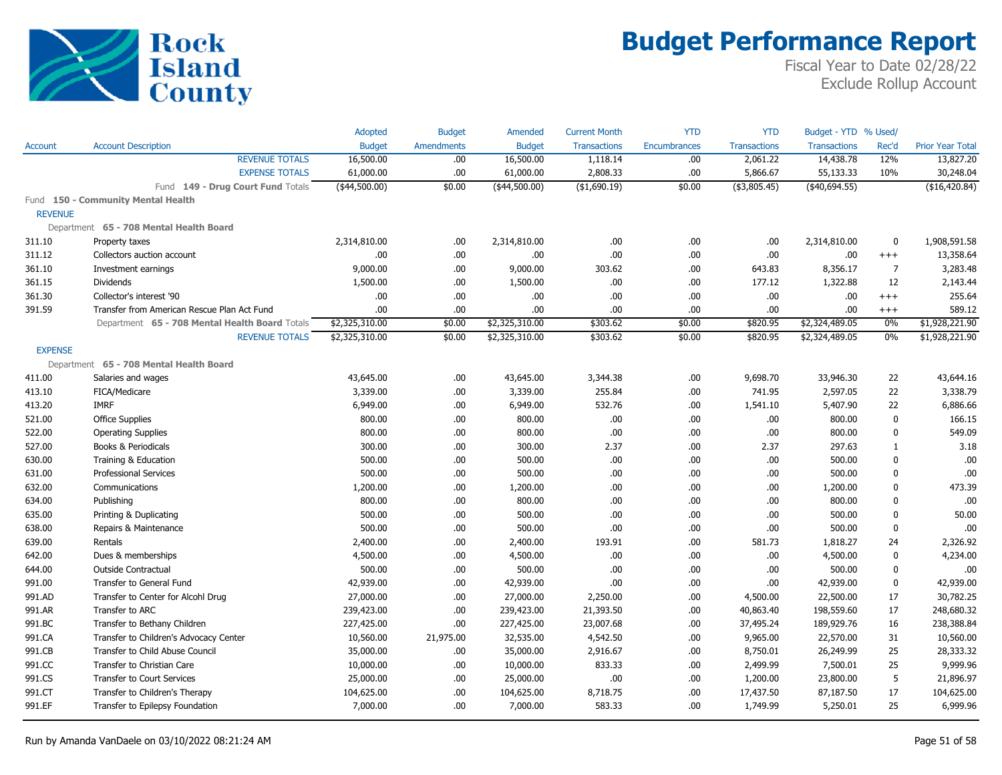

|                |                                                | Adopted        | <b>Budget</b>     | Amended        | <b>Current Month</b> | <b>YTD</b>          | <b>YTD</b>          | Budget - YTD % Used/ |                |                         |
|----------------|------------------------------------------------|----------------|-------------------|----------------|----------------------|---------------------|---------------------|----------------------|----------------|-------------------------|
| Account        | <b>Account Description</b>                     | <b>Budget</b>  | <b>Amendments</b> | <b>Budget</b>  | <b>Transactions</b>  | <b>Encumbrances</b> | <b>Transactions</b> | <b>Transactions</b>  | Rec'd          | <b>Prior Year Total</b> |
|                | <b>REVENUE TOTALS</b>                          | 16,500.00      | .00               | 16,500.00      | 1,118.14             | .00.                | 2,061.22            | 14,438.78            | 12%            | 13,827.20               |
|                | <b>EXPENSE TOTALS</b>                          | 61,000.00      | .00               | 61,000.00      | 2,808.33             | .00.                | 5,866.67            | 55,133.33            | 10%            | 30,248.04               |
|                | Fund 149 - Drug Court Fund Totals              | $(*44,500.00)$ | \$0.00            | $(*44,500.00)$ | (\$1,690.19)         | \$0.00              | ( \$3,805.45)       | (40, 694.55)         |                | (\$16,420.84)           |
|                | Fund 150 - Community Mental Health             |                |                   |                |                      |                     |                     |                      |                |                         |
| <b>REVENUE</b> |                                                |                |                   |                |                      |                     |                     |                      |                |                         |
|                | Department 65 - 708 Mental Health Board        |                |                   |                |                      |                     |                     |                      |                |                         |
| 311.10         | Property taxes                                 | 2,314,810.00   | .00               | 2,314,810.00   | .00                  | .00.                | .00                 | 2,314,810.00         | $\mathbf 0$    | 1,908,591.58            |
| 311.12         | Collectors auction account                     | .00.           | .00               | .00.           | .00                  | .00.                | .00                 | .00.                 | $^{+++}$       | 13,358.64               |
| 361.10         | Investment earnings                            | 9,000.00       | .00               | 9,000.00       | 303.62               | .00.                | 643.83              | 8,356.17             | $\overline{7}$ | 3,283.48                |
| 361.15         | <b>Dividends</b>                               | 1,500.00       | .00               | 1,500.00       | .00                  | .00.                | 177.12              | 1,322.88             | 12             | 2,143.44                |
| 361.30         | Collector's interest '90                       | .00            | .00               | .00.           | .00                  | .00.                | .00                 | .00.                 | $^{+++}$       | 255.64                  |
| 391.59         | Transfer from American Rescue Plan Act Fund    | .00.           | .00               | .00.           | .00                  | .00.                | .00                 | .00.                 | $^{+++}$       | 589.12                  |
|                | Department 65 - 708 Mental Health Board Totals | \$2,325,310.00 | \$0.00            | \$2,325,310.00 | \$303.62             | \$0.00              | \$820.95            | \$2,324,489.05       | $0\%$          | \$1,928,221.90          |
|                | <b>REVENUE TOTALS</b>                          | \$2,325,310.00 | \$0.00            | \$2,325,310.00 | \$303.62             | \$0.00              | \$820.95            | \$2,324,489.05       | $0\%$          | \$1,928,221.90          |
| <b>EXPENSE</b> |                                                |                |                   |                |                      |                     |                     |                      |                |                         |
|                | Department 65 - 708 Mental Health Board        |                |                   |                |                      |                     |                     |                      |                |                         |
| 411.00         | Salaries and wages                             | 43,645.00      | .00.              | 43,645.00      | 3,344.38             | .00.                | 9,698.70            | 33,946.30            | 22             | 43,644.16               |
| 413.10         | FICA/Medicare                                  | 3,339.00       | .00               | 3,339.00       | 255.84               | .00                 | 741.95              | 2,597.05             | 22             | 3,338.79                |
| 413.20         | <b>IMRF</b>                                    | 6,949.00       | .00               | 6,949.00       | 532.76               | .00.                | 1,541.10            | 5,407.90             | 22             | 6,886.66                |
| 521.00         | <b>Office Supplies</b>                         | 800.00         | .00               | 800.00         | .00                  | .00.                | .00                 | 800.00               | $\mathbf 0$    | 166.15                  |
| 522.00         | <b>Operating Supplies</b>                      | 800.00         | .00               | 800.00         | .00                  | .00.                | .00                 | 800.00               | 0              | 549.09                  |
| 527.00         | Books & Periodicals                            | 300.00         | .00               | 300.00         | 2.37                 | .00.                | 2.37                | 297.63               | 1              | 3.18                    |
| 630.00         | Training & Education                           | 500.00         | .00               | 500.00         | .00                  | .00.                | .00                 | 500.00               | 0              | .00                     |
| 631.00         | <b>Professional Services</b>                   | 500.00         | .00               | 500.00         | .00                  | .00.                | .00                 | 500.00               | $\mathbf 0$    | .00                     |
| 632.00         | Communications                                 | 1,200.00       | .00               | 1,200.00       | .00                  | .00.                | .00                 | 1,200.00             | 0              | 473.39                  |
| 634.00         | Publishing                                     | 800.00         | .00               | 800.00         | .00                  | .00.                | .00                 | 800.00               | 0              | .00                     |
| 635.00         | Printing & Duplicating                         | 500.00         | .00               | 500.00         | .00                  | .00.                | .00                 | 500.00               | 0              | 50.00                   |
| 638.00         | Repairs & Maintenance                          | 500.00         | .00               | 500.00         | .00                  | .00.                | .00                 | 500.00               | 0              | .00                     |
| 639.00         | Rentals                                        | 2,400.00       | .00               | 2,400.00       | 193.91               | .00.                | 581.73              | 1,818.27             | 24             | 2,326.92                |
| 642.00         | Dues & memberships                             | 4,500.00       | .00               | 4,500.00       | .00                  | .00.                | .00                 | 4,500.00             | 0              | 4,234.00                |
| 644.00         | Outside Contractual                            | 500.00         | .00               | 500.00         | .00                  | .00.                | .00                 | 500.00               | 0              | .00                     |
| 991.00         | Transfer to General Fund                       | 42,939.00      | .00               | 42,939.00      | .00                  | .00.                | .00                 | 42,939.00            | 0              | 42,939.00               |
| 991.AD         | Transfer to Center for Alcohl Drug             | 27,000.00      | .00               | 27,000.00      | 2,250.00             | .00.                | 4,500.00            | 22,500.00            | 17             | 30,782.25               |
| 991.AR         | Transfer to ARC                                | 239,423.00     | .00               | 239,423.00     | 21,393.50            | .00.                | 40,863.40           | 198,559.60           | 17             | 248,680.32              |
| 991.BC         | Transfer to Bethany Children                   | 227,425.00     | .00               | 227,425.00     | 23,007.68            | .00.                | 37,495.24           | 189,929.76           | 16             | 238,388.84              |
| 991.CA         | Transfer to Children's Advocacy Center         | 10,560.00      | 21,975.00         | 32,535.00      | 4,542.50             | .00                 | 9,965.00            | 22,570.00            | 31             | 10,560.00               |
| 991.CB         | Transfer to Child Abuse Council                | 35,000.00      | .00               | 35,000.00      | 2,916.67             | .00                 | 8,750.01            | 26,249.99            | 25             | 28,333.32               |
| 991.CC         | Transfer to Christian Care                     | 10,000.00      | .00               | 10,000.00      | 833.33               | .00                 | 2,499.99            | 7,500.01             | 25             | 9,999.96                |
| 991.CS         | Transfer to Court Services                     | 25,000.00      | .00               | 25,000.00      | .00                  | .00.                | 1,200.00            | 23,800.00            | 5              | 21,896.97               |
| 991.CT         | Transfer to Children's Therapy                 | 104,625.00     | .00               | 104,625.00     | 8,718.75             | .00.                | 17,437.50           | 87,187.50            | 17             | 104,625.00              |
| 991.EF         | Transfer to Epilepsy Foundation                | 7,000.00       | .00               | 7,000.00       | 583.33               | .00                 | 1,749.99            | 5,250.01             | 25             | 6,999.96                |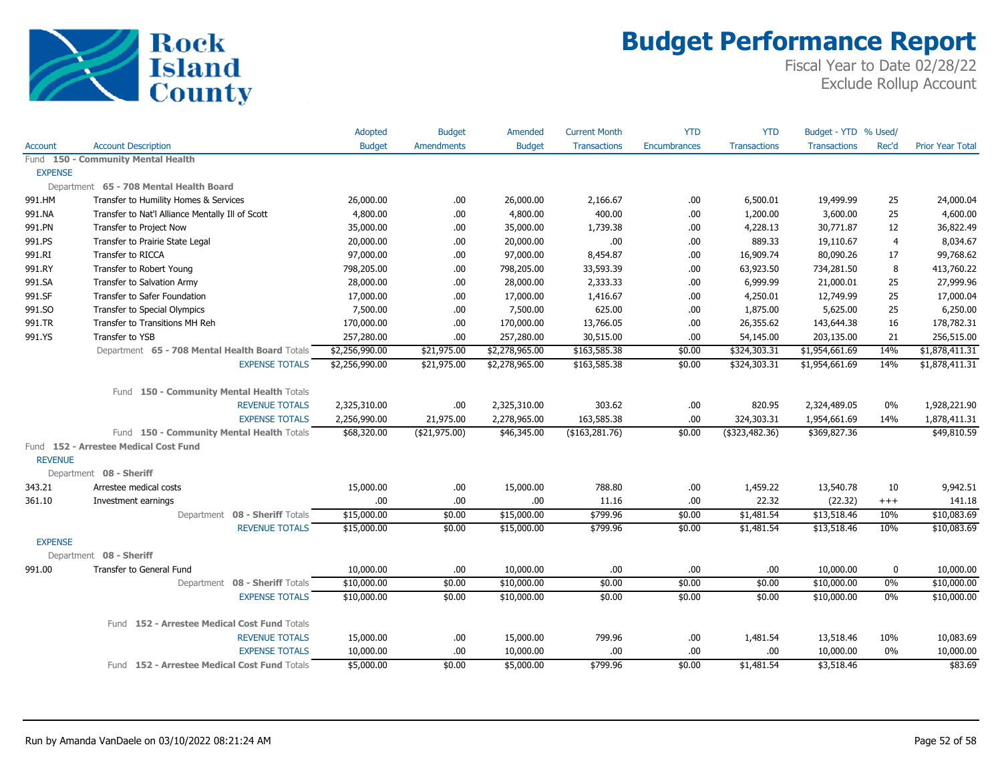

|                |                                                  | Adopted        | <b>Budget</b>     | Amended        | <b>Current Month</b> | <b>YTD</b>   | <b>YTD</b>          | Budget - YTD % Used/ |                |                         |
|----------------|--------------------------------------------------|----------------|-------------------|----------------|----------------------|--------------|---------------------|----------------------|----------------|-------------------------|
| Account        | <b>Account Description</b>                       | <b>Budget</b>  | <b>Amendments</b> | <b>Budget</b>  | <b>Transactions</b>  | Encumbrances | <b>Transactions</b> | <b>Transactions</b>  | Rec'd          | <b>Prior Year Total</b> |
|                | Fund 150 - Community Mental Health               |                |                   |                |                      |              |                     |                      |                |                         |
| <b>EXPENSE</b> |                                                  |                |                   |                |                      |              |                     |                      |                |                         |
|                | Department 65 - 708 Mental Health Board          |                |                   |                |                      |              |                     |                      |                |                         |
| 991.HM         | Transfer to Humility Homes & Services            | 26,000.00      | .00.              | 26,000.00      | 2,166.67             | .00          | 6,500.01            | 19,499.99            | 25             | 24,000.04               |
| 991.NA         | Transfer to Nat'l Alliance Mentally Ill of Scott | 4,800.00       | .00.              | 4,800.00       | 400.00               | .00          | 1,200.00            | 3,600.00             | 25             | 4,600.00                |
| 991.PN         | Transfer to Project Now                          | 35,000.00      | .00               | 35,000.00      | 1,739.38             | .00          | 4,228.13            | 30,771.87            | 12             | 36,822.49               |
| 991.PS         | Transfer to Prairie State Legal                  | 20,000.00      | .00.              | 20,000.00      | .00                  | .00          | 889.33              | 19,110.67            | $\overline{4}$ | 8,034.67                |
| 991.RI         | <b>Transfer to RICCA</b>                         | 97,000.00      | .00.              | 97,000.00      | 8,454.87             | .00          | 16,909.74           | 80,090.26            | 17             | 99,768.62               |
| 991.RY         | Transfer to Robert Young                         | 798,205.00     | .00.              | 798,205.00     | 33,593.39            | .00          | 63,923.50           | 734,281.50           | 8              | 413,760.22              |
| 991.SA         | Transfer to Salvation Army                       | 28,000.00      | .00.              | 28,000.00      | 2,333.33             | .00          | 6,999.99            | 21,000.01            | 25             | 27,999.96               |
| 991.SF         | Transfer to Safer Foundation                     | 17,000.00      | .00               | 17,000.00      | 1,416.67             | .00          | 4,250.01            | 12,749.99            | 25             | 17,000.04               |
| 991.SO         | Transfer to Special Olympics                     | 7,500.00       | .00.              | 7,500.00       | 625.00               | .00          | 1,875.00            | 5,625.00             | 25             | 6,250.00                |
| 991.TR         | Transfer to Transitions MH Reh                   | 170,000.00     | .00               | 170,000.00     | 13,766.05            | .00          | 26,355.62           | 143,644.38           | 16             | 178,782.31              |
| 991.YS         | Transfer to YSB                                  | 257,280.00     | .00               | 257,280.00     | 30,515.00            | .00          | 54,145.00           | 203,135.00           | 21             | 256,515.00              |
|                | Department 65 - 708 Mental Health Board Totals   | \$2,256,990.00 | \$21,975.00       | \$2,278,965.00 | \$163,585.38         | \$0.00       | \$324,303.31        | \$1,954,661.69       | 14%            | \$1,878,411.31          |
|                | <b>EXPENSE TOTALS</b>                            | \$2,256,990.00 | \$21,975.00       | \$2,278,965.00 | \$163,585.38         | \$0.00       | \$324,303.31        | \$1,954,661.69       | 14%            | \$1,878,411.31          |
|                | Fund 150 - Community Mental Health Totals        |                |                   |                |                      |              |                     |                      |                |                         |
|                | <b>REVENUE TOTALS</b>                            | 2,325,310.00   | .00.              | 2,325,310.00   | 303.62               | .00          | 820.95              | 2,324,489.05         | $0\%$          | 1,928,221.90            |
|                | <b>EXPENSE TOTALS</b>                            | 2,256,990.00   | 21,975.00         | 2,278,965.00   | 163,585.38           | .00          | 324,303.31          | 1,954,661.69         | 14%            | 1,878,411.31            |
|                | Fund 150 - Community Mental Health Totals        | \$68,320.00    | (\$21,975.00)     | \$46,345.00    | (\$163, 281.76)      | \$0.00       | (\$323,482.36)      | \$369,827.36         |                | \$49,810.59             |
|                | Fund 152 - Arrestee Medical Cost Fund            |                |                   |                |                      |              |                     |                      |                |                         |
| <b>REVENUE</b> |                                                  |                |                   |                |                      |              |                     |                      |                |                         |
|                | Department 08 - Sheriff                          |                |                   |                |                      |              |                     |                      |                |                         |
| 343.21         | Arrestee medical costs                           | 15,000.00      | .00.              | 15,000.00      | 788.80               | .00          | 1,459.22            | 13,540.78            | 10             | 9,942.51                |
| 361.10         | Investment earnings                              | .00            | .00               | .00            | 11.16                | .00          | 22.32               | (22.32)              | $^{+++}$       | 141.18                  |
|                | Department 08 - Sheriff Totals                   | \$15,000.00    | \$0.00            | \$15,000.00    | \$799.96             | \$0.00       | \$1,481.54          | \$13,518.46          | 10%            | \$10,083.69             |
|                | <b>REVENUE TOTALS</b>                            | \$15,000.00    | \$0.00            | \$15,000.00    | \$799.96             | \$0.00       | \$1,481.54          | \$13,518.46          | 10%            | \$10,083.69             |
| <b>EXPENSE</b> |                                                  |                |                   |                |                      |              |                     |                      |                |                         |
|                | Department 08 - Sheriff                          |                |                   |                |                      |              |                     |                      |                |                         |
| 991.00         | Transfer to General Fund                         | 10,000.00      | .00.              | 10,000.00      | .00.                 | .00          | .00.                | 10,000.00            | $\pmb{0}$      | 10,000.00               |
|                | Department 08 - Sheriff Totals                   | \$10,000.00    | \$0.00            | \$10,000.00    | \$0.00               | \$0.00       | \$0.00              | \$10,000.00          | 0%             | \$10,000.00             |
|                | <b>EXPENSE TOTALS</b>                            | \$10,000.00    | \$0.00            | \$10,000.00    | \$0.00               | \$0.00       | \$0.00              | \$10,000.00          | 0%             | \$10,000.00             |
|                | Fund 152 - Arrestee Medical Cost Fund Totals     |                |                   |                |                      |              |                     |                      |                |                         |
|                | <b>REVENUE TOTALS</b>                            | 15,000.00      | .00.              | 15,000.00      | 799.96               | .00          | 1,481.54            | 13,518.46            | 10%            | 10,083.69               |
|                | <b>EXPENSE TOTALS</b>                            | 10,000.00      | .00               | 10,000.00      | .00.                 | .00          | .00.                | 10,000.00            | $0\%$          | 10,000.00               |
|                | Fund 152 - Arrestee Medical Cost Fund Totals     | \$5,000.00     | \$0.00            | \$5,000.00     | \$799.96             | \$0.00       | \$1,481.54          | \$3,518.46           |                | \$83.69                 |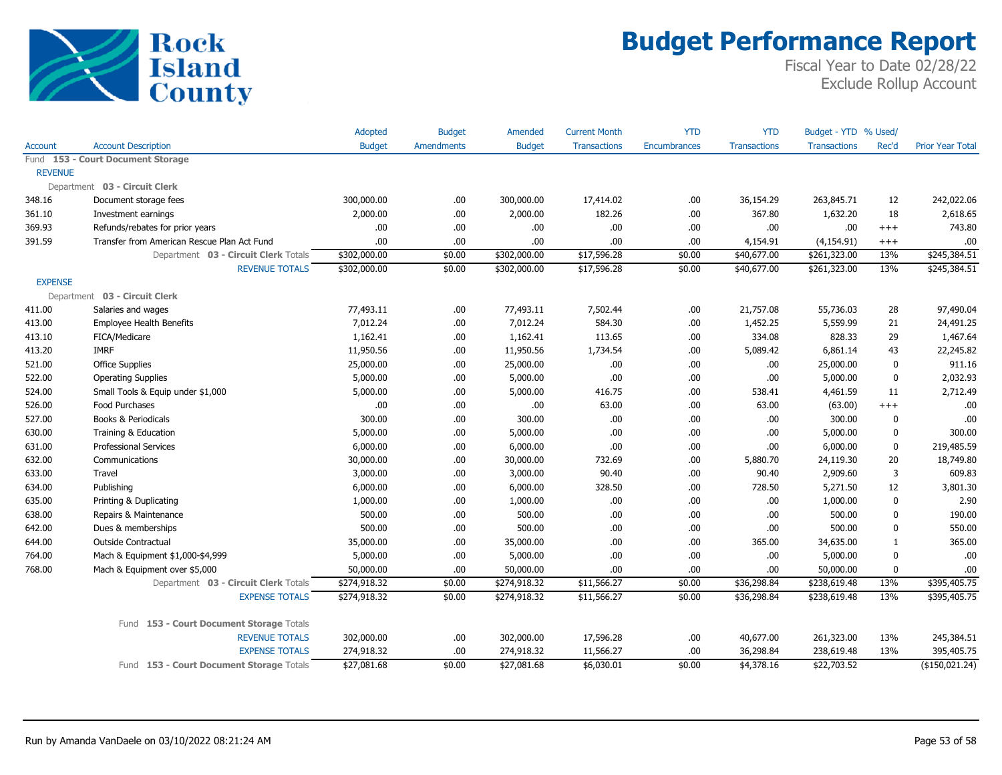

|                |                                             | Adopted       | <b>Budget</b>     | Amended       | <b>Current Month</b> | <b>YTD</b>          | <b>YTD</b>          | Budget - YTD % Used/ |          |                         |
|----------------|---------------------------------------------|---------------|-------------------|---------------|----------------------|---------------------|---------------------|----------------------|----------|-------------------------|
| Account        | <b>Account Description</b>                  | <b>Budget</b> | <b>Amendments</b> | <b>Budget</b> | <b>Transactions</b>  | <b>Encumbrances</b> | <b>Transactions</b> | <b>Transactions</b>  | Rec'd    | <b>Prior Year Total</b> |
|                | Fund 153 - Court Document Storage           |               |                   |               |                      |                     |                     |                      |          |                         |
| <b>REVENUE</b> |                                             |               |                   |               |                      |                     |                     |                      |          |                         |
|                | Department 03 - Circuit Clerk               |               |                   |               |                      |                     |                     |                      |          |                         |
| 348.16         | Document storage fees                       | 300,000.00    | .00               | 300,000.00    | 17,414.02            | .00                 | 36,154.29           | 263,845.71           | 12       | 242,022.06              |
| 361.10         | Investment earnings                         | 2,000.00      | .00               | 2,000.00      | 182.26               | .00.                | 367.80              | 1,632.20             | 18       | 2,618.65                |
| 369.93         | Refunds/rebates for prior years             | .00           | .00               | .00           | .00                  | .00                 | .00                 | .00.                 | $^{+++}$ | 743.80                  |
| 391.59         | Transfer from American Rescue Plan Act Fund | .00.          | .00               | .00           | .00                  | .00.                | 4,154.91            | (4, 154.91)          | $^{+++}$ | .00                     |
|                | Department 03 - Circuit Clerk Totals        | \$302,000.00  | \$0.00            | \$302,000.00  | \$17,596.28          | \$0.00              | \$40,677.00         | \$261,323.00         | 13%      | \$245,384.51            |
|                | <b>REVENUE TOTALS</b>                       | \$302,000.00  | \$0.00            | \$302,000.00  | \$17,596.28          | \$0.00              | \$40,677.00         | \$261,323.00         | 13%      | \$245,384.51            |
| <b>EXPENSE</b> |                                             |               |                   |               |                      |                     |                     |                      |          |                         |
|                | Department 03 - Circuit Clerk               |               |                   |               |                      |                     |                     |                      |          |                         |
| 411.00         | Salaries and wages                          | 77,493.11     | .00               | 77,493.11     | 7,502.44             | .00.                | 21,757.08           | 55,736.03            | 28       | 97,490.04               |
| 413.00         | <b>Employee Health Benefits</b>             | 7,012.24      | .00               | 7,012.24      | 584.30               | .00.                | 1,452.25            | 5,559.99             | 21       | 24,491.25               |
| 413.10         | FICA/Medicare                               | 1,162.41      | .00               | 1,162.41      | 113.65               | .00                 | 334.08              | 828.33               | 29       | 1,467.64                |
| 413.20         | <b>IMRF</b>                                 | 11,950.56     | .00               | 11,950.56     | 1,734.54             | .00.                | 5,089.42            | 6,861.14             | 43       | 22,245.82               |
| 521.00         | <b>Office Supplies</b>                      | 25,000.00     | .00.              | 25,000.00     | .00                  | .00                 | .00                 | 25,000.00            | 0        | 911.16                  |
| 522.00         | <b>Operating Supplies</b>                   | 5,000.00      | .00               | 5,000.00      | .00                  | .00.                | .00                 | 5,000.00             | 0        | 2,032.93                |
| 524.00         | Small Tools & Equip under \$1,000           | 5,000.00      | .00               | 5,000.00      | 416.75               | .00.                | 538.41              | 4,461.59             | 11       | 2,712.49                |
| 526.00         | Food Purchases                              | .00           | .00               | .00           | 63.00                | .00                 | 63.00               | (63.00)              | $^{+++}$ | .00                     |
| 527.00         | Books & Periodicals                         | 300.00        | .00               | 300.00        | .00                  | .00.                | .00                 | 300.00               | 0        | .00                     |
| 630.00         | Training & Education                        | 5,000.00      | .00               | 5,000.00      | .00                  | .00.                | .00                 | 5,000.00             | 0        | 300.00                  |
| 631.00         | <b>Professional Services</b>                | 6,000.00      | .00.              | 6,000.00      | .00                  | .00.                | .00                 | 6,000.00             | 0        | 219,485.59              |
| 632.00         | Communications                              | 30,000.00     | .00.              | 30,000.00     | 732.69               | .00.                | 5,880.70            | 24,119.30            | 20       | 18,749.80               |
| 633.00         | Travel                                      | 3,000.00      | .00               | 3,000.00      | 90.40                | .00.                | 90.40               | 2,909.60             | 3        | 609.83                  |
| 634.00         | Publishing                                  | 6,000.00      | .00               | 6,000.00      | 328.50               | .00                 | 728.50              | 5,271.50             | 12       | 3,801.30                |
| 635.00         | Printing & Duplicating                      | 1,000.00      | .00               | 1,000.00      | .00                  | .00                 | .00                 | 1,000.00             | 0        | 2.90                    |
| 638.00         | Repairs & Maintenance                       | 500.00        | .00               | 500.00        | .00                  | .00                 | .00                 | 500.00               | 0        | 190.00                  |
| 642.00         | Dues & memberships                          | 500.00        | .00               | 500.00        | .00                  | .00.                | .00                 | 500.00               | 0        | 550.00                  |
| 644.00         | Outside Contractual                         | 35,000.00     | .00               | 35,000.00     | .00                  | .00                 | 365.00              | 34,635.00            | 1        | 365.00                  |
| 764.00         | Mach & Equipment \$1,000-\$4,999            | 5,000.00      | .00               | 5,000.00      | .00                  | .00                 | .00                 | 5,000.00             | 0        | .00                     |
| 768.00         | Mach & Equipment over \$5,000               | 50,000.00     | .00.              | 50,000.00     | .00                  | .00.                | .00                 | 50,000.00            | 0        | .00                     |
|                | Department 03 - Circuit Clerk Totals        | \$274,918.32  | \$0.00            | \$274,918.32  | \$11,566.27          | \$0.00              | \$36,298.84         | \$238,619.48         | 13%      | \$395,405.75            |
|                | <b>EXPENSE TOTALS</b>                       | \$274,918.32  | \$0.00            | \$274,918.32  | \$11,566.27          | \$0.00              | \$36,298.84         | \$238,619.48         | 13%      | \$395,405.75            |
|                | Fund 153 - Court Document Storage Totals    |               |                   |               |                      |                     |                     |                      |          |                         |
|                | <b>REVENUE TOTALS</b>                       | 302,000.00    | .00               | 302,000.00    | 17,596.28            | .00                 | 40,677.00           | 261,323.00           | 13%      | 245,384.51              |
|                | <b>EXPENSE TOTALS</b>                       | 274,918.32    | .00               | 274,918.32    | 11,566.27            | .00                 | 36,298.84           | 238,619.48           | 13%      | 395,405.75              |
|                | Fund 153 - Court Document Storage Totals    | \$27,081.68   | \$0.00            | \$27,081.68   | \$6,030.01           | \$0.00              | \$4,378.16          | \$22,703.52          |          | $($ \$150,021.24)       |
|                |                                             |               |                   |               |                      |                     |                     |                      |          |                         |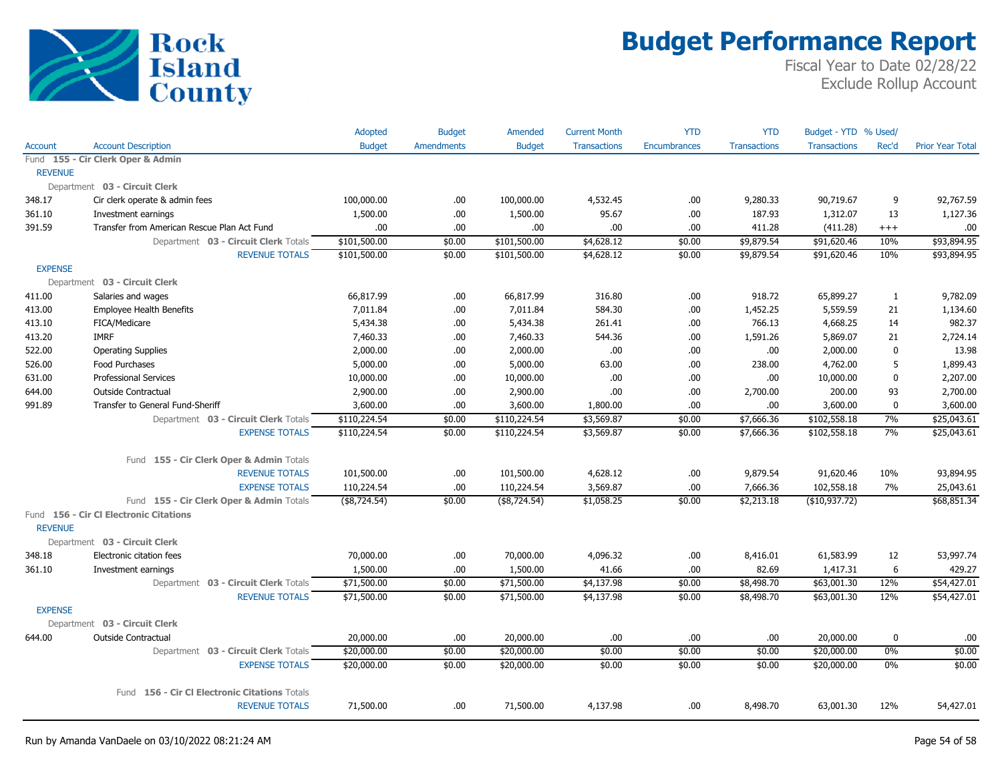

|                |                                               | Adopted       | <b>Budget</b>     | Amended       | <b>Current Month</b> | <b>YTD</b>   | <b>YTD</b>          | Budget - YTD % Used/ |             |                         |
|----------------|-----------------------------------------------|---------------|-------------------|---------------|----------------------|--------------|---------------------|----------------------|-------------|-------------------------|
| Account        | <b>Account Description</b>                    | <b>Budget</b> | <b>Amendments</b> | <b>Budget</b> | <b>Transactions</b>  | Encumbrances | <b>Transactions</b> | <b>Transactions</b>  | Rec'd       | <b>Prior Year Total</b> |
|                | Fund 155 - Cir Clerk Oper & Admin             |               |                   |               |                      |              |                     |                      |             |                         |
| <b>REVENUE</b> |                                               |               |                   |               |                      |              |                     |                      |             |                         |
|                | Department 03 - Circuit Clerk                 |               |                   |               |                      |              |                     |                      |             |                         |
| 348.17         | Cir clerk operate & admin fees                | 100,000.00    | .00               | 100,000.00    | 4,532.45             | .00          | 9,280.33            | 90,719.67            | 9           | 92,767.59               |
| 361.10         | Investment earnings                           | 1,500.00      | .00               | 1,500.00      | 95.67                | .00          | 187.93              | 1,312.07             | 13          | 1,127.36                |
| 391.59         | Transfer from American Rescue Plan Act Fund   | .00.          | .00.              | .00.          | .00.                 | .00          | 411.28              | (411.28)             | $^{+++}$    | .00                     |
|                | Department 03 - Circuit Clerk Totals          | \$101,500.00  | \$0.00            | \$101,500.00  | \$4,628.12           | \$0.00       | \$9,879.54          | \$91,620.46          | 10%         | \$93,894.95             |
|                | <b>REVENUE TOTALS</b>                         | \$101,500.00  | \$0.00            | \$101,500.00  | \$4,628.12           | \$0.00       | \$9,879.54          | \$91,620.46          | 10%         | \$93,894.95             |
| <b>EXPENSE</b> |                                               |               |                   |               |                      |              |                     |                      |             |                         |
|                | Department 03 - Circuit Clerk                 |               |                   |               |                      |              |                     |                      |             |                         |
| 411.00         | Salaries and wages                            | 66,817.99     | .00               | 66,817.99     | 316.80               | .00          | 918.72              | 65,899.27            | 1           | 9,782.09                |
| 413.00         | <b>Employee Health Benefits</b>               | 7,011.84      | .00.              | 7,011.84      | 584.30               | .00          | 1,452.25            | 5,559.59             | 21          | 1,134.60                |
| 413.10         | FICA/Medicare                                 | 5,434.38      | .00.              | 5,434.38      | 261.41               | .00          | 766.13              | 4,668.25             | 14          | 982.37                  |
| 413.20         | <b>IMRF</b>                                   | 7,460.33      | .00.              | 7,460.33      | 544.36               | .00          | 1,591.26            | 5,869.07             | 21          | 2,724.14                |
| 522.00         | <b>Operating Supplies</b>                     | 2,000.00      | .00.              | 2,000.00      | .00.                 | .00          | .00.                | 2,000.00             | $\mathbf 0$ | 13.98                   |
| 526.00         | Food Purchases                                | 5,000.00      | .00.              | 5,000.00      | 63.00                | .00          | 238.00              | 4,762.00             | 5           | 1,899.43                |
| 631.00         | <b>Professional Services</b>                  | 10,000.00     | .00               | 10,000.00     | .00                  | .00          | .00.                | 10,000.00            | $\mathbf 0$ | 2,207.00                |
| 644.00         | <b>Outside Contractual</b>                    | 2,900.00      | .00               | 2,900.00      | .00.                 | .00          | 2,700.00            | 200.00               | 93          | 2,700.00                |
| 991.89         | Transfer to General Fund-Sheriff              | 3,600.00      | .00               | 3,600.00      | 1,800.00             | .00          | .00                 | 3,600.00             | $\bf{0}$    | 3,600.00                |
|                | Department 03 - Circuit Clerk Totals          | \$110,224.54  | \$0.00            | \$110,224.54  | \$3,569.87           | \$0.00       | \$7,666.36          | \$102,558.18         | 7%          | \$25,043.61             |
|                | <b>EXPENSE TOTALS</b>                         | \$110,224.54  | \$0.00            | \$110,224.54  | \$3,569.87           | \$0.00       | \$7,666.36          | \$102,558.18         | 7%          | \$25,043.61             |
|                | Fund 155 - Cir Clerk Oper & Admin Totals      |               |                   |               |                      |              |                     |                      |             |                         |
|                | <b>REVENUE TOTALS</b>                         | 101,500.00    | .00               | 101,500.00    | 4,628.12             | .00          | 9,879.54            | 91,620.46            | 10%         | 93,894.95               |
|                | <b>EXPENSE TOTALS</b>                         | 110,224.54    | .00               | 110,224.54    | 3,569.87             | .00          | 7,666.36            | 102,558.18           | 7%          | 25,043.61               |
|                | Fund 155 - Cir Clerk Oper & Admin Totals      | (\$8,724.54)  | \$0.00            | (\$8,724.54)  | \$1,058.25           | \$0.00       | \$2,213.18          | (\$10,937.72)        |             | \$68,851.34             |
| <b>REVENUE</b> | Fund 156 - Cir Cl Electronic Citations        |               |                   |               |                      |              |                     |                      |             |                         |
|                | Department 03 - Circuit Clerk                 |               |                   |               |                      |              |                     |                      |             |                         |
| 348.18         | Electronic citation fees                      | 70,000.00     | .00               | 70,000.00     | 4,096.32             | .00          | 8,416.01            | 61,583.99            | 12          | 53,997.74               |
| 361.10         | Investment earnings                           | 1,500.00      | .00               | 1,500.00      | 41.66                | .00          | 82.69               | 1,417.31             | 6           | 429.27                  |
|                | Department 03 - Circuit Clerk Totals          | \$71,500.00   | \$0.00            | \$71,500.00   | \$4,137.98           | \$0.00       | \$8,498.70          | \$63,001.30          | 12%         | \$54,427.01             |
|                | <b>REVENUE TOTALS</b>                         | \$71,500.00   | \$0.00            | \$71,500.00   | \$4,137.98           | \$0.00       | \$8,498.70          | \$63,001.30          | 12%         | \$54,427.01             |
| <b>EXPENSE</b> |                                               |               |                   |               |                      |              |                     |                      |             |                         |
|                | Department 03 - Circuit Clerk                 |               |                   |               |                      |              |                     |                      |             |                         |
| 644.00         | Outside Contractual                           | 20,000.00     | .00.              | 20,000.00     | .00.                 | .00          | .00                 | 20,000.00            | $\pmb{0}$   | .00                     |
|                | Department 03 - Circuit Clerk Totals          | \$20,000.00   | \$0.00            | \$20,000.00   | \$0.00               | \$0.00       | \$0.00              | \$20,000.00          | 0%          | \$0.00                  |
|                | <b>EXPENSE TOTALS</b>                         | \$20,000.00   | \$0.00            | \$20,000.00   | \$0.00               | \$0.00       | \$0.00              | \$20,000.00          | 0%          | \$0.00                  |
|                | Fund 156 - Cir Cl Electronic Citations Totals |               |                   |               |                      |              |                     |                      |             |                         |
|                | <b>REVENUE TOTALS</b>                         | 71,500.00     | .00               | 71,500.00     | 4,137.98             | .00          | 8,498.70            | 63,001.30            | 12%         | 54,427.01               |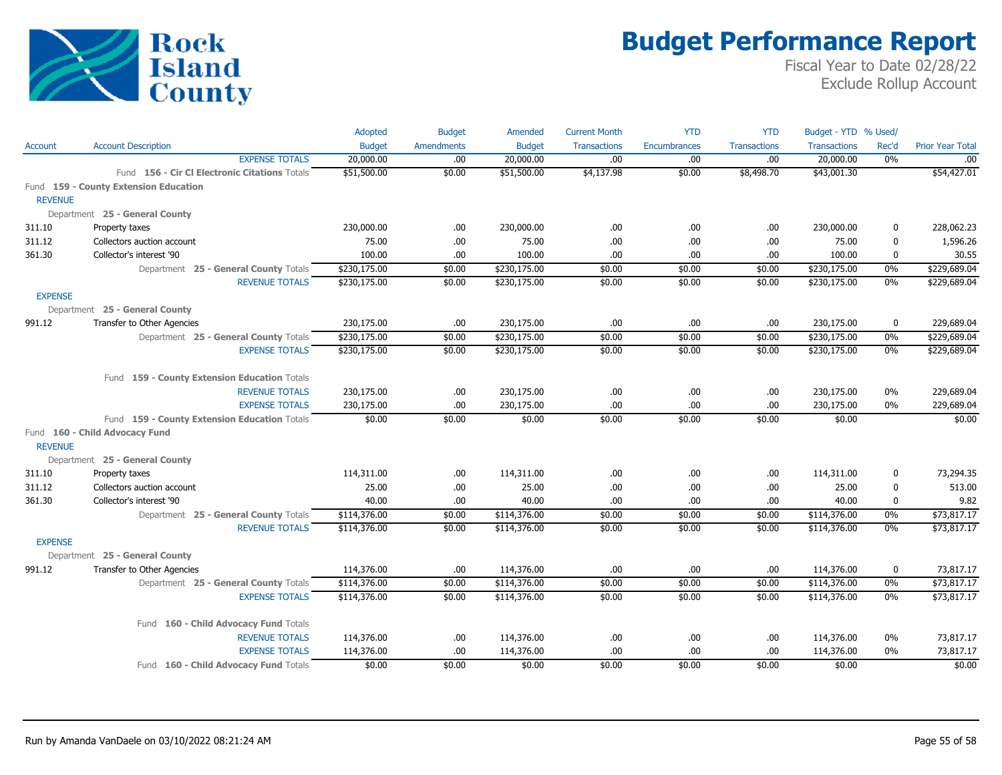

|                |                                               | Adopted       | <b>Budget</b>     | Amended       | <b>Current Month</b> | <b>YTD</b>          | <b>YTD</b>          | Budget - YTD % Used/ |             |                         |
|----------------|-----------------------------------------------|---------------|-------------------|---------------|----------------------|---------------------|---------------------|----------------------|-------------|-------------------------|
| Account        | <b>Account Description</b>                    | <b>Budget</b> | <b>Amendments</b> | <b>Budget</b> | <b>Transactions</b>  | <b>Encumbrances</b> | <b>Transactions</b> | <b>Transactions</b>  | Rec'd       | <b>Prior Year Total</b> |
|                | <b>EXPENSE TOTALS</b>                         | 20,000.00     | .00.              | 20,000.00     | .00                  | .00.                | .00                 | 20,000.00            | 0%          | .00                     |
|                | Fund 156 - Cir Cl Electronic Citations Totals | \$51,500.00   | \$0.00            | \$51,500.00   | \$4,137.98           | \$0.00              | \$8,498.70          | \$43,001.30          |             | \$54,427.01             |
|                | Fund 159 - County Extension Education         |               |                   |               |                      |                     |                     |                      |             |                         |
| <b>REVENUE</b> |                                               |               |                   |               |                      |                     |                     |                      |             |                         |
|                | Department 25 - General County                |               |                   |               |                      |                     |                     |                      |             |                         |
| 311.10         | Property taxes                                | 230,000.00    | .00.              | 230,000.00    | .00                  | .00.                | .00                 | 230,000.00           | 0           | 228,062.23              |
| 311.12         | Collectors auction account                    | 75.00         | .00               | 75.00         | .00                  | .00                 | .00                 | 75.00                | $\mathbf 0$ | 1,596.26                |
| 361.30         | Collector's interest '90                      | 100.00        | .00.              | 100.00        | .00                  | .00.                | .00.                | 100.00               | 0           | 30.55                   |
|                | Department 25 - General County Totals         | \$230,175.00  | \$0.00            | \$230,175.00  | \$0.00               | \$0.00              | \$0.00              | \$230,175.00         | 0%          | \$229,689.04            |
|                | <b>REVENUE TOTALS</b>                         | \$230,175.00  | \$0.00            | \$230,175.00  | \$0.00               | \$0.00              | \$0.00              | \$230,175.00         | $0\%$       | \$229,689.04            |
| <b>EXPENSE</b> |                                               |               |                   |               |                      |                     |                     |                      |             |                         |
|                | Department 25 - General County                |               |                   |               |                      |                     |                     |                      |             |                         |
| 991.12         | Transfer to Other Agencies                    | 230,175.00    | .00.              | 230,175.00    | .00                  | .00.                | .00.                | 230,175.00           | 0           | 229,689.04              |
|                | Department 25 - General County Totals         | \$230,175.00  | \$0.00            | \$230,175.00  | \$0.00               | \$0.00              | \$0.00              | \$230,175.00         | 0%          | \$229,689.04            |
|                | <b>EXPENSE TOTALS</b>                         | \$230,175.00  | \$0.00            | \$230,175.00  | \$0.00               | \$0.00              | \$0.00              | \$230,175.00         | 0%          | \$229,689.04            |
|                |                                               |               |                   |               |                      |                     |                     |                      |             |                         |
|                | Fund 159 - County Extension Education Totals  |               |                   |               |                      |                     |                     |                      |             |                         |
|                | <b>REVENUE TOTALS</b>                         | 230,175.00    | .00               | 230,175.00    | .00                  | .00.                | .00                 | 230,175.00           | $0\%$       | 229,689.04              |
|                | <b>EXPENSE TOTALS</b>                         | 230,175.00    | .00.              | 230,175.00    | .00                  | .00.                | .00                 | 230,175.00           | 0%          | 229,689.04              |
|                | Fund 159 - County Extension Education Totals  | \$0.00        | \$0.00            | \$0.00        | \$0.00               | \$0.00              | \$0.00              | \$0.00               |             | \$0.00                  |
|                | Fund 160 - Child Advocacy Fund                |               |                   |               |                      |                     |                     |                      |             |                         |
| <b>REVENUE</b> |                                               |               |                   |               |                      |                     |                     |                      |             |                         |
|                | Department 25 - General County                |               |                   |               |                      |                     |                     |                      |             |                         |
| 311.10         | Property taxes                                | 114,311.00    | .00.              | 114,311.00    | .00                  | .00.                | .00.                | 114,311.00           | 0           | 73,294.35               |
| 311.12         | Collectors auction account                    | 25.00         | .00               | 25.00         | .00                  | .00.                | .00                 | 25.00                | $\mathbf 0$ | 513.00                  |
| 361.30         | Collector's interest '90                      | 40.00         | .00.              | 40.00         | .00                  | .00                 | .00                 | 40.00                | $\mathbf 0$ | 9.82                    |
|                | Department 25 - General County Totals         | \$114,376.00  | \$0.00            | \$114,376.00  | \$0.00               | \$0.00              | \$0.00              | \$114,376.00         | $0\%$       | \$73,817.17             |
|                | <b>REVENUE TOTALS</b>                         | \$114,376.00  | \$0.00            | \$114,376.00  | \$0.00               | \$0.00              | \$0.00              | \$114,376.00         | 0%          | \$73,817.17             |
| <b>EXPENSE</b> |                                               |               |                   |               |                      |                     |                     |                      |             |                         |
|                | Department 25 - General County                |               |                   |               |                      |                     |                     |                      |             |                         |
| 991.12         | Transfer to Other Agencies                    | 114,376.00    | .00.              | 114,376.00    | .00                  | .00.                | .00                 | 114,376.00           | $\mathbf 0$ | 73,817.17               |
|                | Department 25 - General County Totals         | \$114,376.00  | \$0.00            | \$114,376.00  | \$0.00               | \$0.00              | \$0.00              | \$114,376.00         | $0\%$       | \$73,817.17             |
|                | <b>EXPENSE TOTALS</b>                         | \$114,376.00  | \$0.00            | \$114,376.00  | \$0.00               | \$0.00              | \$0.00              | \$114,376.00         | 0%          | \$73,817.17             |
|                |                                               |               |                   |               |                      |                     |                     |                      |             |                         |
|                | 160 - Child Advocacy Fund Totals<br>Fund      |               |                   |               |                      |                     |                     |                      |             |                         |
|                | <b>REVENUE TOTALS</b>                         | 114,376.00    | .00               | 114,376.00    | .00                  | .00.                | .00                 | 114,376.00           | $0\%$       | 73,817.17               |
|                | <b>EXPENSE TOTALS</b>                         | 114,376.00    | .00               | 114,376.00    | .00                  | .00.                | .00                 | 114,376.00           | 0%          | 73,817.17               |
|                | Fund 160 - Child Advocacy Fund Totals         | \$0.00        | \$0.00            | \$0.00        | \$0.00               | \$0.00              | \$0.00              | \$0.00               |             | \$0.00                  |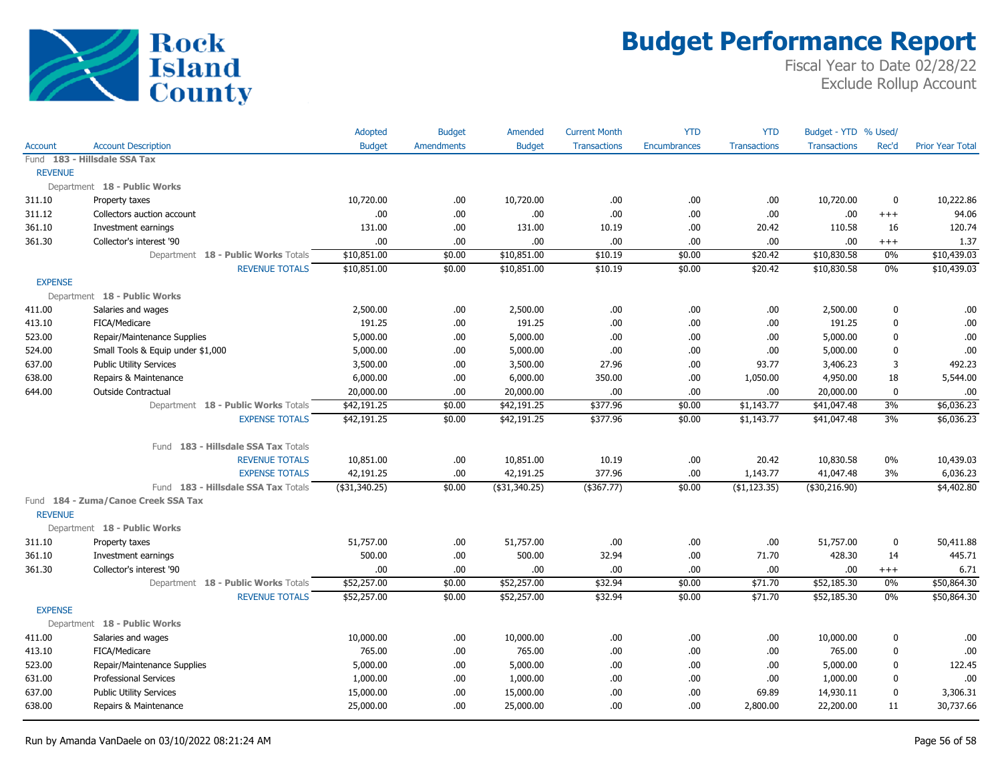

|                |                                     | Adopted         | <b>Budget</b>     | <b>Amended</b> | <b>Current Month</b> | <b>YTD</b>   | <b>YTD</b>          | Budget - YTD % Used/ |             |                         |
|----------------|-------------------------------------|-----------------|-------------------|----------------|----------------------|--------------|---------------------|----------------------|-------------|-------------------------|
| <b>Account</b> | <b>Account Description</b>          | <b>Budget</b>   | <b>Amendments</b> | <b>Budget</b>  | <b>Transactions</b>  | Encumbrances | <b>Transactions</b> | <b>Transactions</b>  | Rec'd       | <b>Prior Year Total</b> |
|                | Fund 183 - Hillsdale SSA Tax        |                 |                   |                |                      |              |                     |                      |             |                         |
| <b>REVENUE</b> |                                     |                 |                   |                |                      |              |                     |                      |             |                         |
|                | Department 18 - Public Works        |                 |                   |                |                      |              |                     |                      |             |                         |
| 311.10         | Property taxes                      | 10,720.00       | .00.              | 10,720.00      | .00                  | .00          | .00                 | 10,720.00            | $\mathbf 0$ | 10,222.86               |
| 311.12         | Collectors auction account          | .00             | .00.              | .00            | .00                  | .00          | .00                 | .00                  | $^{+++}$    | 94.06                   |
| 361.10         | Investment earnings                 | 131.00          | .00               | 131.00         | 10.19                | .00          | 20.42               | 110.58               | 16          | 120.74                  |
| 361.30         | Collector's interest '90            | .00             | .00.              | .00            | .00                  | .00          | .00                 | .00                  | $^{+++}$    | 1.37                    |
|                | Department 18 - Public Works Totals | \$10,851.00     | \$0.00            | \$10,851.00    | \$10.19              | \$0.00       | \$20.42             | \$10,830.58          | 0%          | \$10,439.03             |
|                | <b>REVENUE TOTALS</b>               | \$10,851.00     | \$0.00            | \$10,851.00    | \$10.19              | \$0.00       | \$20.42             | \$10,830.58          | 0%          | \$10,439.03             |
| <b>EXPENSE</b> |                                     |                 |                   |                |                      |              |                     |                      |             |                         |
|                | Department 18 - Public Works        |                 |                   |                |                      |              |                     |                      |             |                         |
| 411.00         | Salaries and wages                  | 2,500.00        | .00.              | 2,500.00       | .00                  | .00          | .00                 | 2,500.00             | $\mathbf 0$ | .00.                    |
| 413.10         | FICA/Medicare                       | 191.25          | .00               | 191.25         | .00                  | .00          | .00                 | 191.25               | 0           | .00                     |
| 523.00         | Repair/Maintenance Supplies         | 5,000.00        | .00.              | 5,000.00       | .00                  | .00          | .00                 | 5,000.00             | $\mathbf 0$ | .00                     |
| 524.00         | Small Tools & Equip under \$1,000   | 5,000.00        | .00.              | 5,000.00       | .00                  | .00          | .00                 | 5,000.00             | $\mathbf 0$ | .00                     |
| 637.00         | <b>Public Utility Services</b>      | 3,500.00        | .00.              | 3,500.00       | 27.96                | .00          | 93.77               | 3,406.23             | 3           | 492.23                  |
| 638.00         | Repairs & Maintenance               | 6,000.00        | .00               | 6,000.00       | 350.00               | .00          | 1,050.00            | 4,950.00             | 18          | 5,544.00                |
| 644.00         | <b>Outside Contractual</b>          | 20,000.00       | .00.              | 20,000.00      | .00                  | .00          | .00                 | 20,000.00            | $\mathbf 0$ | .00.                    |
|                | Department 18 - Public Works Totals | \$42,191.25     | \$0.00            | \$42,191.25    | \$377.96             | \$0.00       | \$1,143.77          | \$41,047.48          | 3%          | \$6,036.23              |
|                | <b>EXPENSE TOTALS</b>               | \$42,191.25     | \$0.00            | \$42,191.25    | \$377.96             | \$0.00       | \$1,143.77          | \$41,047.48          | 3%          | \$6,036.23              |
|                |                                     |                 |                   |                |                      |              |                     |                      |             |                         |
|                | Fund 183 - Hillsdale SSA Tax Totals |                 |                   |                |                      |              |                     |                      |             |                         |
|                | <b>REVENUE TOTALS</b>               | 10,851.00       | .00.              | 10,851.00      | 10.19                | .00          | 20.42               | 10,830.58            | 0%          | 10,439.03               |
|                | <b>EXPENSE TOTALS</b>               | 42,191.25       | .00               | 42,191.25      | 377.96               | .00          | 1,143.77            | 41,047.48            | 3%          | 6,036.23                |
|                | Fund 183 - Hillsdale SSA Tax Totals | ( \$31, 340.25) | \$0.00            | (\$31,340.25)  | $($ \$367.77)        | \$0.00       | $($ \$1,123.35)     | $($ \$30,216.90)     |             | \$4,402.80              |
|                | Fund 184 - Zuma/Canoe Creek SSA Tax |                 |                   |                |                      |              |                     |                      |             |                         |
| <b>REVENUE</b> |                                     |                 |                   |                |                      |              |                     |                      |             |                         |
|                | Department 18 - Public Works        |                 |                   |                |                      |              |                     |                      |             |                         |
| 311.10         | Property taxes                      | 51,757.00       | .00               | 51,757.00      | .00                  | .00          | .00                 | 51,757.00            | 0           | 50,411.88               |
| 361.10         | Investment earnings                 | 500.00          | .00.              | 500.00         | 32.94                | .00          | 71.70               | 428.30               | 14          | 445.71                  |
| 361.30         | Collector's interest '90            | .00             | .00               | .00            | .00                  | .00          | .00.                | .00.                 | $^{+++}$    | 6.71                    |
|                | Department 18 - Public Works Totals | \$52,257.00     | \$0.00            | \$52,257.00    | \$32.94              | \$0.00       | \$71.70             | \$52,185.30          | 0%          | \$50,864.30             |
|                | <b>REVENUE TOTALS</b>               | \$52,257.00     | \$0.00            | \$52,257.00    | \$32.94              | \$0.00       | \$71.70             | \$52,185.30          | 0%          | \$50,864.30             |
| <b>EXPENSE</b> |                                     |                 |                   |                |                      |              |                     |                      |             |                         |
|                | Department 18 - Public Works        |                 |                   |                |                      |              |                     |                      |             |                         |
| 411.00         | Salaries and wages                  | 10,000.00       | .00.              | 10,000.00      | .00                  | .00          | .00                 | 10,000.00            | 0           | .00                     |
| 413.10         | FICA/Medicare                       | 765.00          | .00.              | 765.00         | .00                  | .00          | .00                 | 765.00               | 0           | .00                     |
| 523.00         | Repair/Maintenance Supplies         | 5,000.00        | .00.              | 5,000.00       | .00                  | .00          | .00                 | 5,000.00             | 0           | 122.45                  |
| 631.00         | <b>Professional Services</b>        | 1,000.00        | .00.              | 1,000.00       | .00                  | .00          | .00                 | 1,000.00             | $\mathbf 0$ | .00                     |
| 637.00         | <b>Public Utility Services</b>      | 15,000.00       | .00               | 15,000.00      | .00                  | .00          | 69.89               | 14,930.11            | $\mathbf 0$ | 3,306.31                |
| 638.00         | Repairs & Maintenance               | 25,000.00       | .00               | 25,000.00      | .00                  | .00          | 2,800.00            | 22,200.00            | 11          | 30,737.66               |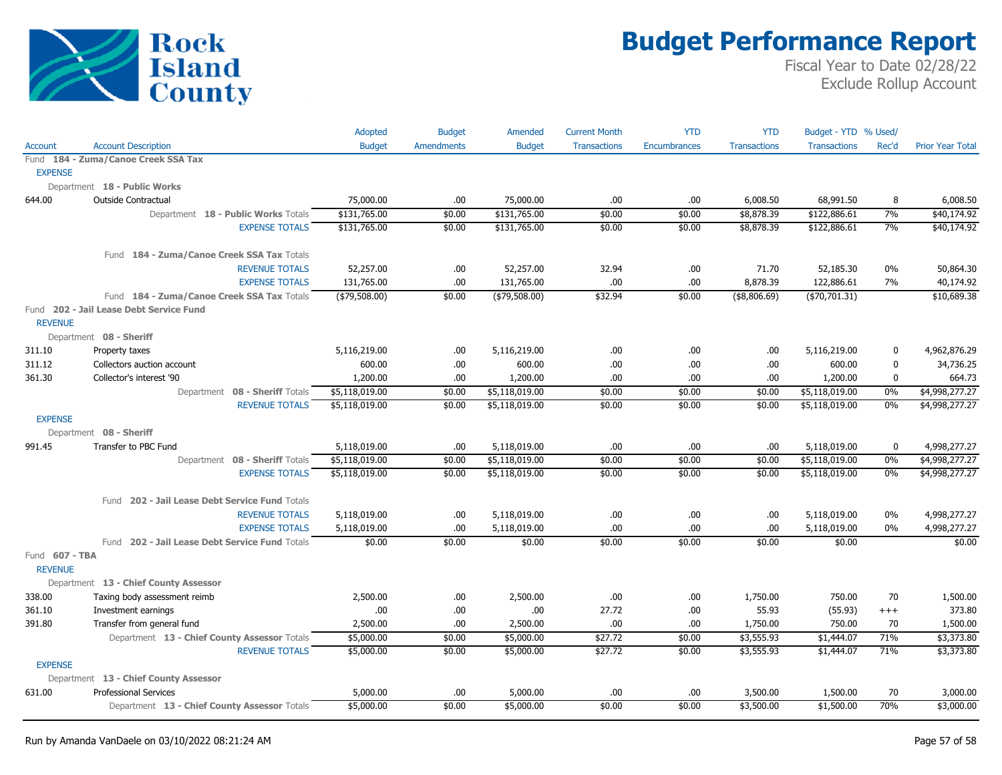

|                                  |                                                   | <b>Adopted</b> | <b>Budget</b>     | Amended        | <b>Current Month</b> | <b>YTD</b>          | <b>YTD</b>          | Budget - YTD % Used/ |                  |                         |
|----------------------------------|---------------------------------------------------|----------------|-------------------|----------------|----------------------|---------------------|---------------------|----------------------|------------------|-------------------------|
| Account                          | <b>Account Description</b>                        | <b>Budget</b>  | <b>Amendments</b> | <b>Budget</b>  | <b>Transactions</b>  | <b>Encumbrances</b> | <b>Transactions</b> | <b>Transactions</b>  | Rec'd            | <b>Prior Year Total</b> |
|                                  | Fund 184 - Zuma/Canoe Creek SSA Tax               |                |                   |                |                      |                     |                     |                      |                  |                         |
| <b>EXPENSE</b>                   |                                                   |                |                   |                |                      |                     |                     |                      |                  |                         |
|                                  | Department 18 - Public Works                      |                |                   |                |                      |                     |                     |                      |                  |                         |
| 644.00                           | <b>Outside Contractual</b>                        | 75,000.00      | .00.              | 75,000.00      | .00                  | .00.                | 6,008.50            | 68,991.50            | 8                | 6,008.50                |
|                                  | Department 18 - Public Works Totals               | \$131,765.00   | \$0.00            | \$131,765.00   | \$0.00               | \$0.00              | \$8,878.39          | \$122,886.61         | 7%               | \$40,174.92             |
|                                  | <b>EXPENSE TOTALS</b>                             | \$131,765.00   | \$0.00            | \$131,765.00   | \$0.00               | \$0.00              | \$8,878.39          | \$122,886.61         | 7%               | \$40,174.92             |
|                                  | Fund 184 - Zuma/Canoe Creek SSA Tax Totals        |                |                   |                |                      |                     |                     |                      |                  |                         |
|                                  | <b>REVENUE TOTALS</b>                             | 52,257.00      | .00               | 52,257.00      | 32.94                | .00.                | 71.70               | 52,185.30            | 0%               | 50,864.30               |
|                                  | <b>EXPENSE TOTALS</b>                             | 131,765.00     | .00               | 131,765.00     | .00                  | .00.                | 8,878.39            | 122,886.61           | 7%               | 40,174.92               |
|                                  | Fund 184 - Zuma/Canoe Creek SSA Tax Totals        | ( \$79,508.00) | \$0.00            | (\$79,508.00)  | \$32.94              | \$0.00              | ( \$8,806.69)       | ( \$70, 701.31)      |                  | \$10,689.38             |
| <b>REVENUE</b>                   | Fund 202 - Jail Lease Debt Service Fund           |                |                   |                |                      |                     |                     |                      |                  |                         |
|                                  | Department 08 - Sheriff                           |                |                   |                |                      |                     |                     |                      |                  |                         |
| 311.10                           | Property taxes                                    | 5,116,219.00   | .00               | 5,116,219.00   | .00                  | .00.                | .00                 | 5,116,219.00         | $\mathbf 0$      | 4,962,876.29            |
| 311.12                           | Collectors auction account                        | 600.00         | .00               | 600.00         | .00                  | .00.                | .00                 | 600.00               | $\boldsymbol{0}$ | 34,736.25               |
| 361.30                           | Collector's interest '90                          | 1,200.00       | .00               | 1,200.00       | .00                  | .00                 | .00                 | 1,200.00             | $\pmb{0}$        | 664.73                  |
|                                  | Department 08 - Sheriff Totals                    | \$5,118,019.00 | \$0.00            | \$5,118,019.00 | \$0.00               | \$0.00              | \$0.00              | \$5,118,019.00       | 0%               | \$4,998,277.27          |
|                                  | <b>REVENUE TOTALS</b>                             | \$5,118,019.00 | \$0.00            | \$5,118,019.00 | \$0.00               | \$0.00              | \$0.00              | \$5,118,019.00       | 0%               | \$4,998,277.27          |
| <b>EXPENSE</b>                   |                                                   |                |                   |                |                      |                     |                     |                      |                  |                         |
|                                  | Department 08 - Sheriff                           |                |                   |                |                      |                     |                     |                      |                  |                         |
| 991.45                           | Transfer to PBC Fund                              | 5,118,019.00   | .00               | 5,118,019.00   | .00                  | .00.                | .00                 | 5,118,019.00         | $\mathbf 0$      | 4,998,277.27            |
|                                  | Department 08 - Sheriff Totals                    | \$5,118,019.00 | \$0.00            | \$5,118,019.00 | \$0.00               | \$0.00              | \$0.00              | \$5,118,019.00       | 0%               | \$4,998,277.27          |
|                                  | <b>EXPENSE TOTALS</b>                             | \$5,118,019.00 | \$0.00            | \$5,118,019.00 | \$0.00               | \$0.00              | \$0.00              | \$5,118,019.00       | 0%               | \$4,998,277.27          |
|                                  | Fund 202 - Jail Lease Debt Service Fund Totals    |                |                   |                |                      |                     |                     |                      |                  |                         |
|                                  | <b>REVENUE TOTALS</b>                             | 5,118,019.00   | .00               | 5,118,019.00   | .00                  | .00.                | .00                 | 5,118,019.00         | 0%               | 4,998,277.27            |
|                                  | <b>EXPENSE TOTALS</b>                             | 5,118,019.00   | .00               | 5,118,019.00   | .00                  | .00.                | .00                 | 5,118,019.00         | 0%               | 4,998,277.27            |
|                                  | 202 - Jail Lease Debt Service Fund Totals<br>Fund | \$0.00         | \$0.00            | \$0.00         | \$0.00               | \$0.00              | \$0.00              | \$0.00               |                  | \$0.00                  |
| Fund 607 - TBA<br><b>REVENUE</b> |                                                   |                |                   |                |                      |                     |                     |                      |                  |                         |
|                                  | Department 13 - Chief County Assessor             |                |                   |                |                      |                     |                     |                      |                  |                         |
| 338.00                           | Taxing body assessment reimb                      | 2,500.00       | .00.              | 2,500.00       | .00                  | .00                 | 1,750.00            | 750.00               | 70               | 1,500.00                |
| 361.10                           | Investment earnings                               | .00            | .00               | .00.           | 27.72                | .00.                | 55.93               | (55.93)              | $+++$            | 373.80                  |
| 391.80                           | Transfer from general fund                        | 2,500.00       | .00               | 2,500.00       | .00                  | .00.                | 1,750.00            | 750.00               | 70               | 1,500.00                |
|                                  | Department 13 - Chief County Assessor Totals      | \$5,000.00     | \$0.00            | \$5,000.00     | \$27.72              | \$0.00              | \$3,555.93          | \$1,444.07           | 71%              | \$3,373.80              |
|                                  | <b>REVENUE TOTALS</b>                             | \$5,000.00     | \$0.00            | \$5,000.00     | \$27.72              | \$0.00              | \$3,555.93          | \$1,444.07           | 71%              | \$3,373.80              |
| <b>EXPENSE</b>                   |                                                   |                |                   |                |                      |                     |                     |                      |                  |                         |
|                                  | Department 13 - Chief County Assessor             |                |                   |                |                      |                     |                     |                      |                  |                         |
| 631.00                           | <b>Professional Services</b>                      | 5,000.00       | .00               | 5,000.00       | .00                  | .00.                | 3,500.00            | 1,500.00             | 70               | 3,000.00                |
|                                  | Department 13 - Chief County Assessor Totals      | \$5,000.00     | \$0.00            | \$5,000.00     | \$0.00               | \$0.00              | \$3,500.00          | \$1,500.00           | 70%              | \$3,000.00              |